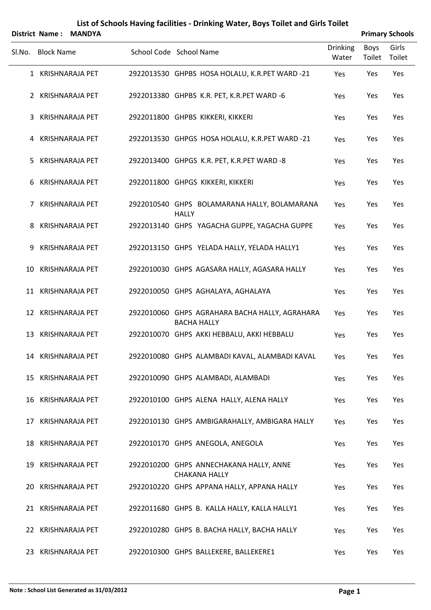|                | District Name:    | <b>MANDYA</b>          |                                                                      |                          |                | <b>Primary Schools</b> |
|----------------|-------------------|------------------------|----------------------------------------------------------------------|--------------------------|----------------|------------------------|
| Sl.No.         | <b>Block Name</b> |                        | School Code School Name                                              | <b>Drinking</b><br>Water | Boys<br>Toilet | Girls<br>Toilet        |
|                |                   | 1 KRISHNARAJA PET      | 2922013530 GHPBS HOSA HOLALU, K.R.PET WARD -21                       | Yes                      | Yes            | Yes                    |
|                |                   | 2 KRISHNARAJA PET      | 2922013380 GHPBS K.R. PET, K.R. PET WARD -6                          | Yes                      | Yes            | Yes                    |
| 3              |                   | <b>KRISHNARAJA PET</b> | 2922011800 GHPBS KIKKERI, KIKKERI                                    | Yes                      | Yes            | Yes                    |
|                |                   | 4 KRISHNARAJA PET      | 2922013530 GHPGS HOSA HOLALU, K.R.PET WARD -21                       | Yes                      | Yes            | Yes                    |
| 5              |                   | <b>KRISHNARAJA PET</b> | 2922013400 GHPGS K.R. PET, K.R. PET WARD -8                          | Yes                      | Yes            | Yes                    |
| 6              |                   | <b>KRISHNARAJA PET</b> | 2922011800 GHPGS KIKKERI, KIKKERI                                    | Yes                      | Yes            | Yes                    |
| $\overline{7}$ |                   | <b>KRISHNARAJA PET</b> | 2922010540 GHPS BOLAMARANA HALLY, BOLAMARANA<br><b>HALLY</b>         | Yes                      | Yes            | Yes                    |
| 8              |                   | KRISHNARAJA PET        | 2922013140 GHPS YAGACHA GUPPE, YAGACHA GUPPE                         | Yes                      | Yes            | Yes                    |
| 9              |                   | <b>KRISHNARAJA PET</b> | 2922013150 GHPS YELADA HALLY, YELADA HALLY1                          | Yes                      | Yes            | Yes                    |
|                |                   | 10 KRISHNARAJA PET     | 2922010030 GHPS AGASARA HALLY, AGASARA HALLY                         | Yes                      | Yes            | Yes                    |
|                |                   | 11 KRISHNARAJA PET     | 2922010050 GHPS AGHALAYA, AGHALAYA                                   | Yes                      | Yes            | Yes                    |
|                |                   | 12 KRISHNARAJA PET     | 2922010060 GHPS AGRAHARA BACHA HALLY, AGRAHARA<br><b>BACHA HALLY</b> | Yes                      | Yes            | Yes                    |
|                |                   | 13 KRISHNARAJA PET     | 2922010070 GHPS AKKI HEBBALU, AKKI HEBBALU                           | Yes                      | Yes            | Yes                    |
|                |                   | 14 KRISHNARAJA PET     | 2922010080 GHPS ALAMBADI KAVAL, ALAMBADI KAVAL                       | Yes                      | Yes            | Yes                    |
|                |                   | 15 KRISHNARAJA PET     | 2922010090 GHPS ALAMBADI, ALAMBADI                                   | Yes                      | Yes            | Yes                    |
|                |                   | 16 KRISHNARAJA PET     | 2922010100 GHPS ALENA HALLY, ALENA HALLY                             | Yes                      | Yes            | Yes                    |
|                |                   | 17 KRISHNARAJA PET     | 2922010130 GHPS AMBIGARAHALLY, AMBIGARA HALLY                        | Yes                      | Yes            | Yes                    |
|                |                   | 18 KRISHNARAJA PET     | 2922010170 GHPS ANEGOLA, ANEGOLA                                     | Yes                      | Yes            | Yes                    |
|                |                   | 19 KRISHNARAJA PET     | 2922010200 GHPS ANNECHAKANA HALLY, ANNE<br><b>CHAKANA HALLY</b>      | Yes                      | Yes            | Yes                    |
|                |                   | 20 KRISHNARAJA PET     | 2922010220 GHPS APPANA HALLY, APPANA HALLY                           | Yes                      | Yes            | Yes                    |
|                |                   | 21 KRISHNARAJA PET     | 2922011680 GHPS B. KALLA HALLY, KALLA HALLY1                         | Yes                      | Yes            | Yes                    |
|                |                   | 22 KRISHNARAJA PET     | 2922010280 GHPS B. BACHA HALLY, BACHA HALLY                          | Yes                      | Yes            | Yes                    |
|                |                   | 23 KRISHNARAJA PET     | 2922010300 GHPS BALLEKERE, BALLEKERE1                                | Yes                      | Yes            | Yes                    |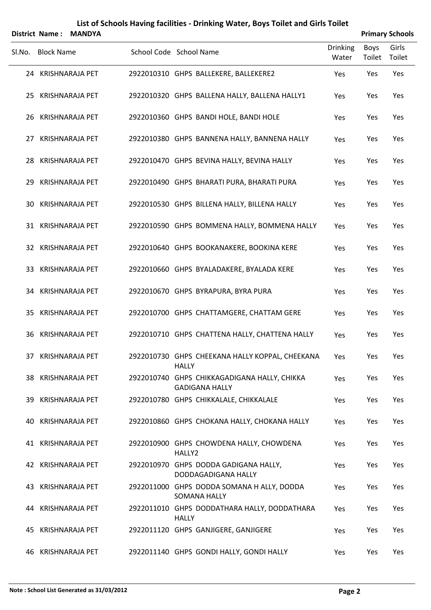|                        | List of Schools Having facilities - Drinking Water, Boys Toilet and Girls Toilet |                        |
|------------------------|----------------------------------------------------------------------------------|------------------------|
| Dictrict Name · MANDVA |                                                                                  | <b>Primary Schools</b> |

|        |                   | DISTRICT Name: MANDIA  |                                                                   |                          |                       | <b>Primary Schools</b> |
|--------|-------------------|------------------------|-------------------------------------------------------------------|--------------------------|-----------------------|------------------------|
| Sl.No. | <b>Block Name</b> |                        | School Code School Name                                           | <b>Drinking</b><br>Water | <b>Boys</b><br>Toilet | Girls<br>Toilet        |
|        |                   | 24 KRISHNARAJA PET     | 2922010310 GHPS BALLEKERE, BALLEKERE2                             | Yes                      | Yes                   | Yes                    |
|        |                   | 25 KRISHNARAJA PET     | 2922010320 GHPS BALLENA HALLY, BALLENA HALLY1                     | Yes                      | Yes                   | Yes                    |
|        |                   | 26 KRISHNARAJA PET     | 2922010360 GHPS BANDI HOLE, BANDI HOLE                            | Yes                      | Yes                   | Yes                    |
| 27     |                   | <b>KRISHNARAJA PET</b> | 2922010380 GHPS BANNENA HALLY, BANNENA HALLY                      | Yes                      | Yes                   | Yes                    |
|        |                   | 28 KRISHNARAJA PET     | 2922010470 GHPS BEVINA HALLY, BEVINA HALLY                        | Yes                      | Yes                   | Yes                    |
| 29     |                   | <b>KRISHNARAJA PET</b> | 2922010490 GHPS BHARATI PURA, BHARATI PURA                        | Yes                      | Yes                   | Yes                    |
|        |                   | 30 KRISHNARAJA PET     | 2922010530 GHPS BILLENA HALLY, BILLENA HALLY                      | Yes                      | Yes                   | Yes                    |
|        |                   | 31 KRISHNARAJA PET     | 2922010590 GHPS BOMMENA HALLY, BOMMENA HALLY                      | Yes                      | Yes                   | Yes                    |
|        |                   | 32 KRISHNARAJA PET     | 2922010640 GHPS BOOKANAKERE, BOOKINA KERE                         | Yes                      | Yes                   | Yes                    |
| 33     |                   | KRISHNARAJA PET        | 2922010660 GHPS BYALADAKERE, BYALADA KERE                         | Yes                      | Yes                   | Yes                    |
|        |                   | 34 KRISHNARAJA PET     | 2922010670 GHPS BYRAPURA, BYRA PURA                               | Yes                      | Yes                   | Yes                    |
|        |                   | 35 KRISHNARAJA PET     | 2922010700 GHPS CHATTAMGERE, CHATTAM GERE                         | Yes                      | Yes                   | Yes                    |
|        |                   | 36 KRISHNARAJA PET     | 2922010710 GHPS CHATTENA HALLY, CHATTENA HALLY                    | Yes                      | Yes                   | Yes                    |
|        |                   | 37 KRISHNARAJA PET     | 2922010730 GHPS CHEEKANA HALLY KOPPAL, CHEEKANA                   | Yes                      | Yes                   | Yes                    |
|        |                   | 38 KRISHNARAJA PET     | <b>HALLY</b><br>2922010740 GHPS CHIKKAGADIGANA HALLY, CHIKKA      | Yes                      | Yes                   | Yes                    |
|        |                   |                        | <b>GADIGANA HALLY</b>                                             |                          |                       |                        |
|        |                   | 39 KRISHNARAJA PET     | 2922010780 GHPS CHIKKALALE, CHIKKALALE                            | Yes                      | Yes                   | Yes                    |
| 40.    |                   | KRISHNARAJA PET        | 2922010860 GHPS CHOKANA HALLY, CHOKANA HALLY                      | Yes                      | Yes                   | Yes                    |
|        |                   | 41 KRISHNARAJA PET     | 2922010900 GHPS CHOWDENA HALLY, CHOWDENA<br>HALLY2                | Yes                      | Yes                   | Yes                    |
|        |                   | 42 KRISHNARAJA PET     | 2922010970 GHPS DODDA GADIGANA HALLY,<br>DODDAGADIGANA HALLY      | Yes                      | Yes                   | Yes                    |
|        |                   | 43 KRISHNARAJA PET     | 2922011000 GHPS DODDA SOMANA H ALLY, DODDA<br><b>SOMANA HALLY</b> | Yes                      | Yes                   | Yes                    |
|        |                   | 44 KRISHNARAJA PET     | 2922011010 GHPS DODDATHARA HALLY, DODDATHARA<br><b>HALLY</b>      | Yes                      | Yes                   | Yes                    |
|        |                   | 45 KRISHNARAJA PET     | 2922011120 GHPS GANJIGERE, GANJIGERE                              | Yes                      | Yes                   | Yes                    |
| 46     |                   | KRISHNARAJA PET        | 2922011140 GHPS GONDI HALLY, GONDI HALLY                          | Yes                      | Yes                   | Yes                    |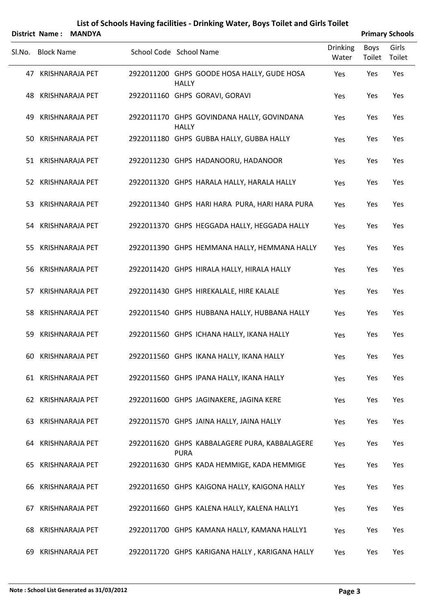|        | District Name:    | <b>MANDYA</b>          |                                                              |                          |                | <b>Primary Schools</b> |
|--------|-------------------|------------------------|--------------------------------------------------------------|--------------------------|----------------|------------------------|
| SI.No. | <b>Block Name</b> |                        | School Code School Name                                      | <b>Drinking</b><br>Water | Boys<br>Toilet | Girls<br>Toilet        |
|        |                   | 47 KRISHNARAJA PET     | 2922011200 GHPS GOODE HOSA HALLY, GUDE HOSA<br><b>HALLY</b>  | Yes                      | Yes            | Yes                    |
|        |                   | 48 KRISHNARAJA PET     | 2922011160 GHPS GORAVI, GORAVI                               | Yes                      | Yes            | Yes                    |
|        |                   | 49 KRISHNARAJA PET     | 2922011170 GHPS GOVINDANA HALLY, GOVINDANA<br><b>HALLY</b>   | Yes                      | Yes            | Yes                    |
|        |                   | 50 KRISHNARAJA PET     | 2922011180 GHPS GUBBA HALLY, GUBBA HALLY                     | Yes                      | Yes            | Yes                    |
|        |                   | 51 KRISHNARAJA PET     | 2922011230 GHPS HADANOORU, HADANOOR                          | Yes                      | Yes            | Yes                    |
|        |                   | 52 KRISHNARAJA PET     | 2922011320 GHPS HARALA HALLY, HARALA HALLY                   | Yes                      | Yes            | Yes                    |
|        |                   | 53 KRISHNARAJA PET     | 2922011340 GHPS HARI HARA PURA, HARI HARA PURA               | Yes                      | Yes            | Yes                    |
|        |                   | 54 KRISHNARAJA PET     | 2922011370 GHPS HEGGADA HALLY, HEGGADA HALLY                 | Yes                      | Yes            | Yes                    |
|        |                   | 55 KRISHNARAJA PET     | 2922011390 GHPS HEMMANA HALLY, HEMMANA HALLY                 | Yes                      | Yes            | Yes                    |
|        |                   | 56 KRISHNARAJA PET     | 2922011420 GHPS HIRALA HALLY, HIRALA HALLY                   | Yes                      | Yes            | Yes                    |
|        |                   | 57 KRISHNARAJA PET     | 2922011430 GHPS HIREKALALE, HIRE KALALE                      | Yes                      | Yes            | Yes                    |
|        |                   | 58 KRISHNARAJA PET     | 2922011540 GHPS HUBBANA HALLY, HUBBANA HALLY                 | Yes                      | Yes            | Yes                    |
|        |                   | 59 KRISHNARAJA PET     | 2922011560 GHPS ICHANA HALLY, IKANA HALLY                    | Yes                      | Yes            | Yes                    |
|        |                   | 60 KRISHNARAJA PET     | 2922011560 GHPS IKANA HALLY, IKANA HALLY                     | Yes                      | Yes            | Yes                    |
|        |                   | 61 KRISHNARAJA PET     | 2922011560 GHPS IPANA HALLY, IKANA HALLY                     | Yes                      | Yes            | Yes                    |
|        |                   | 62 KRISHNARAJA PET     | 2922011600 GHPS JAGINAKERE, JAGINA KERE                      | Yes                      | Yes            | Yes                    |
| 63     |                   | <b>KRISHNARAJA PET</b> | 2922011570 GHPS JAINA HALLY, JAINA HALLY                     | Yes                      | Yes            | Yes                    |
|        |                   | 64 KRISHNARAJA PET     | 2922011620 GHPS KABBALAGERE PURA, KABBALAGERE<br><b>PURA</b> | Yes                      | Yes            | Yes                    |
|        |                   | 65 KRISHNARAJA PET     | 2922011630 GHPS KADA HEMMIGE, KADA HEMMIGE                   | Yes                      | Yes            | Yes                    |
|        |                   | 66 KRISHNARAJA PET     | 2922011650 GHPS KAIGONA HALLY, KAIGONA HALLY                 | Yes                      | Yes            | Yes                    |
| 67     |                   | <b>KRISHNARAJA PET</b> | 2922011660 GHPS KALENA HALLY, KALENA HALLY1                  | Yes                      | Yes            | Yes                    |
| 68     |                   | KRISHNARAJA PET        | 2922011700 GHPS KAMANA HALLY, KAMANA HALLY1                  | Yes                      | Yes            | Yes                    |
| 69     |                   | <b>KRISHNARAJA PET</b> | 2922011720 GHPS KARIGANA HALLY, KARIGANA HALLY               | Yes                      | Yes            | Yes                    |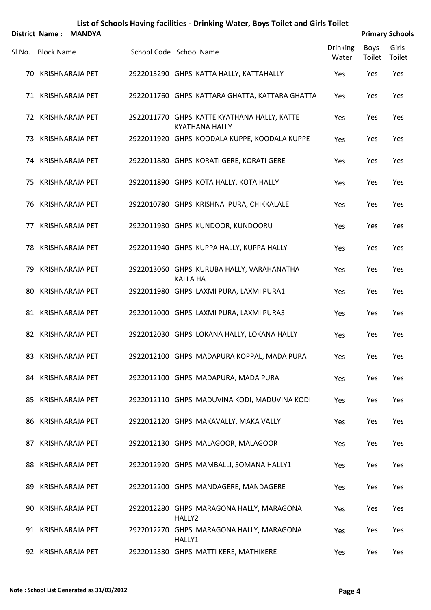|        |                   | District Name: MANDYA |                                                                      |                          |                | <b>Primary Schools</b> |
|--------|-------------------|-----------------------|----------------------------------------------------------------------|--------------------------|----------------|------------------------|
| Sl.No. | <b>Block Name</b> |                       | School Code School Name                                              | <b>Drinking</b><br>Water | Boys<br>Toilet | Girls<br>Toilet        |
|        |                   | 70 KRISHNARAJA PET    | 2922013290 GHPS KATTA HALLY, KATTAHALLY                              | Yes                      | Yes            | Yes                    |
|        |                   | 71 KRISHNARAJA PET    | 2922011760 GHPS KATTARA GHATTA, KATTARA GHATTA                       | Yes                      | Yes            | Yes                    |
|        |                   | 72 KRISHNARAJA PET    | 2922011770 GHPS KATTE KYATHANA HALLY, KATTE<br><b>KYATHANA HALLY</b> | Yes                      | Yes            | Yes                    |
|        |                   | 73 KRISHNARAJA PET    | 2922011920 GHPS KOODALA KUPPE, KOODALA KUPPE                         | Yes                      | Yes            | Yes                    |
|        |                   | 74 KRISHNARAJA PET    | 2922011880 GHPS KORATI GERE, KORATI GERE                             | Yes                      | Yes            | Yes                    |
|        |                   | 75 KRISHNARAJA PET    | 2922011890 GHPS KOTA HALLY, KOTA HALLY                               | Yes                      | Yes            | Yes                    |
|        |                   | 76 KRISHNARAJA PET    | 2922010780 GHPS KRISHNA PURA, CHIKKALALE                             | Yes                      | Yes            | Yes                    |
|        |                   | 77 KRISHNARAJA PET    | 2922011930 GHPS KUNDOOR, KUNDOORU                                    | Yes                      | Yes            | Yes                    |
|        |                   | 78 KRISHNARAJA PET    | 2922011940 GHPS KUPPA HALLY, KUPPA HALLY                             | Yes                      | Yes            | Yes                    |
|        |                   | 79 KRISHNARAJA PET    | 2922013060 GHPS KURUBA HALLY, VARAHANATHA<br><b>KALLA HA</b>         | Yes                      | Yes            | Yes                    |
|        |                   | 80 KRISHNARAJA PET    | 2922011980 GHPS LAXMI PURA, LAXMI PURA1                              | Yes                      | Yes            | Yes                    |
|        |                   | 81 KRISHNARAJA PET    | 2922012000 GHPS LAXMI PURA, LAXMI PURA3                              | Yes                      | Yes            | Yes                    |
|        |                   | 82 KRISHNARAJA PET    | 2922012030 GHPS LOKANA HALLY, LOKANA HALLY                           | Yes                      | Yes            | Yes                    |
|        |                   | 83 KRISHNARAJA PET    | 2922012100 GHPS MADAPURA KOPPAL, MADA PURA                           | Yes                      | Yes            | Yes                    |
|        |                   | 84 KRISHNARAJA PET    | 2922012100 GHPS MADAPURA, MADA PURA                                  | Yes                      | Yes            | Yes                    |
|        |                   | 85 KRISHNARAJA PET    | 2922012110 GHPS MADUVINA KODI, MADUVINA KODI                         | Yes                      | Yes            | Yes                    |
|        |                   | 86 KRISHNARAJA PET    | 2922012120 GHPS MAKAVALLY, MAKA VALLY                                | Yes                      | Yes            | Yes                    |
|        |                   | 87 KRISHNARAJA PET    | 2922012130 GHPS MALAGOOR, MALAGOOR                                   | Yes                      | Yes            | Yes                    |
|        |                   | 88 KRISHNARAJA PET    | 2922012920 GHPS MAMBALLI, SOMANA HALLY1                              | Yes                      | Yes            | Yes                    |
|        |                   | 89 KRISHNARAJA PET    | 2922012200 GHPS MANDAGERE, MANDAGERE                                 | Yes                      | Yes            | Yes                    |
|        |                   | 90 KRISHNARAJA PET    | 2922012280 GHPS MARAGONA HALLY, MARAGONA<br>HALLY2                   | Yes                      | Yes            | Yes                    |
|        |                   | 91 KRISHNARAJA PET    | 2922012270 GHPS MARAGONA HALLY, MARAGONA<br>HALLY1                   | Yes                      | Yes            | Yes                    |
|        |                   | 92 KRISHNARAJA PET    | 2922012330 GHPS MATTI KERE, MATHIKERE                                | Yes                      | Yes            | Yes                    |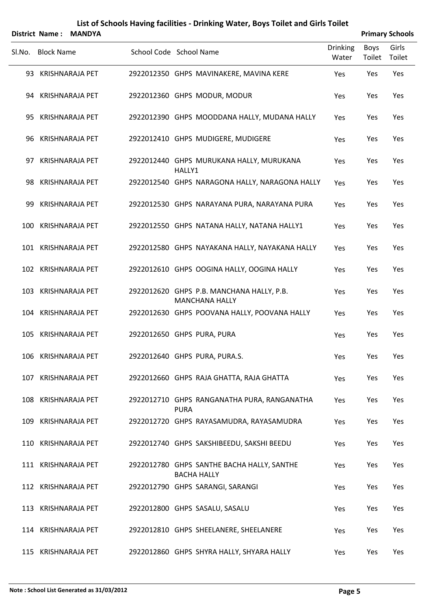|        |                   | District Name: MANDYA  |                                                                    |                          |                | <b>Primary Schools</b> |
|--------|-------------------|------------------------|--------------------------------------------------------------------|--------------------------|----------------|------------------------|
| Sl.No. | <b>Block Name</b> |                        | School Code School Name                                            | <b>Drinking</b><br>Water | Boys<br>Toilet | Girls<br>Toilet        |
|        |                   | 93 KRISHNARAJA PET     | 2922012350 GHPS MAVINAKERE, MAVINA KERE                            | Yes                      | Yes            | Yes                    |
|        |                   | 94 KRISHNARAJA PET     | 2922012360 GHPS MODUR, MODUR                                       | Yes                      | Yes            | Yes                    |
|        |                   | 95 KRISHNARAJA PET     | 2922012390 GHPS MOODDANA HALLY, MUDANA HALLY                       | Yes                      | Yes            | Yes                    |
| 96     |                   | KRISHNARAJA PET        | 2922012410 GHPS MUDIGERE, MUDIGERE                                 | Yes                      | Yes            | Yes                    |
|        |                   | 97 KRISHNARAJA PET     | 2922012440 GHPS MURUKANA HALLY, MURUKANA<br>HALLY1                 | Yes                      | Yes            | Yes                    |
| 98     |                   | KRISHNARAJA PET        | 2922012540 GHPS NARAGONA HALLY, NARAGONA HALLY                     | Yes                      | Yes            | Yes                    |
| 99     |                   | <b>KRISHNARAJA PET</b> | 2922012530 GHPS NARAYANA PURA, NARAYANA PURA                       | Yes                      | Yes            | Yes                    |
| 100    |                   | <b>KRISHNARAJA PET</b> | 2922012550 GHPS NATANA HALLY, NATANA HALLY1                        | Yes                      | Yes            | Yes                    |
|        |                   | 101 KRISHNARAJA PET    | 2922012580 GHPS NAYAKANA HALLY, NAYAKANA HALLY                     | Yes                      | Yes            | Yes                    |
|        |                   | 102 KRISHNARAJA PET    | 2922012610 GHPS OOGINA HALLY, OOGINA HALLY                         | Yes                      | Yes            | Yes                    |
|        |                   | 103 KRISHNARAJA PET    | 2922012620 GHPS P.B. MANCHANA HALLY, P.B.<br><b>MANCHANA HALLY</b> | Yes                      | Yes            | Yes                    |
|        |                   | 104 KRISHNARAJA PET    | 2922012630 GHPS POOVANA HALLY, POOVANA HALLY                       | Yes                      | Yes            | Yes                    |
|        |                   | 105 KRISHNARAJA PET    | 2922012650 GHPS PURA, PURA                                         | Yes                      | Yes            | Yes                    |
|        |                   | 106 KRISHNARAJA PET    | 2922012640 GHPS PURA, PURA.S.                                      | Yes                      | Yes            | Yes                    |
|        |                   | 107 KRISHNARAJA PET    | 2922012660 GHPS RAJA GHATTA, RAJA GHATTA                           | Yes                      | Yes            | Yes                    |
|        |                   | 108 KRISHNARAJA PET    | 2922012710 GHPS RANGANATHA PURA, RANGANATHA<br><b>PURA</b>         | Yes                      | Yes            | Yes                    |
|        |                   | 109 KRISHNARAJA PET    | 2922012720 GHPS RAYASAMUDRA, RAYASAMUDRA                           | Yes                      | Yes            | Yes                    |
|        |                   | 110 KRISHNARAJA PET    | 2922012740 GHPS SAKSHIBEEDU, SAKSHI BEEDU                          | Yes                      | Yes            | Yes                    |
|        |                   | 111 KRISHNARAJA PET    | 2922012780 GHPS SANTHE BACHA HALLY, SANTHE<br><b>BACHA HALLY</b>   | Yes                      | Yes            | Yes                    |
|        |                   | 112 KRISHNARAJA PET    | 2922012790 GHPS SARANGI, SARANGI                                   | Yes                      | Yes            | Yes                    |
|        |                   | 113 KRISHNARAJA PET    | 2922012800 GHPS SASALU, SASALU                                     | Yes                      | Yes            | Yes                    |
|        |                   | 114 KRISHNARAJA PET    | 2922012810 GHPS SHEELANERE, SHEELANERE                             | Yes                      | Yes            | Yes                    |
|        |                   | 115 KRISHNARAJA PET    | 2922012860 GHPS SHYRA HALLY, SHYARA HALLY                          | Yes                      | Yes            | Yes                    |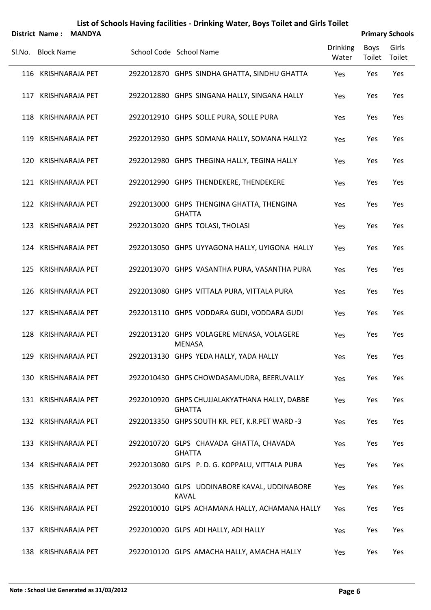| District Name: MANDYA |  | <b>Primary Schools</b>                                         |                          |                |                 |
|-----------------------|--|----------------------------------------------------------------|--------------------------|----------------|-----------------|
| Sl.No. Block Name     |  | School Code School Name                                        | <b>Drinking</b><br>Water | Boys<br>Toilet | Girls<br>Toilet |
| 116 KRISHNARAJA PET   |  | 2922012870 GHPS SINDHA GHATTA, SINDHU GHATTA                   | Yes                      | Yes            | Yes             |
| 117 KRISHNARAJA PET   |  | 2922012880 GHPS SINGANA HALLY, SINGANA HALLY                   | Yes                      | Yes            | Yes             |
| 118 KRISHNARAJA PET   |  | 2922012910 GHPS SOLLE PURA, SOLLE PURA                         | Yes                      | Yes            | Yes             |
| 119 KRISHNARAJA PET   |  | 2922012930 GHPS SOMANA HALLY, SOMANA HALLY2                    | Yes                      | Yes            | Yes             |
| 120 KRISHNARAJA PET   |  | 2922012980 GHPS THEGINA HALLY, TEGINA HALLY                    | Yes                      | Yes            | Yes             |
| 121 KRISHNARAJA PET   |  | 2922012990 GHPS THENDEKERE, THENDEKERE                         | Yes                      | Yes            | Yes             |
| 122 KRISHNARAJA PET   |  | 2922013000 GHPS THENGINA GHATTA, THENGINA<br><b>GHATTA</b>     | Yes                      | Yes            | Yes             |
| 123 KRISHNARAJA PET   |  | 2922013020 GHPS TOLASI, THOLASI                                | Yes                      | Yes            | Yes             |
| 124 KRISHNARAJA PET   |  | 2922013050 GHPS UYYAGONA HALLY, UYIGONA HALLY                  | Yes                      | Yes            | Yes             |
| 125 KRISHNARAJA PET   |  | 2922013070 GHPS VASANTHA PURA, VASANTHA PURA                   | Yes                      | Yes            | Yes             |
| 126 KRISHNARAJA PET   |  | 2922013080 GHPS VITTALA PURA, VITTALA PURA                     | Yes                      | Yes            | Yes             |
| 127 KRISHNARAJA PET   |  | 2922013110 GHPS VODDARA GUDI, VODDARA GUDI                     | Yes                      | Yes            | Yes             |
| 128 KRISHNARAJA PET   |  | 2922013120 GHPS VOLAGERE MENASA, VOLAGERE<br><b>MENASA</b>     | Yes                      | Yes            | Yes             |
| 129 KRISHNARAJA PET   |  | 2922013130 GHPS YEDA HALLY, YADA HALLY                         | Yes                      | Yes            | Yes             |
| 130 KRISHNARAJA PET   |  | 2922010430 GHPS CHOWDASAMUDRA, BEERUVALLY                      | Yes                      | Yes            | Yes             |
| 131 KRISHNARAJA PET   |  | 2922010920 GHPS CHUJJALAKYATHANA HALLY, DABBE<br><b>GHATTA</b> | Yes                      | Yes            | Yes             |
| 132 KRISHNARAJA PET   |  | 2922013350 GHPS SOUTH KR. PET, K.R.PET WARD -3                 | Yes                      | Yes            | Yes             |
| 133 KRISHNARAJA PET   |  | 2922010720 GLPS CHAVADA GHATTA, CHAVADA<br><b>GHATTA</b>       | Yes                      | Yes            | Yes             |
| 134 KRISHNARAJA PET   |  | 2922013080 GLPS P.D.G. KOPPALU, VITTALA PURA                   | Yes                      | Yes            | Yes             |
| 135 KRISHNARAJA PET   |  | 2922013040 GLPS UDDINABORE KAVAL, UDDINABORE<br><b>KAVAL</b>   | Yes                      | Yes            | Yes             |
| 136 KRISHNARAJA PET   |  | 2922010010 GLPS ACHAMANA HALLY, ACHAMANA HALLY                 | Yes                      | Yes            | Yes             |
| 137 KRISHNARAJA PET   |  | 2922010020 GLPS ADI HALLY, ADI HALLY                           | Yes                      | Yes            | Yes             |
| 138 KRISHNARAJA PET   |  | 2922010120 GLPS AMACHA HALLY, AMACHA HALLY                     | Yes                      | Yes            | Yes             |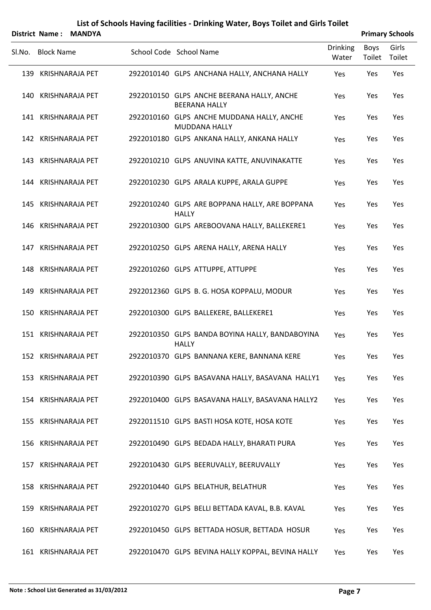| District Name: MANDYA |                                                                    |                          |                | <b>Primary Schools</b> |
|-----------------------|--------------------------------------------------------------------|--------------------------|----------------|------------------------|
| SI.No. Block Name     | School Code School Name                                            | <b>Drinking</b><br>Water | Boys<br>Toilet | Girls<br>Toilet        |
| 139 KRISHNARAJA PET   | 2922010140 GLPS ANCHANA HALLY, ANCHANA HALLY                       | Yes                      | Yes            | Yes                    |
| 140 KRISHNARAJA PET   | 2922010150 GLPS ANCHE BEERANA HALLY, ANCHE<br><b>BEERANA HALLY</b> | Yes                      | Yes            | Yes                    |
| 141 KRISHNARAJA PET   | 2922010160 GLPS ANCHE MUDDANA HALLY, ANCHE<br><b>MUDDANA HALLY</b> | Yes                      | Yes            | Yes                    |
| 142 KRISHNARAJA PET   | 2922010180 GLPS ANKANA HALLY, ANKANA HALLY                         | Yes                      | Yes            | Yes                    |
| 143 KRISHNARAJA PET   | 2922010210 GLPS ANUVINA KATTE, ANUVINAKATTE                        | Yes                      | Yes            | Yes                    |
| 144 KRISHNARAJA PET   | 2922010230 GLPS ARALA KUPPE, ARALA GUPPE                           | Yes                      | Yes            | Yes                    |
| 145 KRISHNARAJA PET   | 2922010240 GLPS ARE BOPPANA HALLY, ARE BOPPANA<br><b>HALLY</b>     | Yes                      | Yes            | Yes                    |
| 146 KRISHNARAJA PET   | 2922010300 GLPS AREBOOVANA HALLY, BALLEKERE1                       | Yes                      | Yes            | Yes                    |
| 147 KRISHNARAJA PET   | 2922010250 GLPS ARENA HALLY, ARENA HALLY                           | Yes                      | Yes            | Yes                    |
| 148 KRISHNARAJA PET   | 2922010260 GLPS ATTUPPE, ATTUPPE                                   | Yes                      | Yes            | Yes                    |
| 149 KRISHNARAJA PET   | 2922012360 GLPS B. G. HOSA KOPPALU, MODUR                          | Yes                      | Yes            | Yes                    |
| 150 KRISHNARAJA PET   | 2922010300 GLPS BALLEKERE, BALLEKERE1                              | Yes                      | Yes            | Yes                    |
| 151 KRISHNARAJA PET   | 2922010350 GLPS BANDA BOYINA HALLY, BANDABOYINA<br><b>HALLY</b>    | Yes                      | Yes            | Yes                    |
| 152 KRISHNARAJA PET   | 2922010370 GLPS BANNANA KERE, BANNANA KERE                         | Yes                      | Yes            | Yes                    |
| 153 KRISHNARAJA PET   | 2922010390 GLPS BASAVANA HALLY, BASAVANA HALLY1                    | Yes                      | Yes            | Yes                    |
| 154 KRISHNARAJA PET   | 2922010400 GLPS BASAVANA HALLY, BASAVANA HALLY2                    | Yes                      | Yes            | Yes                    |
| 155 KRISHNARAJA PET   | 2922011510 GLPS BASTI HOSA KOTE, HOSA KOTE                         | Yes                      | Yes            | Yes                    |
| 156 KRISHNARAJA PET   | 2922010490 GLPS BEDADA HALLY, BHARATI PURA                         | Yes                      | Yes            | Yes                    |
| 157 KRISHNARAJA PET   | 2922010430 GLPS BEERUVALLY, BEERUVALLY                             | Yes                      | Yes            | Yes                    |
| 158 KRISHNARAJA PET   | 2922010440 GLPS BELATHUR, BELATHUR                                 | Yes                      | Yes            | Yes                    |
| 159 KRISHNARAJA PET   | 2922010270 GLPS BELLI BETTADA KAVAL, B.B. KAVAL                    | Yes                      | Yes            | Yes                    |
| 160 KRISHNARAJA PET   | 2922010450 GLPS BETTADA HOSUR, BETTADA HOSUR                       | Yes                      | Yes            | Yes                    |
| 161 KRISHNARAJA PET   | 2922010470 GLPS BEVINA HALLY KOPPAL, BEVINA HALLY                  | Yes                      | Yes            | Yes                    |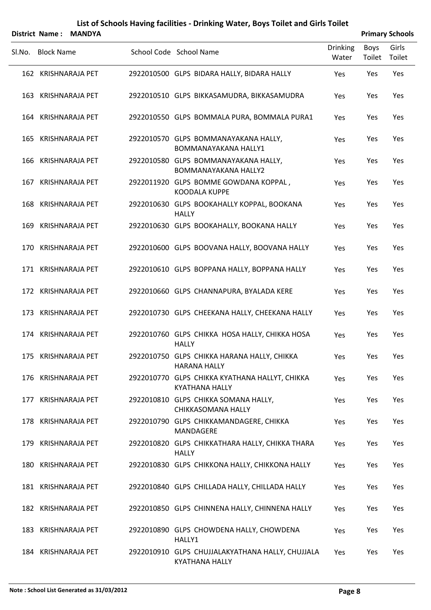|        |                   | District Name: MANDYA |                                                                           |                          |                | <b>Primary Schools</b> |
|--------|-------------------|-----------------------|---------------------------------------------------------------------------|--------------------------|----------------|------------------------|
| SI.No. | <b>Block Name</b> |                       | School Code School Name                                                   | <b>Drinking</b><br>Water | Boys<br>Toilet | Girls<br>Toilet        |
|        |                   | 162 KRISHNARAJA PET   | 2922010500 GLPS BIDARA HALLY, BIDARA HALLY                                | Yes                      | Yes            | Yes                    |
|        |                   | 163 KRISHNARAJA PET   | 2922010510 GLPS BIKKASAMUDRA, BIKKASAMUDRA                                | Yes                      | Yes            | Yes                    |
|        |                   | 164 KRISHNARAJA PET   | 2922010550 GLPS BOMMALA PURA, BOMMALA PURA1                               | Yes                      | Yes            | Yes                    |
|        |                   | 165 KRISHNARAJA PET   | 2922010570 GLPS BOMMANAYAKANA HALLY,<br><b>BOMMANAYAKANA HALLY1</b>       | Yes                      | Yes            | Yes                    |
|        |                   | 166 KRISHNARAJA PET   | 2922010580 GLPS BOMMANAYAKANA HALLY,<br><b>BOMMANAYAKANA HALLY2</b>       | Yes                      | Yes            | Yes                    |
|        |                   | 167 KRISHNARAJA PET   | 2922011920 GLPS BOMME GOWDANA KOPPAL,<br>KOODALA KUPPE                    | Yes                      | Yes            | Yes                    |
|        |                   | 168 KRISHNARAJA PET   | 2922010630 GLPS BOOKAHALLY KOPPAL, BOOKANA<br><b>HALLY</b>                | Yes                      | Yes            | Yes                    |
|        |                   | 169 KRISHNARAJA PET   | 2922010630 GLPS BOOKAHALLY, BOOKANA HALLY                                 | Yes                      | Yes            | Yes                    |
|        |                   | 170 KRISHNARAJA PET   | 2922010600 GLPS BOOVANA HALLY, BOOVANA HALLY                              | Yes                      | Yes            | Yes                    |
|        |                   | 171 KRISHNARAJA PET   | 2922010610 GLPS BOPPANA HALLY, BOPPANA HALLY                              | Yes                      | Yes            | Yes                    |
|        |                   | 172 KRISHNARAJA PET   | 2922010660 GLPS CHANNAPURA, BYALADA KERE                                  | Yes                      | Yes            | Yes                    |
|        |                   | 173 KRISHNARAJA PET   | 2922010730 GLPS CHEEKANA HALLY, CHEEKANA HALLY                            | Yes                      | Yes            | Yes                    |
|        |                   | 174 KRISHNARAJA PET   | 2922010760 GLPS CHIKKA HOSA HALLY, CHIKKA HOSA<br><b>HALLY</b>            | Yes                      | Yes            | Yes                    |
|        |                   | 175 KRISHNARAJA PET   | 2922010750 GLPS CHIKKA HARANA HALLY, CHIKKA<br><b>HARANA HALLY</b>        | Yes                      | Yes            | Yes                    |
|        |                   | 176 KRISHNARAJA PET   | 2922010770 GLPS CHIKKA KYATHANA HALLYT, CHIKKA<br><b>KYATHANA HALLY</b>   | Yes                      | Yes            | Yes                    |
|        |                   | 177 KRISHNARAJA PET   | 2922010810 GLPS CHIKKA SOMANA HALLY,<br>CHIKKASOMANA HALLY                | Yes                      | Yes            | Yes                    |
|        |                   | 178 KRISHNARAJA PET   | 2922010790 GLPS CHIKKAMANDAGERE, CHIKKA<br>MANDAGERE                      | Yes                      | Yes            | Yes                    |
|        |                   | 179 KRISHNARAJA PET   | 2922010820 GLPS CHIKKATHARA HALLY, CHIKKA THARA<br><b>HALLY</b>           | Yes                      | Yes            | Yes                    |
|        |                   | 180 KRISHNARAJA PET   | 2922010830 GLPS CHIKKONA HALLY, CHIKKONA HALLY                            | Yes                      | Yes            | Yes                    |
|        |                   | 181 KRISHNARAJA PET   | 2922010840 GLPS CHILLADA HALLY, CHILLADA HALLY                            | Yes                      | Yes            | Yes                    |
|        |                   | 182 KRISHNARAJA PET   | 2922010850 GLPS CHINNENA HALLY, CHINNENA HALLY                            | Yes                      | Yes            | Yes                    |
|        |                   | 183 KRISHNARAJA PET   | 2922010890 GLPS CHOWDENA HALLY, CHOWDENA<br>HALLY1                        | Yes                      | Yes            | Yes                    |
|        |                   | 184 KRISHNARAJA PET   | 2922010910 GLPS CHUJJALAKYATHANA HALLY, CHUJJALA<br><b>KYATHANA HALLY</b> | Yes                      | Yes            | Yes                    |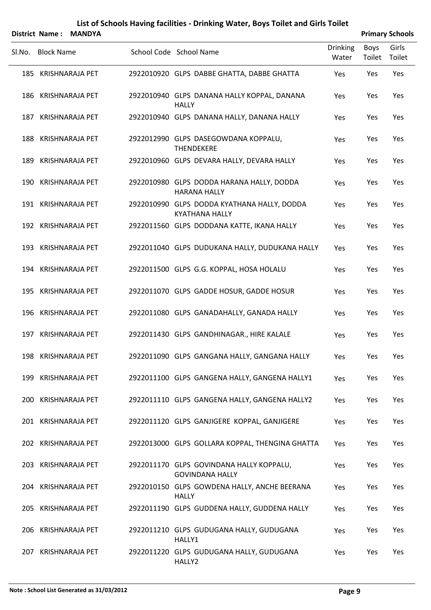|                   | District Name: MANDYA |                                                                      |                          |                | <b>Primary Schools</b> |
|-------------------|-----------------------|----------------------------------------------------------------------|--------------------------|----------------|------------------------|
| SI.No. Block Name |                       | School Code School Name                                              | <b>Drinking</b><br>Water | Boys<br>Toilet | Girls<br>Toilet        |
|                   | 185 KRISHNARAJA PET   | 2922010920 GLPS DABBE GHATTA, DABBE GHATTA                           | Yes                      | Yes            | Yes                    |
|                   | 186 KRISHNARAJA PET   | 2922010940 GLPS DANANA HALLY KOPPAL, DANANA<br><b>HALLY</b>          | Yes                      | Yes            | Yes                    |
|                   | 187 KRISHNARAJA PET   | 2922010940 GLPS DANANA HALLY, DANANA HALLY                           | Yes                      | Yes            | Yes                    |
|                   | 188 KRISHNARAJA PET   | 2922012990 GLPS DASEGOWDANA KOPPALU,<br><b>THENDEKERE</b>            | Yes                      | Yes            | Yes                    |
|                   | 189 KRISHNARAJA PET   | 2922010960 GLPS DEVARA HALLY, DEVARA HALLY                           | Yes                      | Yes            | Yes                    |
|                   | 190 KRISHNARAJA PET   | 2922010980 GLPS DODDA HARANA HALLY, DODDA<br><b>HARANA HALLY</b>     | Yes                      | Yes            | Yes                    |
|                   | 191 KRISHNARAJA PET   | 2922010990 GLPS DODDA KYATHANA HALLY, DODDA<br><b>KYATHANA HALLY</b> | Yes                      | Yes            | Yes                    |
|                   | 192 KRISHNARAJA PET   | 2922011560 GLPS DODDANA KATTE, IKANA HALLY                           | Yes                      | Yes            | Yes                    |
|                   | 193 KRISHNARAJA PET   | 2922011040 GLPS DUDUKANA HALLY, DUDUKANA HALLY                       | Yes                      | Yes            | Yes                    |
|                   | 194 KRISHNARAJA PET   | 2922011500 GLPS G.G. KOPPAL, HOSA HOLALU                             | Yes                      | Yes            | Yes                    |
|                   | 195 KRISHNARAJA PET   | 2922011070 GLPS GADDE HOSUR, GADDE HOSUR                             | Yes                      | Yes            | Yes                    |
|                   | 196 KRISHNARAJA PET   | 2922011080 GLPS GANADAHALLY, GANADA HALLY                            | Yes                      | Yes            | Yes                    |
|                   | 197 KRISHNARAJA PET   | 2922011430 GLPS GANDHINAGAR., HIRE KALALE                            | Yes                      | Yes            | Yes                    |
|                   | 198 KRISHNARAJA PET   | 2922011090 GLPS GANGANA HALLY, GANGANA HALLY                         | Yes                      | Yes            | Yes                    |
|                   | 199 KRISHNARAJA PET   | 2922011100 GLPS GANGENA HALLY, GANGENA HALLY1                        | Yes                      | Yes            | Yes                    |
|                   | 200 KRISHNARAJA PET   | 2922011110 GLPS GANGENA HALLY, GANGENA HALLY2                        | Yes                      | Yes            | Yes                    |
|                   | 201 KRISHNARAJA PET   | 2922011120 GLPS GANJIGERE KOPPAL, GANJIGERE                          | Yes                      | Yes            | Yes                    |
|                   | 202 KRISHNARAJA PET   | 2922013000 GLPS GOLLARA KOPPAL, THENGINA GHATTA                      | Yes                      | Yes            | Yes                    |
|                   | 203 KRISHNARAJA PET   | 2922011170 GLPS GOVINDANA HALLY KOPPALU,<br><b>GOVINDANA HALLY</b>   | Yes                      | Yes            | Yes                    |
|                   | 204 KRISHNARAJA PET   | 2922010150 GLPS GOWDENA HALLY, ANCHE BEERANA<br><b>HALLY</b>         | Yes                      | Yes            | Yes                    |
|                   | 205 KRISHNARAJA PET   | 2922011190 GLPS GUDDENA HALLY, GUDDENA HALLY                         | Yes                      | Yes            | Yes                    |
|                   | 206 KRISHNARAJA PET   | 2922011210 GLPS GUDUGANA HALLY, GUDUGANA<br>HALLY1                   | Yes                      | Yes            | Yes                    |
|                   | 207 KRISHNARAJA PET   | 2922011220 GLPS GUDUGANA HALLY, GUDUGANA<br>HALLY2                   | Yes                      | Yes            | Yes                    |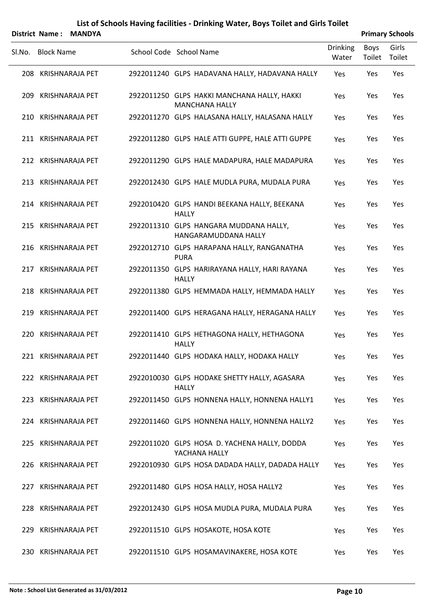|        | District Name: MANDYA |  |                                                                      | <b>Primary Schools</b>   |                |                 |  |
|--------|-----------------------|--|----------------------------------------------------------------------|--------------------------|----------------|-----------------|--|
| SI.No. | <b>Block Name</b>     |  | School Code School Name                                              | <b>Drinking</b><br>Water | Boys<br>Toilet | Girls<br>Toilet |  |
|        | 208 KRISHNARAJA PET   |  | 2922011240 GLPS HADAVANA HALLY, HADAVANA HALLY                       | Yes                      | Yes            | Yes             |  |
|        | 209 KRISHNARAJA PET   |  | 2922011250 GLPS HAKKI MANCHANA HALLY, HAKKI<br><b>MANCHANA HALLY</b> | Yes                      | Yes            | Yes             |  |
|        | 210 KRISHNARAJA PET   |  | 2922011270 GLPS HALASANA HALLY, HALASANA HALLY                       | Yes                      | Yes            | Yes             |  |
|        | 211 KRISHNARAJA PET   |  | 2922011280 GLPS HALE ATTI GUPPE, HALE ATTI GUPPE                     | Yes                      | Yes            | Yes             |  |
|        | 212 KRISHNARAJA PET   |  | 2922011290 GLPS HALE MADAPURA, HALE MADAPURA                         | Yes                      | Yes            | Yes             |  |
|        | 213 KRISHNARAJA PET   |  | 2922012430 GLPS HALE MUDLA PURA, MUDALA PURA                         | Yes                      | Yes            | Yes             |  |
|        | 214 KRISHNARAJA PET   |  | 2922010420 GLPS HANDI BEEKANA HALLY, BEEKANA<br><b>HALLY</b>         | Yes                      | Yes            | Yes             |  |
|        | 215 KRISHNARAJA PET   |  | 2922011310 GLPS HANGARA MUDDANA HALLY,<br>HANGARAMUDDANA HALLY       | Yes                      | Yes            | Yes             |  |
|        | 216 KRISHNARAJA PET   |  | 2922012710 GLPS HARAPANA HALLY, RANGANATHA<br><b>PURA</b>            | Yes                      | Yes            | Yes             |  |
|        | 217 KRISHNARAJA PET   |  | 2922011350 GLPS HARIRAYANA HALLY, HARI RAYANA<br><b>HALLY</b>        | Yes                      | Yes            | Yes             |  |
|        | 218 KRISHNARAJA PET   |  | 2922011380 GLPS HEMMADA HALLY, HEMMADA HALLY                         | Yes                      | Yes            | Yes             |  |
|        | 219 KRISHNARAJA PET   |  | 2922011400 GLPS HERAGANA HALLY, HERAGANA HALLY                       | Yes                      | Yes            | Yes             |  |
|        | 220 KRISHNARAJA PET   |  | 2922011410 GLPS HETHAGONA HALLY, HETHAGONA<br><b>HALLY</b>           | Yes                      | Yes            | Yes             |  |
|        | 221 KRISHNARAJA PET   |  | 2922011440 GLPS HODAKA HALLY, HODAKA HALLY                           | Yes                      | Yes            | Yes             |  |
|        | 222 KRISHNARAJA PET   |  | 2922010030 GLPS HODAKE SHETTY HALLY, AGASARA<br><b>HALLY</b>         | Yes                      | Yes            | Yes             |  |
|        | 223 KRISHNARAJA PET   |  | 2922011450 GLPS HONNENA HALLY, HONNENA HALLY1                        | Yes                      | Yes            | Yes             |  |
|        | 224 KRISHNARAJA PET   |  | 2922011460 GLPS HONNENA HALLY, HONNENA HALLY2                        | Yes                      | Yes            | Yes             |  |
|        | 225 KRISHNARAJA PET   |  | 2922011020 GLPS HOSA D. YACHENA HALLY, DODDA<br>YACHANA HALLY        | Yes                      | Yes            | Yes             |  |
|        | 226 KRISHNARAJA PET   |  | 2922010930 GLPS HOSA DADADA HALLY, DADADA HALLY                      | Yes                      | Yes            | Yes             |  |
|        | 227 KRISHNARAJA PET   |  | 2922011480 GLPS HOSA HALLY, HOSA HALLY2                              | Yes                      | Yes            | Yes             |  |
|        | 228 KRISHNARAJA PET   |  | 2922012430 GLPS HOSA MUDLA PURA, MUDALA PURA                         | Yes                      | Yes            | Yes             |  |
|        | 229 KRISHNARAJA PET   |  | 2922011510 GLPS HOSAKOTE, HOSA KOTE                                  | Yes                      | Yes            | Yes             |  |
|        | 230 KRISHNARAJA PET   |  | 2922011510 GLPS HOSAMAVINAKERE, HOSA KOTE                            | Yes                      | Yes            | Yes             |  |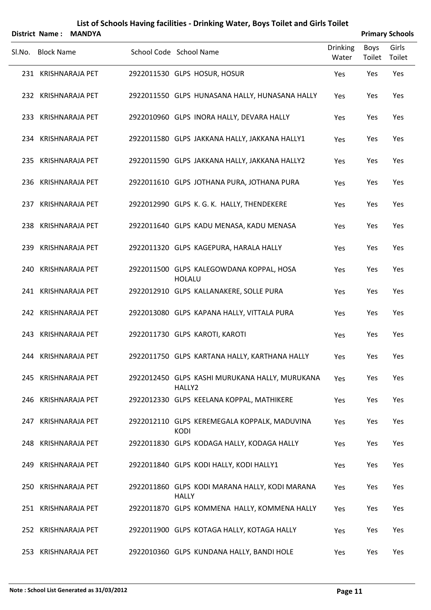|        | District Name: MANDYA |  |                                                                |                          | <b>Primary Schools</b> |                 |  |  |
|--------|-----------------------|--|----------------------------------------------------------------|--------------------------|------------------------|-----------------|--|--|
| SI.No. | <b>Block Name</b>     |  | School Code School Name                                        | <b>Drinking</b><br>Water | Boys<br>Toilet         | Girls<br>Toilet |  |  |
|        | 231 KRISHNARAJA PET   |  | 2922011530 GLPS HOSUR, HOSUR                                   | Yes                      | Yes                    | Yes             |  |  |
|        | 232 KRISHNARAJA PET   |  | 2922011550 GLPS HUNASANA HALLY, HUNASANA HALLY                 | Yes                      | Yes                    | Yes             |  |  |
|        | 233 KRISHNARAJA PET   |  | 2922010960 GLPS INORA HALLY, DEVARA HALLY                      | Yes                      | Yes                    | Yes             |  |  |
|        | 234 KRISHNARAJA PET   |  | 2922011580 GLPS JAKKANA HALLY, JAKKANA HALLY1                  | Yes                      | Yes                    | Yes             |  |  |
|        | 235 KRISHNARAJA PET   |  | 2922011590 GLPS JAKKANA HALLY, JAKKANA HALLY2                  | Yes                      | Yes                    | Yes             |  |  |
|        | 236 KRISHNARAJA PET   |  | 2922011610 GLPS JOTHANA PURA, JOTHANA PURA                     | Yes                      | Yes                    | Yes             |  |  |
|        | 237 KRISHNARAJA PET   |  | 2922012990 GLPS K. G. K. HALLY, THENDEKERE                     | Yes                      | Yes                    | Yes             |  |  |
|        | 238 KRISHNARAJA PET   |  | 2922011640 GLPS KADU MENASA, KADU MENASA                       | Yes                      | Yes                    | Yes             |  |  |
|        | 239 KRISHNARAJA PET   |  | 2922011320 GLPS KAGEPURA, HARALA HALLY                         | Yes                      | Yes                    | Yes             |  |  |
|        | 240 KRISHNARAJA PET   |  | 2922011500 GLPS KALEGOWDANA KOPPAL, HOSA<br><b>HOLALU</b>      | Yes                      | Yes                    | Yes             |  |  |
|        | 241 KRISHNARAJA PET   |  | 2922012910 GLPS KALLANAKERE, SOLLE PURA                        | Yes                      | Yes                    | Yes             |  |  |
|        | 242 KRISHNARAJA PET   |  | 2922013080 GLPS KAPANA HALLY, VITTALA PURA                     | Yes                      | Yes                    | Yes             |  |  |
|        | 243 KRISHNARAJA PET   |  | 2922011730 GLPS KAROTI, KAROTI                                 | Yes                      | Yes                    | Yes             |  |  |
|        | 244 KRISHNARAJA PET   |  | 2922011750 GLPS KARTANA HALLY, KARTHANA HALLY                  | Yes                      | Yes                    | Yes             |  |  |
|        | 245 KRISHNARAJA PET   |  | 2922012450 GLPS KASHI MURUKANA HALLY, MURUKANA<br>HALLY2       | Yes                      | Yes                    | Yes             |  |  |
|        | 246 KRISHNARAJA PET   |  | 2922012330 GLPS KEELANA KOPPAL, MATHIKERE                      | Yes                      | Yes                    | Yes             |  |  |
|        | 247 KRISHNARAJA PET   |  | 2922012110 GLPS KEREMEGALA KOPPALK, MADUVINA<br><b>KODI</b>    | Yes                      | Yes                    | Yes             |  |  |
|        | 248 KRISHNARAJA PET   |  | 2922011830 GLPS KODAGA HALLY, KODAGA HALLY                     | Yes                      | Yes                    | Yes             |  |  |
|        | 249 KRISHNARAJA PET   |  | 2922011840 GLPS KODI HALLY, KODI HALLY1                        | Yes                      | Yes                    | Yes             |  |  |
|        | 250 KRISHNARAJA PET   |  | 2922011860 GLPS KODI MARANA HALLY, KODI MARANA<br><b>HALLY</b> | Yes                      | Yes                    | Yes             |  |  |
|        | 251 KRISHNARAJA PET   |  | 2922011870 GLPS KOMMENA HALLY, KOMMENA HALLY                   | Yes                      | Yes                    | Yes             |  |  |
|        | 252 KRISHNARAJA PET   |  | 2922011900 GLPS KOTAGA HALLY, KOTAGA HALLY                     | Yes                      | Yes                    | Yes             |  |  |
|        | 253 KRISHNARAJA PET   |  | 2922010360 GLPS KUNDANA HALLY, BANDI HOLE                      | Yes                      | Yes                    | Yes             |  |  |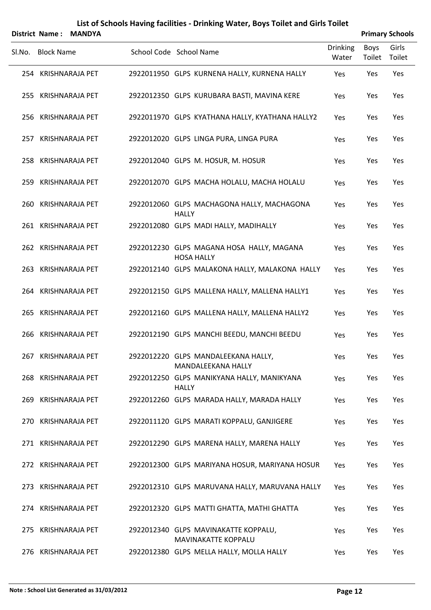|        | <b>District Name:</b> | <b>MANDYA</b>       |                                                                |                          |                | <b>Primary Schools</b> |
|--------|-----------------------|---------------------|----------------------------------------------------------------|--------------------------|----------------|------------------------|
| Sl.No. | <b>Block Name</b>     |                     | School Code School Name                                        | <b>Drinking</b><br>Water | Boys<br>Toilet | Girls<br>Toilet        |
|        |                       | 254 KRISHNARAJA PET | 2922011950 GLPS KURNENA HALLY, KURNENA HALLY                   | Yes                      | Yes            | Yes                    |
|        |                       | 255 KRISHNARAJA PET | 2922012350 GLPS KURUBARA BASTI, MAVINA KERE                    | Yes                      | Yes            | Yes                    |
|        |                       | 256 KRISHNARAJA PET | 2922011970 GLPS KYATHANA HALLY, KYATHANA HALLY2                | Yes                      | Yes            | Yes                    |
|        |                       | 257 KRISHNARAJA PET | 2922012020 GLPS LINGA PURA, LINGA PURA                         | Yes                      | Yes            | Yes                    |
|        |                       | 258 KRISHNARAJA PET | 2922012040 GLPS M. HOSUR, M. HOSUR                             | Yes                      | Yes            | Yes                    |
|        |                       | 259 KRISHNARAJA PET | 2922012070 GLPS MACHA HOLALU, MACHA HOLALU                     | Yes                      | Yes            | Yes                    |
|        |                       | 260 KRISHNARAJA PET | 2922012060 GLPS MACHAGONA HALLY, MACHAGONA<br><b>HALLY</b>     | Yes                      | Yes            | Yes                    |
|        |                       | 261 KRISHNARAJA PET | 2922012080 GLPS MADI HALLY, MADIHALLY                          | Yes                      | Yes            | Yes                    |
|        |                       | 262 KRISHNARAJA PET | 2922012230 GLPS MAGANA HOSA HALLY, MAGANA<br><b>HOSA HALLY</b> | Yes                      | Yes            | Yes                    |
|        |                       | 263 KRISHNARAJA PET | 2922012140 GLPS MALAKONA HALLY, MALAKONA HALLY                 | Yes                      | Yes            | Yes                    |
|        |                       | 264 KRISHNARAJA PET | 2922012150 GLPS MALLENA HALLY, MALLENA HALLY1                  | Yes                      | Yes            | Yes                    |
|        |                       | 265 KRISHNARAJA PET | 2922012160 GLPS MALLENA HALLY, MALLENA HALLY2                  | Yes                      | Yes            | Yes                    |
|        |                       | 266 KRISHNARAJA PET | 2922012190 GLPS MANCHI BEEDU, MANCHI BEEDU                     | Yes                      | Yes            | Yes                    |
|        |                       | 267 KRISHNARAJA PET | 2922012220 GLPS MANDALEEKANA HALLY,<br>MANDALEEKANA HALLY      | Yes                      | Yes            | Yes                    |
|        |                       | 268 KRISHNARAJA PET | 2922012250 GLPS MANIKYANA HALLY, MANIKYANA<br><b>HALLY</b>     | Yes                      | Yes            | Yes                    |
|        |                       | 269 KRISHNARAJA PET | 2922012260 GLPS MARADA HALLY, MARADA HALLY                     | Yes                      | Yes            | Yes                    |
|        |                       | 270 KRISHNARAJA PET | 2922011120 GLPS MARATI KOPPALU, GANJIGERE                      | Yes                      | Yes            | Yes                    |
|        |                       | 271 KRISHNARAJA PET | 2922012290 GLPS MARENA HALLY, MARENA HALLY                     | Yes                      | Yes            | Yes                    |
|        |                       | 272 KRISHNARAJA PET | 2922012300 GLPS MARIYANA HOSUR, MARIYANA HOSUR                 | Yes                      | Yes            | Yes                    |
|        |                       | 273 KRISHNARAJA PET | 2922012310 GLPS MARUVANA HALLY, MARUVANA HALLY                 | Yes                      | Yes            | Yes                    |
|        |                       | 274 KRISHNARAJA PET | 2922012320 GLPS MATTI GHATTA, MATHI GHATTA                     | Yes                      | Yes            | Yes                    |
|        |                       | 275 KRISHNARAJA PET | 2922012340 GLPS MAVINAKATTE KOPPALU,<br>MAVINAKATTE KOPPALU    | Yes                      | Yes            | Yes                    |
|        |                       | 276 KRISHNARAJA PET | 2922012380 GLPS MELLA HALLY, MOLLA HALLY                       | Yes                      | Yes            | Yes                    |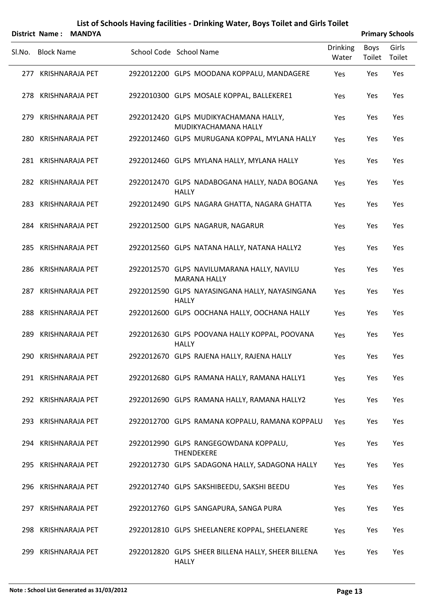|        | District Name:<br><b>MANDYA</b> |                        |  |                                                                    | <b>Primary Schools</b>   |                |                 |
|--------|---------------------------------|------------------------|--|--------------------------------------------------------------------|--------------------------|----------------|-----------------|
| Sl.No. | <b>Block Name</b>               |                        |  | School Code School Name                                            | <b>Drinking</b><br>Water | Boys<br>Toilet | Girls<br>Toilet |
|        |                                 | 277 KRISHNARAJA PET    |  | 2922012200 GLPS MOODANA KOPPALU, MANDAGERE                         | Yes                      | Yes            | Yes             |
| 278    |                                 | <b>KRISHNARAJA PET</b> |  | 2922010300 GLPS MOSALE KOPPAL, BALLEKERE1                          | Yes                      | Yes            | Yes             |
| 279    |                                 | KRISHNARAJA PET        |  | 2922012420 GLPS MUDIKYACHAMANA HALLY,<br>MUDIKYACHAMANA HALLY      | Yes                      | Yes            | Yes             |
|        |                                 | 280 KRISHNARAJA PET    |  | 2922012460 GLPS MURUGANA KOPPAL, MYLANA HALLY                      | Yes                      | Yes            | Yes             |
|        |                                 | 281 KRISHNARAJA PET    |  | 2922012460 GLPS MYLANA HALLY, MYLANA HALLY                         | <b>Yes</b>               | Yes            | Yes             |
|        |                                 | 282 KRISHNARAJA PET    |  | 2922012470 GLPS NADABOGANA HALLY, NADA BOGANA<br><b>HALLY</b>      | Yes                      | Yes            | Yes             |
|        |                                 | 283 KRISHNARAJA PET    |  | 2922012490 GLPS NAGARA GHATTA, NAGARA GHATTA                       | Yes                      | Yes            | Yes             |
| 284    |                                 | <b>KRISHNARAJA PET</b> |  | 2922012500 GLPS NAGARUR, NAGARUR                                   | Yes                      | Yes            | Yes             |
| 285    |                                 | <b>KRISHNARAJA PET</b> |  | 2922012560 GLPS NATANA HALLY, NATANA HALLY2                        | <b>Yes</b>               | Yes            | Yes             |
| 286    |                                 | <b>KRISHNARAJA PET</b> |  | 2922012570 GLPS NAVILUMARANA HALLY, NAVILU<br><b>MARANA HALLY</b>  | Yes                      | Yes            | Yes             |
| 287    |                                 | <b>KRISHNARAJA PET</b> |  | 2922012590 GLPS NAYASINGANA HALLY, NAYASINGANA<br><b>HALLY</b>     | Yes                      | Yes            | Yes             |
| 288    |                                 | <b>KRISHNARAJA PET</b> |  | 2922012600 GLPS OOCHANA HALLY, OOCHANA HALLY                       | Yes                      | Yes            | Yes             |
| 289    |                                 | <b>KRISHNARAJA PET</b> |  | 2922012630 GLPS POOVANA HALLY KOPPAL, POOVANA<br><b>HALLY</b>      | Yes                      | Yes            | Yes             |
|        |                                 | 290 KRISHNARAJA PET    |  | 2922012670 GLPS RAJENA HALLY, RAJENA HALLY                         | Yes                      | Yes            | Yes             |
|        |                                 | 291 KRISHNARAJA PET    |  | 2922012680 GLPS RAMANA HALLY, RAMANA HALLY1                        | Yes                      | Yes            | Yes             |
|        |                                 | 292 KRISHNARAJA PET    |  | 2922012690 GLPS RAMANA HALLY, RAMANA HALLY2                        | Yes                      | Yes            | Yes             |
|        |                                 | 293 KRISHNARAJA PET    |  | 2922012700 GLPS RAMANA KOPPALU, RAMANA KOPPALU                     | Yes                      | Yes            | Yes             |
|        |                                 | 294 KRISHNARAJA PET    |  | 2922012990 GLPS RANGEGOWDANA KOPPALU,<br><b>THENDEKERE</b>         | Yes                      | Yes            | Yes             |
|        |                                 | 295 KRISHNARAJA PET    |  | 2922012730 GLPS SADAGONA HALLY, SADAGONA HALLY                     | Yes                      | Yes            | Yes             |
|        |                                 | 296 KRISHNARAJA PET    |  | 2922012740 GLPS SAKSHIBEEDU, SAKSHI BEEDU                          | Yes                      | Yes            | Yes             |
|        |                                 | 297 KRISHNARAJA PET    |  | 2922012760 GLPS SANGAPURA, SANGA PURA                              | Yes                      | Yes            | Yes             |
| 298    |                                 | <b>KRISHNARAJA PET</b> |  | 2922012810 GLPS SHEELANERE KOPPAL, SHEELANERE                      | Yes                      | Yes            | Yes             |
| 299    |                                 | <b>KRISHNARAJA PET</b> |  | 2922012820 GLPS SHEER BILLENA HALLY, SHEER BILLENA<br><b>HALLY</b> | Yes                      | Yes            | Yes             |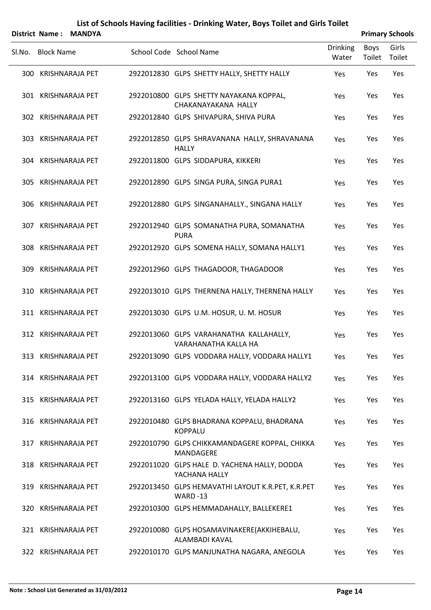|        |                   | District Name: MANDYA  |                                                                     | <b>Primary Schools</b>   |                |                 |  |  |
|--------|-------------------|------------------------|---------------------------------------------------------------------|--------------------------|----------------|-----------------|--|--|
| Sl.No. | <b>Block Name</b> |                        | School Code School Name                                             | <b>Drinking</b><br>Water | Boys<br>Toilet | Girls<br>Toilet |  |  |
|        |                   | 300 KRISHNARAJA PET    | 2922012830 GLPS SHETTY HALLY, SHETTY HALLY                          | Yes                      | Yes            | Yes             |  |  |
|        |                   | 301 KRISHNARAJA PET    | 2922010800 GLPS SHETTY NAYAKANA KOPPAL,<br>CHAKANAYAKANA HALLY      | Yes                      | Yes            | Yes             |  |  |
|        |                   | 302 KRISHNARAJA PET    | 2922012840 GLPS SHIVAPURA, SHIVA PURA                               | Yes                      | Yes            | Yes             |  |  |
| 303    |                   | <b>KRISHNARAJA PET</b> | 2922012850 GLPS SHRAVANANA HALLY, SHRAVANANA<br><b>HALLY</b>        | Yes                      | Yes            | Yes             |  |  |
|        |                   | 304 KRISHNARAJA PET    | 2922011800 GLPS SIDDAPURA, KIKKERI                                  | Yes                      | Yes            | Yes             |  |  |
|        |                   | 305 KRISHNARAJA PET    | 2922012890 GLPS SINGA PURA, SINGA PURA1                             | Yes                      | Yes            | Yes             |  |  |
|        |                   | 306 KRISHNARAJA PET    | 2922012880 GLPS SINGANAHALLY., SINGANA HALLY                        | Yes                      | Yes            | Yes             |  |  |
|        |                   | 307 KRISHNARAJA PET    | 2922012940 GLPS SOMANATHA PURA, SOMANATHA<br><b>PURA</b>            | Yes                      | Yes            | Yes             |  |  |
|        |                   | 308 KRISHNARAJA PET    | 2922012920 GLPS SOMENA HALLY, SOMANA HALLY1                         | Yes                      | Yes            | Yes             |  |  |
| 309    |                   | <b>KRISHNARAJA PET</b> | 2922012960 GLPS THAGADOOR, THAGADOOR                                | Yes                      | Yes            | Yes             |  |  |
|        |                   | 310 KRISHNARAJA PET    | 2922013010 GLPS THERNENA HALLY, THERNENA HALLY                      | Yes                      | Yes            | Yes             |  |  |
|        |                   | 311 KRISHNARAJA PET    | 2922013030 GLPS U.M. HOSUR, U. M. HOSUR                             | Yes                      | Yes            | Yes             |  |  |
|        |                   | 312 KRISHNARAJA PET    | 2922013060 GLPS VARAHANATHA KALLAHALLY,<br>VARAHANATHA KALLA HA     | Yes                      | Yes            | Yes             |  |  |
|        |                   | 313 KRISHNARAJA PET    | 2922013090 GLPS VODDARA HALLY, VODDARA HALLY1                       | Yes                      | Yes            | Yes             |  |  |
|        |                   | 314 KRISHNARAJA PET    | 2922013100 GLPS VODDARA HALLY, VODDARA HALLY2                       | Yes                      | Yes            | Yes             |  |  |
|        |                   | 315 KRISHNARAJA PET    | 2922013160 GLPS YELADA HALLY, YELADA HALLY2                         | Yes                      | Yes            | Yes             |  |  |
|        |                   | 316 KRISHNARAJA PET    | 2922010480 GLPS BHADRANA KOPPALU, BHADRANA<br><b>KOPPALU</b>        | Yes                      | Yes            | Yes             |  |  |
|        |                   | 317 KRISHNARAJA PET    | 2922010790 GLPS CHIKKAMANDAGERE KOPPAL, CHIKKA<br>MANDAGERE         | Yes                      | Yes            | Yes             |  |  |
|        |                   | 318 KRISHNARAJA PET    | 2922011020 GLPS HALE D. YACHENA HALLY, DODDA<br>YACHANA HALLY       | Yes                      | Yes            | Yes             |  |  |
|        |                   | 319 KRISHNARAJA PET    | 2922013450 GLPS HEMAVATHI LAYOUT K.R.PET, K.R.PET<br><b>WARD-13</b> | Yes                      | Yes            | Yes             |  |  |
|        |                   | 320 KRISHNARAJA PET    | 2922010300 GLPS HEMMADAHALLY, BALLEKERE1                            | Yes                      | Yes            | Yes             |  |  |
|        |                   | 321 KRISHNARAJA PET    | 2922010080 GLPS HOSAMAVINAKERE(AKKIHEBALU,<br>ALAMBADI KAVAL        | Yes                      | Yes            | Yes             |  |  |
|        |                   | 322 KRISHNARAJA PET    | 2922010170 GLPS MANJUNATHA NAGARA, ANEGOLA                          | Yes                      | Yes            | Yes             |  |  |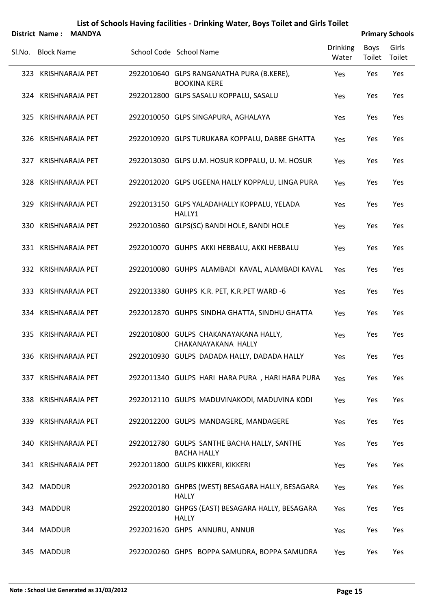|        | District Name:    | <b>MANDYA</b>       |                                                                   |                          |                | <b>Primary Schools</b> |
|--------|-------------------|---------------------|-------------------------------------------------------------------|--------------------------|----------------|------------------------|
| SI.No. | <b>Block Name</b> |                     | School Code School Name                                           | <b>Drinking</b><br>Water | Boys<br>Toilet | Girls<br>Toilet        |
|        |                   | 323 KRISHNARAJA PET | 2922010640 GLPS RANGANATHA PURA (B.KERE),<br><b>BOOKINA KERE</b>  | Yes                      | Yes            | Yes                    |
|        |                   | 324 KRISHNARAJA PET | 2922012800 GLPS SASALU KOPPALU, SASALU                            | Yes                      | Yes            | Yes                    |
|        |                   | 325 KRISHNARAJA PET | 2922010050 GLPS SINGAPURA, AGHALAYA                               | Yes                      | Yes            | Yes                    |
|        |                   | 326 KRISHNARAJA PET | 2922010920 GLPS TURUKARA KOPPALU, DABBE GHATTA                    | Yes                      | Yes            | Yes                    |
|        |                   | 327 KRISHNARAJA PET | 2922013030 GLPS U.M. HOSUR KOPPALU, U. M. HOSUR                   | Yes                      | Yes            | Yes                    |
|        |                   | 328 KRISHNARAJA PET | 2922012020 GLPS UGEENA HALLY KOPPALU, LINGA PURA                  | Yes                      | Yes            | Yes                    |
|        |                   | 329 KRISHNARAJA PET | 2922013150 GLPS YALADAHALLY KOPPALU, YELADA<br>HALLY1             | Yes                      | Yes            | Yes                    |
|        |                   | 330 KRISHNARAJA PET | 2922010360 GLPS(SC) BANDI HOLE, BANDI HOLE                        | Yes                      | Yes            | Yes                    |
|        |                   | 331 KRISHNARAJA PET | 2922010070 GUHPS AKKI HEBBALU, AKKI HEBBALU                       | Yes                      | Yes            | Yes                    |
|        |                   | 332 KRISHNARAJA PET | 2922010080 GUHPS ALAMBADI KAVAL, ALAMBADI KAVAL                   | Yes                      | Yes            | Yes                    |
|        |                   | 333 KRISHNARAJA PET | 2922013380 GUHPS K.R. PET, K.R. PET WARD -6                       | Yes                      | Yes            | Yes                    |
|        |                   | 334 KRISHNARAJA PET | 2922012870 GUHPS SINDHA GHATTA, SINDHU GHATTA                     | Yes                      | Yes            | Yes                    |
| 335    |                   | KRISHNARAJA PET     | 2922010800 GULPS CHAKANAYAKANA HALLY,<br>CHAKANAYAKANA HALLY      | Yes                      | Yes            | Yes                    |
|        |                   | 336 KRISHNARAJA PET | 2922010930 GULPS DADADA HALLY, DADADA HALLY                       | Yes                      | Yes            | Yes                    |
|        |                   | 337 KRISHNARAJA PET | 2922011340 GULPS HARI HARA PURA, HARI HARA PURA                   | Yes                      | Yes            | Yes                    |
|        |                   | 338 KRISHNARAJA PET | 2922012110 GULPS MADUVINAKODI, MADUVINA KODI                      | Yes                      | Yes            | Yes                    |
|        |                   | 339 KRISHNARAJA PET | 2922012200 GULPS MANDAGERE, MANDAGERE                             | Yes                      | Yes            | Yes                    |
|        |                   | 340 KRISHNARAJA PET | 2922012780 GULPS SANTHE BACHA HALLY, SANTHE<br><b>BACHA HALLY</b> | Yes                      | Yes            | Yes                    |
|        |                   | 341 KRISHNARAJA PET | 2922011800 GULPS KIKKERI, KIKKERI                                 | Yes                      | Yes            | Yes                    |
|        | 342 MADDUR        |                     | 2922020180 GHPBS (WEST) BESAGARA HALLY, BESAGARA<br><b>HALLY</b>  | Yes                      | Yes            | Yes                    |
|        | 343 MADDUR        |                     | 2922020180 GHPGS (EAST) BESAGARA HALLY, BESAGARA<br><b>HALLY</b>  | Yes                      | Yes            | Yes                    |
|        | 344 MADDUR        |                     | 2922021620 GHPS ANNURU, ANNUR                                     | Yes                      | Yes            | Yes                    |
|        | 345 MADDUR        |                     | 2922020260 GHPS BOPPA SAMUDRA, BOPPA SAMUDRA                      | Yes                      | Yes            | Yes                    |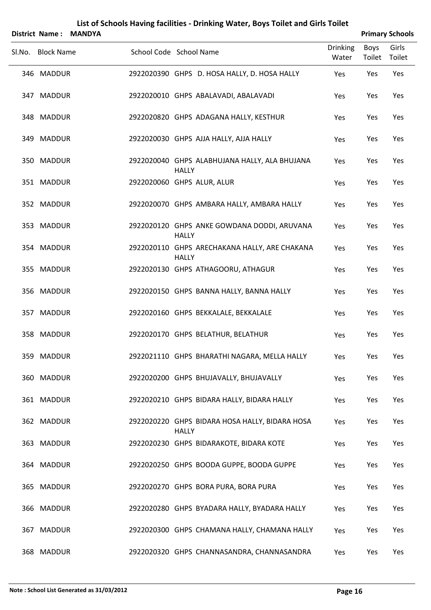|     |                       |               |                            |              | List of Schools Having facilities - Drinking Water, Boys Toilet and Girls Toilet |                          |                |                        |
|-----|-----------------------|---------------|----------------------------|--------------|----------------------------------------------------------------------------------|--------------------------|----------------|------------------------|
|     | <b>District Name:</b> | <b>MANDYA</b> |                            |              |                                                                                  |                          |                | <b>Primary Schools</b> |
|     | Sl.No. Block Name     |               | School Code School Name    |              |                                                                                  | <b>Drinking</b><br>Water | Boys<br>Toilet | Girls<br>Toilet        |
|     | 346 MADDUR            |               |                            |              | 2922020390 GHPS D. HOSA HALLY, D. HOSA HALLY                                     | Yes                      | Yes            | Yes                    |
|     | 347 MADDUR            |               |                            |              | 2922020010 GHPS ABALAVADI, ABALAVADI                                             | Yes                      | Yes            | Yes                    |
|     | 348 MADDUR            |               |                            |              | 2922020820 GHPS ADAGANA HALLY, KESTHUR                                           | Yes                      | Yes            | Yes                    |
|     | 349 MADDUR            |               |                            |              | 2922020030 GHPS AJJA HALLY, AJJA HALLY                                           | Yes                      | Yes            | Yes                    |
|     | 350 MADDUR            |               |                            | <b>HALLY</b> | 2922020040 GHPS ALABHUJANA HALLY, ALA BHUJANA                                    | Yes                      | Yes            | Yes                    |
|     | 351 MADDUR            |               | 2922020060 GHPS ALUR, ALUR |              |                                                                                  | Yes                      | Yes            | Yes                    |
|     | 352 MADDUR            |               |                            |              | 2922020070 GHPS AMBARA HALLY, AMBARA HALLY                                       | Yes                      | Yes            | Yes                    |
|     | 353 MADDUR            |               |                            | <b>HALLY</b> | 2922020120 GHPS ANKE GOWDANA DODDI, ARUVANA                                      | Yes                      | Yes            | Yes                    |
|     | 354 MADDUR            |               |                            | <b>HALLY</b> | 2922020110 GHPS ARECHAKANA HALLY, ARE CHAKANA                                    | Yes                      | Yes            | Yes                    |
|     | 355 MADDUR            |               |                            |              | 2922020130 GHPS ATHAGOORU, ATHAGUR                                               | Yes                      | Yes            | Yes                    |
|     | 356 MADDUR            |               |                            |              | 2922020150 GHPS BANNA HALLY, BANNA HALLY                                         | Yes                      | Yes            | Yes                    |
|     | 357 MADDUR            |               |                            |              | 2922020160 GHPS BEKKALALE, BEKKALALE                                             | Yes                      | Yes            | Yes                    |
|     | 358 MADDUR            |               |                            |              | 2922020170 GHPS BELATHUR, BELATHUR                                               | Yes                      | Yes            | Yes                    |
|     | 359 MADDUR            |               |                            |              | 2922021110 GHPS BHARATHI NAGARA, MELLA HALLY                                     | Yes                      | Yes            | Yes                    |
|     | 360 MADDUR            |               |                            |              | 2922020200 GHPS BHUJAVALLY, BHUJAVALLY                                           | Yes                      | Yes            | Yes                    |
|     | 361 MADDUR            |               |                            |              | 2922020210 GHPS BIDARA HALLY, BIDARA HALLY                                       | Yes                      | Yes            | Yes                    |
|     | 362 MADDUR            |               |                            | <b>HALLY</b> | 2922020220 GHPS BIDARA HOSA HALLY, BIDARA HOSA                                   | Yes                      | Yes            | Yes                    |
|     | 363 MADDUR            |               |                            |              | 2922020230 GHPS BIDARAKOTE, BIDARA KOTE                                          | Yes                      | Yes            | Yes                    |
|     | 364 MADDUR            |               |                            |              | 2922020250 GHPS BOODA GUPPE, BOODA GUPPE                                         | Yes                      | Yes            | Yes                    |
|     | 365 MADDUR            |               |                            |              | 2922020270 GHPS BORA PURA, BORA PURA                                             | Yes                      | Yes            | Yes                    |
|     | 366 MADDUR            |               |                            |              | 2922020280 GHPS BYADARA HALLY, BYADARA HALLY                                     | Yes                      | Yes            | Yes                    |
| 367 | <b>MADDUR</b>         |               |                            |              | 2922020300 GHPS CHAMANA HALLY, CHAMANA HALLY                                     | Yes                      | Yes            | Yes                    |
|     | 368 MADDUR            |               |                            |              | 2922020320 GHPS CHANNASANDRA, CHANNASANDRA                                       | Yes                      | Yes            | Yes                    |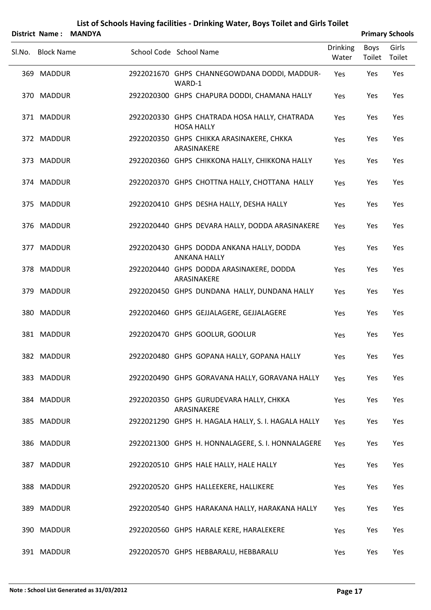| <b>District Name:</b> | <b>MANDYA</b> |                                                                    |                          |                | <b>Primary Schools</b> |
|-----------------------|---------------|--------------------------------------------------------------------|--------------------------|----------------|------------------------|
| Sl.No. Block Name     |               | School Code School Name                                            | <b>Drinking</b><br>Water | Boys<br>Toilet | Girls<br>Toilet        |
| 369 MADDUR            |               | 2922021670 GHPS CHANNEGOWDANA DODDI, MADDUR-<br>WARD-1             | Yes                      | Yes            | Yes                    |
| 370 MADDUR            |               | 2922020300 GHPS CHAPURA DODDI, CHAMANA HALLY                       | Yes                      | Yes            | Yes                    |
| 371 MADDUR            |               | 2922020330 GHPS CHATRADA HOSA HALLY, CHATRADA<br><b>HOSA HALLY</b> | Yes                      | Yes            | Yes                    |
| 372 MADDUR            |               | 2922020350 GHPS CHIKKA ARASINAKERE, CHKKA<br>ARASINAKERE           | Yes                      | Yes            | Yes                    |
| 373 MADDUR            |               | 2922020360 GHPS CHIKKONA HALLY, CHIKKONA HALLY                     | Yes                      | Yes            | Yes                    |
| 374 MADDUR            |               | 2922020370 GHPS CHOTTNA HALLY, CHOTTANA HALLY                      | Yes                      | Yes            | Yes                    |
| 375 MADDUR            |               | 2922020410 GHPS DESHA HALLY, DESHA HALLY                           | Yes                      | Yes            | Yes                    |
| 376 MADDUR            |               | 2922020440 GHPS DEVARA HALLY, DODDA ARASINAKERE                    | Yes                      | Yes            | Yes                    |
| 377 MADDUR            |               | 2922020430 GHPS DODDA ANKANA HALLY, DODDA<br><b>ANKANA HALLY</b>   | Yes                      | Yes            | Yes                    |
| 378 MADDUR            |               | 2922020440 GHPS DODDA ARASINAKERE, DODDA<br>ARASINAKERE            | Yes                      | Yes            | Yes                    |
| 379 MADDUR            |               | 2922020450 GHPS DUNDANA HALLY, DUNDANA HALLY                       | Yes                      | Yes            | Yes                    |
| 380 MADDUR            |               | 2922020460 GHPS GEJJALAGERE, GEJJALAGERE                           | Yes                      | Yes            | Yes                    |
| 381 MADDUR            |               | 2922020470 GHPS GOOLUR, GOOLUR                                     | Yes                      | Yes            | Yes                    |
| 382 MADDUR            |               | 2922020480 GHPS GOPANA HALLY, GOPANA HALLY                         | Yes                      | Yes            | Yes                    |
| 383 MADDUR            |               | 2922020490 GHPS GORAVANA HALLY, GORAVANA HALLY                     | Yes                      | Yes            | Yes                    |
| 384 MADDUR            |               | 2922020350 GHPS GURUDEVARA HALLY, CHKKA<br>ARASINAKERE             | Yes                      | Yes            | Yes                    |
| 385 MADDUR            |               | 2922021290 GHPS H. HAGALA HALLY, S. I. HAGALA HALLY                | Yes                      | Yes            | Yes                    |
| 386 MADDUR            |               | 2922021300 GHPS H. HONNALAGERE, S. I. HONNALAGERE                  | Yes                      | Yes            | Yes                    |
| 387 MADDUR            |               | 2922020510 GHPS HALE HALLY, HALE HALLY                             | Yes                      | Yes            | Yes                    |
| 388 MADDUR            |               | 2922020520 GHPS HALLEEKERE, HALLIKERE                              | Yes                      | Yes            | Yes                    |
| 389 MADDUR            |               | 2922020540 GHPS HARAKANA HALLY, HARAKANA HALLY                     | Yes                      | Yes            | Yes                    |
| 390 MADDUR            |               | 2922020560 GHPS HARALE KERE, HARALEKERE                            | Yes                      | Yes            | Yes                    |
| 391 MADDUR            |               | 2922020570 GHPS HEBBARALU, HEBBARALU                               | Yes                      | Yes            | Yes                    |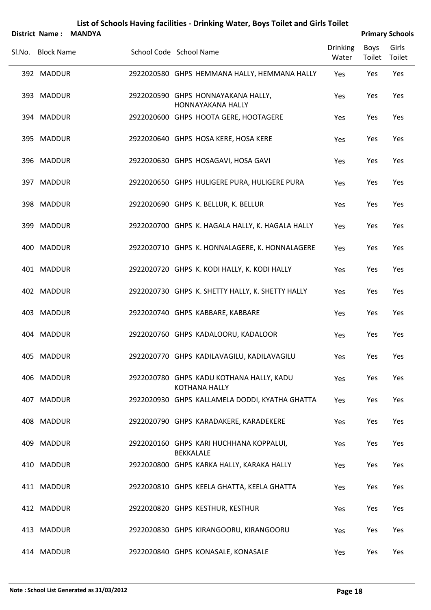| <b>District Name:</b> | <b>MANDYA</b> |                         |                  |                                                                  |                          |                | <b>Primary Schools</b> |
|-----------------------|---------------|-------------------------|------------------|------------------------------------------------------------------|--------------------------|----------------|------------------------|
| Sl.No. Block Name     |               | School Code School Name |                  |                                                                  | <b>Drinking</b><br>Water | Boys<br>Toilet | Girls<br>Toilet        |
| 392 MADDUR            |               |                         |                  | 2922020580 GHPS HEMMANA HALLY, HEMMANA HALLY                     | Yes                      | Yes            | Yes                    |
| 393 MADDUR            |               |                         |                  | 2922020590 GHPS HONNAYAKANA HALLY,<br><b>HONNAYAKANA HALLY</b>   | Yes                      | Yes            | Yes                    |
| 394 MADDUR            |               |                         |                  | 2922020600 GHPS HOOTA GERE, HOOTAGERE                            | Yes                      | Yes            | Yes                    |
| 395 MADDUR            |               |                         |                  | 2922020640 GHPS HOSA KERE, HOSA KERE                             | Yes                      | Yes            | Yes                    |
| 396 MADDUR            |               |                         |                  | 2922020630 GHPS HOSAGAVI, HOSA GAVI                              | Yes                      | Yes            | Yes                    |
| 397 MADDUR            |               |                         |                  | 2922020650 GHPS HULIGERE PURA, HULIGERE PURA                     | Yes                      | Yes            | Yes                    |
| 398 MADDUR            |               |                         |                  | 2922020690 GHPS K. BELLUR, K. BELLUR                             | Yes                      | Yes            | Yes                    |
| 399 MADDUR            |               |                         |                  | 2922020700 GHPS K. HAGALA HALLY, K. HAGALA HALLY                 | Yes                      | Yes            | Yes                    |
| 400 MADDUR            |               |                         |                  | 2922020710 GHPS K. HONNALAGERE, K. HONNALAGERE                   | Yes                      | Yes            | Yes                    |
| 401 MADDUR            |               |                         |                  | 2922020720 GHPS K. KODI HALLY, K. KODI HALLY                     | Yes                      | Yes            | Yes                    |
| 402 MADDUR            |               |                         |                  | 2922020730 GHPS K. SHETTY HALLY, K. SHETTY HALLY                 | Yes                      | Yes            | Yes                    |
| 403 MADDUR            |               |                         |                  | 2922020740 GHPS KABBARE, KABBARE                                 | Yes                      | Yes            | Yes                    |
| 404 MADDUR            |               |                         |                  | 2922020760 GHPS KADALOORU, KADALOOR                              | Yes                      | Yes            | Yes                    |
| 405 MADDUR            |               |                         |                  | 2922020770 GHPS KADILAVAGILU, KADILAVAGILU                       | Yes                      | Yes            | Yes                    |
| 406 MADDUR            |               |                         |                  | 2922020780 GHPS KADU KOTHANA HALLY, KADU<br><b>KOTHANA HALLY</b> | Yes                      | Yes            | Yes                    |
| 407 MADDUR            |               |                         |                  | 2922020930 GHPS KALLAMELA DODDI, KYATHA GHATTA                   | Yes                      | Yes            | Yes                    |
| 408 MADDUR            |               |                         |                  | 2922020790 GHPS KARADAKERE, KARADEKERE                           | Yes                      | Yes            | Yes                    |
| 409 MADDUR            |               |                         | <b>BEKKALALE</b> | 2922020160 GHPS KARI HUCHHANA KOPPALUI,                          | Yes                      | Yes            | Yes                    |
| 410 MADDUR            |               |                         |                  | 2922020800 GHPS KARKA HALLY, KARAKA HALLY                        | Yes                      | Yes            | Yes                    |
| 411 MADDUR            |               |                         |                  | 2922020810 GHPS KEELA GHATTA, KEELA GHATTA                       | Yes                      | Yes            | Yes                    |
| 412 MADDUR            |               |                         |                  | 2922020820 GHPS KESTHUR, KESTHUR                                 | Yes                      | Yes            | Yes                    |
| 413 MADDUR            |               |                         |                  | 2922020830 GHPS KIRANGOORU, KIRANGOORU                           | Yes                      | Yes            | Yes                    |
| 414 MADDUR            |               |                         |                  | 2922020840 GHPS KONASALE, KONASALE                               | Yes                      | Yes            | Yes                    |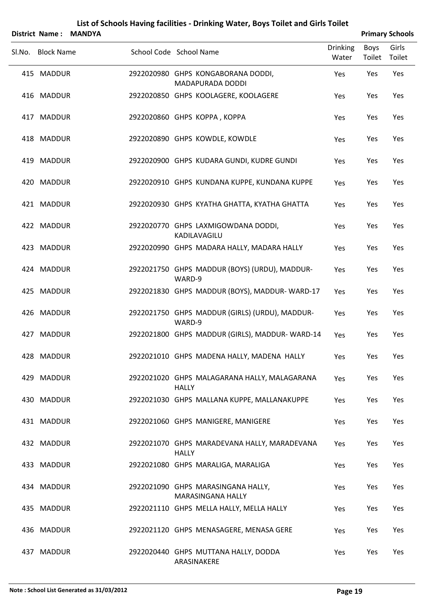|     | District Name:    | <b>MANDYA</b> |                                                                |                          |                | <b>Primary Schools</b> |
|-----|-------------------|---------------|----------------------------------------------------------------|--------------------------|----------------|------------------------|
|     | Sl.No. Block Name |               | School Code School Name                                        | <b>Drinking</b><br>Water | Boys<br>Toilet | Girls<br>Toilet        |
|     | 415 MADDUR        |               | 2922020980 GHPS KONGABORANA DODDI,<br><b>MADAPURADA DODDI</b>  | Yes                      | Yes            | Yes                    |
|     | 416 MADDUR        |               | 2922020850 GHPS KOOLAGERE, KOOLAGERE                           | Yes                      | Yes            | Yes                    |
|     | 417 MADDUR        |               | 2922020860 GHPS KOPPA, KOPPA                                   | Yes                      | Yes            | Yes                    |
|     | 418 MADDUR        |               | 2922020890 GHPS KOWDLE, KOWDLE                                 | Yes                      | Yes            | Yes                    |
|     | 419 MADDUR        |               | 2922020900 GHPS KUDARA GUNDI, KUDRE GUNDI                      | Yes                      | Yes            | Yes                    |
|     | 420 MADDUR        |               | 2922020910 GHPS KUNDANA KUPPE, KUNDANA KUPPE                   | Yes                      | Yes            | Yes                    |
|     | 421 MADDUR        |               | 2922020930 GHPS KYATHA GHATTA, KYATHA GHATTA                   | Yes                      | Yes            | Yes                    |
|     | 422 MADDUR        |               | 2922020770 GHPS LAXMIGOWDANA DODDI,<br>KADILAVAGILU            | Yes                      | Yes            | Yes                    |
|     | 423 MADDUR        |               | 2922020990 GHPS MADARA HALLY, MADARA HALLY                     | Yes                      | Yes            | Yes                    |
|     | 424 MADDUR        |               | 2922021750 GHPS MADDUR (BOYS) (URDU), MADDUR-<br>WARD-9        | Yes                      | Yes            | Yes                    |
|     | 425 MADDUR        |               | 2922021830 GHPS MADDUR (BOYS), MADDUR-WARD-17                  | Yes                      | Yes            | Yes                    |
|     | 426 MADDUR        |               | 2922021750 GHPS MADDUR (GIRLS) (URDU), MADDUR-<br>WARD-9       | Yes                      | Yes            | Yes                    |
| 427 | <b>MADDUR</b>     |               | 2922021800 GHPS MADDUR (GIRLS), MADDUR-WARD-14                 | Yes                      | Yes            | Yes                    |
|     | 428 MADDUR        |               | 2922021010 GHPS MADENA HALLY, MADENA HALLY                     | Yes                      | Yes            | Yes                    |
|     | 429 MADDUR        |               | 2922021020 GHPS MALAGARANA HALLY, MALAGARANA<br><b>HALLY</b>   | Yes                      | Yes            | Yes                    |
|     | 430 MADDUR        |               | 2922021030 GHPS MALLANA KUPPE, MALLANAKUPPE                    | Yes                      | Yes            | Yes                    |
|     | 431 MADDUR        |               | 2922021060 GHPS MANIGERE, MANIGERE                             | Yes                      | Yes            | Yes                    |
|     | 432 MADDUR        |               | 2922021070 GHPS MARADEVANA HALLY, MARADEVANA<br><b>HALLY</b>   | Yes                      | Yes            | Yes                    |
|     | 433 MADDUR        |               | 2922021080 GHPS MARALIGA, MARALIGA                             | Yes                      | Yes            | Yes                    |
|     | 434 MADDUR        |               | 2922021090 GHPS MARASINGANA HALLY,<br><b>MARASINGANA HALLY</b> | Yes                      | Yes            | Yes                    |
|     | 435 MADDUR        |               | 2922021110 GHPS MELLA HALLY, MELLA HALLY                       | Yes                      | Yes            | Yes                    |
|     | 436 MADDUR        |               | 2922021120 GHPS MENASAGERE, MENASA GERE                        | Yes                      | Yes            | Yes                    |
|     | 437 MADDUR        |               | 2922020440 GHPS MUTTANA HALLY, DODDA<br>ARASINAKERE            | Yes                      | Yes            | Yes                    |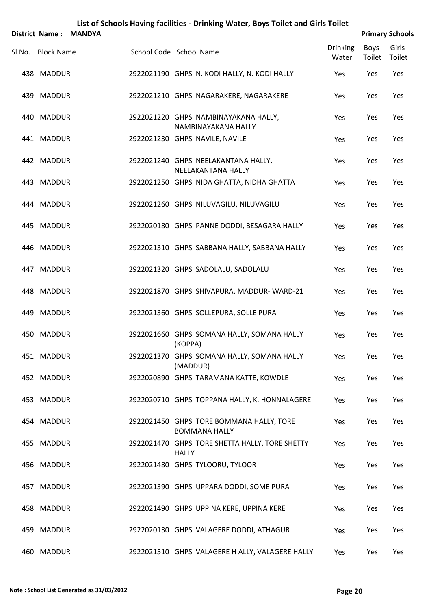|        | <b>District Name:</b> | <b>MANDYA</b> |                                                                  |                          |                | <b>Primary Schools</b> |
|--------|-----------------------|---------------|------------------------------------------------------------------|--------------------------|----------------|------------------------|
| Sl.No. | <b>Block Name</b>     |               | School Code School Name                                          | <b>Drinking</b><br>Water | Boys<br>Toilet | Girls<br>Toilet        |
|        | 438 MADDUR            |               | 2922021190 GHPS N. KODI HALLY, N. KODI HALLY                     | Yes                      | Yes            | Yes                    |
|        | 439 MADDUR            |               | 2922021210 GHPS NAGARAKERE, NAGARAKERE                           | Yes                      | Yes            | Yes                    |
|        | 440 MADDUR            |               | 2922021220 GHPS NAMBINAYAKANA HALLY,<br>NAMBINAYAKANA HALLY      | Yes                      | Yes            | Yes                    |
|        | 441 MADDUR            |               | 2922021230 GHPS NAVILE, NAVILE                                   | Yes                      | Yes            | Yes                    |
|        | 442 MADDUR            |               | 2922021240 GHPS NEELAKANTANA HALLY,<br>NEELAKANTANA HALLY        | Yes                      | Yes            | Yes                    |
|        | 443 MADDUR            |               | 2922021250 GHPS NIDA GHATTA, NIDHA GHATTA                        | Yes                      | Yes            | Yes                    |
|        | 444 MADDUR            |               | 2922021260 GHPS NILUVAGILU, NILUVAGILU                           | Yes                      | Yes            | Yes                    |
|        | 445 MADDUR            |               | 2922020180 GHPS PANNE DODDI, BESAGARA HALLY                      | Yes                      | Yes            | Yes                    |
|        | 446 MADDUR            |               | 2922021310 GHPS SABBANA HALLY, SABBANA HALLY                     | Yes                      | Yes            | Yes                    |
|        | 447 MADDUR            |               | 2922021320 GHPS SADOLALU, SADOLALU                               | Yes                      | Yes            | Yes                    |
|        | 448 MADDUR            |               | 2922021870 GHPS SHIVAPURA, MADDUR-WARD-21                        | Yes                      | Yes            | Yes                    |
|        | 449 MADDUR            |               | 2922021360 GHPS SOLLEPURA, SOLLE PURA                            | Yes                      | Yes            | Yes                    |
|        | 450 MADDUR            |               | 2922021660 GHPS SOMANA HALLY, SOMANA HALLY<br>(KOPPA)            | Yes                      | Yes            | Yes                    |
|        | 451 MADDUR            |               | 2922021370 GHPS SOMANA HALLY, SOMANA HALLY<br>(MADDUR)           | Yes                      | Yes            | Yes                    |
|        | 452 MADDUR            |               | 2922020890 GHPS TARAMANA KATTE, KOWDLE                           | Yes                      | Yes            | Yes                    |
|        | 453 MADDUR            |               | 2922020710 GHPS TOPPANA HALLY, K. HONNALAGERE                    | Yes                      | Yes            | Yes                    |
|        | 454 MADDUR            |               | 2922021450 GHPS TORE BOMMANA HALLY, TORE<br><b>BOMMANA HALLY</b> | Yes                      | Yes            | Yes                    |
|        | 455 MADDUR            |               | 2922021470 GHPS TORE SHETTA HALLY, TORE SHETTY<br><b>HALLY</b>   | Yes                      | Yes            | Yes                    |
|        | 456 MADDUR            |               | 2922021480 GHPS TYLOORU, TYLOOR                                  | Yes                      | Yes            | Yes                    |
|        | 457 MADDUR            |               | 2922021390 GHPS UPPARA DODDI, SOME PURA                          | Yes                      | Yes            | Yes                    |
|        | 458 MADDUR            |               | 2922021490 GHPS UPPINA KERE, UPPINA KERE                         | Yes                      | Yes            | Yes                    |
|        | 459 MADDUR            |               | 2922020130 GHPS VALAGERE DODDI, ATHAGUR                          | Yes                      | Yes            | Yes                    |
|        | 460 MADDUR            |               | 2922021510 GHPS VALAGERE H ALLY, VALAGERE HALLY                  | Yes                      | Yes            | Yes                    |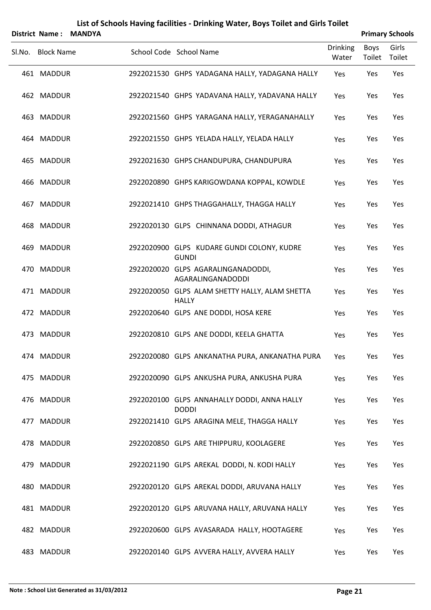|        | List of Schools Having facilities - Drinking Water, Boys Toilet and Girls Toilet<br><b>Primary Schools</b><br><b>District Name:</b> |               |                         |              |                                                         |                          |                       |                 |  |  |  |  |
|--------|-------------------------------------------------------------------------------------------------------------------------------------|---------------|-------------------------|--------------|---------------------------------------------------------|--------------------------|-----------------------|-----------------|--|--|--|--|
|        |                                                                                                                                     | <b>MANDYA</b> |                         |              |                                                         |                          |                       |                 |  |  |  |  |
| Sl.No. | <b>Block Name</b>                                                                                                                   |               | School Code School Name |              |                                                         | <b>Drinking</b><br>Water | <b>Boys</b><br>Toilet | Girls<br>Toilet |  |  |  |  |
|        | 461 MADDUR                                                                                                                          |               |                         |              | 2922021530 GHPS YADAGANA HALLY, YADAGANA HALLY          | Yes                      | Yes                   | Yes             |  |  |  |  |
|        | 462 MADDUR                                                                                                                          |               |                         |              | 2922021540 GHPS YADAVANA HALLY, YADAVANA HALLY          | Yes                      | Yes                   | Yes             |  |  |  |  |
|        | 463 MADDUR                                                                                                                          |               |                         |              | 2922021560 GHPS YARAGANA HALLY, YERAGANAHALLY           | Yes                      | Yes                   | Yes             |  |  |  |  |
|        | 464 MADDUR                                                                                                                          |               |                         |              | 2922021550 GHPS YELADA HALLY, YELADA HALLY              | Yes                      | Yes                   | Yes             |  |  |  |  |
|        | 465 MADDUR                                                                                                                          |               |                         |              | 2922021630 GHPS CHANDUPURA, CHANDUPURA                  | Yes                      | Yes                   | Yes             |  |  |  |  |
|        | 466 MADDUR                                                                                                                          |               |                         |              | 2922020890 GHPS KARIGOWDANA KOPPAL, KOWDLE              | Yes                      | Yes                   | Yes             |  |  |  |  |
|        | 467 MADDUR                                                                                                                          |               |                         |              | 2922021410 GHPS THAGGAHALLY, THAGGA HALLY               | Yes                      | Yes                   | Yes             |  |  |  |  |
|        | 468 MADDUR                                                                                                                          |               |                         |              | 2922020130 GLPS CHINNANA DODDI, ATHAGUR                 | Yes                      | Yes                   | Yes             |  |  |  |  |
|        | 469 MADDUR                                                                                                                          |               |                         | <b>GUNDI</b> | 2922020900 GLPS KUDARE GUNDI COLONY, KUDRE              | Yes                      | Yes                   | Yes             |  |  |  |  |
|        | 470 MADDUR                                                                                                                          |               |                         |              | 2922020020 GLPS AGARALINGANADODDI,<br>AGARALINGANADODDI | Yes                      | Yes                   | Yes             |  |  |  |  |
|        | 471 MADDUR                                                                                                                          |               |                         | <b>HALLY</b> | 2922020050 GLPS ALAM SHETTY HALLY, ALAM SHETTA          | Yes                      | Yes                   | Yes             |  |  |  |  |
|        | 472 MADDUR                                                                                                                          |               |                         |              | 2922020640 GLPS ANE DODDI, HOSA KERE                    | Yes                      | Yes                   | Yes             |  |  |  |  |
|        | 473 MADDUR                                                                                                                          |               |                         |              | 2922020810 GLPS ANE DODDI, KEELA GHATTA                 | Yes                      | Yes                   | Yes             |  |  |  |  |
|        | 474 MADDUR                                                                                                                          |               |                         |              | 2922020080 GLPS ANKANATHA PURA, ANKANATHA PURA          | Yes                      | Yes                   | Yes             |  |  |  |  |
|        | 475 MADDUR                                                                                                                          |               |                         |              | 2922020090 GLPS ANKUSHA PURA, ANKUSHA PURA              | Yes                      | Yes                   | Yes             |  |  |  |  |
|        | 476 MADDUR                                                                                                                          |               |                         | <b>DODDI</b> | 2922020100 GLPS ANNAHALLY DODDI, ANNA HALLY             | Yes                      | Yes                   | Yes             |  |  |  |  |
|        | 477 MADDUR                                                                                                                          |               |                         |              | 2922021410 GLPS ARAGINA MELE, THAGGA HALLY              | Yes                      | Yes                   | Yes             |  |  |  |  |
|        | 478 MADDUR                                                                                                                          |               |                         |              | 2922020850 GLPS ARE THIPPURU, KOOLAGERE                 | Yes                      | Yes                   | Yes             |  |  |  |  |
|        | 479 MADDUR                                                                                                                          |               |                         |              | 2922021190 GLPS AREKAL DODDI, N. KODI HALLY             | Yes                      | Yes                   | Yes             |  |  |  |  |
|        | 480 MADDUR                                                                                                                          |               |                         |              | 2922020120 GLPS AREKAL DODDI, ARUVANA HALLY             | Yes                      | Yes                   | Yes             |  |  |  |  |
|        | 481 MADDUR                                                                                                                          |               |                         |              | 2922020120 GLPS ARUVANA HALLY, ARUVANA HALLY            | Yes                      | Yes                   | Yes             |  |  |  |  |
|        | 482 MADDUR                                                                                                                          |               |                         |              | 2922020600 GLPS AVASARADA HALLY, HOOTAGERE              | Yes                      | Yes                   | Yes             |  |  |  |  |
|        | 483 MADDUR                                                                                                                          |               |                         |              | 2922020140 GLPS AVVERA HALLY, AVVERA HALLY              | Yes                      | Yes                   | Yes             |  |  |  |  |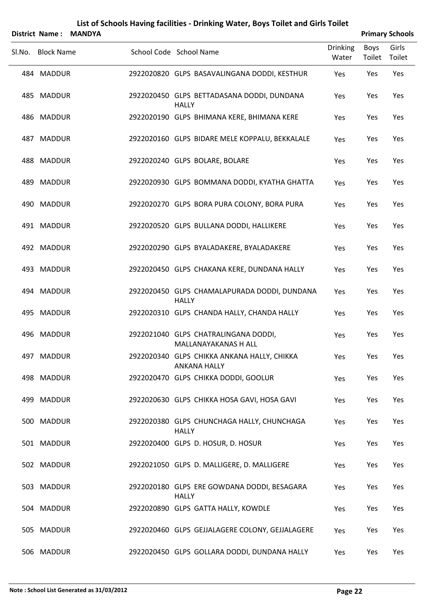|        | <b>District Name:</b> | <b>MANDYA</b> |                                                                    |                          |                | <b>Primary Schools</b> |
|--------|-----------------------|---------------|--------------------------------------------------------------------|--------------------------|----------------|------------------------|
| Sl.No. | <b>Block Name</b>     |               | School Code School Name                                            | <b>Drinking</b><br>Water | Boys<br>Toilet | Girls<br>Toilet        |
|        | 484 MADDUR            |               | 2922020820 GLPS BASAVALINGANA DODDI, KESTHUR                       | Yes                      | Yes            | Yes                    |
|        | 485 MADDUR            |               | 2922020450 GLPS BETTADASANA DODDI, DUNDANA<br><b>HALLY</b>         | Yes                      | Yes            | Yes                    |
|        | 486 MADDUR            |               | 2922020190 GLPS BHIMANA KERE, BHIMANA KERE                         | Yes                      | Yes            | Yes                    |
|        | 487 MADDUR            |               | 2922020160 GLPS BIDARE MELE KOPPALU, BEKKALALE                     | Yes                      | Yes            | Yes                    |
| 488    | <b>MADDUR</b>         |               | 2922020240 GLPS BOLARE, BOLARE                                     | Yes                      | Yes            | Yes                    |
|        | 489 MADDUR            |               | 2922020930 GLPS BOMMANA DODDI, KYATHA GHATTA                       | Yes                      | Yes            | Yes                    |
|        | 490 MADDUR            |               | 2922020270 GLPS BORA PURA COLONY, BORA PURA                        | Yes                      | Yes            | Yes                    |
|        | 491 MADDUR            |               | 2922020520 GLPS BULLANA DODDI, HALLIKERE                           | Yes                      | Yes            | Yes                    |
|        | 492 MADDUR            |               | 2922020290 GLPS BYALADAKERE, BYALADAKERE                           | Yes                      | Yes            | Yes                    |
|        | 493 MADDUR            |               | 2922020450 GLPS CHAKANA KERE, DUNDANA HALLY                        | Yes                      | Yes            | Yes                    |
|        | 494 MADDUR            |               | 2922020450 GLPS CHAMALAPURADA DODDI, DUNDANA<br><b>HALLY</b>       | Yes                      | Yes            | Yes                    |
|        | 495 MADDUR            |               | 2922020310 GLPS CHANDA HALLY, CHANDA HALLY                         | Yes                      | Yes            | Yes                    |
| 496    | <b>MADDUR</b>         |               | 2922021040 GLPS CHATRALINGANA DODDI,<br>MALLANAYAKANAS H ALL       | Yes                      | Yes            | Yes                    |
|        | 497 MADDUR            |               | 2922020340 GLPS CHIKKA ANKANA HALLY, CHIKKA<br><b>ANKANA HALLY</b> | Yes                      | Yes            | Yes                    |
|        | 498 MADDUR            |               | 2922020470 GLPS CHIKKA DODDI, GOOLUR                               | Yes                      | Yes            | Yes                    |
|        | 499 MADDUR            |               | 2922020630 GLPS CHIKKA HOSA GAVI, HOSA GAVI                        | Yes                      | Yes            | Yes                    |
|        | 500 MADDUR            |               | 2922020380 GLPS CHUNCHAGA HALLY, CHUNCHAGA<br><b>HALLY</b>         | Yes                      | Yes            | Yes                    |
|        | 501 MADDUR            |               | 2922020400 GLPS D. HOSUR, D. HOSUR                                 | Yes                      | Yes            | Yes                    |
|        | 502 MADDUR            |               | 2922021050 GLPS D. MALLIGERE, D. MALLIGERE                         | Yes                      | Yes            | Yes                    |
|        | 503 MADDUR            |               | 2922020180 GLPS ERE GOWDANA DODDI, BESAGARA<br><b>HALLY</b>        | Yes                      | Yes            | Yes                    |
|        | 504 MADDUR            |               | 2922020890 GLPS GATTA HALLY, KOWDLE                                | Yes                      | Yes            | Yes                    |
|        | 505 MADDUR            |               | 2922020460 GLPS GEJJALAGERE COLONY, GEJJALAGERE                    | Yes                      | Yes            | Yes                    |
|        | 506 MADDUR            |               | 2922020450 GLPS GOLLARA DODDI, DUNDANA HALLY                       | Yes                      | Yes            | Yes                    |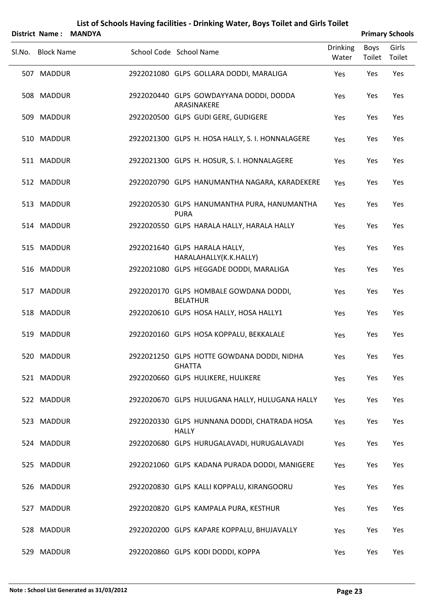|        | <b>District Name:</b> | <b>MANDYA</b> |                                                              |                          |                | <b>Primary Schools</b> |
|--------|-----------------------|---------------|--------------------------------------------------------------|--------------------------|----------------|------------------------|
| Sl.No. | <b>Block Name</b>     |               | School Code School Name                                      | <b>Drinking</b><br>Water | Boys<br>Toilet | Girls<br>Toilet        |
|        | 507 MADDUR            |               | 2922021080 GLPS GOLLARA DODDI, MARALIGA                      | Yes                      | Yes            | Yes                    |
|        | 508 MADDUR            |               | 2922020440 GLPS GOWDAYYANA DODDI, DODDA<br>ARASINAKERE       | Yes                      | Yes            | Yes                    |
|        | 509 MADDUR            |               | 2922020500 GLPS GUDI GERE, GUDIGERE                          | Yes                      | Yes            | Yes                    |
|        | 510 MADDUR            |               | 2922021300 GLPS H. HOSA HALLY, S. I. HONNALAGERE             | Yes                      | Yes            | Yes                    |
|        | 511 MADDUR            |               | 2922021300 GLPS H. HOSUR, S. I. HONNALAGERE                  | Yes                      | Yes            | Yes                    |
|        | 512 MADDUR            |               | 2922020790 GLPS HANUMANTHA NAGARA, KARADEKERE                | Yes                      | Yes            | Yes                    |
|        | 513 MADDUR            |               | 2922020530 GLPS HANUMANTHA PURA, HANUMANTHA<br><b>PURA</b>   | Yes                      | Yes            | Yes                    |
|        | 514 MADDUR            |               | 2922020550 GLPS HARALA HALLY, HARALA HALLY                   | Yes                      | Yes            | Yes                    |
|        | 515 MADDUR            |               | 2922021640 GLPS HARALA HALLY,<br>HARALAHALLY(K.K.HALLY)      | Yes                      | Yes            | Yes                    |
|        | 516 MADDUR            |               | 2922021080 GLPS HEGGADE DODDI, MARALIGA                      | Yes                      | Yes            | Yes                    |
|        | 517 MADDUR            |               | 2922020170 GLPS HOMBALE GOWDANA DODDI,<br><b>BELATHUR</b>    | Yes                      | Yes            | Yes                    |
|        | 518 MADDUR            |               | 2922020610 GLPS HOSA HALLY, HOSA HALLY1                      | Yes                      | Yes            | Yes                    |
|        | 519 MADDUR            |               | 2922020160 GLPS HOSA KOPPALU, BEKKALALE                      | Yes                      | Yes            | Yes                    |
|        | 520 MADDUR            |               | 2922021250 GLPS HOTTE GOWDANA DODDI, NIDHA<br><b>GHATTA</b>  | Yes                      | Yes            | Yes                    |
|        | 521 MADDUR            |               | 2922020660 GLPS HULIKERE, HULIKERE                           | Yes                      | Yes            | Yes                    |
|        | 522 MADDUR            |               | 2922020670 GLPS HULUGANA HALLY, HULUGANA HALLY               | Yes                      | Yes            | Yes                    |
|        | 523 MADDUR            |               | 2922020330 GLPS HUNNANA DODDI, CHATRADA HOSA<br><b>HALLY</b> | Yes                      | Yes            | Yes                    |
|        | 524 MADDUR            |               | 2922020680 GLPS HURUGALAVADI, HURUGALAVADI                   | Yes                      | Yes            | Yes                    |
|        | 525 MADDUR            |               | 2922021060 GLPS KADANA PURADA DODDI, MANIGERE                | Yes                      | Yes            | Yes                    |
|        | 526 MADDUR            |               | 2922020830 GLPS KALLI KOPPALU, KIRANGOORU                    | Yes                      | Yes            | Yes                    |
|        | 527 MADDUR            |               | 2922020820 GLPS KAMPALA PURA, KESTHUR                        | Yes                      | Yes            | Yes                    |
|        | 528 MADDUR            |               | 2922020200 GLPS KAPARE KOPPALU, BHUJAVALLY                   | Yes                      | Yes            | Yes                    |
|        | 529 MADDUR            |               | 2922020860 GLPS KODI DODDI, KOPPA                            | Yes                      | Yes            | Yes                    |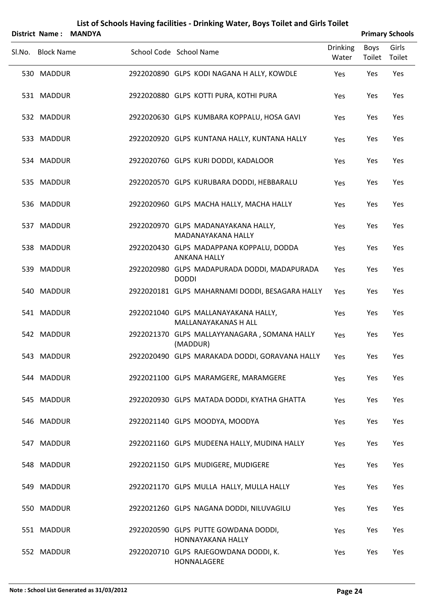|        | List of Schools Having facilities - Drinking Water, Boys Toilet and Girls Toilet<br><b>Primary Schools</b><br><b>District Name:</b><br><b>MANDYA</b> |  |                                                 |  |  |              |                     |  |                      |  |  |  |                          |                       |                 |
|--------|------------------------------------------------------------------------------------------------------------------------------------------------------|--|-------------------------------------------------|--|--|--------------|---------------------|--|----------------------|--|--|--|--------------------------|-----------------------|-----------------|
| Sl.No. | <b>Block Name</b>                                                                                                                                    |  | School Code School Name                         |  |  |              |                     |  |                      |  |  |  | <b>Drinking</b><br>Water | <b>Boys</b><br>Toilet | Girls<br>Toilet |
|        | 530 MADDUR                                                                                                                                           |  | 2922020890 GLPS KODI NAGANA H ALLY, KOWDLE      |  |  |              |                     |  |                      |  |  |  | Yes                      | Yes                   | Yes             |
|        | 531 MADDUR                                                                                                                                           |  | 2922020880 GLPS KOTTI PURA, KOTHI PURA          |  |  |              |                     |  |                      |  |  |  | Yes                      | Yes                   | Yes             |
|        | 532 MADDUR                                                                                                                                           |  | 2922020630 GLPS KUMBARA KOPPALU, HOSA GAVI      |  |  |              |                     |  |                      |  |  |  | Yes                      | Yes                   | Yes             |
|        | 533 MADDUR                                                                                                                                           |  | 2922020920 GLPS KUNTANA HALLY, KUNTANA HALLY    |  |  |              |                     |  |                      |  |  |  | Yes                      | Yes                   | Yes             |
|        | 534 MADDUR                                                                                                                                           |  | 2922020760 GLPS KURI DODDI, KADALOOR            |  |  |              |                     |  |                      |  |  |  | Yes                      | Yes                   | Yes             |
|        | 535 MADDUR                                                                                                                                           |  | 2922020570 GLPS KURUBARA DODDI, HEBBARALU       |  |  |              |                     |  |                      |  |  |  | Yes                      | Yes                   | Yes             |
|        | 536 MADDUR                                                                                                                                           |  | 2922020960 GLPS MACHA HALLY, MACHA HALLY        |  |  |              |                     |  |                      |  |  |  | Yes                      | Yes                   | Yes             |
|        | 537 MADDUR                                                                                                                                           |  | 2922020970 GLPS MADANAYAKANA HALLY,             |  |  |              |                     |  | MADANAYAKANA HALLY   |  |  |  | Yes                      | Yes                   | Yes             |
|        | 538 MADDUR                                                                                                                                           |  | 2922020430 GLPS MADAPPANA KOPPALU, DODDA        |  |  |              | <b>ANKANA HALLY</b> |  |                      |  |  |  | Yes                      | Yes                   | Yes             |
|        | 539 MADDUR                                                                                                                                           |  | 2922020980 GLPS MADAPURADA DODDI, MADAPURADA    |  |  | <b>DODDI</b> |                     |  |                      |  |  |  | Yes                      | Yes                   | Yes             |
|        | 540 MADDUR                                                                                                                                           |  | 2922020181 GLPS MAHARNAMI DODDI, BESAGARA HALLY |  |  |              |                     |  |                      |  |  |  | Yes                      | Yes                   | Yes             |
|        | 541 MADDUR                                                                                                                                           |  | 2922021040 GLPS MALLANAYAKANA HALLY,            |  |  |              |                     |  | MALLANAYAKANAS H ALL |  |  |  | Yes                      | Yes                   | Yes             |
|        | 542 MADDUR                                                                                                                                           |  | 2922021370 GLPS MALLAYYANAGARA, SOMANA HALLY    |  |  |              | (MADDUR)            |  |                      |  |  |  | Yes                      | Yes                   | Yes             |
|        | 543 MADDUR                                                                                                                                           |  | 2922020490 GLPS MARAKADA DODDI, GORAVANA HALLY  |  |  |              |                     |  |                      |  |  |  | Yes                      | Yes                   | Yes             |
|        | 544 MADDUR                                                                                                                                           |  | 2922021100 GLPS MARAMGERE, MARAMGERE            |  |  |              |                     |  |                      |  |  |  | Yes                      | Yes                   | Yes             |
|        | 545 MADDUR                                                                                                                                           |  | 2922020930 GLPS MATADA DODDI, KYATHA GHATTA     |  |  |              |                     |  |                      |  |  |  | Yes                      | Yes                   | Yes             |
|        | 546 MADDUR                                                                                                                                           |  | 2922021140 GLPS MOODYA, MOODYA                  |  |  |              |                     |  |                      |  |  |  | Yes                      | Yes                   | Yes             |
|        | 547 MADDUR                                                                                                                                           |  | 2922021160 GLPS MUDEENA HALLY, MUDINA HALLY     |  |  |              |                     |  |                      |  |  |  | Yes                      | Yes                   | Yes             |
|        | 548 MADDUR                                                                                                                                           |  | 2922021150 GLPS MUDIGERE, MUDIGERE              |  |  |              |                     |  |                      |  |  |  | Yes                      | Yes                   | Yes             |
|        | 549 MADDUR                                                                                                                                           |  | 2922021170 GLPS MULLA HALLY, MULLA HALLY        |  |  |              |                     |  |                      |  |  |  | Yes                      | Yes                   | Yes             |
|        | 550 MADDUR                                                                                                                                           |  | 2922021260 GLPS NAGANA DODDI, NILUVAGILU        |  |  |              |                     |  |                      |  |  |  | Yes                      | Yes                   | Yes             |
|        | 551 MADDUR                                                                                                                                           |  | 2922020590 GLPS PUTTE GOWDANA DODDI,            |  |  |              |                     |  | HONNAYAKANA HALLY    |  |  |  | Yes                      | Yes                   | Yes             |
|        | 552 MADDUR                                                                                                                                           |  | 2922020710 GLPS RAJEGOWDANA DODDI, K.           |  |  |              | HONNALAGERE         |  |                      |  |  |  | Yes                      | Yes                   | Yes             |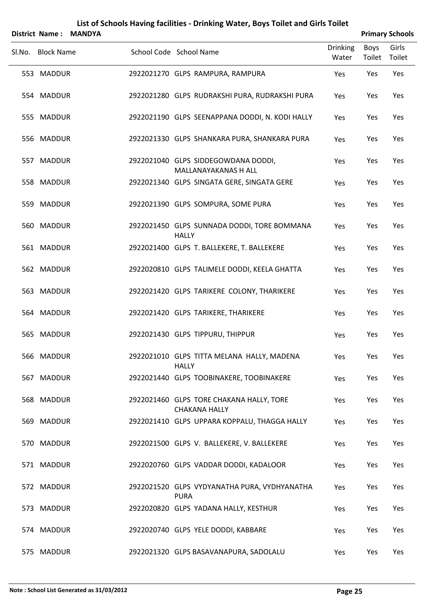|        | <b>District Name:</b> | <b>MANDYA</b> |                                                                  |                          |                | <b>Primary Schools</b> |
|--------|-----------------------|---------------|------------------------------------------------------------------|--------------------------|----------------|------------------------|
| Sl.No. | <b>Block Name</b>     |               | School Code School Name                                          | <b>Drinking</b><br>Water | Boys<br>Toilet | Girls<br>Toilet        |
|        | 553 MADDUR            |               | 2922021270 GLPS RAMPURA, RAMPURA                                 | Yes                      | Yes            | Yes                    |
|        | 554 MADDUR            |               | 2922021280 GLPS RUDRAKSHI PURA, RUDRAKSHI PURA                   | Yes                      | Yes            | Yes                    |
|        | 555 MADDUR            |               | 2922021190 GLPS SEENAPPANA DODDI, N. KODI HALLY                  | Yes                      | Yes            | Yes                    |
|        | 556 MADDUR            |               | 2922021330 GLPS SHANKARA PURA, SHANKARA PURA                     | Yes                      | Yes            | Yes                    |
|        | 557 MADDUR            |               | 2922021040 GLPS SIDDEGOWDANA DODDI,<br>MALLANAYAKANAS H ALL      | Yes                      | Yes            | Yes                    |
|        | 558 MADDUR            |               | 2922021340 GLPS SINGATA GERE, SINGATA GERE                       | Yes                      | Yes            | Yes                    |
|        | 559 MADDUR            |               | 2922021390 GLPS SOMPURA, SOME PURA                               | Yes                      | Yes            | Yes                    |
|        | 560 MADDUR            |               | 2922021450 GLPS SUNNADA DODDI, TORE BOMMANA<br><b>HALLY</b>      | Yes                      | Yes            | Yes                    |
|        | 561 MADDUR            |               | 2922021400 GLPS T. BALLEKERE, T. BALLEKERE                       | Yes                      | Yes            | Yes                    |
|        | 562 MADDUR            |               | 2922020810 GLPS TALIMELE DODDI, KEELA GHATTA                     | Yes                      | Yes            | Yes                    |
|        | 563 MADDUR            |               | 2922021420 GLPS TARIKERE COLONY, THARIKERE                       | Yes                      | Yes            | Yes                    |
|        | 564 MADDUR            |               | 2922021420 GLPS TARIKERE, THARIKERE                              | Yes                      | Yes            | Yes                    |
|        | 565 MADDUR            |               | 2922021430 GLPS TIPPURU, THIPPUR                                 | Yes                      | Yes            | Yes                    |
|        | 566 MADDUR            |               | 2922021010 GLPS TITTA MELANA HALLY, MADENA<br><b>HALLY</b>       | Yes                      | Yes            | Yes                    |
|        | 567 MADDUR            |               | 2922021440 GLPS TOOBINAKERE, TOOBINAKERE                         | Yes                      | Yes            | Yes                    |
|        | 568 MADDUR            |               | 2922021460 GLPS TORE CHAKANA HALLY, TORE<br><b>CHAKANA HALLY</b> | Yes                      | Yes            | Yes                    |
|        | 569 MADDUR            |               | 2922021410 GLPS UPPARA KOPPALU, THAGGA HALLY                     | Yes                      | Yes            | Yes                    |
|        | 570 MADDUR            |               | 2922021500 GLPS V. BALLEKERE, V. BALLEKERE                       | Yes                      | Yes            | Yes                    |
|        | 571 MADDUR            |               | 2922020760 GLPS VADDAR DODDI, KADALOOR                           | Yes                      | Yes            | Yes                    |
|        | 572 MADDUR            |               | 2922021520 GLPS VYDYANATHA PURA, VYDHYANATHA<br><b>PURA</b>      | Yes                      | Yes            | Yes                    |
|        | 573 MADDUR            |               | 2922020820 GLPS YADANA HALLY, KESTHUR                            | Yes                      | Yes            | Yes                    |
|        | 574 MADDUR            |               | 2922020740 GLPS YELE DODDI, KABBARE                              | Yes                      | Yes            | Yes                    |
|        | 575 MADDUR            |               | 2922021320 GLPS BASAVANAPURA, SADOLALU                           | Yes                      | Yes            | Yes                    |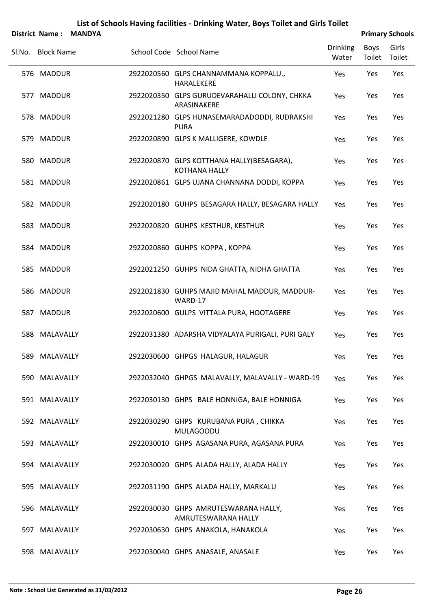|        | District Name:    | <b>MANDYA</b> |                                                                   |                          | <b>Primary Schools</b> |                 |
|--------|-------------------|---------------|-------------------------------------------------------------------|--------------------------|------------------------|-----------------|
| Sl.No. | <b>Block Name</b> |               | School Code School Name                                           | <b>Drinking</b><br>Water | <b>Boys</b><br>Toilet  | Girls<br>Toilet |
|        | 576 MADDUR        |               | 2922020560 GLPS CHANNAMMANA KOPPALU.,<br>HARALEKERE               | Yes                      | Yes                    | Yes             |
|        | 577 MADDUR        |               | 2922020350 GLPS GURUDEVARAHALLI COLONY, CHKKA<br>ARASINAKERE      | Yes                      | Yes                    | Yes             |
|        | 578 MADDUR        |               | 2922021280 GLPS HUNASEMARADADODDI, RUDRAKSHI<br><b>PURA</b>       | Yes                      | Yes                    | Yes             |
|        | 579 MADDUR        |               | 2922020890 GLPS K MALLIGERE, KOWDLE                               | Yes                      | Yes                    | Yes             |
|        | 580 MADDUR        |               | 2922020870 GLPS KOTTHANA HALLY(BESAGARA),<br><b>KOTHANA HALLY</b> | Yes                      | Yes                    | Yes             |
|        | 581 MADDUR        |               | 2922020861 GLPS UJANA CHANNANA DODDI, KOPPA                       | Yes                      | Yes                    | Yes             |
|        | 582 MADDUR        |               | 2922020180 GUHPS BESAGARA HALLY, BESAGARA HALLY                   | Yes                      | Yes                    | Yes             |
|        | 583 MADDUR        |               | 2922020820 GUHPS KESTHUR, KESTHUR                                 | Yes                      | Yes                    | Yes             |
|        | 584 MADDUR        |               | 2922020860 GUHPS KOPPA, KOPPA                                     | Yes                      | Yes                    | Yes             |
|        | 585 MADDUR        |               | 2922021250 GUHPS NIDA GHATTA, NIDHA GHATTA                        | Yes                      | Yes                    | Yes             |
|        | 586 MADDUR        |               | 2922021830 GUHPS MAJID MAHAL MADDUR, MADDUR-<br>WARD-17           | Yes                      | Yes                    | Yes             |
|        | 587 MADDUR        |               | 2922020600 GULPS VITTALA PURA, HOOTAGERE                          | Yes                      | Yes                    | Yes             |
|        | 588 MALAVALLY     |               | 2922031380 ADARSHA VIDYALAYA PURIGALI, PURI GALY                  | Yes                      | Yes                    | Yes             |
|        | 589 MALAVALLY     |               | 2922030600 GHPGS HALAGUR, HALAGUR                                 | Yes                      | Yes                    | Yes             |
|        | 590 MALAVALLY     |               | 2922032040 GHPGS MALAVALLY, MALAVALLY - WARD-19                   | Yes                      | Yes                    | Yes             |
|        | 591 MALAVALLY     |               | 2922030130 GHPS BALE HONNIGA, BALE HONNIGA                        | Yes                      | Yes                    | Yes             |
|        | 592 MALAVALLY     |               | 2922030290 GHPS KURUBANA PURA, CHIKKA<br><b>MULAGOODU</b>         | Yes                      | Yes                    | Yes             |
|        | 593 MALAVALLY     |               | 2922030010 GHPS AGASANA PURA, AGASANA PURA                        | Yes                      | Yes                    | Yes             |
|        | 594 MALAVALLY     |               | 2922030020 GHPS ALADA HALLY, ALADA HALLY                          | Yes                      | Yes                    | Yes             |
|        | 595 MALAVALLY     |               | 2922031190 GHPS ALADA HALLY, MARKALU                              | Yes                      | Yes                    | Yes             |
|        | 596 MALAVALLY     |               | 2922030030 GHPS AMRUTESWARANA HALLY,<br>AMRUTESWARANA HALLY       | Yes                      | Yes                    | Yes             |
|        | 597 MALAVALLY     |               | 2922030630 GHPS ANAKOLA, HANAKOLA                                 | Yes                      | Yes                    | Yes             |

598 MALAVALLY 2922030040 GHPS ANASALE, ANASALE Yes Yes Yes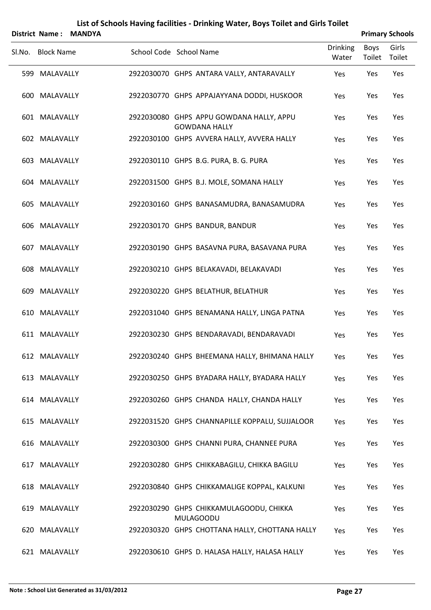| <b>District Name:</b> | <b>MANDYA</b> |                         |                                                                  |                          |                | <b>Primary Schools</b> |
|-----------------------|---------------|-------------------------|------------------------------------------------------------------|--------------------------|----------------|------------------------|
| Sl.No. Block Name     |               | School Code School Name |                                                                  | <b>Drinking</b><br>Water | Boys<br>Toilet | Girls<br>Toilet        |
| 599 MALAVALLY         |               |                         | 2922030070 GHPS ANTARA VALLY, ANTARAVALLY                        | Yes                      | Yes            | Yes                    |
| 600 MALAVALLY         |               |                         | 2922030770 GHPS APPAJAYYANA DODDI, HUSKOOR                       | Yes                      | Yes            | Yes                    |
| 601 MALAVALLY         |               |                         | 2922030080 GHPS APPU GOWDANA HALLY, APPU<br><b>GOWDANA HALLY</b> | Yes                      | Yes            | Yes                    |
| 602 MALAVALLY         |               |                         | 2922030100 GHPS AVVERA HALLY, AVVERA HALLY                       | Yes                      | Yes            | Yes                    |
| 603 MALAVALLY         |               |                         | 2922030110 GHPS B.G. PURA, B. G. PURA                            | Yes                      | Yes            | Yes                    |
| 604 MALAVALLY         |               |                         | 2922031500 GHPS B.J. MOLE, SOMANA HALLY                          | Yes                      | Yes            | Yes                    |
| 605 MALAVALLY         |               |                         | 2922030160 GHPS BANASAMUDRA, BANASAMUDRA                         | Yes                      | Yes            | Yes                    |
| 606 MALAVALLY         |               |                         | 2922030170 GHPS BANDUR, BANDUR                                   | Yes                      | Yes            | Yes                    |
| 607 MALAVALLY         |               |                         | 2922030190 GHPS BASAVNA PURA, BASAVANA PURA                      | Yes                      | Yes            | Yes                    |
| 608 MALAVALLY         |               |                         | 2922030210 GHPS BELAKAVADI, BELAKAVADI                           | Yes                      | Yes            | Yes                    |
| 609 MALAVALLY         |               |                         | 2922030220 GHPS BELATHUR, BELATHUR                               | Yes                      | Yes            | Yes                    |
| 610 MALAVALLY         |               |                         | 2922031040 GHPS BENAMANA HALLY, LINGA PATNA                      | Yes                      | Yes            | Yes                    |
| 611 MALAVALLY         |               |                         | 2922030230 GHPS BENDARAVADI, BENDARAVADI                         | Yes                      | Yes            | Yes                    |
| 612 MALAVALLY         |               |                         | 2922030240 GHPS BHEEMANA HALLY, BHIMANA HALLY                    | Yes                      | Yes            | Yes                    |
| 613 MALAVALLY         |               |                         | 2922030250 GHPS BYADARA HALLY, BYADARA HALLY                     | Yes                      | Yes            | Yes                    |
| 614 MALAVALLY         |               |                         | 2922030260 GHPS CHANDA HALLY, CHANDA HALLY                       | Yes                      | Yes            | Yes                    |
| 615 MALAVALLY         |               |                         | 2922031520 GHPS CHANNAPILLE KOPPALU, SUJJALOOR                   | Yes                      | Yes            | Yes                    |
| 616 MALAVALLY         |               |                         | 2922030300 GHPS CHANNI PURA, CHANNEE PURA                        | Yes                      | Yes            | Yes                    |
| 617 MALAVALLY         |               |                         | 2922030280 GHPS CHIKKABAGILU, CHIKKA BAGILU                      | Yes                      | Yes            | Yes                    |
| 618 MALAVALLY         |               |                         | 2922030840 GHPS CHIKKAMALIGE KOPPAL, KALKUNI                     | Yes                      | Yes            | Yes                    |
| 619 MALAVALLY         |               |                         | 2922030290 GHPS CHIKKAMULAGOODU, CHIKKA<br><b>MULAGOODU</b>      | Yes                      | Yes            | Yes                    |
| 620 MALAVALLY         |               |                         | 2922030320 GHPS CHOTTANA HALLY, CHOTTANA HALLY                   | Yes                      | Yes            | Yes                    |
| 621 MALAVALLY         |               |                         | 2922030610 GHPS D. HALASA HALLY, HALASA HALLY                    | Yes                      | Yes            | Yes                    |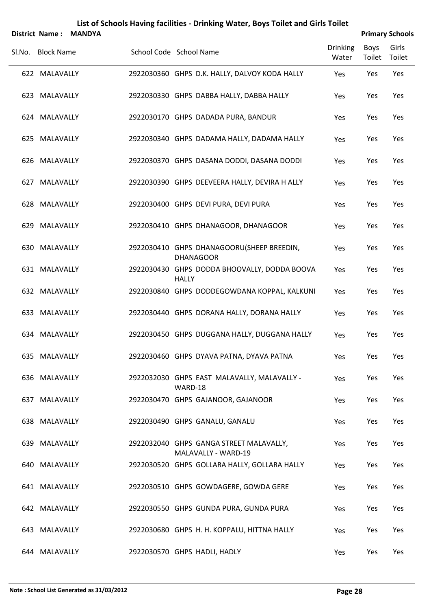|        | <b>District Name:</b> | <b>MANDYA</b> |                                                                |                          |                | <b>Primary Schools</b> |
|--------|-----------------------|---------------|----------------------------------------------------------------|--------------------------|----------------|------------------------|
| SI.No. | <b>Block Name</b>     |               | School Code School Name                                        | <b>Drinking</b><br>Water | Boys<br>Toilet | Girls<br>Toilet        |
|        | 622 MALAVALLY         |               | 2922030360 GHPS D.K. HALLY, DALVOY KODA HALLY                  | Yes                      | Yes            | Yes                    |
|        | 623 MALAVALLY         |               | 2922030330 GHPS DABBA HALLY, DABBA HALLY                       | Yes                      | Yes            | Yes                    |
|        | 624 MALAVALLY         |               | 2922030170 GHPS DADADA PURA, BANDUR                            | Yes                      | Yes            | Yes                    |
|        | 625 MALAVALLY         |               | 2922030340 GHPS DADAMA HALLY, DADAMA HALLY                     | Yes                      | Yes            | Yes                    |
|        | 626 MALAVALLY         |               | 2922030370 GHPS DASANA DODDI, DASANA DODDI                     | Yes                      | Yes            | Yes                    |
|        | 627 MALAVALLY         |               | 2922030390 GHPS DEEVEERA HALLY, DEVIRA H ALLY                  | Yes                      | Yes            | Yes                    |
|        | 628 MALAVALLY         |               | 2922030400 GHPS DEVI PURA, DEVI PURA                           | Yes                      | Yes            | Yes                    |
|        | 629 MALAVALLY         |               | 2922030410 GHPS DHANAGOOR, DHANAGOOR                           | Yes                      | Yes            | Yes                    |
|        | 630 MALAVALLY         |               | 2922030410 GHPS DHANAGOORU(SHEEP BREEDIN,<br><b>DHANAGOOR</b>  | Yes                      | Yes            | Yes                    |
|        | 631 MALAVALLY         |               | 2922030430 GHPS DODDA BHOOVALLY, DODDA BOOVA<br><b>HALLY</b>   | Yes                      | Yes            | Yes                    |
|        | 632 MALAVALLY         |               | 2922030840 GHPS DODDEGOWDANA KOPPAL, KALKUNI                   | Yes                      | Yes            | Yes                    |
|        | 633 MALAVALLY         |               | 2922030440 GHPS DORANA HALLY, DORANA HALLY                     | Yes                      | Yes            | Yes                    |
|        | 634 MALAVALLY         |               | 2922030450 GHPS DUGGANA HALLY, DUGGANA HALLY                   | Yes                      | Yes            | Yes                    |
|        | 635 MALAVALLY         |               | 2922030460 GHPS DYAVA PATNA, DYAVA PATNA                       | Yes                      | Yes            | Yes                    |
|        | 636 MALAVALLY         |               | 2922032030 GHPS EAST MALAVALLY, MALAVALLY -<br>WARD-18         | Yes                      | Yes            | Yes                    |
|        | 637 MALAVALLY         |               | 2922030470 GHPS GAJANOOR, GAJANOOR                             | Yes                      | Yes            | Yes                    |
|        | 638 MALAVALLY         |               | 2922030490 GHPS GANALU, GANALU                                 | Yes                      | Yes            | Yes                    |
|        | 639 MALAVALLY         |               | 2922032040 GHPS GANGA STREET MALAVALLY,<br>MALAVALLY - WARD-19 | Yes                      | Yes            | Yes                    |
|        | 640 MALAVALLY         |               | 2922030520 GHPS GOLLARA HALLY, GOLLARA HALLY                   | Yes                      | Yes            | Yes                    |
|        | 641 MALAVALLY         |               | 2922030510 GHPS GOWDAGERE, GOWDA GERE                          | Yes                      | Yes            | Yes                    |
|        | 642 MALAVALLY         |               | 2922030550 GHPS GUNDA PURA, GUNDA PURA                         | Yes                      | Yes            | Yes                    |
|        | 643 MALAVALLY         |               | 2922030680 GHPS H. H. KOPPALU, HITTNA HALLY                    | Yes                      | Yes            | Yes                    |
|        | 644 MALAVALLY         |               | 2922030570 GHPS HADLI, HADLY                                   | Yes                      | Yes            | Yes                    |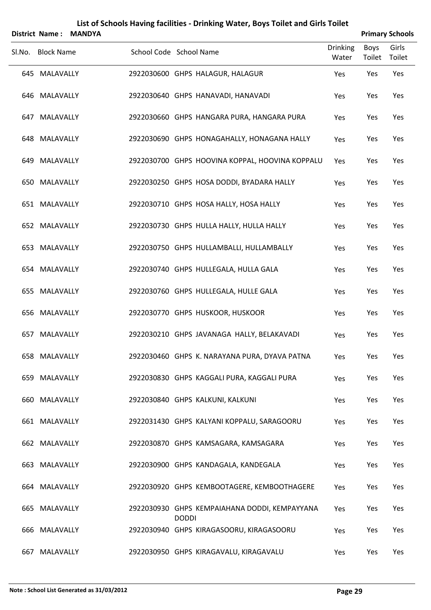|        | <b>District Name:</b> | <b>MANDYA</b> |                         |              |                                                 |                          |                | <b>Primary Schools</b> |
|--------|-----------------------|---------------|-------------------------|--------------|-------------------------------------------------|--------------------------|----------------|------------------------|
| Sl.No. | <b>Block Name</b>     |               | School Code School Name |              |                                                 | <b>Drinking</b><br>Water | Boys<br>Toilet | Girls<br>Toilet        |
|        | 645 MALAVALLY         |               |                         |              | 2922030600 GHPS HALAGUR, HALAGUR                | Yes                      | Yes            | Yes                    |
|        | 646 MALAVALLY         |               |                         |              | 2922030640 GHPS HANAVADI, HANAVADI              | Yes                      | Yes            | Yes                    |
|        | 647 MALAVALLY         |               |                         |              | 2922030660 GHPS HANGARA PURA, HANGARA PURA      | Yes                      | Yes            | Yes                    |
|        | 648 MALAVALLY         |               |                         |              | 2922030690 GHPS HONAGAHALLY, HONAGANA HALLY     | Yes                      | Yes            | Yes                    |
|        | 649 MALAVALLY         |               |                         |              | 2922030700 GHPS HOOVINA KOPPAL, HOOVINA KOPPALU | Yes                      | Yes            | Yes                    |
|        | 650 MALAVALLY         |               |                         |              | 2922030250 GHPS HOSA DODDI, BYADARA HALLY       | Yes                      | Yes            | Yes                    |
|        | 651 MALAVALLY         |               |                         |              | 2922030710 GHPS HOSA HALLY, HOSA HALLY          | Yes                      | Yes            | Yes                    |
|        | 652 MALAVALLY         |               |                         |              | 2922030730 GHPS HULLA HALLY, HULLA HALLY        | Yes                      | Yes            | Yes                    |
|        | 653 MALAVALLY         |               |                         |              | 2922030750 GHPS HULLAMBALLI, HULLAMBALLY        | Yes                      | Yes            | Yes                    |
|        | 654 MALAVALLY         |               |                         |              | 2922030740 GHPS HULLEGALA, HULLA GALA           | Yes                      | Yes            | Yes                    |
|        | 655 MALAVALLY         |               |                         |              | 2922030760 GHPS HULLEGALA, HULLE GALA           | Yes                      | Yes            | Yes                    |
|        | 656 MALAVALLY         |               |                         |              | 2922030770 GHPS HUSKOOR, HUSKOOR                | Yes                      | Yes            | Yes                    |
|        | 657 MALAVALLY         |               |                         |              | 2922030210 GHPS JAVANAGA HALLY, BELAKAVADI      | Yes                      | Yes            | Yes                    |
|        | 658 MALAVALLY         |               |                         |              | 2922030460 GHPS K. NARAYANA PURA, DYAVA PATNA   | Yes                      | Yes            | Yes                    |
|        | 659 MALAVALLY         |               |                         |              | 2922030830 GHPS KAGGALI PURA, KAGGALI PURA      | Yes                      | Yes            | Yes                    |
|        | 660 MALAVALLY         |               |                         |              | 2922030840 GHPS KALKUNI, KALKUNI                | Yes                      | Yes            | Yes                    |
|        | 661 MALAVALLY         |               |                         |              | 2922031430 GHPS KALYANI KOPPALU, SARAGOORU      | Yes                      | Yes            | Yes                    |
|        | 662 MALAVALLY         |               |                         |              | 2922030870 GHPS KAMSAGARA, KAMSAGARA            | Yes                      | Yes            | Yes                    |
|        | 663 MALAVALLY         |               |                         |              | 2922030900 GHPS KANDAGALA, KANDEGALA            | Yes                      | Yes            | Yes                    |
|        | 664 MALAVALLY         |               |                         |              | 2922030920 GHPS KEMBOOTAGERE, KEMBOOTHAGERE     | Yes                      | Yes            | Yes                    |
|        | 665 MALAVALLY         |               |                         | <b>DODDI</b> | 2922030930 GHPS KEMPAIAHANA DODDI, KEMPAYYANA   | Yes                      | Yes            | Yes                    |
|        | 666 MALAVALLY         |               |                         |              | 2922030940 GHPS KIRAGASOORU, KIRAGASOORU        | Yes                      | Yes            | Yes                    |
|        | 667 MALAVALLY         |               |                         |              | 2922030950 GHPS KIRAGAVALU, KIRAGAVALU          | Yes                      | Yes            | Yes                    |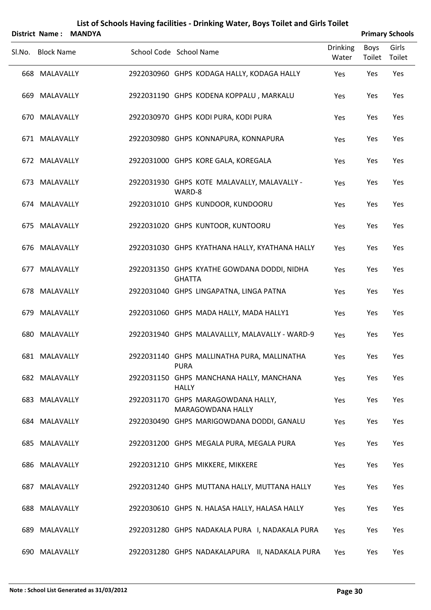| List of Schools Having facilities - Drinking Water, Boys Toilet and Girls Toilet<br><b>District Name:</b> |                   |               |  |                                                              |                          |                       |                        |  |  |
|-----------------------------------------------------------------------------------------------------------|-------------------|---------------|--|--------------------------------------------------------------|--------------------------|-----------------------|------------------------|--|--|
|                                                                                                           |                   | <b>MANDYA</b> |  |                                                              |                          |                       | <b>Primary Schools</b> |  |  |
| Sl.No.                                                                                                    | <b>Block Name</b> |               |  | School Code School Name                                      | <b>Drinking</b><br>Water | <b>Boys</b><br>Toilet | Girls<br>Toilet        |  |  |
|                                                                                                           | 668 MALAVALLY     |               |  | 2922030960 GHPS KODAGA HALLY, KODAGA HALLY                   | Yes                      | Yes                   | Yes                    |  |  |
|                                                                                                           | 669 MALAVALLY     |               |  | 2922031190 GHPS KODENA KOPPALU, MARKALU                      | Yes                      | Yes                   | Yes                    |  |  |
|                                                                                                           | 670 MALAVALLY     |               |  | 2922030970 GHPS KODI PURA, KODI PURA                         | Yes                      | Yes                   | Yes                    |  |  |
|                                                                                                           | 671 MALAVALLY     |               |  | 2922030980 GHPS KONNAPURA, KONNAPURA                         | Yes                      | Yes                   | Yes                    |  |  |
|                                                                                                           | 672 MALAVALLY     |               |  | 2922031000 GHPS KORE GALA, KOREGALA                          | Yes                      | Yes                   | Yes                    |  |  |
|                                                                                                           | 673 MALAVALLY     |               |  | 2922031930 GHPS KOTE MALAVALLY, MALAVALLY -<br>WARD-8        | Yes                      | Yes                   | Yes                    |  |  |
|                                                                                                           | 674 MALAVALLY     |               |  | 2922031010 GHPS KUNDOOR, KUNDOORU                            | Yes                      | Yes                   | Yes                    |  |  |
|                                                                                                           | 675 MALAVALLY     |               |  | 2922031020 GHPS KUNTOOR, KUNTOORU                            | Yes                      | Yes                   | Yes                    |  |  |
|                                                                                                           | 676 MALAVALLY     |               |  | 2922031030 GHPS KYATHANA HALLY, KYATHANA HALLY               | Yes                      | Yes                   | Yes                    |  |  |
|                                                                                                           | 677 MALAVALLY     |               |  | 2922031350 GHPS KYATHE GOWDANA DODDI, NIDHA<br><b>GHATTA</b> | Yes                      | Yes                   | Yes                    |  |  |
|                                                                                                           | 678 MALAVALLY     |               |  | 2922031040 GHPS LINGAPATNA, LINGA PATNA                      | Yes                      | Yes                   | Yes                    |  |  |
|                                                                                                           | 679 MALAVALLY     |               |  | 2922031060 GHPS MADA HALLY, MADA HALLY1                      | Yes                      | Yes                   | Yes                    |  |  |
|                                                                                                           | 680 MALAVALLY     |               |  | 2922031940 GHPS MALAVALLLY, MALAVALLY - WARD-9               | Yes                      | Yes                   | Yes                    |  |  |
|                                                                                                           | 681 MALAVALLY     |               |  | 2922031140 GHPS MALLINATHA PURA, MALLINATHA<br><b>PURA</b>   | Yes                      | Yes                   | Yes                    |  |  |
|                                                                                                           | 682 MALAVALLY     |               |  | 2922031150 GHPS MANCHANA HALLY, MANCHANA<br><b>HALLY</b>     | Yes                      | Yes                   | Yes                    |  |  |
|                                                                                                           | 683 MALAVALLY     |               |  | 2922031170 GHPS MARAGOWDANA HALLY,<br>MARAGOWDANA HALLY      | Yes                      | Yes                   | Yes                    |  |  |
|                                                                                                           | 684 MALAVALLY     |               |  | 2922030490 GHPS MARIGOWDANA DODDI, GANALU                    | Yes                      | Yes                   | Yes                    |  |  |
|                                                                                                           | 685 MALAVALLY     |               |  | 2922031200 GHPS MEGALA PURA, MEGALA PURA                     | Yes                      | Yes                   | Yes                    |  |  |
|                                                                                                           | 686 MALAVALLY     |               |  | 2922031210 GHPS MIKKERE, MIKKERE                             | Yes                      | Yes                   | Yes                    |  |  |
|                                                                                                           | 687 MALAVALLY     |               |  | 2922031240 GHPS MUTTANA HALLY, MUTTANA HALLY                 | Yes                      | Yes                   | Yes                    |  |  |
|                                                                                                           | 688 MALAVALLY     |               |  | 2922030610 GHPS N. HALASA HALLY, HALASA HALLY                | Yes                      | Yes                   | Yes                    |  |  |
|                                                                                                           | 689 MALAVALLY     |               |  | 2922031280 GHPS NADAKALA PURA I, NADAKALA PURA               | Yes                      | Yes                   | Yes                    |  |  |
|                                                                                                           | 690 MALAVALLY     |               |  | 2922031280 GHPS NADAKALAPURA II, NADAKALA PURA               | Yes                      | Yes                   | Yes                    |  |  |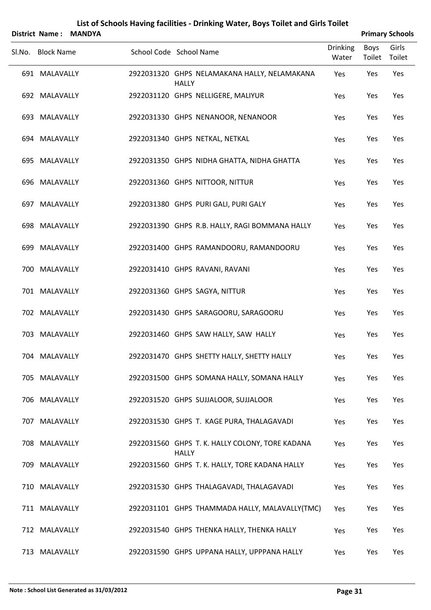|        |                   | District Name: MANDYA |                                                                 |                          |                | <b>Primary Schools</b> |
|--------|-------------------|-----------------------|-----------------------------------------------------------------|--------------------------|----------------|------------------------|
| Sl.No. | <b>Block Name</b> |                       | School Code School Name                                         | <b>Drinking</b><br>Water | Boys<br>Toilet | Girls<br>Toilet        |
|        | 691 MALAVALLY     |                       | 2922031320 GHPS NELAMAKANA HALLY, NELAMAKANA<br><b>HALLY</b>    | Yes                      | Yes            | Yes                    |
|        | 692 MALAVALLY     |                       | 2922031120 GHPS NELLIGERE, MALIYUR                              | Yes                      | Yes            | Yes                    |
|        | 693 MALAVALLY     |                       | 2922031330 GHPS NENANOOR, NENANOOR                              | Yes                      | Yes            | Yes                    |
|        | 694 MALAVALLY     |                       | 2922031340 GHPS NETKAL, NETKAL                                  | Yes                      | Yes            | Yes                    |
|        | 695 MALAVALLY     |                       | 2922031350 GHPS NIDHA GHATTA, NIDHA GHATTA                      | Yes                      | Yes            | Yes                    |
|        | 696 MALAVALLY     |                       | 2922031360 GHPS NITTOOR, NITTUR                                 | Yes                      | Yes            | Yes                    |
|        | 697 MALAVALLY     |                       | 2922031380 GHPS PURI GALI, PURI GALY                            | Yes                      | Yes            | Yes                    |
|        | 698 MALAVALLY     |                       | 2922031390 GHPS R.B. HALLY, RAGI BOMMANA HALLY                  | Yes                      | Yes            | Yes                    |
|        | 699 MALAVALLY     |                       | 2922031400 GHPS RAMANDOORU, RAMANDOORU                          | Yes                      | Yes            | Yes                    |
|        | 700 MALAVALLY     |                       | 2922031410 GHPS RAVANI, RAVANI                                  | Yes                      | Yes            | Yes                    |
|        | 701 MALAVALLY     |                       | 2922031360 GHPS SAGYA, NITTUR                                   | Yes                      | Yes            | Yes                    |
|        | 702 MALAVALLY     |                       | 2922031430 GHPS SARAGOORU, SARAGOORU                            | Yes                      | Yes            | Yes                    |
|        | 703 MALAVALLY     |                       | 2922031460 GHPS SAW HALLY, SAW HALLY                            | Yes                      | Yes            | Yes                    |
|        | 704 MALAVALLY     |                       | 2922031470 GHPS SHETTY HALLY, SHETTY HALLY                      | Yes                      | Yes            | Yes                    |
|        | 705 MALAVALLY     |                       | 2922031500 GHPS SOMANA HALLY, SOMANA HALLY                      | Yes                      | Yes            | Yes                    |
|        | 706 MALAVALLY     |                       | 2922031520 GHPS SUJJALOOR, SUJJALOOR                            | Yes                      | Yes            | Yes                    |
|        | 707 MALAVALLY     |                       | 2922031530 GHPS T. KAGE PURA, THALAGAVADI                       | Yes                      | Yes            | Yes                    |
|        | 708 MALAVALLY     |                       | 2922031560 GHPS T. K. HALLY COLONY, TORE KADANA<br><b>HALLY</b> | Yes                      | Yes            | Yes                    |
|        | 709 MALAVALLY     |                       | 2922031560 GHPS T. K. HALLY, TORE KADANA HALLY                  | Yes                      | Yes            | Yes                    |
|        | 710 MALAVALLY     |                       | 2922031530 GHPS THALAGAVADI, THALAGAVADI                        | Yes                      | Yes            | Yes                    |
|        | 711 MALAVALLY     |                       | 2922031101 GHPS THAMMADA HALLY, MALAVALLY(TMC)                  | Yes                      | Yes            | Yes                    |
|        | 712 MALAVALLY     |                       | 2922031540 GHPS THENKA HALLY, THENKA HALLY                      | Yes                      | Yes            | Yes                    |
|        | 713 MALAVALLY     |                       | 2922031590 GHPS UPPANA HALLY, UPPPANA HALLY                     | Yes                      | Yes            | Yes                    |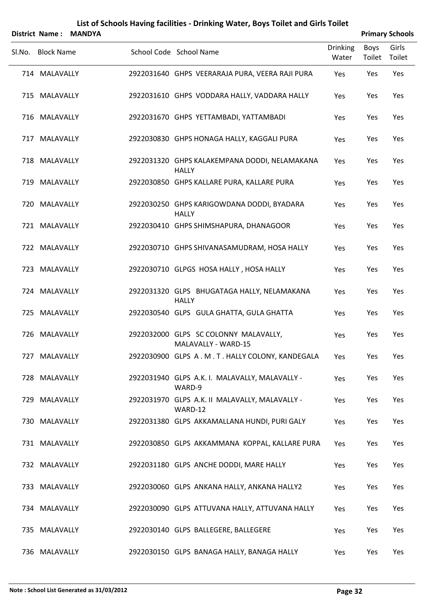|        |                   | District Name: MANDYA |                                                               |                          |                       | <b>Primary Schools</b> |
|--------|-------------------|-----------------------|---------------------------------------------------------------|--------------------------|-----------------------|------------------------|
| Sl.No. | <b>Block Name</b> |                       | School Code School Name                                       | <b>Drinking</b><br>Water | <b>Boys</b><br>Toilet | Girls<br>Toilet        |
|        | 714 MALAVALLY     |                       | 2922031640 GHPS VEERARAJA PURA, VEERA RAJI PURA               | Yes                      | Yes                   | Yes                    |
|        | 715 MALAVALLY     |                       | 2922031610 GHPS VODDARA HALLY, VADDARA HALLY                  | Yes                      | Yes                   | Yes                    |
|        | 716 MALAVALLY     |                       | 2922031670 GHPS YETTAMBADI, YATTAMBADI                        | Yes                      | Yes                   | Yes                    |
|        | 717 MALAVALLY     |                       | 2922030830 GHPS HONAGA HALLY, KAGGALI PURA                    | Yes                      | Yes                   | Yes                    |
|        | 718 MALAVALLY     |                       | 2922031320 GHPS KALAKEMPANA DODDI, NELAMAKANA<br><b>HALLY</b> | Yes                      | Yes                   | Yes                    |
|        | 719 MALAVALLY     |                       | 2922030850 GHPS KALLARE PURA, KALLARE PURA                    | Yes                      | Yes                   | Yes                    |
|        | 720 MALAVALLY     |                       | 2922030250 GHPS KARIGOWDANA DODDI, BYADARA<br><b>HALLY</b>    | Yes                      | Yes                   | Yes                    |
|        | 721 MALAVALLY     |                       | 2922030410 GHPS SHIMSHAPURA, DHANAGOOR                        | Yes                      | Yes                   | Yes                    |
|        | 722 MALAVALLY     |                       | 2922030710 GHPS SHIVANASAMUDRAM, HOSA HALLY                   | Yes                      | Yes                   | Yes                    |
|        | 723 MALAVALLY     |                       | 2922030710 GLPGS HOSA HALLY, HOSA HALLY                       | Yes                      | Yes                   | Yes                    |
|        | 724 MALAVALLY     |                       | 2922031320 GLPS BHUGATAGA HALLY, NELAMAKANA<br><b>HALLY</b>   | Yes                      | Yes                   | Yes                    |
|        | 725 MALAVALLY     |                       | 2922030540 GLPS GULA GHATTA, GULA GHATTA                      | Yes                      | Yes                   | Yes                    |
|        | 726 MALAVALLY     |                       | 2922032000 GLPS SC COLONNY MALAVALLY,<br>MALAVALLY - WARD-15  | Yes                      | Yes                   | Yes                    |
|        | 727 MALAVALLY     |                       | 2922030900 GLPS A. M. T. HALLY COLONY, KANDEGALA              | Yes                      | Yes                   | Yes                    |
|        | 728 MALAVALLY     |                       | 2922031940 GLPS A.K. I. MALAVALLY, MALAVALLY -<br>WARD-9      | Yes                      | Yes                   | Yes                    |
|        | 729 MALAVALLY     |                       | 2922031970 GLPS A.K. II MALAVALLY, MALAVALLY -<br>WARD-12     | Yes                      | Yes                   | Yes                    |
|        | 730 MALAVALLY     |                       | 2922031380 GLPS AKKAMALLANA HUNDI, PURI GALY                  | Yes                      | Yes                   | Yes                    |
|        | 731 MALAVALLY     |                       | 2922030850 GLPS AKKAMMANA KOPPAL, KALLARE PURA                | Yes                      | Yes                   | Yes                    |
|        | 732 MALAVALLY     |                       | 2922031180 GLPS ANCHE DODDI, MARE HALLY                       | Yes                      | Yes                   | Yes                    |
|        | 733 MALAVALLY     |                       | 2922030060 GLPS ANKANA HALLY, ANKANA HALLY2                   | Yes                      | Yes                   | Yes                    |
|        | 734 MALAVALLY     |                       | 2922030090 GLPS ATTUVANA HALLY, ATTUVANA HALLY                | Yes                      | Yes                   | Yes                    |
|        | 735 MALAVALLY     |                       | 2922030140 GLPS BALLEGERE, BALLEGERE                          | Yes                      | Yes                   | Yes                    |
|        | 736 MALAVALLY     |                       | 2922030150 GLPS BANAGA HALLY, BANAGA HALLY                    | Yes                      | Yes                   | Yes                    |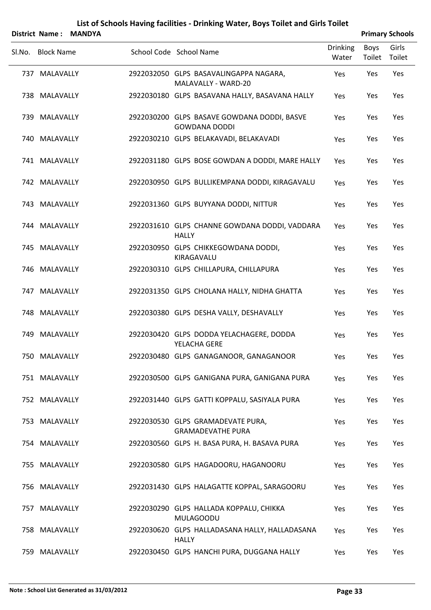|        |                   | District Name: MANDYA |                                                                     |                          |                       | <b>Primary Schools</b> |
|--------|-------------------|-----------------------|---------------------------------------------------------------------|--------------------------|-----------------------|------------------------|
| Sl.No. | <b>Block Name</b> |                       | School Code School Name                                             | <b>Drinking</b><br>Water | Boys<br>Toilet Toilet | Girls                  |
|        | 737 MALAVALLY     |                       | 2922032050 GLPS BASAVALINGAPPA NAGARA,<br>MALAVALLY - WARD-20       | Yes                      | Yes                   | Yes                    |
|        | 738 MALAVALLY     |                       | 2922030180 GLPS BASAVANA HALLY, BASAVANA HALLY                      | Yes                      | Yes                   | Yes                    |
|        | 739 MALAVALLY     |                       | 2922030200 GLPS BASAVE GOWDANA DODDI, BASVE<br><b>GOWDANA DODDI</b> | Yes                      | Yes                   | Yes                    |
|        | 740 MALAVALLY     |                       | 2922030210 GLPS BELAKAVADI, BELAKAVADI                              | Yes                      | Yes                   | Yes                    |
|        | 741 MALAVALLY     |                       | 2922031180 GLPS BOSE GOWDAN A DODDI, MARE HALLY                     | Yes                      | Yes                   | Yes                    |
|        | 742 MALAVALLY     |                       | 2922030950 GLPS BULLIKEMPANA DODDI, KIRAGAVALU                      | Yes                      | Yes                   | Yes                    |
|        | 743 MALAVALLY     |                       | 2922031360 GLPS BUYYANA DODDI, NITTUR                               | Yes                      | Yes                   | Yes                    |
|        | 744 MALAVALLY     |                       | 2922031610 GLPS CHANNE GOWDANA DODDI, VADDARA<br><b>HALLY</b>       | Yes                      | Yes                   | Yes                    |
|        | 745 MALAVALLY     |                       | 2922030950 GLPS CHIKKEGOWDANA DODDI,<br>KIRAGAVALU                  | Yes                      | Yes                   | Yes                    |
|        | 746 MALAVALLY     |                       | 2922030310 GLPS CHILLAPURA, CHILLAPURA                              | Yes                      | Yes                   | Yes                    |
|        | 747 MALAVALLY     |                       | 2922031350 GLPS CHOLANA HALLY, NIDHA GHATTA                         | Yes                      | Yes                   | Yes                    |
|        | 748 MALAVALLY     |                       | 2922030380 GLPS DESHA VALLY, DESHAVALLY                             | Yes                      | Yes                   | Yes                    |
| 749    | MALAVALLY         |                       | 2922030420 GLPS DODDA YELACHAGERE, DODDA<br>YELACHA GERE            | Yes                      | Yes                   | Yes                    |
|        | 750 MALAVALLY     |                       | 2922030480 GLPS GANAGANOOR, GANAGANOOR                              | Yes                      | Yes                   | Yes                    |
|        | 751 MALAVALLY     |                       | 2922030500 GLPS GANIGANA PURA, GANIGANA PURA                        | Yes                      | Yes                   | Yes                    |
|        | 752 MALAVALLY     |                       | 2922031440 GLPS GATTI KOPPALU, SASIYALA PURA                        | Yes                      | Yes                   | Yes                    |
|        | 753 MALAVALLY     |                       | 2922030530 GLPS GRAMADEVATE PURA,<br><b>GRAMADEVATHE PURA</b>       | Yes                      | Yes                   | Yes                    |
|        | 754 MALAVALLY     |                       | 2922030560 GLPS H. BASA PURA, H. BASAVA PURA                        | Yes                      | Yes                   | Yes                    |
|        | 755 MALAVALLY     |                       | 2922030580 GLPS HAGADOORU, HAGANOORU                                | Yes                      | Yes                   | Yes                    |
|        | 756 MALAVALLY     |                       | 2922031430 GLPS HALAGATTE KOPPAL, SARAGOORU                         | Yes                      | Yes                   | Yes                    |
|        | 757 MALAVALLY     |                       | 2922030290 GLPS HALLADA KOPPALU, CHIKKA<br><b>MULAGOODU</b>         | Yes                      | Yes                   | Yes                    |
|        | 758 MALAVALLY     |                       | 2922030620 GLPS HALLADASANA HALLY, HALLADASANA<br><b>HALLY</b>      | Yes                      | Yes                   | Yes                    |
| 759    | MALAVALLY         |                       | 2922030450 GLPS HANCHI PURA, DUGGANA HALLY                          | Yes                      | Yes                   | Yes                    |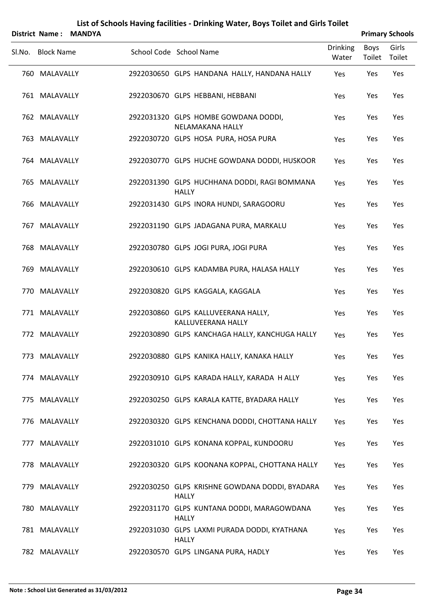|        | District Name:    | <b>MANDYA</b> |                                                                |                          |                | <b>Primary Schools</b> |
|--------|-------------------|---------------|----------------------------------------------------------------|--------------------------|----------------|------------------------|
| Sl.No. | <b>Block Name</b> |               | School Code School Name                                        | <b>Drinking</b><br>Water | Boys<br>Toilet | Girls<br>Toilet        |
|        | 760 MALAVALLY     |               | 2922030650 GLPS HANDANA HALLY, HANDANA HALLY                   | Yes                      | Yes            | Yes                    |
|        | 761 MALAVALLY     |               | 2922030670 GLPS HEBBANI, HEBBANI                               | Yes                      | Yes            | Yes                    |
|        | 762 MALAVALLY     |               | 2922031320 GLPS HOMBE GOWDANA DODDI,<br>NELAMAKANA HALLY       | Yes                      | Yes            | Yes                    |
|        | 763 MALAVALLY     |               | 2922030720 GLPS HOSA PURA, HOSA PURA                           | Yes                      | Yes            | Yes                    |
|        | 764 MALAVALLY     |               | 2922030770 GLPS HUCHE GOWDANA DODDI, HUSKOOR                   | Yes                      | Yes            | Yes                    |
|        | 765 MALAVALLY     |               | 2922031390 GLPS HUCHHANA DODDI, RAGI BOMMANA<br><b>HALLY</b>   | Yes                      | Yes            | Yes                    |
| 766    | MALAVALLY         |               | 2922031430 GLPS INORA HUNDI, SARAGOORU                         | Yes                      | Yes            | Yes                    |
|        | 767 MALAVALLY     |               | 2922031190 GLPS JADAGANA PURA, MARKALU                         | Yes                      | Yes            | Yes                    |
| 768    | MALAVALLY         |               | 2922030780 GLPS JOGI PURA, JOGI PURA                           | Yes                      | Yes            | Yes                    |
|        | 769 MALAVALLY     |               | 2922030610 GLPS KADAMBA PURA, HALASA HALLY                     | Yes                      | Yes            | Yes                    |
| 770    | MALAVALLY         |               | 2922030820 GLPS KAGGALA, KAGGALA                               | Yes                      | Yes            | Yes                    |
|        | 771 MALAVALLY     |               | 2922030860 GLPS KALLUVEERANA HALLY,<br>KALLUVEERANA HALLY      | Yes                      | Yes            | Yes                    |
|        | 772 MALAVALLY     |               | 2922030890 GLPS KANCHAGA HALLY, KANCHUGA HALLY                 | Yes                      | Yes            | Yes                    |
|        | 773 MALAVALLY     |               | 2922030880 GLPS KANIKA HALLY, KANAKA HALLY                     | Yes                      | Yes            | Yes                    |
|        | 774 MALAVALLY     |               | 2922030910 GLPS KARADA HALLY, KARADA HALLY                     | Yes                      | Yes            | Yes                    |
|        | 775 MALAVALLY     |               | 2922030250 GLPS KARALA KATTE, BYADARA HALLY                    | Yes                      | Yes            | Yes                    |
|        | 776 MALAVALLY     |               | 2922030320 GLPS KENCHANA DODDI, CHOTTANA HALLY                 | Yes                      | Yes            | Yes                    |
| 777    | MALAVALLY         |               | 2922031010 GLPS KONANA KOPPAL, KUNDOORU                        | Yes                      | Yes            | Yes                    |
|        | 778 MALAVALLY     |               | 2922030320 GLPS KOONANA KOPPAL, CHOTTANA HALLY                 | Yes                      | Yes            | Yes                    |
|        | 779 MALAVALLY     |               | 2922030250 GLPS KRISHNE GOWDANA DODDI, BYADARA<br><b>HALLY</b> | Yes                      | Yes            | Yes                    |
|        | 780 MALAVALLY     |               | 2922031170 GLPS KUNTANA DODDI, MARAGOWDANA<br>HALLY            | Yes                      | Yes            | Yes                    |
|        | 781 MALAVALLY     |               | 2922031030 GLPS LAXMI PURADA DODDI, KYATHANA<br><b>HALLY</b>   | Yes                      | Yes            | Yes                    |
|        | 782 MALAVALLY     |               | 2922030570 GLPS LINGANA PURA, HADLY                            | Yes                      | Yes            | Yes                    |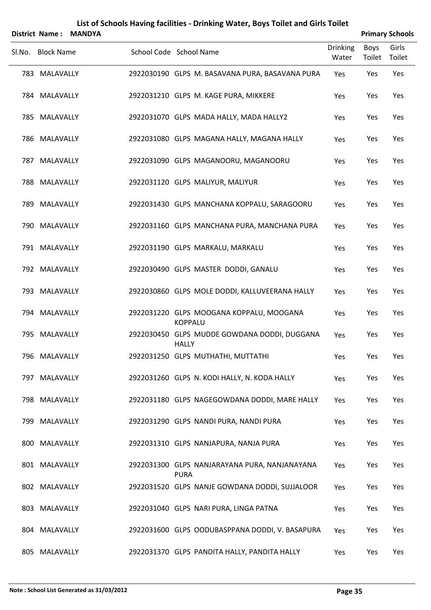|        | <b>District Name:</b> | <b>MANDYA</b> |                         |                |                                                 |                          |                | <b>Primary Schools</b> |
|--------|-----------------------|---------------|-------------------------|----------------|-------------------------------------------------|--------------------------|----------------|------------------------|
| SI.No. | <b>Block Name</b>     |               | School Code School Name |                |                                                 | <b>Drinking</b><br>Water | Boys<br>Toilet | Girls<br>Toilet        |
|        | 783 MALAVALLY         |               |                         |                | 2922030190 GLPS M. BASAVANA PURA, BASAVANA PURA | Yes                      | Yes            | Yes                    |
|        | 784 MALAVALLY         |               |                         |                | 2922031210 GLPS M. KAGE PURA, MIKKERE           | Yes                      | Yes            | Yes                    |
|        | 785 MALAVALLY         |               |                         |                | 2922031070 GLPS MADA HALLY, MADA HALLY2         | Yes                      | Yes            | Yes                    |
|        | 786 MALAVALLY         |               |                         |                | 2922031080 GLPS MAGANA HALLY, MAGANA HALLY      | Yes                      | Yes            | Yes                    |
|        | 787 MALAVALLY         |               |                         |                | 2922031090 GLPS MAGANOORU, MAGANOORU            | Yes                      | Yes            | Yes                    |
|        | 788 MALAVALLY         |               |                         |                | 2922031120 GLPS MALIYUR, MALIYUR                | Yes                      | Yes            | Yes                    |
|        | 789 MALAVALLY         |               |                         |                | 2922031430 GLPS MANCHANA KOPPALU, SARAGOORU     | Yes                      | Yes            | Yes                    |
|        | 790 MALAVALLY         |               |                         |                | 2922031160 GLPS MANCHANA PURA, MANCHANA PURA    | Yes                      | Yes            | Yes                    |
|        | 791 MALAVALLY         |               |                         |                | 2922031190 GLPS MARKALU, MARKALU                | Yes                      | Yes            | Yes                    |
|        | 792 MALAVALLY         |               |                         |                | 2922030490 GLPS MASTER DODDI, GANALU            | Yes                      | Yes            | Yes                    |
|        | 793 MALAVALLY         |               |                         |                | 2922030860 GLPS MOLE DODDI, KALLUVEERANA HALLY  | Yes                      | Yes            | Yes                    |
|        | 794 MALAVALLY         |               |                         | <b>KOPPALU</b> | 2922031220 GLPS MOOGANA KOPPALU, MOOGANA        | Yes                      | Yes            | Yes                    |
|        | 795 MALAVALLY         |               |                         | <b>HALLY</b>   | 2922030450 GLPS MUDDE GOWDANA DODDI, DUGGANA    | Yes                      | Yes            | Yes                    |
|        | 796 MALAVALLY         |               |                         |                | 2922031250 GLPS MUTHATHI, MUTTATHI              | Yes                      | Yes            | Yes                    |
|        | 797 MALAVALLY         |               |                         |                | 2922031260 GLPS N. KODI HALLY, N. KODA HALLY    | Yes                      | Yes            | Yes                    |
|        | 798 MALAVALLY         |               |                         |                | 2922031180 GLPS NAGEGOWDANA DODDI, MARE HALLY   | Yes                      | Yes            | Yes                    |
|        | 799 MALAVALLY         |               |                         |                | 2922031290 GLPS NANDI PURA, NANDI PURA          | Yes                      | Yes            | Yes                    |
|        | 800 MALAVALLY         |               |                         |                | 2922031310 GLPS NANJAPURA, NANJA PURA           | Yes                      | Yes            | Yes                    |
|        | 801 MALAVALLY         |               |                         | <b>PURA</b>    | 2922031300 GLPS NANJARAYANA PURA, NANJANAYANA   | Yes                      | Yes            | Yes                    |
|        | 802 MALAVALLY         |               |                         |                | 2922031520 GLPS NANJE GOWDANA DODDI, SUJJALOOR  | Yes                      | Yes            | Yes                    |
|        | 803 MALAVALLY         |               |                         |                | 2922031040 GLPS NARI PURA, LINGA PATNA          | Yes                      | Yes            | Yes                    |
|        | 804 MALAVALLY         |               |                         |                | 2922031600 GLPS OODUBASPPANA DODDI, V. BASAPURA | Yes                      | Yes            | Yes                    |
|        | 805 MALAVALLY         |               |                         |                | 2922031370 GLPS PANDITA HALLY, PANDITA HALLY    | Yes                      | Yes            | Yes                    |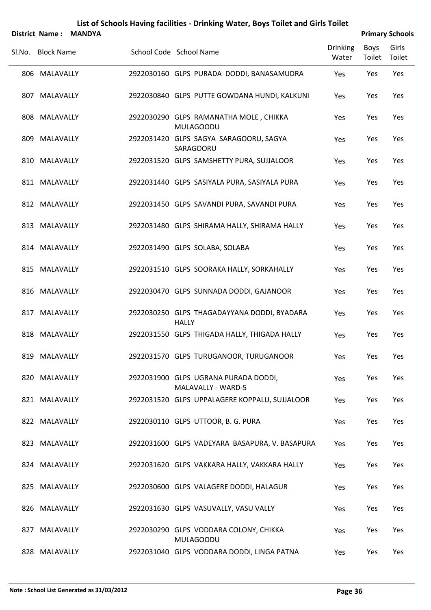| <b>District Name:</b> | <b>MANDYA</b> |                                                                   |                          |                | <b>Primary Schools</b> |
|-----------------------|---------------|-------------------------------------------------------------------|--------------------------|----------------|------------------------|
| Sl.No. Block Name     |               | School Code School Name                                           | <b>Drinking</b><br>Water | Boys<br>Toilet | Girls<br>Toilet        |
| 806 MALAVALLY         |               | 2922030160 GLPS PURADA DODDI, BANASAMUDRA                         | Yes                      | Yes            | Yes                    |
| 807 MALAVALLY         |               | 2922030840 GLPS PUTTE GOWDANA HUNDI, KALKUNI                      | Yes                      | Yes            | Yes                    |
| 808 MALAVALLY         |               | 2922030290 GLPS RAMANATHA MOLE, CHIKKA<br><b>MULAGOODU</b>        | Yes                      | Yes            | Yes                    |
| 809 MALAVALLY         |               | 2922031420 GLPS SAGYA SARAGOORU, SAGYA<br>SARAGOORU               | Yes                      | Yes            | Yes                    |
| 810 MALAVALLY         |               | 2922031520 GLPS SAMSHETTY PURA, SUJJALOOR                         | Yes                      | Yes            | Yes                    |
| 811 MALAVALLY         |               | 2922031440 GLPS SASIYALA PURA, SASIYALA PURA                      | Yes                      | Yes            | Yes                    |
| 812 MALAVALLY         |               | 2922031450 GLPS SAVANDI PURA, SAVANDI PURA                        | Yes                      | Yes            | Yes                    |
| 813 MALAVALLY         |               | 2922031480 GLPS SHIRAMA HALLY, SHIRAMA HALLY                      | Yes                      | Yes            | Yes                    |
| 814 MALAVALLY         |               | 2922031490 GLPS SOLABA, SOLABA                                    | Yes                      | Yes            | Yes                    |
| 815 MALAVALLY         |               | 2922031510 GLPS SOORAKA HALLY, SORKAHALLY                         | Yes                      | Yes            | Yes                    |
| 816 MALAVALLY         |               | 2922030470 GLPS SUNNADA DODDI, GAJANOOR                           | Yes                      | Yes            | Yes                    |
| 817 MALAVALLY         |               | 2922030250 GLPS THAGADAYYANA DODDI, BYADARA<br><b>HALLY</b>       | Yes                      | Yes            | Yes                    |
| 818 MALAVALLY         |               | 2922031550 GLPS THIGADA HALLY, THIGADA HALLY                      | Yes                      | Yes            | Yes                    |
| 819 MALAVALLY         |               | 2922031570 GLPS TURUGANOOR, TURUGANOOR                            | Yes                      | Yes            | Yes                    |
| 820 MALAVALLY         |               | 2922031900 GLPS UGRANA PURADA DODDI,<br><b>MALAVALLY - WARD-5</b> | Yes                      | Yes            | Yes                    |
| 821 MALAVALLY         |               | 2922031520 GLPS UPPALAGERE KOPPALU, SUJJALOOR                     | Yes                      | Yes            | Yes                    |
| 822 MALAVALLY         |               | 2922030110 GLPS UTTOOR, B. G. PURA                                | Yes                      | Yes            | Yes                    |
| 823 MALAVALLY         |               | 2922031600 GLPS VADEYARA BASAPURA, V. BASAPURA                    | Yes                      | Yes            | Yes                    |
| 824 MALAVALLY         |               | 2922031620 GLPS VAKKARA HALLY, VAKKARA HALLY                      | Yes                      | Yes            | Yes                    |
| 825 MALAVALLY         |               | 2922030600 GLPS VALAGERE DODDI, HALAGUR                           | Yes                      | Yes            | Yes                    |
| 826 MALAVALLY         |               | 2922031630 GLPS VASUVALLY, VASU VALLY                             | Yes                      | Yes            | Yes                    |
| 827 MALAVALLY         |               | 2922030290 GLPS VODDARA COLONY, CHIKKA<br><b>MULAGOODU</b>        | Yes                      | Yes            | Yes                    |
| 828 MALAVALLY         |               | 2922031040 GLPS VODDARA DODDI, LINGA PATNA                        | Yes                      | Yes            | Yes                    |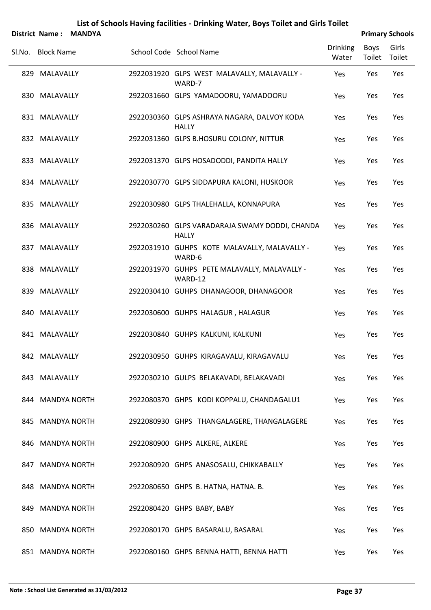|        |                   | District Name: MANDYA |                                                                |                          |                | <b>Primary Schools</b> |
|--------|-------------------|-----------------------|----------------------------------------------------------------|--------------------------|----------------|------------------------|
| Sl.No. | <b>Block Name</b> |                       | School Code School Name                                        | <b>Drinking</b><br>Water | Boys<br>Toilet | Girls<br>Toilet        |
|        | 829 MALAVALLY     |                       | 2922031920 GLPS WEST MALAVALLY, MALAVALLY -<br>WARD-7          | Yes                      | Yes            | Yes                    |
|        | 830 MALAVALLY     |                       | 2922031660 GLPS YAMADOORU, YAMADOORU                           | Yes                      | Yes            | Yes                    |
|        | 831 MALAVALLY     |                       | 2922030360 GLPS ASHRAYA NAGARA, DALVOY KODA<br><b>HALLY</b>    | Yes                      | Yes            | Yes                    |
|        | 832 MALAVALLY     |                       | 2922031360 GLPS B.HOSURU COLONY, NITTUR                        | Yes                      | Yes            | Yes                    |
|        | 833 MALAVALLY     |                       | 2922031370 GLPS HOSADODDI, PANDITA HALLY                       | Yes                      | Yes            | Yes                    |
|        | 834 MALAVALLY     |                       | 2922030770 GLPS SIDDAPURA KALONI, HUSKOOR                      | Yes                      | Yes            | Yes                    |
|        | 835 MALAVALLY     |                       | 2922030980 GLPS THALEHALLA, KONNAPURA                          | Yes                      | Yes            | Yes                    |
|        | 836 MALAVALLY     |                       | 2922030260 GLPS VARADARAJA SWAMY DODDI, CHANDA<br><b>HALLY</b> | Yes                      | Yes            | Yes                    |
|        | 837 MALAVALLY     |                       | 2922031910 GUHPS KOTE MALAVALLY, MALAVALLY -<br>WARD-6         | Yes                      | Yes            | Yes                    |
|        | 838 MALAVALLY     |                       | 2922031970 GUHPS PETE MALAVALLY, MALAVALLY -<br>WARD-12        | Yes                      | Yes            | Yes                    |
|        | 839 MALAVALLY     |                       | 2922030410 GUHPS DHANAGOOR, DHANAGOOR                          | Yes                      | Yes            | Yes                    |
|        | 840 MALAVALLY     |                       | 2922030600 GUHPS HALAGUR, HALAGUR                              | Yes                      | Yes            | Yes                    |
|        | 841 MALAVALLY     |                       | 2922030840 GUHPS KALKUNI, KALKUNI                              | Yes                      | Yes            | Yes                    |
|        | 842 MALAVALLY     |                       | 2922030950 GUHPS KIRAGAVALU, KIRAGAVALU                        | Yes                      | Yes            | Yes                    |
|        | 843 MALAVALLY     |                       | 2922030210 GULPS BELAKAVADI, BELAKAVADI                        | Yes                      | Yes            | Yes                    |
|        | 844 MANDYA NORTH  |                       | 2922080370 GHPS KODI KOPPALU, CHANDAGALU1                      | Yes                      | Yes            | Yes                    |
|        | 845 MANDYA NORTH  |                       | 2922080930 GHPS THANGALAGERE, THANGALAGERE                     | Yes                      | Yes            | Yes                    |
|        | 846 MANDYA NORTH  |                       | 2922080900 GHPS ALKERE, ALKERE                                 | Yes                      | Yes            | Yes                    |
|        | 847 MANDYA NORTH  |                       | 2922080920 GHPS ANASOSALU, CHIKKABALLY                         | Yes                      | Yes            | Yes                    |
|        | 848 MANDYA NORTH  |                       | 2922080650 GHPS B. HATNA, HATNA. B.                            | Yes                      | Yes            | Yes                    |
|        | 849 MANDYA NORTH  |                       | 2922080420 GHPS BABY, BABY                                     | Yes                      | Yes            | Yes                    |
|        | 850 MANDYA NORTH  |                       | 2922080170 GHPS BASARALU, BASARAL                              | Yes                      | Yes            | Yes                    |
|        | 851 MANDYA NORTH  |                       | 2922080160 GHPS BENNA HATTI, BENNA HATTI                       | Yes                      | Yes            | Yes                    |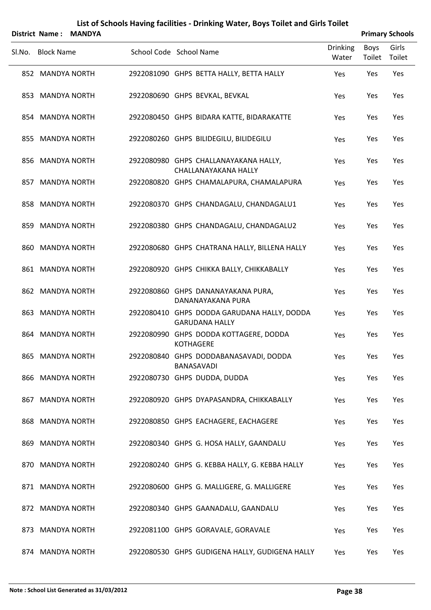|                   | District Name: MANDYA |                                                                      |                          |                | <b>Primary Schools</b> |
|-------------------|-----------------------|----------------------------------------------------------------------|--------------------------|----------------|------------------------|
| SI.No. Block Name |                       | School Code School Name                                              | <b>Drinking</b><br>Water | Boys<br>Toilet | Girls<br>Toilet        |
| 852 MANDYA NORTH  |                       | 2922081090 GHPS BETTA HALLY, BETTA HALLY                             | Yes                      | Yes            | Yes                    |
| 853 MANDYA NORTH  |                       | 2922080690 GHPS BEVKAL, BEVKAL                                       | Yes                      | Yes            | Yes                    |
| 854 MANDYA NORTH  |                       | 2922080450 GHPS BIDARA KATTE, BIDARAKATTE                            | Yes                      | Yes            | Yes                    |
| 855 MANDYA NORTH  |                       | 2922080260 GHPS BILIDEGILU, BILIDEGILU                               | Yes                      | Yes            | Yes                    |
| 856 MANDYA NORTH  |                       | 2922080980 GHPS CHALLANAYAKANA HALLY,<br>CHALLANAYAKANA HALLY        | Yes                      | Yes            | Yes                    |
| 857 MANDYA NORTH  |                       | 2922080820 GHPS CHAMALAPURA, CHAMALAPURA                             | Yes                      | Yes            | Yes                    |
| 858 MANDYA NORTH  |                       | 2922080370 GHPS CHANDAGALU, CHANDAGALU1                              | Yes                      | Yes            | Yes                    |
| 859 MANDYA NORTH  |                       | 2922080380 GHPS CHANDAGALU, CHANDAGALU2                              | Yes                      | Yes            | Yes                    |
| 860 MANDYA NORTH  |                       | 2922080680 GHPS CHATRANA HALLY, BILLENA HALLY                        | Yes                      | Yes            | Yes                    |
| 861 MANDYA NORTH  |                       | 2922080920 GHPS CHIKKA BALLY, CHIKKABALLY                            | Yes                      | Yes            | Yes                    |
| 862 MANDYA NORTH  |                       | 2922080860 GHPS DANANAYAKANA PURA,<br>DANANAYAKANA PURA              | Yes                      | Yes            | Yes                    |
| 863 MANDYA NORTH  |                       | 2922080410 GHPS DODDA GARUDANA HALLY, DODDA<br><b>GARUDANA HALLY</b> | Yes                      | Yes            | Yes                    |
| 864 MANDYA NORTH  |                       | 2922080990 GHPS DODDA KOTTAGERE, DODDA<br><b>KOTHAGERE</b>           | Yes                      | Yes            | Yes                    |
| 865 MANDYA NORTH  |                       | 2922080840 GHPS DODDABANASAVADI, DODDA<br>BANASAVADI                 | Yes                      | Yes            | Yes                    |
| 866 MANDYA NORTH  |                       | 2922080730 GHPS DUDDA, DUDDA                                         | Yes                      | Yes            | Yes                    |
| 867 MANDYA NORTH  |                       | 2922080920 GHPS DYAPASANDRA, CHIKKABALLY                             | Yes                      | Yes            | Yes                    |
| 868 MANDYA NORTH  |                       | 2922080850 GHPS EACHAGERE, EACHAGERE                                 | Yes                      | Yes            | Yes                    |
| 869 MANDYA NORTH  |                       | 2922080340 GHPS G. HOSA HALLY, GAANDALU                              | Yes                      | Yes            | Yes                    |
| 870 MANDYA NORTH  |                       | 2922080240 GHPS G. KEBBA HALLY, G. KEBBA HALLY                       | Yes                      | Yes            | Yes                    |
| 871 MANDYA NORTH  |                       | 2922080600 GHPS G. MALLIGERE, G. MALLIGERE                           | Yes                      | Yes            | Yes                    |
| 872 MANDYA NORTH  |                       | 2922080340 GHPS GAANADALU, GAANDALU                                  | Yes                      | Yes            | Yes                    |
| 873 MANDYA NORTH  |                       | 2922081100 GHPS GORAVALE, GORAVALE                                   | Yes                      | Yes            | Yes                    |
| 874 MANDYA NORTH  |                       | 2922080530 GHPS GUDIGENA HALLY, GUDIGENA HALLY                       | Yes                      | Yes            | Yes                    |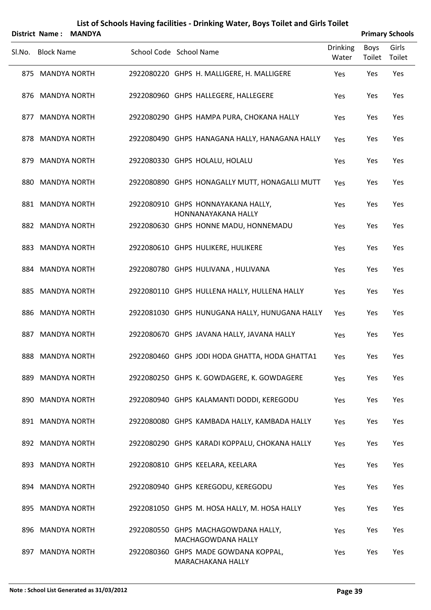|        |                   | District Name: MANDYA |                                                           |                          |                | <b>Primary Schools</b> |
|--------|-------------------|-----------------------|-----------------------------------------------------------|--------------------------|----------------|------------------------|
| SI.No. | <b>Block Name</b> |                       | School Code School Name                                   | <b>Drinking</b><br>Water | Boys<br>Toilet | Girls<br>Toilet        |
|        | 875 MANDYA NORTH  |                       | 2922080220 GHPS H. MALLIGERE, H. MALLIGERE                | Yes                      | Yes            | Yes                    |
|        | 876 MANDYA NORTH  |                       | 2922080960 GHPS HALLEGERE, HALLEGERE                      | Yes                      | Yes            | Yes                    |
|        | 877 MANDYA NORTH  |                       | 2922080290 GHPS HAMPA PURA, CHOKANA HALLY                 | Yes                      | Yes            | Yes                    |
|        | 878 MANDYA NORTH  |                       | 2922080490 GHPS HANAGANA HALLY, HANAGANA HALLY            | Yes                      | Yes            | Yes                    |
|        | 879 MANDYA NORTH  |                       | 2922080330 GHPS HOLALU, HOLALU                            | Yes                      | Yes            | Yes                    |
|        | 880 MANDYA NORTH  |                       | 2922080890 GHPS HONAGALLY MUTT, HONAGALLI MUTT            | Yes                      | Yes            | Yes                    |
|        | 881 MANDYA NORTH  |                       | 2922080910 GHPS HONNAYAKANA HALLY,<br>HONNANAYAKANA HALLY | Yes                      | Yes            | Yes                    |
|        | 882 MANDYA NORTH  |                       | 2922080630 GHPS HONNE MADU, HONNEMADU                     | Yes                      | Yes            | Yes                    |
|        | 883 MANDYA NORTH  |                       | 2922080610 GHPS HULIKERE, HULIKERE                        | Yes                      | Yes            | Yes                    |
|        | 884 MANDYA NORTH  |                       | 2922080780 GHPS HULIVANA, HULIVANA                        | Yes                      | Yes            | Yes                    |
|        | 885 MANDYA NORTH  |                       | 2922080110 GHPS HULLENA HALLY, HULLENA HALLY              | Yes                      | Yes            | Yes                    |
|        | 886 MANDYA NORTH  |                       | 2922081030 GHPS HUNUGANA HALLY, HUNUGANA HALLY            | Yes                      | Yes            | Yes                    |
|        | 887 MANDYA NORTH  |                       | 2922080670 GHPS JAVANA HALLY, JAVANA HALLY                | Yes                      | Yes            | Yes                    |
|        | 888 MANDYA NORTH  |                       | 2922080460 GHPS JODI HODA GHATTA, HODA GHATTA1            | Yes                      | Yes            | Yes                    |
|        | 889 MANDYA NORTH  |                       | 2922080250 GHPS K. GOWDAGERE, K. GOWDAGERE                | Yes                      | Yes            | Yes                    |
|        | 890 MANDYA NORTH  |                       | 2922080940 GHPS KALAMANTI DODDI, KEREGODU                 | Yes                      | Yes            | Yes                    |
|        | 891 MANDYA NORTH  |                       | 2922080080 GHPS KAMBADA HALLY, KAMBADA HALLY              | Yes                      | Yes            | Yes                    |
|        | 892 MANDYA NORTH  |                       | 2922080290 GHPS KARADI KOPPALU, CHOKANA HALLY             | Yes                      | Yes            | Yes                    |
|        | 893 MANDYA NORTH  |                       | 2922080810 GHPS KEELARA, KEELARA                          | Yes                      | Yes            | Yes                    |
|        | 894 MANDYA NORTH  |                       | 2922080940 GHPS KEREGODU, KEREGODU                        | Yes                      | Yes            | Yes                    |
|        | 895 MANDYA NORTH  |                       | 2922081050 GHPS M. HOSA HALLY, M. HOSA HALLY              | Yes                      | Yes            | Yes                    |
|        | 896 MANDYA NORTH  |                       | 2922080550 GHPS MACHAGOWDANA HALLY,<br>MACHAGOWDANA HALLY | Yes                      | Yes            | Yes                    |
|        | 897 MANDYA NORTH  |                       | 2922080360 GHPS MADE GOWDANA KOPPAL,<br>MARACHAKANA HALLY | Yes                      | Yes            | Yes                    |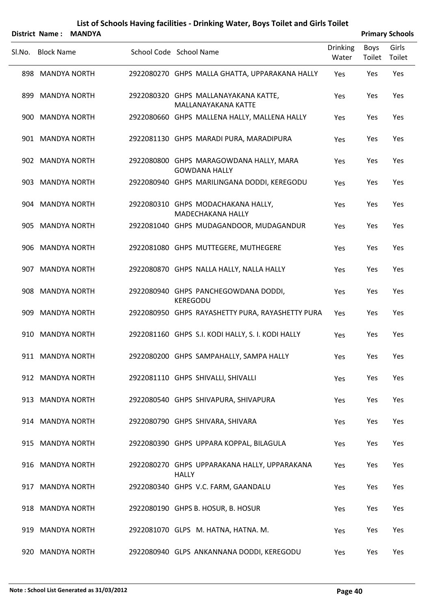|        |                   | District Name: MANDYA |                                                                    |                          |                | <b>Primary Schools</b> |
|--------|-------------------|-----------------------|--------------------------------------------------------------------|--------------------------|----------------|------------------------|
| Sl.No. | <b>Block Name</b> |                       | School Code School Name                                            | <b>Drinking</b><br>Water | Boys<br>Toilet | Girls<br>Toilet        |
|        | 898 MANDYA NORTH  |                       | 2922080270 GHPS MALLA GHATTA, UPPARAKANA HALLY                     | Yes                      | Yes            | Yes                    |
|        | 899 MANDYA NORTH  |                       | 2922080320 GHPS MALLANAYAKANA KATTE,<br><b>MALLANAYAKANA KATTE</b> | Yes                      | Yes            | Yes                    |
|        | 900 MANDYA NORTH  |                       | 2922080660 GHPS MALLENA HALLY, MALLENA HALLY                       | <b>Yes</b>               | Yes            | Yes                    |
|        | 901 MANDYA NORTH  |                       | 2922081130 GHPS MARADI PURA, MARADIPURA                            | Yes                      | Yes            | Yes                    |
|        | 902 MANDYA NORTH  |                       | 2922080800 GHPS MARAGOWDANA HALLY, MARA<br><b>GOWDANA HALLY</b>    | Yes                      | Yes            | Yes                    |
|        | 903 MANDYA NORTH  |                       | 2922080940 GHPS MARILINGANA DODDI, KEREGODU                        | Yes                      | Yes            | Yes                    |
|        | 904 MANDYA NORTH  |                       | 2922080310 GHPS MODACHAKANA HALLY,<br><b>MADECHAKANA HALLY</b>     | Yes                      | Yes            | Yes                    |
|        | 905 MANDYA NORTH  |                       | 2922081040 GHPS MUDAGANDOOR, MUDAGANDUR                            | Yes                      | Yes            | Yes                    |
|        | 906 MANDYA NORTH  |                       | 2922081080 GHPS MUTTEGERE, MUTHEGERE                               | Yes                      | Yes            | Yes                    |
|        | 907 MANDYA NORTH  |                       | 2922080870 GHPS NALLA HALLY, NALLA HALLY                           | Yes                      | Yes            | Yes                    |
|        | 908 MANDYA NORTH  |                       | 2922080940 GHPS PANCHEGOWDANA DODDI,<br><b>KEREGODU</b>            | Yes                      | Yes            | Yes                    |
|        | 909 MANDYA NORTH  |                       | 2922080950 GHPS RAYASHETTY PURA, RAYASHETTY PURA                   | Yes                      | Yes            | Yes                    |
|        | 910 MANDYA NORTH  |                       | 2922081160 GHPS S.I. KODI HALLY, S. I. KODI HALLY                  | Yes                      | Yes            | Yes                    |
|        | 911 MANDYA NORTH  |                       | 2922080200 GHPS SAMPAHALLY, SAMPA HALLY                            | Yes                      | Yes            | Yes                    |
|        | 912 MANDYA NORTH  |                       | 2922081110 GHPS SHIVALLI, SHIVALLI                                 | Yes                      | Yes            | Yes                    |
|        | 913 MANDYA NORTH  |                       | 2922080540 GHPS SHIVAPURA, SHIVAPURA                               | Yes                      | Yes            | Yes                    |
|        | 914 MANDYA NORTH  |                       | 2922080790 GHPS SHIVARA, SHIVARA                                   | Yes                      | Yes            | Yes                    |
|        | 915 MANDYA NORTH  |                       | 2922080390 GHPS UPPARA KOPPAL, BILAGULA                            | Yes                      | Yes            | Yes                    |
|        | 916 MANDYA NORTH  |                       | 2922080270 GHPS UPPARAKANA HALLY, UPPARAKANA<br><b>HALLY</b>       | Yes                      | Yes            | Yes                    |
|        | 917 MANDYA NORTH  |                       | 2922080340 GHPS V.C. FARM, GAANDALU                                | Yes                      | Yes            | Yes                    |
|        | 918 MANDYA NORTH  |                       | 2922080190 GHPS B. HOSUR, B. HOSUR                                 | Yes                      | Yes            | Yes                    |
|        | 919 MANDYA NORTH  |                       | 2922081070 GLPS M. HATNA, HATNA. M.                                | Yes                      | Yes            | Yes                    |
|        | 920 MANDYA NORTH  |                       | 2922080940 GLPS ANKANNANA DODDI, KEREGODU                          | Yes                      | Yes            | Yes                    |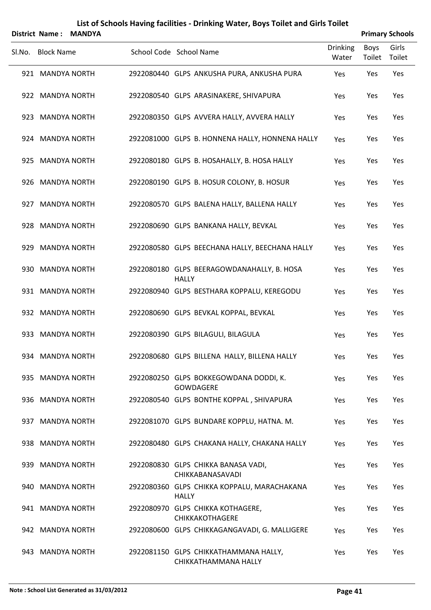|                   | District Name: MANDYA |                                                               |                          |                | <b>Primary Schools</b> |
|-------------------|-----------------------|---------------------------------------------------------------|--------------------------|----------------|------------------------|
| SI.No. Block Name |                       | School Code School Name                                       | <b>Drinking</b><br>Water | Boys<br>Toilet | Girls<br>Toilet        |
| 921 MANDYA NORTH  |                       | 2922080440 GLPS ANKUSHA PURA, ANKUSHA PURA                    | Yes                      | Yes            | Yes                    |
| 922 MANDYA NORTH  |                       | 2922080540 GLPS ARASINAKERE, SHIVAPURA                        | Yes                      | Yes            | Yes                    |
| 923 MANDYA NORTH  |                       | 2922080350 GLPS AVVERA HALLY, AVVERA HALLY                    | Yes                      | Yes            | Yes                    |
| 924 MANDYA NORTH  |                       | 2922081000 GLPS B. HONNENA HALLY, HONNENA HALLY               | Yes                      | Yes            | Yes                    |
| 925 MANDYA NORTH  |                       | 2922080180 GLPS B. HOSAHALLY, B. HOSA HALLY                   | Yes                      | Yes            | Yes                    |
| 926 MANDYA NORTH  |                       | 2922080190 GLPS B. HOSUR COLONY, B. HOSUR                     | Yes                      | Yes            | Yes                    |
| 927 MANDYA NORTH  |                       | 2922080570 GLPS BALENA HALLY, BALLENA HALLY                   | Yes                      | Yes            | Yes                    |
| 928 MANDYA NORTH  |                       | 2922080690 GLPS BANKANA HALLY, BEVKAL                         | Yes                      | Yes            | Yes                    |
| 929 MANDYA NORTH  |                       | 2922080580 GLPS BEECHANA HALLY, BEECHANA HALLY                | Yes                      | Yes            | Yes                    |
| 930 MANDYA NORTH  |                       | 2922080180 GLPS BEERAGOWDANAHALLY, B. HOSA<br><b>HALLY</b>    | Yes                      | Yes            | Yes                    |
| 931 MANDYA NORTH  |                       | 2922080940 GLPS BESTHARA KOPPALU, KEREGODU                    | Yes                      | Yes            | Yes                    |
| 932 MANDYA NORTH  |                       | 2922080690 GLPS BEVKAL KOPPAL, BEVKAL                         | Yes                      | Yes            | Yes                    |
| 933 MANDYA NORTH  |                       | 2922080390 GLPS BILAGULI, BILAGULA                            | Yes                      | Yes            | Yes                    |
| 934 MANDYA NORTH  |                       | 2922080680 GLPS BILLENA HALLY, BILLENA HALLY                  | Yes                      | Yes            | Yes                    |
| 935 MANDYA NORTH  |                       | 2922080250 GLPS BOKKEGOWDANA DODDI, K.<br>GOWDAGERE           | Yes                      | Yes            | Yes                    |
| 936 MANDYA NORTH  |                       | 2922080540 GLPS BONTHE KOPPAL, SHIVAPURA                      | Yes                      | Yes            | Yes                    |
| 937 MANDYA NORTH  |                       | 2922081070 GLPS BUNDARE KOPPLU, HATNA. M.                     | Yes                      | Yes            | Yes                    |
| 938 MANDYA NORTH  |                       | 2922080480 GLPS CHAKANA HALLY, CHAKANA HALLY                  | Yes                      | Yes            | Yes                    |
| 939 MANDYA NORTH  |                       | 2922080830 GLPS CHIKKA BANASA VADI,<br>CHIKKABANASAVADI       | Yes                      | Yes            | Yes                    |
| 940 MANDYA NORTH  |                       | 2922080360 GLPS CHIKKA KOPPALU, MARACHAKANA<br><b>HALLY</b>   | Yes                      | Yes            | Yes                    |
| 941 MANDYA NORTH  |                       | 2922080970 GLPS CHIKKA KOTHAGERE,<br>CHIKKAKOTHAGERE          | Yes                      | Yes            | Yes                    |
| 942 MANDYA NORTH  |                       | 2922080600 GLPS CHIKKAGANGAVADI, G. MALLIGERE                 | Yes                      | Yes            | Yes                    |
| 943 MANDYA NORTH  |                       | 2922081150 GLPS CHIKKATHAMMANA HALLY,<br>CHIKKATHAMMANA HALLY | Yes                      | Yes            | Yes                    |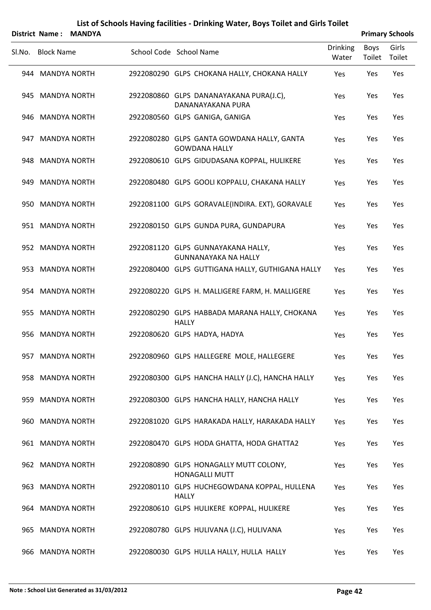|        |                   | District Name: MANDYA |                                                                    |                          |                | <b>Primary Schools</b> |
|--------|-------------------|-----------------------|--------------------------------------------------------------------|--------------------------|----------------|------------------------|
| SI.No. | <b>Block Name</b> |                       | School Code School Name                                            | <b>Drinking</b><br>Water | Boys<br>Toilet | Girls<br>Toilet        |
|        | 944 MANDYA NORTH  |                       | 2922080290 GLPS CHOKANA HALLY, CHOKANA HALLY                       | Yes                      | Yes            | Yes                    |
|        | 945 MANDYA NORTH  |                       | 2922080860 GLPS DANANAYAKANA PURA(J.C),<br>DANANAYAKANA PURA       | Yes                      | Yes            | Yes                    |
|        | 946 MANDYA NORTH  |                       | 2922080560 GLPS GANIGA, GANIGA                                     | Yes                      | Yes            | Yes                    |
|        | 947 MANDYA NORTH  |                       | 2922080280 GLPS GANTA GOWDANA HALLY, GANTA<br><b>GOWDANA HALLY</b> | Yes                      | Yes            | Yes                    |
|        | 948 MANDYA NORTH  |                       | 2922080610 GLPS GIDUDASANA KOPPAL, HULIKERE                        | Yes                      | Yes            | Yes                    |
|        | 949 MANDYA NORTH  |                       | 2922080480 GLPS GOOLI KOPPALU, CHAKANA HALLY                       | Yes                      | Yes            | Yes                    |
|        | 950 MANDYA NORTH  |                       | 2922081100 GLPS GORAVALE(INDIRA. EXT), GORAVALE                    | Yes                      | Yes            | Yes                    |
|        | 951 MANDYA NORTH  |                       | 2922080150 GLPS GUNDA PURA, GUNDAPURA                              | Yes                      | Yes            | Yes                    |
|        | 952 MANDYA NORTH  |                       | 2922081120 GLPS GUNNAYAKANA HALLY,<br><b>GUNNANAYAKA NA HALLY</b>  | Yes                      | Yes            | Yes                    |
|        | 953 MANDYA NORTH  |                       | 2922080400 GLPS GUTTIGANA HALLY, GUTHIGANA HALLY                   | Yes                      | Yes            | Yes                    |
|        | 954 MANDYA NORTH  |                       | 2922080220 GLPS H. MALLIGERE FARM, H. MALLIGERE                    | Yes                      | Yes            | Yes                    |
|        | 955 MANDYA NORTH  |                       | 2922080290 GLPS HABBADA MARANA HALLY, CHOKANA<br><b>HALLY</b>      | Yes                      | Yes            | Yes                    |
|        | 956 MANDYA NORTH  |                       | 2922080620 GLPS HADYA, HADYA                                       | Yes                      | Yes            | Yes                    |
|        | 957 MANDYA NORTH  |                       | 2922080960 GLPS HALLEGERE MOLE, HALLEGERE                          | Yes                      | Yes            | Yes                    |
|        | 958 MANDYA NORTH  |                       | 2922080300 GLPS HANCHA HALLY (J.C), HANCHA HALLY                   | Yes                      | Yes            | Yes                    |
|        | 959 MANDYA NORTH  |                       | 2922080300 GLPS HANCHA HALLY, HANCHA HALLY                         | Yes                      | Yes            | Yes                    |
|        | 960 MANDYA NORTH  |                       | 2922081020 GLPS HARAKADA HALLY, HARAKADA HALLY                     | Yes                      | Yes            | Yes                    |
|        | 961 MANDYA NORTH  |                       | 2922080470 GLPS HODA GHATTA, HODA GHATTA2                          | Yes                      | Yes            | Yes                    |
|        | 962 MANDYA NORTH  |                       | 2922080890 GLPS HONAGALLY MUTT COLONY,<br><b>HONAGALLI MUTT</b>    | Yes                      | Yes            | Yes                    |
|        | 963 MANDYA NORTH  |                       | 2922080110 GLPS HUCHEGOWDANA KOPPAL, HULLENA<br><b>HALLY</b>       | Yes                      | Yes            | Yes                    |
|        | 964 MANDYA NORTH  |                       | 2922080610 GLPS HULIKERE KOPPAL, HULIKERE                          | Yes                      | Yes            | Yes                    |
|        | 965 MANDYA NORTH  |                       | 2922080780 GLPS HULIVANA (J.C), HULIVANA                           | Yes                      | Yes            | Yes                    |
|        | 966 MANDYA NORTH  |                       | 2922080030 GLPS HULLA HALLY, HULLA HALLY                           | Yes                      | Yes            | Yes                    |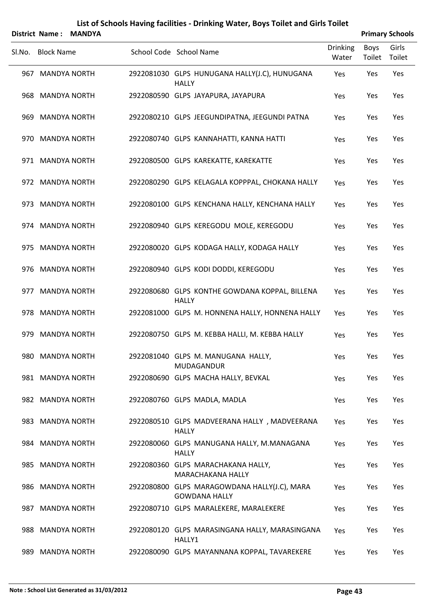|        | District Name:    | <b>MANDYA</b> |                                                                      |                          |                | <b>Primary Schools</b> |
|--------|-------------------|---------------|----------------------------------------------------------------------|--------------------------|----------------|------------------------|
| Sl.No. | <b>Block Name</b> |               | School Code School Name                                              | <b>Drinking</b><br>Water | Boys<br>Toilet | Girls<br>Toilet        |
|        | 967 MANDYA NORTH  |               | 2922081030 GLPS HUNUGANA HALLY(J.C), HUNUGANA<br><b>HALLY</b>        | Yes                      | Yes            | Yes                    |
|        | 968 MANDYA NORTH  |               | 2922080590 GLPS JAYAPURA, JAYAPURA                                   | Yes                      | Yes            | Yes                    |
|        | 969 MANDYA NORTH  |               | 2922080210 GLPS JEEGUNDIPATNA, JEEGUNDI PATNA                        | Yes                      | Yes            | Yes                    |
|        | 970 MANDYA NORTH  |               | 2922080740 GLPS KANNAHATTI, KANNA HATTI                              | Yes                      | Yes            | Yes                    |
|        | 971 MANDYA NORTH  |               | 2922080500 GLPS KAREKATTE, KAREKATTE                                 | Yes                      | Yes            | Yes                    |
|        | 972 MANDYA NORTH  |               | 2922080290 GLPS KELAGALA KOPPPAL, CHOKANA HALLY                      | Yes                      | Yes            | Yes                    |
|        | 973 MANDYA NORTH  |               | 2922080100 GLPS KENCHANA HALLY, KENCHANA HALLY                       | Yes                      | Yes            | Yes                    |
|        | 974 MANDYA NORTH  |               | 2922080940 GLPS KEREGODU MOLE, KEREGODU                              | Yes                      | Yes            | Yes                    |
|        | 975 MANDYA NORTH  |               | 2922080020 GLPS KODAGA HALLY, KODAGA HALLY                           | Yes                      | Yes            | Yes                    |
|        | 976 MANDYA NORTH  |               | 2922080940 GLPS KODI DODDI, KEREGODU                                 | Yes                      | Yes            | Yes                    |
|        | 977 MANDYA NORTH  |               | 2922080680 GLPS KONTHE GOWDANA KOPPAL, BILLENA<br><b>HALLY</b>       | Yes                      | Yes            | Yes                    |
|        | 978 MANDYA NORTH  |               | 2922081000 GLPS M. HONNENA HALLY, HONNENA HALLY                      | Yes                      | Yes            | Yes                    |
|        | 979 MANDYA NORTH  |               | 2922080750 GLPS M. KEBBA HALLI, M. KEBBA HALLY                       | Yes                      | Yes            | Yes                    |
|        | 980 MANDYA NORTH  |               | 2922081040 GLPS M. MANUGANA HALLY,<br>MUDAGANDUR                     | Yes                      | Yes            | Yes                    |
|        | 981 MANDYA NORTH  |               | 2922080690 GLPS MACHA HALLY, BEVKAL                                  | Yes                      | Yes            | Yes                    |
|        | 982 MANDYA NORTH  |               | 2922080760 GLPS MADLA, MADLA                                         | Yes                      | Yes            | Yes                    |
|        | 983 MANDYA NORTH  |               | 2922080510 GLPS MADVEERANA HALLY, MADVEERANA<br><b>HALLY</b>         | Yes                      | Yes            | Yes                    |
|        | 984 MANDYA NORTH  |               | 2922080060 GLPS MANUGANA HALLY, M.MANAGANA<br><b>HALLY</b>           | Yes                      | Yes            | Yes                    |
|        | 985 MANDYA NORTH  |               | 2922080360 GLPS MARACHAKANA HALLY,<br>MARACHAKANA HALLY              | Yes                      | Yes            | Yes                    |
|        | 986 MANDYA NORTH  |               | 2922080800 GLPS MARAGOWDANA HALLY(J.C), MARA<br><b>GOWDANA HALLY</b> | Yes                      | Yes            | Yes                    |
|        | 987 MANDYA NORTH  |               | 2922080710 GLPS MARALEKERE, MARALEKERE                               | Yes                      | Yes            | Yes                    |
|        | 988 MANDYA NORTH  |               | 2922080120 GLPS MARASINGANA HALLY, MARASINGANA<br>HALLY1             | Yes                      | Yes            | Yes                    |
|        | 989 MANDYA NORTH  |               | 2922080090 GLPS MAYANNANA KOPPAL, TAVAREKERE                         | Yes                      | Yes            | Yes                    |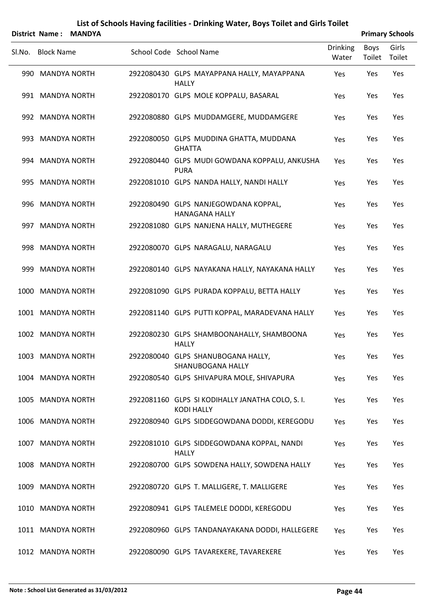|                   | District Name: MANDYA |                                                                       |                          |                | <b>Primary Schools</b> |
|-------------------|-----------------------|-----------------------------------------------------------------------|--------------------------|----------------|------------------------|
| SI.No. Block Name |                       | School Code School Name                                               | <b>Drinking</b><br>Water | Boys<br>Toilet | Girls<br>Toilet        |
| 990 MANDYA NORTH  |                       | 2922080430 GLPS MAYAPPANA HALLY, MAYAPPANA<br><b>HALLY</b>            | Yes                      | Yes            | Yes                    |
| 991 MANDYA NORTH  |                       | 2922080170 GLPS MOLE KOPPALU, BASARAL                                 | Yes                      | Yes            | Yes                    |
| 992 MANDYA NORTH  |                       | 2922080880 GLPS MUDDAMGERE, MUDDAMGERE                                | Yes                      | Yes            | Yes                    |
| 993 MANDYA NORTH  |                       | 2922080050 GLPS MUDDINA GHATTA, MUDDANA<br><b>GHATTA</b>              | Yes                      | Yes            | Yes                    |
| 994 MANDYA NORTH  |                       | 2922080440 GLPS MUDI GOWDANA KOPPALU, ANKUSHA<br><b>PURA</b>          | Yes                      | Yes            | Yes                    |
| 995 MANDYA NORTH  |                       | 2922081010 GLPS NANDA HALLY, NANDI HALLY                              | Yes                      | Yes            | Yes                    |
| 996 MANDYA NORTH  |                       | 2922080490 GLPS NANJEGOWDANA KOPPAL,<br><b>HANAGANA HALLY</b>         | Yes                      | Yes            | Yes                    |
| 997 MANDYA NORTH  |                       | 2922081080 GLPS NANJENA HALLY, MUTHEGERE                              | Yes                      | Yes            | Yes                    |
| 998 MANDYA NORTH  |                       | 2922080070 GLPS NARAGALU, NARAGALU                                    | Yes                      | Yes            | Yes                    |
| 999 MANDYA NORTH  |                       | 2922080140 GLPS NAYAKANA HALLY, NAYAKANA HALLY                        | Yes                      | Yes            | Yes                    |
| 1000 MANDYA NORTH |                       | 2922081090 GLPS PURADA KOPPALU, BETTA HALLY                           | Yes                      | Yes            | Yes                    |
| 1001 MANDYA NORTH |                       | 2922081140 GLPS PUTTI KOPPAL, MARADEVANA HALLY                        | Yes                      | Yes            | Yes                    |
| 1002 MANDYA NORTH |                       | 2922080230 GLPS SHAMBOONAHALLY, SHAMBOONA<br><b>HALLY</b>             | Yes                      | Yes            | Yes                    |
| 1003 MANDYA NORTH |                       | 2922080040 GLPS SHANUBOGANA HALLY,<br><b>SHANUBOGANA HALLY</b>        | Yes                      | Yes            | Yes                    |
| 1004 MANDYA NORTH |                       | 2922080540 GLPS SHIVAPURA MOLE, SHIVAPURA                             | Yes                      | Yes            | Yes                    |
| 1005 MANDYA NORTH |                       | 2922081160 GLPS SI KODIHALLY JANATHA COLO, S. I.<br><b>KODI HALLY</b> | Yes                      | Yes            | Yes                    |
| 1006 MANDYA NORTH |                       | 2922080940 GLPS SIDDEGOWDANA DODDI, KEREGODU                          | Yes                      | Yes            | Yes                    |
| 1007 MANDYA NORTH |                       | 2922081010 GLPS SIDDEGOWDANA KOPPAL, NANDI<br><b>HALLY</b>            | Yes                      | Yes            | Yes                    |
| 1008 MANDYA NORTH |                       | 2922080700 GLPS SOWDENA HALLY, SOWDENA HALLY                          | Yes                      | Yes            | Yes                    |
| 1009 MANDYA NORTH |                       | 2922080720 GLPS T. MALLIGERE, T. MALLIGERE                            | Yes                      | Yes            | Yes                    |
| 1010 MANDYA NORTH |                       | 2922080941 GLPS TALEMELE DODDI, KEREGODU                              | Yes                      | Yes            | Yes                    |
| 1011 MANDYA NORTH |                       | 2922080960 GLPS TANDANAYAKANA DODDI, HALLEGERE                        | Yes                      | Yes            | Yes                    |
| 1012 MANDYA NORTH |                       | 2922080090 GLPS TAVAREKERE, TAVAREKERE                                | Yes                      | Yes            | Yes                    |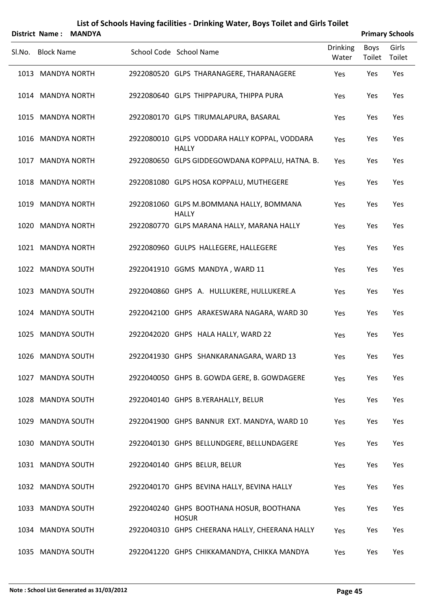|                   | District Name: MANDYA |                                                               |                          |                | <b>Primary Schools</b> |
|-------------------|-----------------------|---------------------------------------------------------------|--------------------------|----------------|------------------------|
| SI.No. Block Name |                       | School Code School Name                                       | <b>Drinking</b><br>Water | Boys<br>Toilet | Girls<br>Toilet        |
| 1013 MANDYA NORTH |                       | 2922080520 GLPS THARANAGERE, THARANAGERE                      | Yes                      | Yes            | Yes                    |
| 1014 MANDYA NORTH |                       | 2922080640 GLPS THIPPAPURA, THIPPA PURA                       | Yes                      | Yes            | Yes                    |
| 1015 MANDYA NORTH |                       | 2922080170 GLPS TIRUMALAPURA, BASARAL                         | Yes                      | Yes            | Yes                    |
| 1016 MANDYA NORTH |                       | 2922080010 GLPS VODDARA HALLY KOPPAL, VODDARA<br><b>HALLY</b> | Yes                      | Yes            | Yes                    |
| 1017 MANDYA NORTH |                       | 2922080650 GLPS GIDDEGOWDANA KOPPALU, HATNA. B.               | Yes                      | Yes            | Yes                    |
| 1018 MANDYA NORTH |                       | 2922081080 GLPS HOSA KOPPALU, MUTHEGERE                       | Yes                      | Yes            | Yes                    |
| 1019 MANDYA NORTH |                       | 2922081060 GLPS M.BOMMANA HALLY, BOMMANA<br><b>HALLY</b>      | Yes                      | Yes            | Yes                    |
| 1020 MANDYA NORTH |                       | 2922080770 GLPS MARANA HALLY, MARANA HALLY                    | Yes                      | Yes            | Yes                    |
| 1021 MANDYA NORTH |                       | 2922080960 GULPS HALLEGERE, HALLEGERE                         | Yes                      | Yes            | Yes                    |
| 1022 MANDYA SOUTH |                       | 2922041910 GGMS MANDYA, WARD 11                               | Yes                      | Yes            | Yes                    |
| 1023 MANDYA SOUTH |                       | 2922040860 GHPS A. HULLUKERE, HULLUKERE.A                     | Yes                      | Yes            | Yes                    |
| 1024 MANDYA SOUTH |                       | 2922042100 GHPS ARAKESWARA NAGARA, WARD 30                    | Yes                      | Yes            | Yes                    |
| 1025 MANDYA SOUTH |                       | 2922042020 GHPS HALA HALLY, WARD 22                           | Yes                      | Yes            | Yes                    |
| 1026 MANDYA SOUTH |                       | 2922041930 GHPS SHANKARANAGARA, WARD 13                       | Yes                      | Yes            | Yes                    |
| 1027 MANDYA SOUTH |                       | 2922040050 GHPS B. GOWDA GERE, B. GOWDAGERE                   | Yes                      | Yes            | Yes                    |
| 1028 MANDYA SOUTH |                       | 2922040140 GHPS B.YERAHALLY, BELUR                            | Yes                      | Yes            | Yes                    |
| 1029 MANDYA SOUTH |                       | 2922041900 GHPS BANNUR EXT. MANDYA, WARD 10                   | Yes                      | Yes            | Yes                    |
| 1030 MANDYA SOUTH |                       | 2922040130 GHPS BELLUNDGERE, BELLUNDAGERE                     | Yes                      | Yes            | Yes                    |
| 1031 MANDYA SOUTH |                       | 2922040140 GHPS BELUR, BELUR                                  | Yes                      | Yes            | Yes                    |
| 1032 MANDYA SOUTH |                       | 2922040170 GHPS BEVINA HALLY, BEVINA HALLY                    | Yes                      | Yes            | Yes                    |
| 1033 MANDYA SOUTH |                       | 2922040240 GHPS BOOTHANA HOSUR, BOOTHANA<br><b>HOSUR</b>      | Yes                      | Yes            | Yes                    |
| 1034 MANDYA SOUTH |                       | 2922040310 GHPS CHEERANA HALLY, CHEERANA HALLY                | Yes                      | Yes            | Yes                    |
| 1035 MANDYA SOUTH |                       | 2922041220 GHPS CHIKKAMANDYA, CHIKKA MANDYA                   | Yes                      | Yes            | Yes                    |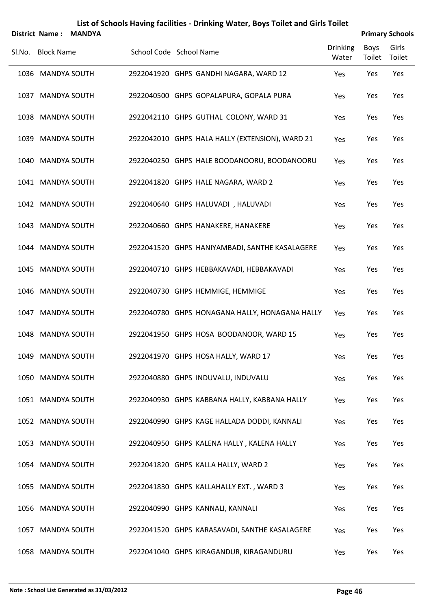|        | List of Schools Having facilities - Drinking Water, Boys Toilet and Girls Toilet |               |  |                                                 |                          |                       |                        |  |  |  |  |
|--------|----------------------------------------------------------------------------------|---------------|--|-------------------------------------------------|--------------------------|-----------------------|------------------------|--|--|--|--|
|        | <b>District Name:</b>                                                            | <b>MANDYA</b> |  |                                                 |                          |                       | <b>Primary Schools</b> |  |  |  |  |
| Sl.No. | <b>Block Name</b>                                                                |               |  | School Code School Name                         | <b>Drinking</b><br>Water | <b>Boys</b><br>Toilet | Girls<br>Toilet        |  |  |  |  |
|        | 1036 MANDYA SOUTH                                                                |               |  | 2922041920 GHPS GANDHI NAGARA, WARD 12          | Yes                      | Yes                   | Yes                    |  |  |  |  |
|        | 1037 MANDYA SOUTH                                                                |               |  | 2922040500 GHPS GOPALAPURA, GOPALA PURA         | Yes                      | Yes                   | Yes                    |  |  |  |  |
|        | 1038 MANDYA SOUTH                                                                |               |  | 2922042110 GHPS GUTHAL COLONY, WARD 31          | Yes                      | Yes                   | Yes                    |  |  |  |  |
|        | 1039 MANDYA SOUTH                                                                |               |  | 2922042010 GHPS HALA HALLY (EXTENSION), WARD 21 | Yes                      | Yes                   | Yes                    |  |  |  |  |
|        | 1040 MANDYA SOUTH                                                                |               |  | 2922040250 GHPS HALE BOODANOORU, BOODANOORU     | Yes                      | Yes                   | Yes                    |  |  |  |  |
|        | 1041 MANDYA SOUTH                                                                |               |  | 2922041820 GHPS HALE NAGARA, WARD 2             | Yes                      | Yes                   | Yes                    |  |  |  |  |
|        | 1042 MANDYA SOUTH                                                                |               |  | 2922040640 GHPS HALUVADI, HALUVADI              | Yes                      | Yes                   | Yes                    |  |  |  |  |
|        | 1043 MANDYA SOUTH                                                                |               |  | 2922040660 GHPS HANAKERE, HANAKERE              | Yes                      | Yes                   | Yes                    |  |  |  |  |
|        | 1044 MANDYA SOUTH                                                                |               |  | 2922041520 GHPS HANIYAMBADI, SANTHE KASALAGERE  | Yes                      | Yes                   | Yes                    |  |  |  |  |
|        | 1045 MANDYA SOUTH                                                                |               |  | 2922040710 GHPS HEBBAKAVADI, HEBBAKAVADI        | Yes                      | Yes                   | Yes                    |  |  |  |  |
|        | 1046 MANDYA SOUTH                                                                |               |  | 2922040730 GHPS HEMMIGE, HEMMIGE                | Yes                      | Yes                   | Yes                    |  |  |  |  |
|        | 1047 MANDYA SOUTH                                                                |               |  | 2922040780 GHPS HONAGANA HALLY, HONAGANA HALLY  | Yes                      | Yes                   | Yes                    |  |  |  |  |
|        | 1048 MANDYA SOUTH                                                                |               |  | 2922041950 GHPS HOSA BOODANOOR, WARD 15         | Yes                      | Yes                   | Yes                    |  |  |  |  |
|        | 1049 MANDYA SOUTH                                                                |               |  | 2922041970 GHPS HOSA HALLY, WARD 17             | Yes                      | Yes                   | Yes                    |  |  |  |  |
|        | 1050 MANDYA SOUTH                                                                |               |  | 2922040880 GHPS INDUVALU, INDUVALU              | Yes                      | Yes                   | Yes                    |  |  |  |  |
|        | 1051 MANDYA SOUTH                                                                |               |  | 2922040930 GHPS KABBANA HALLY, KABBANA HALLY    | Yes                      | Yes                   | Yes                    |  |  |  |  |
|        | 1052 MANDYA SOUTH                                                                |               |  | 2922040990 GHPS KAGE HALLADA DODDI, KANNALI     | Yes                      | Yes                   | Yes                    |  |  |  |  |

1053 MANDYA SOUTH 2922040950 GHPS KALENA HALLY, KALENA HALLY Yes Yes Yes

MANDYA SOUTH 2922041820 GHPS KALLA HALLY, WARD 2 Yes Yes Yes

1055 MANDYA SOUTH 2922041830 GHPS KALLAHALLY EXT., WARD 3 Yes Yes Yes Yes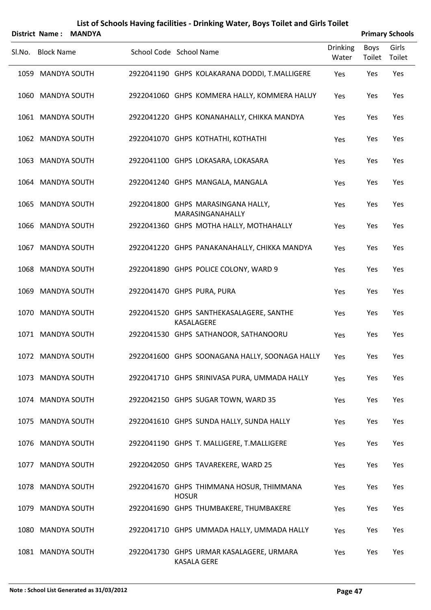|        |                   | District Name: MANDYA |                            |              |                                                                |                          |                | <b>Primary Schools</b> |
|--------|-------------------|-----------------------|----------------------------|--------------|----------------------------------------------------------------|--------------------------|----------------|------------------------|
| SI.No. | <b>Block Name</b> |                       | School Code School Name    |              |                                                                | <b>Drinking</b><br>Water | Boys<br>Toilet | Girls<br>Toilet        |
|        | 1059 MANDYA SOUTH |                       |                            |              | 2922041190 GHPS KOLAKARANA DODDI, T.MALLIGERE                  | Yes                      | Yes            | Yes                    |
|        | 1060 MANDYA SOUTH |                       |                            |              | 2922041060 GHPS KOMMERA HALLY, KOMMERA HALUY                   | Yes                      | Yes            | Yes                    |
|        | 1061 MANDYA SOUTH |                       |                            |              | 2922041220 GHPS KONANAHALLY, CHIKKA MANDYA                     | Yes                      | Yes            | Yes                    |
|        | 1062 MANDYA SOUTH |                       |                            |              | 2922041070 GHPS KOTHATHI, KOTHATHI                             | Yes                      | Yes            | Yes                    |
|        | 1063 MANDYA SOUTH |                       |                            |              | 2922041100 GHPS LOKASARA, LOKASARA                             | Yes                      | Yes            | Yes                    |
|        | 1064 MANDYA SOUTH |                       |                            |              | 2922041240 GHPS MANGALA, MANGALA                               | Yes                      | Yes            | Yes                    |
|        | 1065 MANDYA SOUTH |                       |                            |              | 2922041800 GHPS MARASINGANA HALLY,<br>MARASINGANAHALLY         | Yes                      | Yes            | Yes                    |
|        | 1066 MANDYA SOUTH |                       |                            |              | 2922041360 GHPS MOTHA HALLY, MOTHAHALLY                        | Yes                      | Yes            | Yes                    |
|        | 1067 MANDYA SOUTH |                       |                            |              | 2922041220 GHPS PANAKANAHALLY, CHIKKA MANDYA                   | Yes                      | Yes            | Yes                    |
|        | 1068 MANDYA SOUTH |                       |                            |              | 2922041890 GHPS POLICE COLONY, WARD 9                          | Yes                      | Yes            | Yes                    |
|        | 1069 MANDYA SOUTH |                       | 2922041470 GHPS PURA, PURA |              |                                                                | Yes                      | Yes            | Yes                    |
|        | 1070 MANDYA SOUTH |                       |                            |              | 2922041520 GHPS SANTHEKASALAGERE, SANTHE<br>KASALAGERE         | Yes                      | Yes            | Yes                    |
|        | 1071 MANDYA SOUTH |                       |                            |              | 2922041530 GHPS SATHANOOR, SATHANOORU                          | Yes                      | Yes            | Yes                    |
|        | 1072 MANDYA SOUTH |                       |                            |              | 2922041600 GHPS SOONAGANA HALLY, SOONAGA HALLY                 | Yes                      | Yes            | Yes                    |
|        | 1073 MANDYA SOUTH |                       |                            |              | 2922041710 GHPS SRINIVASA PURA, UMMADA HALLY                   | Yes                      | Yes            | Yes                    |
|        | 1074 MANDYA SOUTH |                       |                            |              | 2922042150 GHPS SUGAR TOWN, WARD 35                            | Yes                      | Yes            | Yes                    |
|        | 1075 MANDYA SOUTH |                       |                            |              | 2922041610 GHPS SUNDA HALLY, SUNDA HALLY                       | Yes                      | Yes            | Yes                    |
|        | 1076 MANDYA SOUTH |                       |                            |              | 2922041190 GHPS T. MALLIGERE, T.MALLIGERE                      | Yes                      | Yes            | Yes                    |
|        | 1077 MANDYA SOUTH |                       |                            |              | 2922042050 GHPS TAVAREKERE, WARD 25                            | Yes                      | Yes            | Yes                    |
|        | 1078 MANDYA SOUTH |                       |                            | <b>HOSUR</b> | 2922041670 GHPS THIMMANA HOSUR, THIMMANA                       | Yes                      | Yes            | Yes                    |
|        | 1079 MANDYA SOUTH |                       |                            |              | 2922041690 GHPS THUMBAKERE, THUMBAKERE                         | Yes                      | Yes            | Yes                    |
|        | 1080 MANDYA SOUTH |                       |                            |              | 2922041710 GHPS UMMADA HALLY, UMMADA HALLY                     | Yes                      | Yes            | Yes                    |
|        | 1081 MANDYA SOUTH |                       |                            |              | 2922041730 GHPS URMAR KASALAGERE, URMARA<br><b>KASALA GERE</b> | Yes                      | Yes            | Yes                    |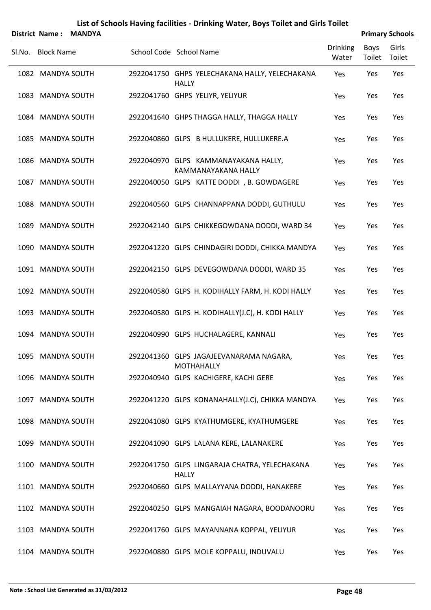|        | <b>District Name:</b> | <b>MANDYA</b> |                                                                |                          |                | <b>Primary Schools</b> |
|--------|-----------------------|---------------|----------------------------------------------------------------|--------------------------|----------------|------------------------|
| SI.No. | <b>Block Name</b>     |               | School Code School Name                                        | <b>Drinking</b><br>Water | Boys<br>Toilet | Girls<br>Toilet        |
|        | 1082 MANDYA SOUTH     |               | 2922041750 GHPS YELECHAKANA HALLY, YELECHAKANA<br><b>HALLY</b> | Yes                      | Yes            | Yes                    |
|        | 1083 MANDYA SOUTH     |               | 2922041760 GHPS YELIYR, YELIYUR                                | Yes                      | Yes            | Yes                    |
| 1084   | <b>MANDYA SOUTH</b>   |               | 2922041640 GHPS THAGGA HALLY, THAGGA HALLY                     | Yes                      | Yes            | Yes                    |
|        | 1085 MANDYA SOUTH     |               | 2922040860 GLPS B HULLUKERE, HULLUKERE.A                       | Yes                      | Yes            | Yes                    |
| 1086   | <b>MANDYA SOUTH</b>   |               | 2922040970 GLPS KAMMANAYAKANA HALLY,<br>KAMMANAYAKANA HALLY    | Yes                      | Yes            | Yes                    |
|        | 1087 MANDYA SOUTH     |               | 2922040050 GLPS KATTE DODDI, B. GOWDAGERE                      | Yes                      | Yes            | Yes                    |
| 1088   | <b>MANDYA SOUTH</b>   |               | 2922040560 GLPS CHANNAPPANA DODDI, GUTHULU                     | Yes                      | Yes            | Yes                    |
| 1089   | <b>MANDYA SOUTH</b>   |               | 2922042140 GLPS CHIKKEGOWDANA DODDI, WARD 34                   | Yes                      | Yes            | Yes                    |
|        | 1090 MANDYA SOUTH     |               | 2922041220 GLPS CHINDAGIRI DODDI, CHIKKA MANDYA                | Yes                      | Yes            | Yes                    |
|        | 1091 MANDYA SOUTH     |               | 2922042150 GLPS DEVEGOWDANA DODDI, WARD 35                     | Yes                      | Yes            | Yes                    |
|        | 1092 MANDYA SOUTH     |               | 2922040580 GLPS H. KODIHALLY FARM, H. KODI HALLY               | Yes                      | Yes            | Yes                    |
| 1093   | <b>MANDYA SOUTH</b>   |               | 2922040580 GLPS H. KODIHALLY(J.C), H. KODI HALLY               | Yes                      | Yes            | Yes                    |
| 1094   | <b>MANDYA SOUTH</b>   |               | 2922040990 GLPS HUCHALAGERE, KANNALI                           | Yes                      | Yes            | Yes                    |
|        | 1095 MANDYA SOUTH     |               | 2922041360 GLPS JAGAJEEVANARAMA NAGARA,<br><b>MOTHAHALLY</b>   | Yes                      | Yes            | Yes                    |
|        | 1096 MANDYA SOUTH     |               | 2922040940 GLPS KACHIGERE, KACHI GERE                          | Yes                      | Yes            | Yes                    |
|        | 1097 MANDYA SOUTH     |               | 2922041220 GLPS KONANAHALLY(J.C), CHIKKA MANDYA                | Yes                      | Yes            | Yes                    |
|        | 1098 MANDYA SOUTH     |               | 2922041080 GLPS KYATHUMGERE, KYATHUMGERE                       | Yes                      | Yes            | Yes                    |
| 1099   | <b>MANDYA SOUTH</b>   |               | 2922041090 GLPS LALANA KERE, LALANAKERE                        | Yes                      | Yes            | Yes                    |
|        | 1100 MANDYA SOUTH     |               | 2922041750 GLPS LINGARAJA CHATRA, YELECHAKANA<br><b>HALLY</b>  | Yes                      | Yes            | Yes                    |
|        | 1101 MANDYA SOUTH     |               | 2922040660 GLPS MALLAYYANA DODDI, HANAKERE                     | Yes                      | Yes            | Yes                    |
|        | 1102 MANDYA SOUTH     |               | 2922040250 GLPS MANGAIAH NAGARA, BOODANOORU                    | Yes                      | Yes            | Yes                    |
| 1103   | <b>MANDYA SOUTH</b>   |               | 2922041760 GLPS MAYANNANA KOPPAL, YELIYUR                      | Yes                      | Yes            | Yes                    |
| 1104   | <b>MANDYA SOUTH</b>   |               | 2922040880 GLPS MOLE KOPPALU, INDUVALU                         | Yes                      | Yes            | Yes                    |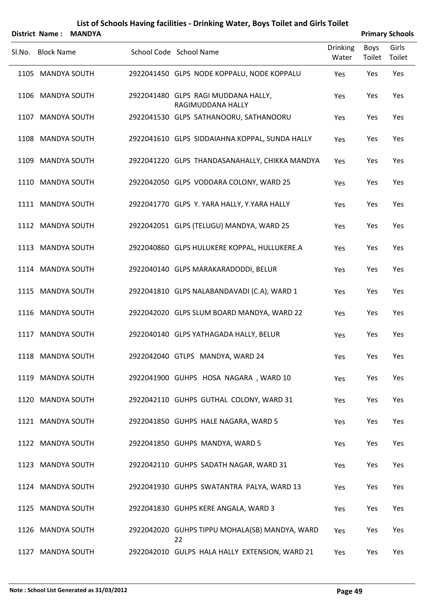|        |                   | District Name: MANDYA |                                                          |                          |                | <b>Primary Schools</b> |
|--------|-------------------|-----------------------|----------------------------------------------------------|--------------------------|----------------|------------------------|
| SI.No. | <b>Block Name</b> |                       | School Code School Name                                  | <b>Drinking</b><br>Water | Boys<br>Toilet | Girls<br>Toilet        |
|        | 1105 MANDYA SOUTH |                       | 2922041450 GLPS NODE KOPPALU, NODE KOPPALU               | Yes                      | Yes            | Yes                    |
|        | 1106 MANDYA SOUTH |                       | 2922041480 GLPS RAGI MUDDANA HALLY,<br>RAGIMUDDANA HALLY | Yes                      | Yes            | Yes                    |
|        | 1107 MANDYA SOUTH |                       | 2922041530 GLPS SATHANOORU, SATHANOORU                   | Yes                      | Yes            | Yes                    |
|        | 1108 MANDYA SOUTH |                       | 2922041610 GLPS SIDDAIAHNA KOPPAL, SUNDA HALLY           | Yes                      | Yes            | Yes                    |
|        | 1109 MANDYA SOUTH |                       | 2922041220 GLPS THANDASANAHALLY, CHIKKA MANDYA           | Yes                      | Yes            | Yes                    |
|        | 1110 MANDYA SOUTH |                       | 2922042050 GLPS VODDARA COLONY, WARD 25                  | Yes                      | Yes            | Yes                    |
|        | 1111 MANDYA SOUTH |                       | 2922041770 GLPS Y. YARA HALLY, Y.YARA HALLY              | Yes                      | Yes            | Yes                    |
|        | 1112 MANDYA SOUTH |                       | 2922042051 GLPS (TELUGU) MANDYA, WARD 25                 | Yes                      | Yes            | Yes                    |
|        | 1113 MANDYA SOUTH |                       | 2922040860 GLPS HULUKERE KOPPAL, HULLUKERE.A             | Yes                      | Yes            | Yes                    |
|        | 1114 MANDYA SOUTH |                       | 2922040140 GLPS MARAKARADODDI, BELUR                     | Yes                      | Yes            | Yes                    |
|        | 1115 MANDYA SOUTH |                       | 2922041810 GLPS NALABANDAVADI (C.A), WARD 1              | Yes                      | Yes            | Yes                    |
|        | 1116 MANDYA SOUTH |                       | 2922042020 GLPS SLUM BOARD MANDYA, WARD 22               | Yes                      | Yes            | Yes                    |
|        | 1117 MANDYA SOUTH |                       | 2922040140 GLPS YATHAGADA HALLY, BELUR                   | Yes                      | Yes            | Yes                    |
|        | 1118 MANDYA SOUTH |                       | 2922042040 GTLPS MANDYA, WARD 24                         | Yes                      | Yes            | Yes                    |
|        | 1119 MANDYA SOUTH |                       | 2922041900 GUHPS HOSA NAGARA, WARD 10                    | Yes                      | Yes            | Yes                    |
|        | 1120 MANDYA SOUTH |                       | 2922042110 GUHPS GUTHAL COLONY, WARD 31                  | Yes                      | Yes            | Yes                    |
|        | 1121 MANDYA SOUTH |                       | 2922041850 GUHPS HALE NAGARA, WARD 5                     | Yes                      | Yes            | Yes                    |
|        | 1122 MANDYA SOUTH |                       | 2922041850 GUHPS MANDYA, WARD 5                          | Yes                      | Yes            | Yes                    |
|        | 1123 MANDYA SOUTH |                       | 2922042110 GUHPS SADATH NAGAR, WARD 31                   | Yes                      | Yes            | Yes                    |
|        | 1124 MANDYA SOUTH |                       | 2922041930 GUHPS SWATANTRA PALYA, WARD 13                | Yes                      | Yes            | Yes                    |
|        | 1125 MANDYA SOUTH |                       | 2922041830 GUHPS KERE ANGALA, WARD 3                     | Yes                      | Yes            | Yes                    |
|        | 1126 MANDYA SOUTH |                       | 2922042020 GUHPS TIPPU MOHALA(SB) MANDYA, WARD<br>22     | Yes                      | Yes            | Yes                    |
|        | 1127 MANDYA SOUTH |                       | 2922042010 GULPS HALA HALLY EXTENSION, WARD 21           | Yes                      | Yes            | Yes                    |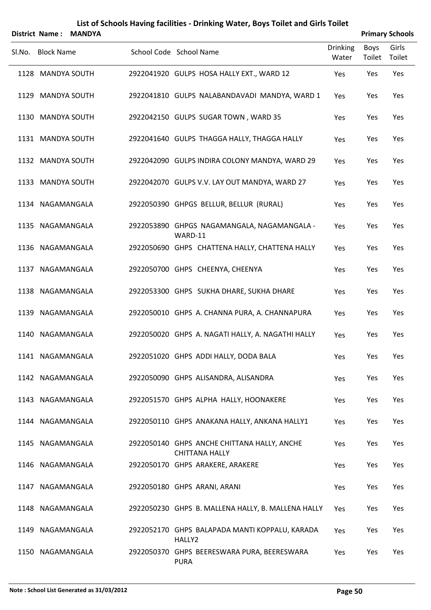|        |                   | District Name: MANDYA |                                                                      |                          |                | <b>Primary Schools</b> |
|--------|-------------------|-----------------------|----------------------------------------------------------------------|--------------------------|----------------|------------------------|
| SI.No. | <b>Block Name</b> |                       | School Code School Name                                              | <b>Drinking</b><br>Water | Boys<br>Toilet | Girls<br>Toilet        |
|        | 1128 MANDYA SOUTH |                       | 2922041920 GULPS HOSA HALLY EXT., WARD 12                            | Yes                      | Yes            | Yes                    |
|        | 1129 MANDYA SOUTH |                       | 2922041810 GULPS NALABANDAVADI MANDYA, WARD 1                        | Yes                      | Yes            | Yes                    |
|        | 1130 MANDYA SOUTH |                       | 2922042150 GULPS SUGAR TOWN, WARD 35                                 | Yes                      | Yes            | Yes                    |
|        | 1131 MANDYA SOUTH |                       | 2922041640 GULPS THAGGA HALLY, THAGGA HALLY                          | Yes                      | Yes            | Yes                    |
|        | 1132 MANDYA SOUTH |                       | 2922042090 GULPS INDIRA COLONY MANDYA, WARD 29                       | <b>Yes</b>               | Yes            | Yes                    |
|        | 1133 MANDYA SOUTH |                       | 2922042070 GULPS V.V. LAY OUT MANDYA, WARD 27                        | Yes                      | Yes            | Yes                    |
|        | 1134 NAGAMANGALA  |                       | 2922050390 GHPGS BELLUR, BELLUR (RURAL)                              | Yes                      | Yes            | Yes                    |
|        | 1135 NAGAMANGALA  |                       | 2922053890 GHPGS NAGAMANGALA, NAGAMANGALA -<br>WARD-11               | Yes                      | Yes            | Yes                    |
|        | 1136 NAGAMANGALA  |                       | 2922050690 GHPS CHATTENA HALLY, CHATTENA HALLY                       | Yes                      | Yes            | Yes                    |
|        | 1137 NAGAMANGALA  |                       | 2922050700 GHPS CHEENYA, CHEENYA                                     | Yes                      | Yes            | Yes                    |
|        | 1138 NAGAMANGALA  |                       | 2922053300 GHPS SUKHA DHARE, SUKHA DHARE                             | Yes                      | Yes            | Yes                    |
|        | 1139 NAGAMANGALA  |                       | 2922050010 GHPS A. CHANNA PURA, A. CHANNAPURA                        | Yes                      | Yes            | Yes                    |
|        | 1140 NAGAMANGALA  |                       | 2922050020 GHPS A. NAGATI HALLY, A. NAGATHI HALLY                    | Yes                      | Yes            | Yes                    |
|        | 1141 NAGAMANGALA  |                       | 2922051020 GHPS ADDI HALLY, DODA BALA                                | Yes                      | Yes            | Yes                    |
|        | 1142 NAGAMANGALA  |                       | 2922050090 GHPS ALISANDRA, ALISANDRA                                 | Yes                      | Yes            | Yes                    |
|        | 1143 NAGAMANGALA  |                       | 2922051570 GHPS ALPHA HALLY, HOONAKERE                               | Yes                      | Yes            | Yes                    |
|        | 1144 NAGAMANGALA  |                       | 2922050110 GHPS ANAKANA HALLY, ANKANA HALLY1                         | Yes                      | Yes            | Yes                    |
|        | 1145 NAGAMANGALA  |                       | 2922050140 GHPS ANCHE CHITTANA HALLY, ANCHE<br><b>CHITTANA HALLY</b> | Yes                      | Yes            | Yes                    |
|        | 1146 NAGAMANGALA  |                       | 2922050170 GHPS ARAKERE, ARAKERE                                     | Yes                      | Yes            | Yes                    |
|        | 1147 NAGAMANGALA  |                       | 2922050180 GHPS ARANI, ARANI                                         | Yes                      | Yes            | Yes                    |
|        | 1148 NAGAMANGALA  |                       | 2922050230 GHPS B. MALLENA HALLY, B. MALLENA HALLY                   | Yes                      | Yes            | Yes                    |
|        | 1149 NAGAMANGALA  |                       | 2922052170 GHPS BALAPADA MANTI KOPPALU, KARADA<br>HALLY2             | Yes                      | Yes            | Yes                    |
|        | 1150 NAGAMANGALA  |                       | 2922050370 GHPS BEERESWARA PURA, BEERESWARA<br><b>PURA</b>           | Yes                      | Yes            | Yes                    |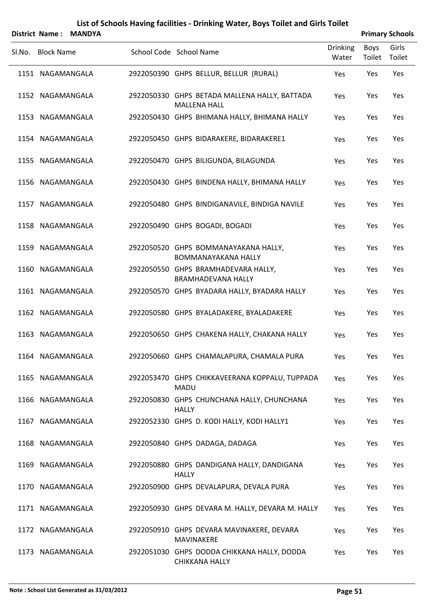|        |                   | District Name: MANDYA |                                                                      |                          |                | <b>Primary Schools</b> |
|--------|-------------------|-----------------------|----------------------------------------------------------------------|--------------------------|----------------|------------------------|
| SI.No. | <b>Block Name</b> |                       | School Code School Name                                              | <b>Drinking</b><br>Water | Boys<br>Toilet | Girls<br>Toilet        |
|        | 1151 NAGAMANGALA  |                       | 2922050390 GHPS BELLUR, BELLUR (RURAL)                               | Yes                      | Yes            | Yes                    |
|        | 1152 NAGAMANGALA  |                       | 2922050330 GHPS BETADA MALLENA HALLY, BATTADA<br><b>MALLENA HALL</b> | Yes                      | Yes            | Yes                    |
|        | 1153 NAGAMANGALA  |                       | 2922050430 GHPS BHIMANA HALLY, BHIMANA HALLY                         | Yes                      | Yes            | Yes                    |
|        | 1154 NAGAMANGALA  |                       | 2922050450 GHPS BIDARAKERE, BIDARAKERE1                              | Yes                      | Yes            | Yes                    |
|        | 1155 NAGAMANGALA  |                       | 2922050470 GHPS BILIGUNDA, BILAGUNDA                                 | Yes                      | Yes            | Yes                    |
|        | 1156 NAGAMANGALA  |                       | 2922050430 GHPS BINDENA HALLY, BHIMANA HALLY                         | Yes                      | Yes            | Yes                    |
|        | 1157 NAGAMANGALA  |                       | 2922050480 GHPS BINDIGANAVILE, BINDIGA NAVILE                        | Yes                      | Yes            | Yes                    |
|        | 1158 NAGAMANGALA  |                       | 2922050490 GHPS BOGADI, BOGADI                                       | Yes                      | Yes            | Yes                    |
|        | 1159 NAGAMANGALA  |                       | 2922050520 GHPS BOMMANAYAKANA HALLY,<br><b>BOMMANAYAKANA HALLY</b>   | Yes                      | Yes            | Yes                    |
|        | 1160 NAGAMANGALA  |                       | 2922050550 GHPS BRAMHADEVARA HALLY,<br><b>BRAMHADEVANA HALLY</b>     | Yes                      | Yes            | Yes                    |
|        | 1161 NAGAMANGALA  |                       | 2922050570 GHPS BYADARA HALLY, BYADARA HALLY                         | Yes                      | Yes            | Yes                    |
|        | 1162 NAGAMANGALA  |                       | 2922050580 GHPS BYALADAKERE, BYALADAKERE                             | Yes                      | Yes            | Yes                    |
|        | 1163 NAGAMANGALA  |                       | 2922050650 GHPS CHAKENA HALLY, CHAKANA HALLY                         | Yes                      | Yes            | Yes                    |
|        | 1164 NAGAMANGALA  |                       | 2922050660 GHPS CHAMALAPURA, CHAMALA PURA                            | Yes                      | Yes            | Yes                    |
|        | 1165 NAGAMANGALA  |                       | 2922053470 GHPS CHIKKAVEERANA KOPPALU, TUPPADA<br><b>MADU</b>        | Yes                      | Yes            | Yes                    |
|        | 1166 NAGAMANGALA  |                       | 2922050830 GHPS CHUNCHANA HALLY, CHUNCHANA<br><b>HALLY</b>           | Yes                      | Yes            | Yes                    |
|        | 1167 NAGAMANGALA  |                       | 2922052330 GHPS D. KODI HALLY, KODI HALLY1                           | Yes                      | Yes            | Yes                    |
|        | 1168 NAGAMANGALA  |                       | 2922050840 GHPS DADAGA, DADAGA                                       | Yes                      | Yes            | Yes                    |
|        | 1169 NAGAMANGALA  |                       | 2922050880 GHPS DANDIGANA HALLY, DANDIGANA<br><b>HALLY</b>           | Yes                      | Yes            | Yes                    |
|        | 1170 NAGAMANGALA  |                       | 2922050900 GHPS DEVALAPURA, DEVALA PURA                              | Yes                      | Yes            | Yes                    |
|        | 1171 NAGAMANGALA  |                       | 2922050930 GHPS DEVARA M. HALLY, DEVARA M. HALLY                     | Yes                      | Yes            | Yes                    |
|        | 1172 NAGAMANGALA  |                       | 2922050910 GHPS DEVARA MAVINAKERE, DEVARA<br>MAVINAKERE              | Yes                      | Yes            | Yes                    |
|        | 1173 NAGAMANGALA  |                       | 2922051030 GHPS DODDA CHIKKANA HALLY, DODDA<br>CHIKKANA HALLY        | Yes                      | Yes            | Yes                    |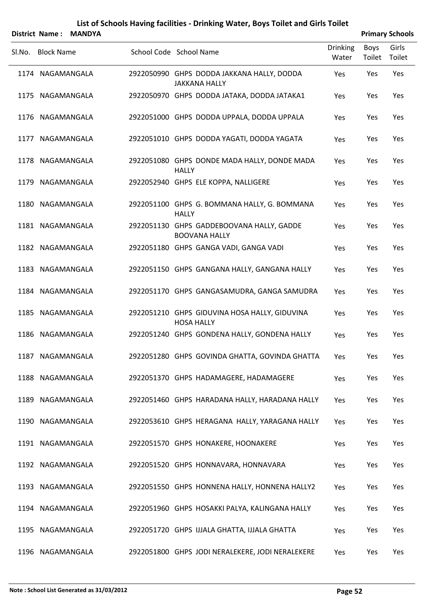|        |                   | District Name: MANDYA |                                                                    |                          |                | <b>Primary Schools</b> |
|--------|-------------------|-----------------------|--------------------------------------------------------------------|--------------------------|----------------|------------------------|
| Sl.No. | <b>Block Name</b> |                       | School Code School Name                                            | <b>Drinking</b><br>Water | Boys<br>Toilet | Girls<br>Toilet        |
|        | 1174 NAGAMANGALA  |                       | 2922050990 GHPS DODDA JAKKANA HALLY, DODDA<br><b>JAKKANA HALLY</b> | Yes                      | Yes            | Yes                    |
|        | 1175 NAGAMANGALA  |                       | 2922050970 GHPS DODDA JATAKA, DODDA JATAKA1                        | Yes                      | Yes            | Yes                    |
|        | 1176 NAGAMANGALA  |                       | 2922051000 GHPS DODDA UPPALA, DODDA UPPALA                         | Yes                      | Yes            | Yes                    |
|        | 1177 NAGAMANGALA  |                       | 2922051010 GHPS DODDA YAGATI, DODDA YAGATA                         | Yes                      | Yes            | Yes                    |
|        | 1178 NAGAMANGALA  |                       | 2922051080 GHPS DONDE MADA HALLY, DONDE MADA<br><b>HALLY</b>       | Yes                      | Yes            | Yes                    |
|        | 1179 NAGAMANGALA  |                       | 2922052940 GHPS ELE KOPPA, NALLIGERE                               | Yes                      | Yes            | Yes                    |
|        | 1180 NAGAMANGALA  |                       | 2922051100 GHPS G. BOMMANA HALLY, G. BOMMANA<br><b>HALLY</b>       | Yes                      | Yes            | Yes                    |
|        | 1181 NAGAMANGALA  |                       | 2922051130 GHPS GADDEBOOVANA HALLY, GADDE<br><b>BOOVANA HALLY</b>  | Yes                      | Yes            | Yes                    |
|        | 1182 NAGAMANGALA  |                       | 2922051180 GHPS GANGA VADI, GANGA VADI                             | Yes                      | Yes            | Yes                    |
|        | 1183 NAGAMANGALA  |                       | 2922051150 GHPS GANGANA HALLY, GANGANA HALLY                       | Yes                      | Yes            | Yes                    |
|        | 1184 NAGAMANGALA  |                       | 2922051170 GHPS GANGASAMUDRA, GANGA SAMUDRA                        | Yes                      | Yes            | Yes                    |
|        | 1185 NAGAMANGALA  |                       | 2922051210 GHPS GIDUVINA HOSA HALLY, GIDUVINA<br><b>HOSA HALLY</b> | Yes                      | Yes            | Yes                    |
|        | 1186 NAGAMANGALA  |                       | 2922051240 GHPS GONDENA HALLY, GONDENA HALLY                       | Yes                      | Yes            | Yes                    |
|        | 1187 NAGAMANGALA  |                       | 2922051280 GHPS GOVINDA GHATTA, GOVINDA GHATTA                     | Yes                      | Yes            | Yes                    |
|        | 1188 NAGAMANGALA  |                       | 2922051370 GHPS HADAMAGERE, HADAMAGERE                             | Yes                      | Yes            | Yes                    |
|        | 1189 NAGAMANGALA  |                       | 2922051460 GHPS HARADANA HALLY, HARADANA HALLY                     | Yes                      | Yes            | Yes                    |
|        | 1190 NAGAMANGALA  |                       | 2922053610 GHPS HERAGANA HALLY, YARAGANA HALLY                     | Yes                      | Yes            | Yes                    |
|        | 1191 NAGAMANGALA  |                       | 2922051570 GHPS HONAKERE, HOONAKERE                                | Yes                      | Yes            | Yes                    |
|        | 1192 NAGAMANGALA  |                       | 2922051520 GHPS HONNAVARA, HONNAVARA                               | Yes                      | Yes            | Yes                    |
|        | 1193 NAGAMANGALA  |                       | 2922051550 GHPS HONNENA HALLY, HONNENA HALLY2                      | Yes                      | Yes            | Yes                    |
|        | 1194 NAGAMANGALA  |                       | 2922051960 GHPS HOSAKKI PALYA, KALINGANA HALLY                     | Yes                      | Yes            | Yes                    |
|        | 1195 NAGAMANGALA  |                       | 2922051720 GHPS IJJALA GHATTA, IJJALA GHATTA                       | Yes                      | Yes            | Yes                    |
|        | 1196 NAGAMANGALA  |                       | 2922051800 GHPS JODI NERALEKERE, JODI NERALEKERE                   | Yes                      | Yes            | Yes                    |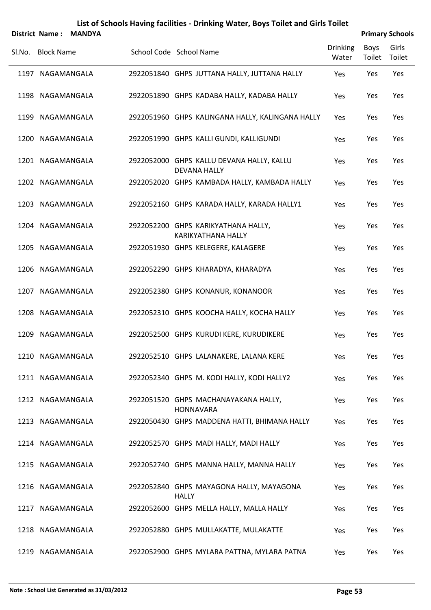|        | District Name:    | <b>MANDYA</b> |                                                                  |                          |                | <b>Primary Schools</b> |
|--------|-------------------|---------------|------------------------------------------------------------------|--------------------------|----------------|------------------------|
| Sl.No. | <b>Block Name</b> |               | School Code School Name                                          | <b>Drinking</b><br>Water | Boys<br>Toilet | Girls<br>Toilet        |
|        | 1197 NAGAMANGALA  |               | 2922051840 GHPS JUTTANA HALLY, JUTTANA HALLY                     | Yes                      | Yes            | Yes                    |
|        | 1198 NAGAMANGALA  |               | 2922051890 GHPS KADABA HALLY, KADABA HALLY                       | Yes                      | Yes            | Yes                    |
|        | 1199 NAGAMANGALA  |               | 2922051960 GHPS KALINGANA HALLY, KALINGANA HALLY                 | Yes                      | Yes            | Yes                    |
|        | 1200 NAGAMANGALA  |               | 2922051990 GHPS KALLI GUNDI, KALLIGUNDI                          | Yes                      | Yes            | Yes                    |
|        | 1201 NAGAMANGALA  |               | 2922052000 GHPS KALLU DEVANA HALLY, KALLU<br><b>DEVANA HALLY</b> | Yes                      | Yes            | Yes                    |
|        | 1202 NAGAMANGALA  |               | 2922052020 GHPS KAMBADA HALLY, KAMBADA HALLY                     | Yes                      | Yes            | Yes                    |
|        | 1203 NAGAMANGALA  |               | 2922052160 GHPS KARADA HALLY, KARADA HALLY1                      | Yes                      | Yes            | Yes                    |
|        | 1204 NAGAMANGALA  |               | 2922052200 GHPS KARIKYATHANA HALLY,<br>KARIKYATHANA HALLY        | Yes                      | Yes            | Yes                    |
|        | 1205 NAGAMANGALA  |               | 2922051930 GHPS KELEGERE, KALAGERE                               | Yes                      | Yes            | Yes                    |
|        | 1206 NAGAMANGALA  |               | 2922052290 GHPS KHARADYA, KHARADYA                               | Yes                      | Yes            | Yes                    |
|        | 1207 NAGAMANGALA  |               | 2922052380 GHPS KONANUR, KONANOOR                                | Yes                      | Yes            | Yes                    |
|        | 1208 NAGAMANGALA  |               | 2922052310 GHPS KOOCHA HALLY, KOCHA HALLY                        | Yes                      | Yes            | Yes                    |
|        | 1209 NAGAMANGALA  |               | 2922052500 GHPS KURUDI KERE, KURUDIKERE                          | Yes                      | Yes            | Yes                    |
|        | 1210 NAGAMANGALA  |               | 2922052510 GHPS LALANAKERE, LALANA KERE                          | Yes                      | Yes            | Yes                    |
|        | 1211 NAGAMANGALA  |               | 2922052340 GHPS M. KODI HALLY, KODI HALLY2                       | Yes                      | Yes            | Yes                    |
|        | 1212 NAGAMANGALA  |               | 2922051520 GHPS MACHANAYAKANA HALLY,<br><b>HONNAVARA</b>         | Yes                      | Yes            | Yes                    |
|        | 1213 NAGAMANGALA  |               | 2922050430 GHPS MADDENA HATTI, BHIMANA HALLY                     | Yes                      | Yes            | Yes                    |
|        | 1214 NAGAMANGALA  |               | 2922052570 GHPS MADI HALLY, MADI HALLY                           | Yes                      | Yes            | Yes                    |
|        | 1215 NAGAMANGALA  |               | 2922052740 GHPS MANNA HALLY, MANNA HALLY                         | Yes                      | Yes            | Yes                    |
|        | 1216 NAGAMANGALA  |               | 2922052840 GHPS MAYAGONA HALLY, MAYAGONA<br><b>HALLY</b>         | Yes                      | Yes            | Yes                    |
|        | 1217 NAGAMANGALA  |               | 2922052600 GHPS MELLA HALLY, MALLA HALLY                         | Yes                      | Yes            | Yes                    |
|        | 1218 NAGAMANGALA  |               | 2922052880 GHPS MULLAKATTE, MULAKATTE                            | Yes                      | Yes            | Yes                    |
|        | 1219 NAGAMANGALA  |               | 2922052900 GHPS MYLARA PATTNA, MYLARA PATNA                      | Yes                      | Yes            | Yes                    |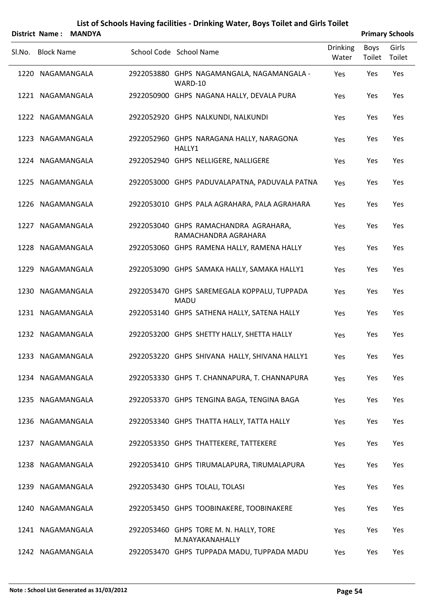|        | District Name:    | <b>MANDYA</b> |                                                               |                          |                | <b>Primary Schools</b> |
|--------|-------------------|---------------|---------------------------------------------------------------|--------------------------|----------------|------------------------|
| Sl.No. | <b>Block Name</b> |               | School Code School Name                                       | <b>Drinking</b><br>Water | Boys<br>Toilet | Girls<br>Toilet        |
|        | 1220 NAGAMANGALA  |               | 2922053880 GHPS NAGAMANGALA, NAGAMANGALA -<br>WARD-10         | Yes                      | Yes            | Yes                    |
|        | 1221 NAGAMANGALA  |               | 2922050900 GHPS NAGANA HALLY, DEVALA PURA                     | Yes                      | Yes            | Yes                    |
|        | 1222 NAGAMANGALA  |               | 2922052920 GHPS NALKUNDI, NALKUNDI                            | Yes                      | Yes            | Yes                    |
|        | 1223 NAGAMANGALA  |               | 2922052960 GHPS NARAGANA HALLY, NARAGONA<br>HALLY1            | Yes                      | Yes            | Yes                    |
|        | 1224 NAGAMANGALA  |               | 2922052940 GHPS NELLIGERE, NALLIGERE                          | Yes                      | Yes            | Yes                    |
|        | 1225 NAGAMANGALA  |               | 2922053000 GHPS PADUVALAPATNA, PADUVALA PATNA                 | Yes                      | Yes            | Yes                    |
|        | 1226 NAGAMANGALA  |               | 2922053010 GHPS PALA AGRAHARA, PALA AGRAHARA                  | Yes                      | Yes            | Yes                    |
|        | 1227 NAGAMANGALA  |               | 2922053040 GHPS RAMACHANDRA AGRAHARA,<br>RAMACHANDRA AGRAHARA | Yes                      | Yes            | Yes                    |
|        | 1228 NAGAMANGALA  |               | 2922053060 GHPS RAMENA HALLY, RAMENA HALLY                    | Yes                      | Yes            | Yes                    |
|        | 1229 NAGAMANGALA  |               | 2922053090 GHPS SAMAKA HALLY, SAMAKA HALLY1                   | Yes                      | Yes            | Yes                    |
|        | 1230 NAGAMANGALA  |               | 2922053470 GHPS SAREMEGALA KOPPALU, TUPPADA<br><b>MADU</b>    | Yes                      | Yes            | Yes                    |
|        | 1231 NAGAMANGALA  |               | 2922053140 GHPS SATHENA HALLY, SATENA HALLY                   | Yes                      | Yes            | Yes                    |
|        | 1232 NAGAMANGALA  |               | 2922053200 GHPS SHETTY HALLY, SHETTA HALLY                    | Yes                      | Yes            | Yes                    |
|        | 1233 NAGAMANGALA  |               | 2922053220 GHPS SHIVANA HALLY, SHIVANA HALLY1                 | Yes                      | Yes            | Yes                    |
|        | 1234 NAGAMANGALA  |               | 2922053330 GHPS T. CHANNAPURA, T. CHANNAPURA                  | Yes                      | Yes            | Yes                    |
|        | 1235 NAGAMANGALA  |               | 2922053370 GHPS TENGINA BAGA, TENGINA BAGA                    | Yes                      | Yes            | Yes                    |
|        | 1236 NAGAMANGALA  |               | 2922053340 GHPS THATTA HALLY, TATTA HALLY                     | Yes                      | Yes            | Yes                    |
|        | 1237 NAGAMANGALA  |               | 2922053350 GHPS THATTEKERE, TATTEKERE                         | Yes                      | Yes            | Yes                    |
|        | 1238 NAGAMANGALA  |               | 2922053410 GHPS TIRUMALAPURA, TIRUMALAPURA                    | Yes                      | Yes            | Yes                    |
|        | 1239 NAGAMANGALA  |               | 2922053430 GHPS TOLALI, TOLASI                                | Yes                      | Yes            | Yes                    |
|        | 1240 NAGAMANGALA  |               | 2922053450 GHPS TOOBINAKERE, TOOBINAKERE                      | Yes                      | Yes            | Yes                    |
|        | 1241 NAGAMANGALA  |               | 2922053460 GHPS TORE M. N. HALLY, TORE<br>M.NAYAKANAHALLY     | Yes                      | Yes            | Yes                    |
|        | 1242 NAGAMANGALA  |               | 2922053470 GHPS TUPPADA MADU, TUPPADA MADU                    | Yes                      | Yes            | Yes                    |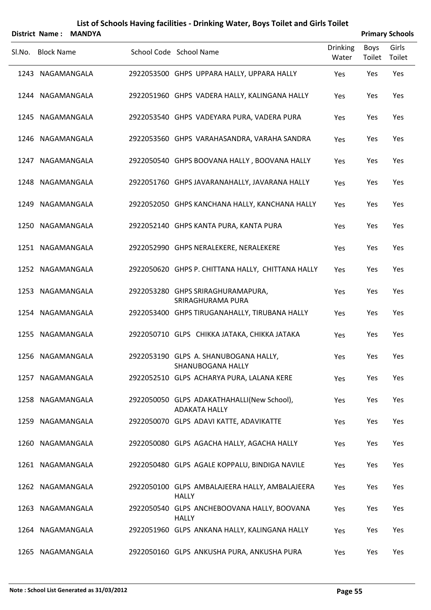|        |                   | District Name: MANDYA |                                                                   |                          |                | <b>Primary Schools</b> |
|--------|-------------------|-----------------------|-------------------------------------------------------------------|--------------------------|----------------|------------------------|
| Sl.No. | <b>Block Name</b> |                       | School Code School Name                                           | <b>Drinking</b><br>Water | Boys<br>Toilet | Girls<br>Toilet        |
|        | 1243 NAGAMANGALA  |                       | 2922053500 GHPS UPPARA HALLY, UPPARA HALLY                        | Yes                      | Yes            | Yes                    |
|        | 1244 NAGAMANGALA  |                       | 2922051960 GHPS VADERA HALLY, KALINGANA HALLY                     | Yes                      | Yes            | Yes                    |
|        | 1245 NAGAMANGALA  |                       | 2922053540 GHPS VADEYARA PURA, VADERA PURA                        | Yes                      | Yes            | Yes                    |
|        | 1246 NAGAMANGALA  |                       | 2922053560 GHPS VARAHASANDRA, VARAHA SANDRA                       | Yes                      | Yes            | Yes                    |
|        | 1247 NAGAMANGALA  |                       | 2922050540 GHPS BOOVANA HALLY, BOOVANA HALLY                      | Yes                      | Yes            | Yes                    |
|        | 1248 NAGAMANGALA  |                       | 2922051760 GHPS JAVARANAHALLY, JAVARANA HALLY                     | Yes                      | Yes            | Yes                    |
|        | 1249 NAGAMANGALA  |                       | 2922052050 GHPS KANCHANA HALLY, KANCHANA HALLY                    | Yes                      | Yes            | Yes                    |
|        | 1250 NAGAMANGALA  |                       | 2922052140 GHPS KANTA PURA, KANTA PURA                            | Yes                      | Yes            | Yes                    |
|        | 1251 NAGAMANGALA  |                       | 2922052990 GHPS NERALEKERE, NERALEKERE                            | Yes                      | Yes            | Yes                    |
|        | 1252 NAGAMANGALA  |                       | 2922050620 GHPS P. CHITTANA HALLY, CHITTANA HALLY                 | Yes                      | Yes            | Yes                    |
|        | 1253 NAGAMANGALA  |                       | 2922053280 GHPS SRIRAGHURAMAPURA,<br>SRIRAGHURAMA PURA            | Yes                      | Yes            | Yes                    |
|        | 1254 NAGAMANGALA  |                       | 2922053400 GHPS TIRUGANAHALLY, TIRUBANA HALLY                     | Yes                      | Yes            | Yes                    |
|        | 1255 NAGAMANGALA  |                       | 2922050710 GLPS CHIKKA JATAKA, CHIKKA JATAKA                      | Yes                      | Yes            | Yes                    |
|        | 1256 NAGAMANGALA  |                       | 2922053190 GLPS A. SHANUBOGANA HALLY,<br><b>SHANUBOGANA HALLY</b> | Yes                      | Yes            | Yes                    |
|        | 1257 NAGAMANGALA  |                       | 2922052510 GLPS ACHARYA PURA, LALANA KERE                         | Yes                      | Yes            | Yes                    |
|        | 1258 NAGAMANGALA  |                       | 2922050050 GLPS ADAKATHAHALLI(New School),<br>ADAKATA HALLY       | Yes                      | Yes            | Yes                    |
|        | 1259 NAGAMANGALA  |                       | 2922050070 GLPS ADAVI KATTE, ADAVIKATTE                           | Yes                      | Yes            | Yes                    |
|        | 1260 NAGAMANGALA  |                       | 2922050080 GLPS AGACHA HALLY, AGACHA HALLY                        | Yes                      | Yes            | Yes                    |
|        | 1261 NAGAMANGALA  |                       | 2922050480 GLPS AGALE KOPPALU, BINDIGA NAVILE                     | Yes                      | Yes            | Yes                    |
|        | 1262 NAGAMANGALA  |                       | 2922050100 GLPS AMBALAJEERA HALLY, AMBALAJEERA<br><b>HALLY</b>    | Yes                      | Yes            | Yes                    |
|        | 1263 NAGAMANGALA  |                       | 2922050540 GLPS ANCHEBOOVANA HALLY, BOOVANA<br><b>HALLY</b>       | Yes                      | Yes            | Yes                    |
|        | 1264 NAGAMANGALA  |                       | 2922051960 GLPS ANKANA HALLY, KALINGANA HALLY                     | Yes                      | Yes            | Yes                    |
|        | 1265 NAGAMANGALA  |                       | 2922050160 GLPS ANKUSHA PURA, ANKUSHA PURA                        | Yes                      | Yes            | Yes                    |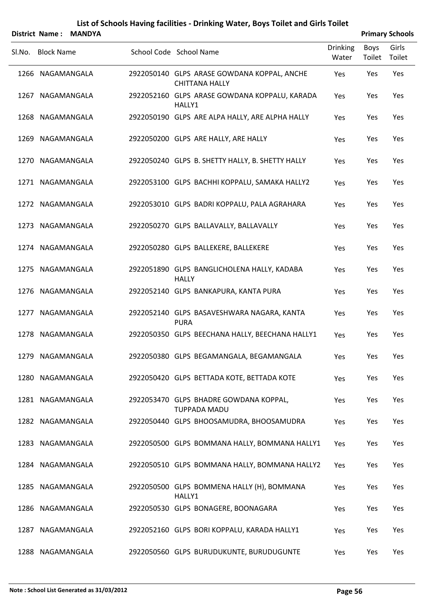|                   | District Name: MANDYA |                                                                      |                          |                | <b>Primary Schools</b> |
|-------------------|-----------------------|----------------------------------------------------------------------|--------------------------|----------------|------------------------|
| SI.No. Block Name |                       | School Code School Name                                              | <b>Drinking</b><br>Water | Boys<br>Toilet | Girls<br>Toilet        |
| 1266 NAGAMANGALA  |                       | 2922050140 GLPS ARASE GOWDANA KOPPAL, ANCHE<br><b>CHITTANA HALLY</b> | Yes                      | Yes            | Yes                    |
| 1267 NAGAMANGALA  |                       | 2922052160 GLPS ARASE GOWDANA KOPPALU, KARADA<br>HALLY1              | Yes                      | Yes            | Yes                    |
| 1268 NAGAMANGALA  |                       | 2922050190 GLPS ARE ALPA HALLY, ARE ALPHA HALLY                      | Yes                      | Yes            | Yes                    |
| 1269 NAGAMANGALA  |                       | 2922050200 GLPS ARE HALLY, ARE HALLY                                 | Yes                      | Yes            | Yes                    |
| 1270 NAGAMANGALA  |                       | 2922050240 GLPS B. SHETTY HALLY, B. SHETTY HALLY                     | Yes                      | Yes            | Yes                    |
| 1271 NAGAMANGALA  |                       | 2922053100 GLPS BACHHI KOPPALU, SAMAKA HALLY2                        | Yes                      | Yes            | Yes                    |
| 1272 NAGAMANGALA  |                       | 2922053010 GLPS BADRI KOPPALU, PALA AGRAHARA                         | Yes                      | Yes            | Yes                    |
| 1273 NAGAMANGALA  |                       | 2922050270 GLPS BALLAVALLY, BALLAVALLY                               | Yes                      | Yes            | Yes                    |
| 1274 NAGAMANGALA  |                       | 2922050280 GLPS BALLEKERE, BALLEKERE                                 | Yes                      | Yes            | Yes                    |
| 1275 NAGAMANGALA  |                       | 2922051890 GLPS BANGLICHOLENA HALLY, KADABA<br><b>HALLY</b>          | Yes                      | Yes            | Yes                    |
| 1276 NAGAMANGALA  |                       | 2922052140 GLPS BANKAPURA, KANTA PURA                                | Yes                      | Yes            | Yes                    |
| 1277 NAGAMANGALA  |                       | 2922052140 GLPS BASAVESHWARA NAGARA, KANTA<br><b>PURA</b>            | Yes                      | Yes            | Yes                    |
| 1278 NAGAMANGALA  |                       | 2922050350 GLPS BEECHANA HALLY, BEECHANA HALLY1                      | Yes                      | Yes            | Yes                    |
| 1279 NAGAMANGALA  |                       | 2922050380 GLPS BEGAMANGALA, BEGAMANGALA                             | Yes                      | Yes            | Yes                    |
| 1280 NAGAMANGALA  |                       | 2922050420 GLPS BETTADA KOTE, BETTADA KOTE                           | Yes                      | Yes            | Yes                    |
| 1281 NAGAMANGALA  |                       | 2922053470 GLPS BHADRE GOWDANA KOPPAL,<br><b>TUPPADA MADU</b>        | Yes                      | Yes            | Yes                    |
| 1282 NAGAMANGALA  |                       | 2922050440 GLPS BHOOSAMUDRA, BHOOSAMUDRA                             | Yes                      | Yes            | Yes                    |
| 1283 NAGAMANGALA  |                       | 2922050500 GLPS BOMMANA HALLY, BOMMANA HALLY1                        | Yes                      | Yes            | Yes                    |
| 1284 NAGAMANGALA  |                       | 2922050510 GLPS BOMMANA HALLY, BOMMANA HALLY2                        | Yes                      | Yes            | Yes                    |
| 1285 NAGAMANGALA  |                       | 2922050500 GLPS BOMMENA HALLY (H), BOMMANA<br>HALLY1                 | Yes                      | Yes            | Yes                    |
| 1286 NAGAMANGALA  |                       | 2922050530 GLPS BONAGERE, BOONAGARA                                  | Yes                      | Yes            | Yes                    |
| 1287 NAGAMANGALA  |                       | 2922052160 GLPS BORI KOPPALU, KARADA HALLY1                          | Yes                      | Yes            | Yes                    |
| 1288 NAGAMANGALA  |                       | 2922050560 GLPS BURUDUKUNTE, BURUDUGUNTE                             | Yes                      | Yes            | Yes                    |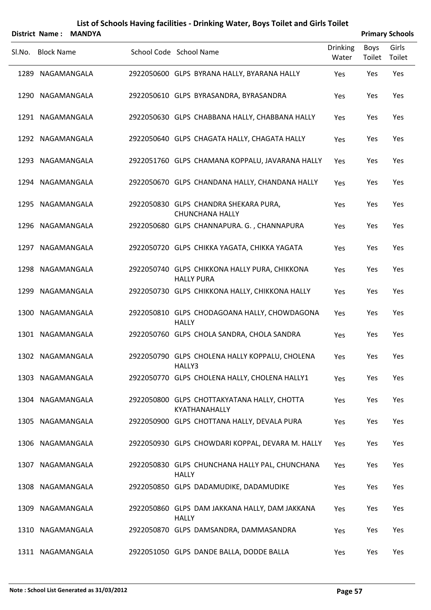|        | District Name:    | <b>MANDYA</b> |                                                                    |                          |                | <b>Primary Schools</b> |
|--------|-------------------|---------------|--------------------------------------------------------------------|--------------------------|----------------|------------------------|
| Sl.No. | <b>Block Name</b> |               | School Code School Name                                            | <b>Drinking</b><br>Water | Boys<br>Toilet | Girls<br>Toilet        |
|        | 1289 NAGAMANGALA  |               | 2922050600 GLPS BYRANA HALLY, BYARANA HALLY                        | Yes                      | Yes            | Yes                    |
|        | 1290 NAGAMANGALA  |               | 2922050610 GLPS BYRASANDRA, BYRASANDRA                             | Yes                      | Yes            | Yes                    |
|        | 1291 NAGAMANGALA  |               | 2922050630 GLPS CHABBANA HALLY, CHABBANA HALLY                     | Yes                      | Yes            | Yes                    |
|        | 1292 NAGAMANGALA  |               | 2922050640 GLPS CHAGATA HALLY, CHAGATA HALLY                       | Yes                      | Yes            | Yes                    |
|        | 1293 NAGAMANGALA  |               | 2922051760 GLPS CHAMANA KOPPALU, JAVARANA HALLY                    | Yes                      | Yes            | Yes                    |
|        | 1294 NAGAMANGALA  |               | 2922050670 GLPS CHANDANA HALLY, CHANDANA HALLY                     | Yes                      | Yes            | Yes                    |
|        | 1295 NAGAMANGALA  |               | 2922050830 GLPS CHANDRA SHEKARA PURA,<br><b>CHUNCHANA HALLY</b>    | Yes                      | Yes            | Yes                    |
|        | 1296 NAGAMANGALA  |               | 2922050680 GLPS CHANNAPURA. G., CHANNAPURA                         | Yes                      | Yes            | Yes                    |
|        | 1297 NAGAMANGALA  |               | 2922050720 GLPS CHIKKA YAGATA, CHIKKA YAGATA                       | Yes                      | Yes            | Yes                    |
|        | 1298 NAGAMANGALA  |               | 2922050740 GLPS CHIKKONA HALLY PURA, CHIKKONA<br><b>HALLY PURA</b> | Yes                      | Yes            | Yes                    |
|        | 1299 NAGAMANGALA  |               | 2922050730 GLPS CHIKKONA HALLY, CHIKKONA HALLY                     | Yes                      | Yes            | Yes                    |
|        | 1300 NAGAMANGALA  |               | 2922050810 GLPS CHODAGOANA HALLY, CHOWDAGONA<br><b>HALLY</b>       | Yes                      | Yes            | Yes                    |
|        | 1301 NAGAMANGALA  |               | 2922050760 GLPS CHOLA SANDRA, CHOLA SANDRA                         | Yes                      | Yes            | Yes                    |
|        | 1302 NAGAMANGALA  |               | 2922050790 GLPS CHOLENA HALLY KOPPALU, CHOLENA<br>HALLY3           | Yes                      | Yes            | Yes                    |
|        | 1303 NAGAMANGALA  |               | 2922050770 GLPS CHOLENA HALLY, CHOLENA HALLY1                      | Yes                      | Yes            | Yes                    |
|        | 1304 NAGAMANGALA  |               | 2922050800 GLPS CHOTTAKYATANA HALLY, CHOTTA<br>KYATHANAHALLY       | Yes                      | Yes            | Yes                    |
|        | 1305 NAGAMANGALA  |               | 2922050900 GLPS CHOTTANA HALLY, DEVALA PURA                        | Yes                      | Yes            | Yes                    |
|        | 1306 NAGAMANGALA  |               | 2922050930 GLPS CHOWDARI KOPPAL, DEVARA M. HALLY                   | Yes                      | Yes            | Yes                    |
|        | 1307 NAGAMANGALA  |               | 2922050830 GLPS CHUNCHANA HALLY PAL, CHUNCHANA<br><b>HALLY</b>     | Yes                      | Yes            | Yes                    |
|        | 1308 NAGAMANGALA  |               | 2922050850 GLPS DADAMUDIKE, DADAMUDIKE                             | Yes                      | Yes            | Yes                    |
|        | 1309 NAGAMANGALA  |               | 2922050860 GLPS DAM JAKKANA HALLY, DAM JAKKANA<br><b>HALLY</b>     | Yes                      | Yes            | Yes                    |
|        | 1310 NAGAMANGALA  |               | 2922050870 GLPS DAMSANDRA, DAMMASANDRA                             | Yes                      | Yes            | Yes                    |
|        | 1311 NAGAMANGALA  |               | 2922051050 GLPS DANDE BALLA, DODDE BALLA                           | Yes                      | Yes            | Yes                    |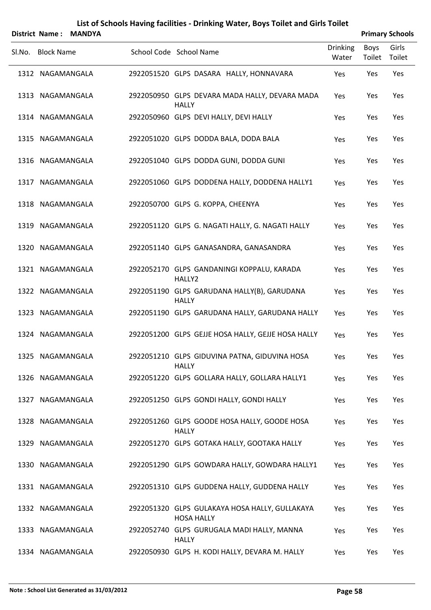|        | District Name: MANDYA |                                                                     |                          |                | <b>Primary Schools</b> |
|--------|-----------------------|---------------------------------------------------------------------|--------------------------|----------------|------------------------|
| SI.No. | <b>Block Name</b>     | School Code School Name                                             | <b>Drinking</b><br>Water | Boys<br>Toilet | Girls<br>Toilet        |
|        | 1312 NAGAMANGALA      | 2922051520 GLPS DASARA HALLY, HONNAVARA                             | Yes                      | Yes            | Yes                    |
|        | 1313 NAGAMANGALA      | 2922050950 GLPS DEVARA MADA HALLY, DEVARA MADA<br><b>HALLY</b>      | Yes                      | Yes            | Yes                    |
|        | 1314 NAGAMANGALA      | 2922050960 GLPS DEVI HALLY, DEVI HALLY                              | Yes                      | Yes            | Yes                    |
|        | 1315 NAGAMANGALA      | 2922051020 GLPS DODDA BALA, DODA BALA                               | Yes                      | Yes            | Yes                    |
|        | 1316 NAGAMANGALA      | 2922051040 GLPS DODDA GUNI, DODDA GUNI                              | Yes                      | Yes            | Yes                    |
|        | 1317 NAGAMANGALA      | 2922051060 GLPS DODDENA HALLY, DODDENA HALLY1                       | Yes                      | Yes            | Yes                    |
|        | 1318 NAGAMANGALA      | 2922050700 GLPS G. KOPPA, CHEENYA                                   | Yes                      | Yes            | Yes                    |
|        | 1319 NAGAMANGALA      | 2922051120 GLPS G. NAGATI HALLY, G. NAGATI HALLY                    | Yes                      | Yes            | Yes                    |
|        | 1320 NAGAMANGALA      | 2922051140 GLPS GANASANDRA, GANASANDRA                              | Yes                      | Yes            | Yes                    |
|        | 1321 NAGAMANGALA      | 2922052170 GLPS GANDANINGI KOPPALU, KARADA<br>HALLY2                | Yes                      | Yes            | Yes                    |
|        | 1322 NAGAMANGALA      | 2922051190 GLPS GARUDANA HALLY(B), GARUDANA<br><b>HALLY</b>         | Yes                      | Yes            | Yes                    |
|        | 1323 NAGAMANGALA      | 2922051190 GLPS GARUDANA HALLY, GARUDANA HALLY                      | Yes                      | Yes            | Yes                    |
|        | 1324 NAGAMANGALA      | 2922051200 GLPS GEJJE HOSA HALLY, GEJJE HOSA HALLY                  | Yes                      | Yes            | Yes                    |
|        | 1325 NAGAMANGALA      | 2922051210 GLPS GIDUVINA PATNA, GIDUVINA HOSA<br><b>HALLY</b>       | Yes                      | Yes            | Yes                    |
|        | 1326 NAGAMANGALA      | 2922051220 GLPS GOLLARA HALLY, GOLLARA HALLY1                       | Yes                      | Yes            | Yes                    |
|        | 1327 NAGAMANGALA      | 2922051250 GLPS GONDI HALLY, GONDI HALLY                            | Yes                      | Yes            | Yes                    |
|        | 1328 NAGAMANGALA      | 2922051260 GLPS GOODE HOSA HALLY, GOODE HOSA<br><b>HALLY</b>        | Yes                      | Yes            | Yes                    |
|        | 1329 NAGAMANGALA      | 2922051270 GLPS GOTAKA HALLY, GOOTAKA HALLY                         | Yes                      | Yes            | Yes                    |
|        | 1330 NAGAMANGALA      | 2922051290 GLPS GOWDARA HALLY, GOWDARA HALLY1                       | Yes                      | Yes            | Yes                    |
|        | 1331 NAGAMANGALA      | 2922051310 GLPS GUDDENA HALLY, GUDDENA HALLY                        | Yes                      | Yes            | Yes                    |
|        | 1332 NAGAMANGALA      | 2922051320 GLPS GULAKAYA HOSA HALLY, GULLAKAYA<br><b>HOSA HALLY</b> | Yes                      | Yes            | Yes                    |
|        | 1333 NAGAMANGALA      | 2922052740 GLPS GURUGALA MADI HALLY, MANNA<br><b>HALLY</b>          | Yes                      | Yes            | Yes                    |
|        | 1334 NAGAMANGALA      | 2922050930 GLPS H. KODI HALLY, DEVARA M. HALLY                      | Yes                      | Yes            | Yes                    |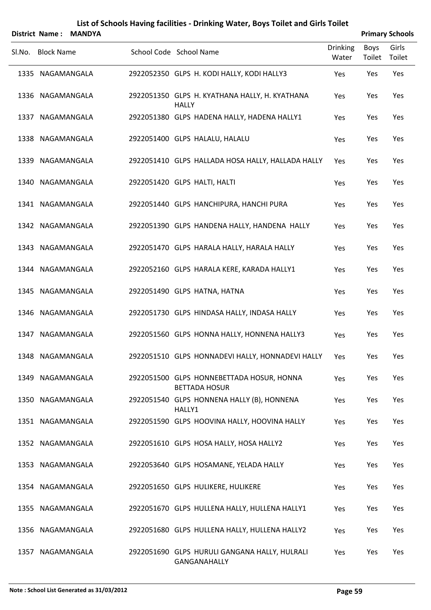|        | District Name:    | <b>MANDYA</b> |                                                                   |                          |                       | <b>Primary Schools</b> |
|--------|-------------------|---------------|-------------------------------------------------------------------|--------------------------|-----------------------|------------------------|
| Sl.No. | <b>Block Name</b> |               | School Code School Name                                           | <b>Drinking</b><br>Water | <b>Boys</b><br>Toilet | Girls<br>Toilet        |
|        | 1335 NAGAMANGALA  |               | 2922052350 GLPS H. KODI HALLY, KODI HALLY3                        | Yes                      | Yes                   | Yes                    |
|        | 1336 NAGAMANGALA  |               | 2922051350 GLPS H. KYATHANA HALLY, H. KYATHANA<br><b>HALLY</b>    | Yes                      | Yes                   | Yes                    |
|        | 1337 NAGAMANGALA  |               | 2922051380 GLPS HADENA HALLY, HADENA HALLY1                       | Yes                      | Yes                   | Yes                    |
|        | 1338 NAGAMANGALA  |               | 2922051400 GLPS HALALU, HALALU                                    | Yes                      | Yes                   | Yes                    |
|        | 1339 NAGAMANGALA  |               | 2922051410 GLPS HALLADA HOSA HALLY, HALLADA HALLY                 | Yes                      | Yes                   | Yes                    |
|        | 1340 NAGAMANGALA  |               | 2922051420 GLPS HALTI, HALTI                                      | Yes                      | Yes                   | Yes                    |
|        | 1341 NAGAMANGALA  |               | 2922051440 GLPS HANCHIPURA, HANCHI PURA                           | Yes                      | Yes                   | Yes                    |
|        | 1342 NAGAMANGALA  |               | 2922051390 GLPS HANDENA HALLY, HANDENA HALLY                      | Yes                      | Yes                   | Yes                    |
|        | 1343 NAGAMANGALA  |               | 2922051470 GLPS HARALA HALLY, HARALA HALLY                        | Yes                      | Yes                   | Yes                    |
|        | 1344 NAGAMANGALA  |               | 2922052160 GLPS HARALA KERE, KARADA HALLY1                        | Yes                      | Yes                   | Yes                    |
|        | 1345 NAGAMANGALA  |               | 2922051490 GLPS HATNA, HATNA                                      | Yes                      | Yes                   | Yes                    |
|        | 1346 NAGAMANGALA  |               | 2922051730 GLPS HINDASA HALLY, INDASA HALLY                       | Yes                      | Yes                   | Yes                    |
|        | 1347 NAGAMANGALA  |               | 2922051560 GLPS HONNA HALLY, HONNENA HALLY3                       | Yes                      | Yes                   | Yes                    |
|        | 1348 NAGAMANGALA  |               | 2922051510 GLPS HONNADEVI HALLY, HONNADEVI HALLY                  | Yes                      | Yes                   | Yes                    |
|        | 1349 NAGAMANGALA  |               | 2922051500 GLPS HONNEBETTADA HOSUR, HONNA<br><b>BETTADA HOSUR</b> | Yes                      | Yes                   | Yes                    |
|        | 1350 NAGAMANGALA  |               | 2922051540 GLPS HONNENA HALLY (B), HONNENA<br>HALLY1              | Yes                      | Yes                   | Yes                    |
|        | 1351 NAGAMANGALA  |               | 2922051590 GLPS HOOVINA HALLY, HOOVINA HALLY                      | Yes                      | Yes                   | Yes                    |
|        | 1352 NAGAMANGALA  |               | 2922051610 GLPS HOSA HALLY, HOSA HALLY2                           | Yes                      | Yes                   | Yes                    |
|        | 1353 NAGAMANGALA  |               | 2922053640 GLPS HOSAMANE, YELADA HALLY                            | Yes                      | Yes                   | Yes                    |
|        | 1354 NAGAMANGALA  |               | 2922051650 GLPS HULIKERE, HULIKERE                                | Yes                      | Yes                   | Yes                    |
|        | 1355 NAGAMANGALA  |               | 2922051670 GLPS HULLENA HALLY, HULLENA HALLY1                     | Yes                      | Yes                   | Yes                    |
|        | 1356 NAGAMANGALA  |               | 2922051680 GLPS HULLENA HALLY, HULLENA HALLY2                     | Yes                      | Yes                   | Yes                    |
|        | 1357 NAGAMANGALA  |               | 2922051690 GLPS HURULI GANGANA HALLY, HULRALI<br>GANGANAHALLY     | Yes                      | Yes                   | Yes                    |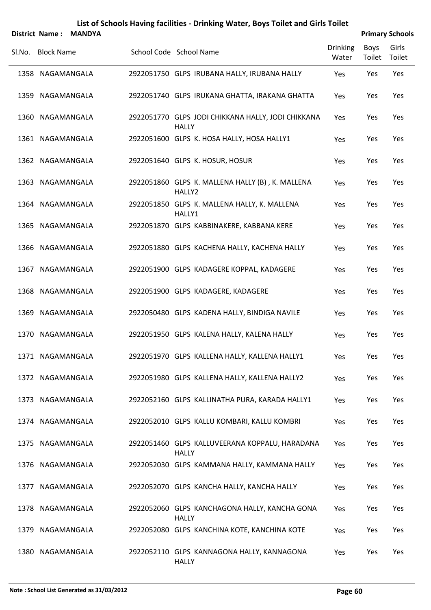|                   | District Name: MANDYA |                                                                    |                          |                | <b>Primary Schools</b> |
|-------------------|-----------------------|--------------------------------------------------------------------|--------------------------|----------------|------------------------|
| Sl.No. Block Name |                       | School Code School Name                                            | <b>Drinking</b><br>Water | Boys<br>Toilet | Girls<br>Toilet        |
| 1358 NAGAMANGALA  |                       | 2922051750 GLPS IRUBANA HALLY, IRUBANA HALLY                       | Yes                      | Yes            | Yes                    |
| 1359 NAGAMANGALA  |                       | 2922051740 GLPS IRUKANA GHATTA, IRAKANA GHATTA                     | Yes                      | Yes            | Yes                    |
| 1360 NAGAMANGALA  |                       | 2922051770 GLPS JODI CHIKKANA HALLY, JODI CHIKKANA<br><b>HALLY</b> | <b>Yes</b>               | Yes            | Yes                    |
| 1361 NAGAMANGALA  |                       | 2922051600 GLPS K. HOSA HALLY, HOSA HALLY1                         | Yes                      | Yes            | Yes                    |
| 1362 NAGAMANGALA  |                       | 2922051640 GLPS K. HOSUR, HOSUR                                    | Yes                      | Yes            | Yes                    |
| 1363 NAGAMANGALA  |                       | 2922051860 GLPS K. MALLENA HALLY (B), K. MALLENA<br>HALLY2         | Yes                      | Yes            | Yes                    |
| 1364 NAGAMANGALA  |                       | 2922051850 GLPS K. MALLENA HALLY, K. MALLENA<br>HALLY1             | Yes                      | Yes            | Yes                    |
| 1365 NAGAMANGALA  |                       | 2922051870 GLPS KABBINAKERE, KABBANA KERE                          | Yes                      | Yes            | Yes                    |
| 1366 NAGAMANGALA  |                       | 2922051880 GLPS KACHENA HALLY, KACHENA HALLY                       | Yes                      | Yes            | Yes                    |
| 1367 NAGAMANGALA  |                       | 2922051900 GLPS KADAGERE KOPPAL, KADAGERE                          | Yes                      | Yes            | Yes                    |
| 1368 NAGAMANGALA  |                       | 2922051900 GLPS KADAGERE, KADAGERE                                 | Yes                      | Yes            | Yes                    |
| 1369 NAGAMANGALA  |                       | 2922050480 GLPS KADENA HALLY, BINDIGA NAVILE                       | Yes                      | Yes            | Yes                    |
| 1370 NAGAMANGALA  |                       | 2922051950 GLPS KALENA HALLY, KALENA HALLY                         | Yes                      | Yes            | Yes                    |
| 1371 NAGAMANGALA  |                       | 2922051970 GLPS KALLENA HALLY, KALLENA HALLY1                      | Yes                      | Yes            | Yes                    |
| 1372 NAGAMANGALA  |                       | 2922051980 GLPS KALLENA HALLY, KALLENA HALLY2                      | Yes                      | Yes            | Yes                    |
| 1373 NAGAMANGALA  |                       | 2922052160 GLPS KALLINATHA PURA, KARADA HALLY1                     | Yes                      | Yes            | Yes                    |
| 1374 NAGAMANGALA  |                       | 2922052010 GLPS KALLU KOMBARI, KALLU KOMBRI                        | Yes                      | Yes            | Yes                    |
| 1375 NAGAMANGALA  |                       | 2922051460 GLPS KALLUVEERANA KOPPALU, HARADANA<br><b>HALLY</b>     | Yes                      | Yes            | Yes                    |
| 1376 NAGAMANGALA  |                       | 2922052030 GLPS KAMMANA HALLY, KAMMANA HALLY                       | Yes                      | Yes            | Yes                    |
| 1377 NAGAMANGALA  |                       | 2922052070 GLPS KANCHA HALLY, KANCHA HALLY                         | Yes                      | Yes            | Yes                    |
| 1378 NAGAMANGALA  |                       | 2922052060 GLPS KANCHAGONA HALLY, KANCHA GONA<br><b>HALLY</b>      | Yes                      | Yes            | Yes                    |
| 1379 NAGAMANGALA  |                       | 2922052080 GLPS KANCHINA KOTE, KANCHINA KOTE                       | Yes                      | Yes            | Yes                    |
| 1380 NAGAMANGALA  |                       | 2922052110 GLPS KANNAGONA HALLY, KANNAGONA<br><b>HALLY</b>         | Yes                      | Yes            | Yes                    |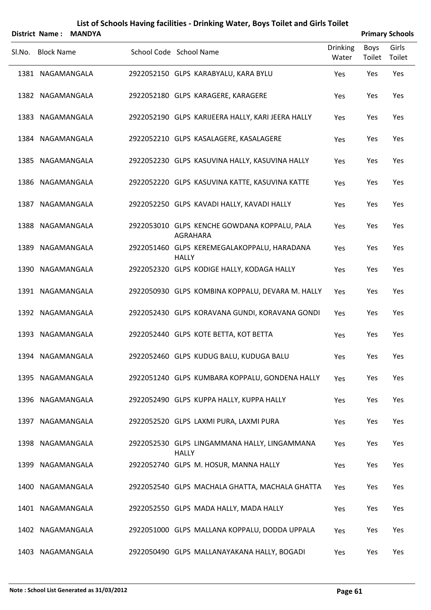|        | District Name: MANDYA |  |                                                              |                          |                | <b>Primary Schools</b> |
|--------|-----------------------|--|--------------------------------------------------------------|--------------------------|----------------|------------------------|
| SI.No. | <b>Block Name</b>     |  | School Code School Name                                      | <b>Drinking</b><br>Water | Boys<br>Toilet | Girls<br>Toilet        |
|        | 1381 NAGAMANGALA      |  | 2922052150 GLPS KARABYALU, KARA BYLU                         | Yes                      | Yes            | Yes                    |
|        | 1382 NAGAMANGALA      |  | 2922052180 GLPS KARAGERE, KARAGERE                           | Yes                      | Yes            | Yes                    |
|        | 1383 NAGAMANGALA      |  | 2922052190 GLPS KARIJEERA HALLY, KARI JEERA HALLY            | Yes                      | Yes            | Yes                    |
|        | 1384 NAGAMANGALA      |  | 2922052210 GLPS KASALAGERE, KASALAGERE                       | Yes                      | Yes            | Yes                    |
|        | 1385 NAGAMANGALA      |  | 2922052230 GLPS KASUVINA HALLY, KASUVINA HALLY               | Yes                      | Yes            | Yes                    |
|        | 1386 NAGAMANGALA      |  | 2922052220 GLPS KASUVINA KATTE, KASUVINA KATTE               | Yes                      | Yes            | Yes                    |
|        | 1387 NAGAMANGALA      |  | 2922052250 GLPS KAVADI HALLY, KAVADI HALLY                   | Yes                      | Yes            | Yes                    |
|        | 1388 NAGAMANGALA      |  | 2922053010 GLPS KENCHE GOWDANA KOPPALU, PALA<br>AGRAHARA     | Yes                      | Yes            | Yes                    |
|        | 1389 NAGAMANGALA      |  | 2922051460 GLPS KEREMEGALAKOPPALU, HARADANA<br><b>HALLY</b>  | Yes                      | Yes            | Yes                    |
|        | 1390 NAGAMANGALA      |  | 2922052320 GLPS KODIGE HALLY, KODAGA HALLY                   | Yes                      | Yes            | Yes                    |
|        | 1391 NAGAMANGALA      |  | 2922050930 GLPS KOMBINA KOPPALU, DEVARA M. HALLY             | Yes                      | Yes            | Yes                    |
|        | 1392 NAGAMANGALA      |  | 2922052430 GLPS KORAVANA GUNDI, KORAVANA GONDI               | Yes                      | Yes            | Yes                    |
|        | 1393 NAGAMANGALA      |  | 2922052440 GLPS KOTE BETTA, KOT BETTA                        | Yes                      | Yes            | Yes                    |
|        | 1394 NAGAMANGALA      |  | 2922052460 GLPS KUDUG BALU, KUDUGA BALU                      | Yes                      | Yes            | Yes                    |
|        | 1395 NAGAMANGALA      |  | 2922051240 GLPS KUMBARA KOPPALU, GONDENA HALLY               | Yes                      | Yes            | Yes                    |
|        | 1396 NAGAMANGALA      |  | 2922052490 GLPS KUPPA HALLY, KUPPA HALLY                     | Yes                      | Yes            | Yes                    |
|        | 1397 NAGAMANGALA      |  | 2922052520 GLPS LAXMI PURA, LAXMI PURA                       | Yes                      | Yes            | Yes                    |
|        | 1398 NAGAMANGALA      |  | 2922052530 GLPS LINGAMMANA HALLY, LINGAMMANA<br><b>HALLY</b> | Yes                      | Yes            | Yes                    |
|        | 1399 NAGAMANGALA      |  | 2922052740 GLPS M. HOSUR, MANNA HALLY                        | Yes                      | Yes            | Yes                    |
|        | 1400 NAGAMANGALA      |  | 2922052540 GLPS MACHALA GHATTA, MACHALA GHATTA               | Yes                      | Yes            | Yes                    |
|        | 1401 NAGAMANGALA      |  | 2922052550 GLPS MADA HALLY, MADA HALLY                       | Yes                      | Yes            | Yes                    |
|        | 1402 NAGAMANGALA      |  | 2922051000 GLPS MALLANA KOPPALU, DODDA UPPALA                | Yes                      | Yes            | Yes                    |
|        | 1403 NAGAMANGALA      |  | 2922050490 GLPS MALLANAYAKANA HALLY, BOGADI                  | Yes                      | Yes            | Yes                    |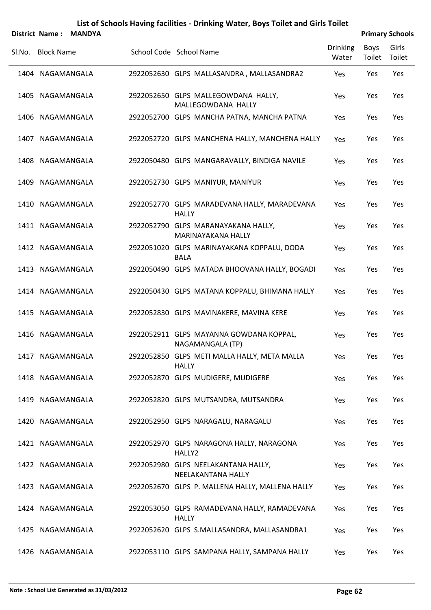|        |                   | District Name: MANDYA |                                                              |                          |                | <b>Primary Schools</b> |
|--------|-------------------|-----------------------|--------------------------------------------------------------|--------------------------|----------------|------------------------|
| Sl.No. | <b>Block Name</b> |                       | School Code School Name                                      | <b>Drinking</b><br>Water | Boys<br>Toilet | Girls<br>Toilet        |
|        | 1404 NAGAMANGALA  |                       | 2922052630 GLPS MALLASANDRA, MALLASANDRA2                    | Yes                      | Yes            | Yes                    |
|        | 1405 NAGAMANGALA  |                       | 2922052650 GLPS MALLEGOWDANA HALLY,<br>MALLEGOWDANA HALLY    | Yes                      | Yes            | Yes                    |
|        | 1406 NAGAMANGALA  |                       | 2922052700 GLPS MANCHA PATNA, MANCHA PATNA                   | Yes                      | Yes            | Yes                    |
|        | 1407 NAGAMANGALA  |                       | 2922052720 GLPS MANCHENA HALLY, MANCHENA HALLY               | Yes                      | Yes            | Yes                    |
|        | 1408 NAGAMANGALA  |                       | 2922050480 GLPS MANGARAVALLY, BINDIGA NAVILE                 | Yes                      | Yes            | Yes                    |
|        | 1409 NAGAMANGALA  |                       | 2922052730 GLPS MANIYUR, MANIYUR                             | Yes                      | Yes            | Yes                    |
|        | 1410 NAGAMANGALA  |                       | 2922052770 GLPS MARADEVANA HALLY, MARADEVANA<br><b>HALLY</b> | Yes                      | Yes            | Yes                    |
|        | 1411 NAGAMANGALA  |                       | 2922052790 GLPS MARANAYAKANA HALLY,<br>MARINAYAKANA HALLY    | Yes                      | Yes            | Yes                    |
|        | 1412 NAGAMANGALA  |                       | 2922051020 GLPS MARINAYAKANA KOPPALU, DODA<br><b>BALA</b>    | Yes                      | Yes            | Yes                    |
|        | 1413 NAGAMANGALA  |                       | 2922050490 GLPS MATADA BHOOVANA HALLY, BOGADI                | Yes                      | Yes            | Yes                    |
|        | 1414 NAGAMANGALA  |                       | 2922050430 GLPS MATANA KOPPALU, BHIMANA HALLY                | Yes                      | Yes            | Yes                    |
|        | 1415 NAGAMANGALA  |                       | 2922052830 GLPS MAVINAKERE, MAVINA KERE                      | Yes                      | Yes            | Yes                    |
|        | 1416 NAGAMANGALA  |                       | 2922052911 GLPS MAYANNA GOWDANA KOPPAL,<br>NAGAMANGALA (TP)  | Yes                      | Yes            | Yes                    |
|        | 1417 NAGAMANGALA  |                       | 2922052850 GLPS METI MALLA HALLY, META MALLA<br><b>HALLY</b> | Yes                      | Yes            | Yes                    |
|        | 1418 NAGAMANGALA  |                       | 2922052870 GLPS MUDIGERE, MUDIGERE                           | Yes                      | Yes            | Yes                    |
|        | 1419 NAGAMANGALA  |                       | 2922052820 GLPS MUTSANDRA, MUTSANDRA                         | Yes                      | Yes            | Yes                    |
|        | 1420 NAGAMANGALA  |                       | 2922052950 GLPS NARAGALU, NARAGALU                           | Yes                      | Yes            | Yes                    |
|        | 1421 NAGAMANGALA  |                       | 2922052970 GLPS NARAGONA HALLY, NARAGONA<br>HALLY2           | Yes                      | Yes            | Yes                    |
|        | 1422 NAGAMANGALA  |                       | 2922052980 GLPS NEELAKANTANA HALLY,<br>NEELAKANTANA HALLY    | Yes                      | Yes            | Yes                    |
|        | 1423 NAGAMANGALA  |                       | 2922052670 GLPS P. MALLENA HALLY, MALLENA HALLY              | Yes                      | Yes            | Yes                    |
|        | 1424 NAGAMANGALA  |                       | 2922053050 GLPS RAMADEVANA HALLY, RAMADEVANA<br><b>HALLY</b> | Yes                      | Yes            | Yes                    |
|        | 1425 NAGAMANGALA  |                       | 2922052620 GLPS S.MALLASANDRA, MALLASANDRA1                  | Yes                      | Yes            | Yes                    |
|        | 1426 NAGAMANGALA  |                       | 2922053110 GLPS SAMPANA HALLY, SAMPANA HALLY                 | Yes                      | Yes            | Yes                    |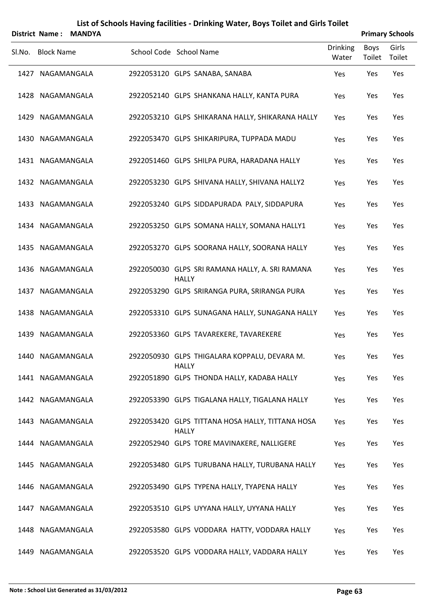| <b>MANDYA</b> |                                                                                                                                                                                                                                                                                                                                                                                                                                                                                             |  |                                                                                                                                                                                                                                                                                                                                                                                                                                                                                                                                                                                                                                                                                                                                                                                                                                                                                                                                                                                                                                                                                                                                                        |                                        | <b>Primary Schools</b>                 |
|---------------|---------------------------------------------------------------------------------------------------------------------------------------------------------------------------------------------------------------------------------------------------------------------------------------------------------------------------------------------------------------------------------------------------------------------------------------------------------------------------------------------|--|--------------------------------------------------------------------------------------------------------------------------------------------------------------------------------------------------------------------------------------------------------------------------------------------------------------------------------------------------------------------------------------------------------------------------------------------------------------------------------------------------------------------------------------------------------------------------------------------------------------------------------------------------------------------------------------------------------------------------------------------------------------------------------------------------------------------------------------------------------------------------------------------------------------------------------------------------------------------------------------------------------------------------------------------------------------------------------------------------------------------------------------------------------|----------------------------------------|----------------------------------------|
|               |                                                                                                                                                                                                                                                                                                                                                                                                                                                                                             |  | <b>Drinking</b><br>Water                                                                                                                                                                                                                                                                                                                                                                                                                                                                                                                                                                                                                                                                                                                                                                                                                                                                                                                                                                                                                                                                                                                               | Boys<br>Toilet                         | Girls<br>Toilet                        |
|               |                                                                                                                                                                                                                                                                                                                                                                                                                                                                                             |  | Yes                                                                                                                                                                                                                                                                                                                                                                                                                                                                                                                                                                                                                                                                                                                                                                                                                                                                                                                                                                                                                                                                                                                                                    | Yes                                    | Yes                                    |
|               |                                                                                                                                                                                                                                                                                                                                                                                                                                                                                             |  | Yes                                                                                                                                                                                                                                                                                                                                                                                                                                                                                                                                                                                                                                                                                                                                                                                                                                                                                                                                                                                                                                                                                                                                                    | Yes                                    | Yes                                    |
|               |                                                                                                                                                                                                                                                                                                                                                                                                                                                                                             |  | Yes                                                                                                                                                                                                                                                                                                                                                                                                                                                                                                                                                                                                                                                                                                                                                                                                                                                                                                                                                                                                                                                                                                                                                    | Yes                                    | Yes                                    |
|               |                                                                                                                                                                                                                                                                                                                                                                                                                                                                                             |  | Yes                                                                                                                                                                                                                                                                                                                                                                                                                                                                                                                                                                                                                                                                                                                                                                                                                                                                                                                                                                                                                                                                                                                                                    | Yes                                    | Yes                                    |
|               |                                                                                                                                                                                                                                                                                                                                                                                                                                                                                             |  | Yes                                                                                                                                                                                                                                                                                                                                                                                                                                                                                                                                                                                                                                                                                                                                                                                                                                                                                                                                                                                                                                                                                                                                                    | Yes                                    | Yes                                    |
|               |                                                                                                                                                                                                                                                                                                                                                                                                                                                                                             |  | Yes                                                                                                                                                                                                                                                                                                                                                                                                                                                                                                                                                                                                                                                                                                                                                                                                                                                                                                                                                                                                                                                                                                                                                    | Yes                                    | Yes                                    |
|               |                                                                                                                                                                                                                                                                                                                                                                                                                                                                                             |  |                                                                                                                                                                                                                                                                                                                                                                                                                                                                                                                                                                                                                                                                                                                                                                                                                                                                                                                                                                                                                                                                                                                                                        |                                        | Yes                                    |
|               |                                                                                                                                                                                                                                                                                                                                                                                                                                                                                             |  |                                                                                                                                                                                                                                                                                                                                                                                                                                                                                                                                                                                                                                                                                                                                                                                                                                                                                                                                                                                                                                                                                                                                                        |                                        | Yes                                    |
|               |                                                                                                                                                                                                                                                                                                                                                                                                                                                                                             |  |                                                                                                                                                                                                                                                                                                                                                                                                                                                                                                                                                                                                                                                                                                                                                                                                                                                                                                                                                                                                                                                                                                                                                        |                                        | Yes<br>Yes                             |
|               |                                                                                                                                                                                                                                                                                                                                                                                                                                                                                             |  |                                                                                                                                                                                                                                                                                                                                                                                                                                                                                                                                                                                                                                                                                                                                                                                                                                                                                                                                                                                                                                                                                                                                                        |                                        | Yes                                    |
|               |                                                                                                                                                                                                                                                                                                                                                                                                                                                                                             |  |                                                                                                                                                                                                                                                                                                                                                                                                                                                                                                                                                                                                                                                                                                                                                                                                                                                                                                                                                                                                                                                                                                                                                        |                                        | Yes                                    |
|               |                                                                                                                                                                                                                                                                                                                                                                                                                                                                                             |  | Yes                                                                                                                                                                                                                                                                                                                                                                                                                                                                                                                                                                                                                                                                                                                                                                                                                                                                                                                                                                                                                                                                                                                                                    | Yes                                    | Yes                                    |
|               |                                                                                                                                                                                                                                                                                                                                                                                                                                                                                             |  | Yes                                                                                                                                                                                                                                                                                                                                                                                                                                                                                                                                                                                                                                                                                                                                                                                                                                                                                                                                                                                                                                                                                                                                                    | Yes                                    | Yes                                    |
|               |                                                                                                                                                                                                                                                                                                                                                                                                                                                                                             |  | Yes                                                                                                                                                                                                                                                                                                                                                                                                                                                                                                                                                                                                                                                                                                                                                                                                                                                                                                                                                                                                                                                                                                                                                    | Yes                                    | Yes                                    |
|               |                                                                                                                                                                                                                                                                                                                                                                                                                                                                                             |  | Yes                                                                                                                                                                                                                                                                                                                                                                                                                                                                                                                                                                                                                                                                                                                                                                                                                                                                                                                                                                                                                                                                                                                                                    | Yes                                    | Yes                                    |
|               |                                                                                                                                                                                                                                                                                                                                                                                                                                                                                             |  | Yes                                                                                                                                                                                                                                                                                                                                                                                                                                                                                                                                                                                                                                                                                                                                                                                                                                                                                                                                                                                                                                                                                                                                                    | Yes                                    | Yes                                    |
|               |                                                                                                                                                                                                                                                                                                                                                                                                                                                                                             |  | Yes                                                                                                                                                                                                                                                                                                                                                                                                                                                                                                                                                                                                                                                                                                                                                                                                                                                                                                                                                                                                                                                                                                                                                    | Yes                                    | Yes                                    |
|               |                                                                                                                                                                                                                                                                                                                                                                                                                                                                                             |  | Yes                                                                                                                                                                                                                                                                                                                                                                                                                                                                                                                                                                                                                                                                                                                                                                                                                                                                                                                                                                                                                                                                                                                                                    | Yes                                    | Yes                                    |
|               |                                                                                                                                                                                                                                                                                                                                                                                                                                                                                             |  | Yes                                                                                                                                                                                                                                                                                                                                                                                                                                                                                                                                                                                                                                                                                                                                                                                                                                                                                                                                                                                                                                                                                                                                                    | Yes                                    | Yes                                    |
|               |                                                                                                                                                                                                                                                                                                                                                                                                                                                                                             |  | Yes                                                                                                                                                                                                                                                                                                                                                                                                                                                                                                                                                                                                                                                                                                                                                                                                                                                                                                                                                                                                                                                                                                                                                    | Yes                                    | Yes                                    |
|               |                                                                                                                                                                                                                                                                                                                                                                                                                                                                                             |  | Yes                                                                                                                                                                                                                                                                                                                                                                                                                                                                                                                                                                                                                                                                                                                                                                                                                                                                                                                                                                                                                                                                                                                                                    | Yes                                    | Yes                                    |
|               | District Name:<br><b>Block Name</b><br>1427 NAGAMANGALA<br>1428 NAGAMANGALA<br>1429 NAGAMANGALA<br>1430 NAGAMANGALA<br>1431 NAGAMANGALA<br>1432 NAGAMANGALA<br>1433 NAGAMANGALA<br>1434 NAGAMANGALA<br>1435 NAGAMANGALA<br>1436 NAGAMANGALA<br>1437 NAGAMANGALA<br>1438 NAGAMANGALA<br>1439 NAGAMANGALA<br>1440 NAGAMANGALA<br>1441 NAGAMANGALA<br>1442 NAGAMANGALA<br>1443 NAGAMANGALA<br>1444 NAGAMANGALA<br>1445 NAGAMANGALA<br>1446 NAGAMANGALA<br>1447 NAGAMANGALA<br>1448 NAGAMANGALA |  | School Code School Name<br>2922053120 GLPS SANABA, SANABA<br>2922052140 GLPS SHANKANA HALLY, KANTA PURA<br>2922053210 GLPS SHIKARANA HALLY, SHIKARANA HALLY<br>2922053470 GLPS SHIKARIPURA, TUPPADA MADU<br>2922051460 GLPS SHILPA PURA, HARADANA HALLY<br>2922053230 GLPS SHIVANA HALLY, SHIVANA HALLY2<br>2922053240 GLPS SIDDAPURADA PALY, SIDDAPURA<br>2922053250 GLPS SOMANA HALLY, SOMANA HALLY1<br>2922053270 GLPS SOORANA HALLY, SOORANA HALLY<br>2922050030 GLPS SRI RAMANA HALLY, A. SRI RAMANA<br><b>HALLY</b><br>2922053290 GLPS SRIRANGA PURA, SRIRANGA PURA<br>2922053310 GLPS SUNAGANA HALLY, SUNAGANA HALLY<br>2922053360 GLPS TAVAREKERE, TAVAREKERE<br>2922050930 GLPS THIGALARA KOPPALU, DEVARA M.<br><b>HALLY</b><br>2922051890 GLPS THONDA HALLY, KADABA HALLY<br>2922053390 GLPS TIGALANA HALLY, TIGALANA HALLY<br>2922053420 GLPS TITTANA HOSA HALLY, TITTANA HOSA<br><b>HALLY</b><br>2922052940 GLPS TORE MAVINAKERE, NALLIGERE<br>2922053480 GLPS TURUBANA HALLY, TURUBANA HALLY<br>2922053490 GLPS TYPENA HALLY, TYAPENA HALLY<br>2922053510 GLPS UYYANA HALLY, UYYANA HALLY<br>2922053580 GLPS VODDARA HATTY, VODDARA HALLY | Yes<br>Yes<br>Yes<br>Yes<br>Yes<br>Yes | Yes<br>Yes<br>Yes<br>Yes<br>Yes<br>Yes |

1449 NAGAMANGALA 2922053520 GLPS VODDARA HALLY, VADDARA HALLY Yes Yes Yes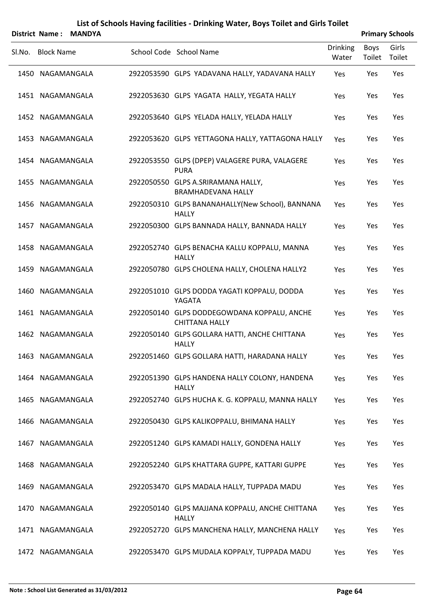|        |                   | District Name: MANDYA |                                                                      |                          |                | <b>Primary Schools</b> |
|--------|-------------------|-----------------------|----------------------------------------------------------------------|--------------------------|----------------|------------------------|
| Sl.No. | <b>Block Name</b> |                       | School Code School Name                                              | <b>Drinking</b><br>Water | Boys<br>Toilet | Girls<br>Toilet        |
|        | 1450 NAGAMANGALA  |                       | 2922053590 GLPS YADAVANA HALLY, YADAVANA HALLY                       | Yes                      | Yes            | Yes                    |
|        | 1451 NAGAMANGALA  |                       | 2922053630 GLPS YAGATA HALLY, YEGATA HALLY                           | Yes                      | Yes            | Yes                    |
|        | 1452 NAGAMANGALA  |                       | 2922053640 GLPS YELADA HALLY, YELADA HALLY                           | Yes                      | Yes            | Yes                    |
|        | 1453 NAGAMANGALA  |                       | 2922053620 GLPS YETTAGONA HALLY, YATTAGONA HALLY                     | Yes                      | Yes            | Yes                    |
|        | 1454 NAGAMANGALA  |                       | 2922053550 GLPS (DPEP) VALAGERE PURA, VALAGERE<br><b>PURA</b>        | Yes                      | Yes            | Yes                    |
|        | 1455 NAGAMANGALA  |                       | 2922050550 GLPS A.SRIRAMANA HALLY,<br><b>BRAMHADEVANA HALLY</b>      | Yes                      | Yes            | Yes                    |
|        | 1456 NAGAMANGALA  |                       | 2922050310 GLPS BANANAHALLY(New School), BANNANA<br><b>HALLY</b>     | Yes                      | Yes            | Yes                    |
|        | 1457 NAGAMANGALA  |                       | 2922050300 GLPS BANNADA HALLY, BANNADA HALLY                         | Yes                      | Yes            | Yes                    |
|        | 1458 NAGAMANGALA  |                       | 2922052740 GLPS BENACHA KALLU KOPPALU, MANNA<br><b>HALLY</b>         | Yes                      | Yes            | Yes                    |
|        | 1459 NAGAMANGALA  |                       | 2922050780 GLPS CHOLENA HALLY, CHOLENA HALLY2                        | Yes                      | Yes            | Yes                    |
|        | 1460 NAGAMANGALA  |                       | 2922051010 GLPS DODDA YAGATI KOPPALU, DODDA<br>YAGATA                | Yes                      | Yes            | Yes                    |
|        | 1461 NAGAMANGALA  |                       | 2922050140 GLPS DODDEGOWDANA KOPPALU, ANCHE<br><b>CHITTANA HALLY</b> | Yes                      | Yes            | Yes                    |
|        | 1462 NAGAMANGALA  |                       | 2922050140 GLPS GOLLARA HATTI, ANCHE CHITTANA<br><b>HALLY</b>        | Yes                      | Yes            | Yes                    |
|        | 1463 NAGAMANGALA  |                       | 2922051460 GLPS GOLLARA HATTI, HARADANA HALLY                        | Yes                      | Yes            | Yes                    |
|        | 1464 NAGAMANGALA  |                       | 2922051390 GLPS HANDENA HALLY COLONY, HANDENA<br><b>HALLY</b>        | Yes                      | Yes            | Yes                    |
|        | 1465 NAGAMANGALA  |                       | 2922052740 GLPS HUCHA K. G. KOPPALU, MANNA HALLY                     | Yes                      | Yes            | Yes                    |
|        | 1466 NAGAMANGALA  |                       | 2922050430 GLPS KALIKOPPALU, BHIMANA HALLY                           | Yes                      | Yes            | Yes                    |
|        | 1467 NAGAMANGALA  |                       | 2922051240 GLPS KAMADI HALLY, GONDENA HALLY                          | Yes                      | Yes            | Yes                    |
|        | 1468 NAGAMANGALA  |                       | 2922052240 GLPS KHATTARA GUPPE, KATTARI GUPPE                        | Yes                      | Yes            | Yes                    |
|        | 1469 NAGAMANGALA  |                       | 2922053470 GLPS MADALA HALLY, TUPPADA MADU                           | Yes                      | Yes            | Yes                    |
|        | 1470 NAGAMANGALA  |                       | 2922050140 GLPS MAJJANA KOPPALU, ANCHE CHITTANA<br><b>HALLY</b>      | Yes                      | Yes            | Yes                    |
|        | 1471 NAGAMANGALA  |                       | 2922052720 GLPS MANCHENA HALLY, MANCHENA HALLY                       | Yes                      | Yes            | Yes                    |
|        | 1472 NAGAMANGALA  |                       | 2922053470 GLPS MUDALA KOPPALY, TUPPADA MADU                         | Yes                      | Yes            | Yes                    |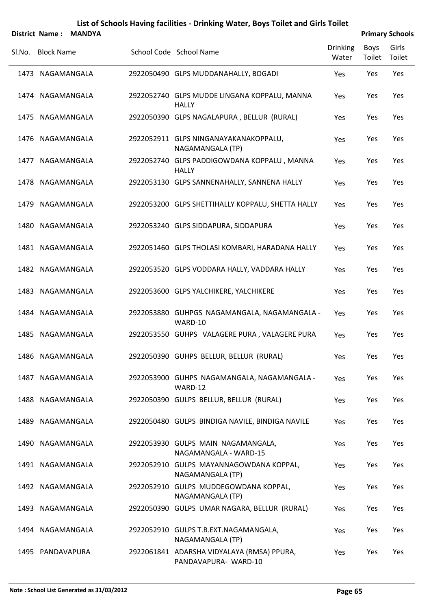|        |                   | District Name: MANDYA |                                                                    |                          |                | <b>Primary Schools</b> |
|--------|-------------------|-----------------------|--------------------------------------------------------------------|--------------------------|----------------|------------------------|
| SI.No. | <b>Block Name</b> |                       | School Code School Name                                            | <b>Drinking</b><br>Water | Boys<br>Toilet | Girls<br>Toilet        |
|        | 1473 NAGAMANGALA  |                       | 2922050490 GLPS MUDDANAHALLY, BOGADI                               | Yes                      | Yes            | Yes                    |
|        | 1474 NAGAMANGALA  |                       | 2922052740 GLPS MUDDE LINGANA KOPPALU, MANNA<br><b>HALLY</b>       | Yes                      | Yes            | Yes                    |
|        | 1475 NAGAMANGALA  |                       | 2922050390 GLPS NAGALAPURA, BELLUR (RURAL)                         | Yes                      | Yes            | Yes                    |
|        | 1476 NAGAMANGALA  |                       | 2922052911 GLPS NINGANAYAKANAKOPPALU,<br>NAGAMANGALA (TP)          | Yes                      | Yes            | Yes                    |
|        | 1477 NAGAMANGALA  |                       | 2922052740 GLPS PADDIGOWDANA KOPPALU, MANNA<br><b>HALLY</b>        | Yes                      | Yes            | Yes                    |
|        | 1478 NAGAMANGALA  |                       | 2922053130 GLPS SANNENAHALLY, SANNENA HALLY                        | Yes                      | Yes            | Yes                    |
|        | 1479 NAGAMANGALA  |                       | 2922053200 GLPS SHETTIHALLY KOPPALU, SHETTA HALLY                  | Yes                      | Yes            | Yes                    |
|        | 1480 NAGAMANGALA  |                       | 2922053240 GLPS SIDDAPURA, SIDDAPURA                               | Yes                      | Yes            | Yes                    |
|        | 1481 NAGAMANGALA  |                       | 2922051460 GLPS THOLASI KOMBARI, HARADANA HALLY                    | Yes                      | Yes            | Yes                    |
|        | 1482 NAGAMANGALA  |                       | 2922053520 GLPS VODDARA HALLY, VADDARA HALLY                       | Yes                      | Yes            | Yes                    |
|        | 1483 NAGAMANGALA  |                       | 2922053600 GLPS YALCHIKERE, YALCHIKERE                             | Yes                      | Yes            | Yes                    |
|        | 1484 NAGAMANGALA  |                       | 2922053880 GUHPGS NAGAMANGALA, NAGAMANGALA -<br>WARD-10            | Yes                      | Yes            | Yes                    |
|        | 1485 NAGAMANGALA  |                       | 2922053550 GUHPS VALAGERE PURA, VALAGERE PURA                      | Yes                      | Yes            | Yes                    |
|        | 1486 NAGAMANGALA  |                       | 2922050390 GUHPS BELLUR, BELLUR (RURAL)                            | Yes                      | Yes            | Yes                    |
|        | 1487 NAGAMANGALA  |                       | 2922053900 GUHPS NAGAMANGALA, NAGAMANGALA -<br>WARD-12             | Yes                      | Yes            | Yes                    |
|        | 1488 NAGAMANGALA  |                       | 2922050390 GULPS BELLUR, BELLUR (RURAL)                            | Yes                      | Yes            | Yes                    |
|        | 1489 NAGAMANGALA  |                       | 2922050480 GULPS BINDIGA NAVILE, BINDIGA NAVILE                    | Yes                      | Yes            | Yes                    |
|        | 1490 NAGAMANGALA  |                       | 2922053930 GULPS MAIN NAGAMANGALA,<br>NAGAMANGALA - WARD-15        | Yes                      | Yes            | Yes                    |
|        | 1491 NAGAMANGALA  |                       | 2922052910 GULPS MAYANNAGOWDANA KOPPAL,<br>NAGAMANGALA (TP)        | Yes                      | Yes            | Yes                    |
|        | 1492 NAGAMANGALA  |                       | 2922052910 GULPS MUDDEGOWDANA KOPPAL,<br>NAGAMANGALA (TP)          | Yes                      | Yes            | Yes                    |
|        | 1493 NAGAMANGALA  |                       | 2922050390 GULPS UMAR NAGARA, BELLUR (RURAL)                       | Yes                      | Yes            | Yes                    |
|        | 1494 NAGAMANGALA  |                       | 2922052910 GULPS T.B.EXT.NAGAMANGALA,<br>NAGAMANGALA (TP)          | Yes                      | Yes            | Yes                    |
|        | 1495 PANDAVAPURA  |                       | 2922061841 ADARSHA VIDYALAYA (RMSA) PPURA,<br>PANDAVAPURA- WARD-10 | Yes                      | Yes            | Yes                    |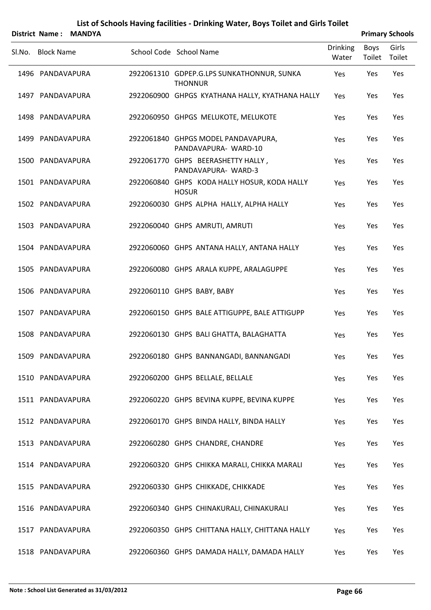|                   | District Name: MANDYA |                                                              |                          |                | <b>Primary Schools</b> |
|-------------------|-----------------------|--------------------------------------------------------------|--------------------------|----------------|------------------------|
| SI.No. Block Name |                       | School Code School Name                                      | <b>Drinking</b><br>Water | Boys<br>Toilet | Girls<br>Toilet        |
| 1496 PANDAVAPURA  |                       | 2922061310 GDPEP.G.LPS SUNKATHONNUR, SUNKA<br><b>THONNUR</b> | Yes                      | Yes            | Yes                    |
| 1497 PANDAVAPURA  |                       | 2922060900 GHPGS KYATHANA HALLY, KYATHANA HALLY              | Yes                      | Yes            | Yes                    |
| 1498 PANDAVAPURA  |                       | 2922060950 GHPGS MELUKOTE, MELUKOTE                          | Yes                      | Yes            | Yes                    |
| 1499 PANDAVAPURA  |                       | 2922061840 GHPGS MODEL PANDAVAPURA,<br>PANDAVAPURA- WARD-10  | Yes                      | Yes            | Yes                    |
| 1500 PANDAVAPURA  |                       | 2922061770 GHPS BEERASHETTY HALLY,<br>PANDAVAPURA- WARD-3    | Yes                      | Yes            | Yes                    |
| 1501 PANDAVAPURA  |                       | 2922060840 GHPS KODA HALLY HOSUR, KODA HALLY<br><b>HOSUR</b> | Yes                      | Yes            | Yes                    |
| 1502 PANDAVAPURA  |                       | 2922060030 GHPS ALPHA HALLY, ALPHA HALLY                     | Yes                      | Yes            | Yes                    |
| 1503 PANDAVAPURA  |                       | 2922060040 GHPS AMRUTI, AMRUTI                               | Yes                      | Yes            | Yes                    |
| 1504 PANDAVAPURA  |                       | 2922060060 GHPS ANTANA HALLY, ANTANA HALLY                   | Yes                      | Yes            | Yes                    |
| 1505 PANDAVAPURA  |                       | 2922060080 GHPS ARALA KUPPE, ARALAGUPPE                      | Yes                      | Yes            | Yes                    |
| 1506 PANDAVAPURA  |                       | 2922060110 GHPS BABY, BABY                                   | Yes                      | Yes            | Yes                    |
| 1507 PANDAVAPURA  |                       | 2922060150 GHPS BALE ATTIGUPPE, BALE ATTIGUPP                | Yes                      | Yes            | Yes                    |
| 1508 PANDAVAPURA  |                       | 2922060130 GHPS BALI GHATTA, BALAGHATTA                      | Yes                      | Yes            | Yes                    |
| 1509 PANDAVAPURA  |                       | 2922060180 GHPS BANNANGADI, BANNANGADI                       | Yes                      | Yes            | Yes                    |
| 1510 PANDAVAPURA  |                       | 2922060200 GHPS BELLALE, BELLALE                             | Yes                      | Yes            | Yes                    |
| 1511 PANDAVAPURA  |                       | 2922060220 GHPS BEVINA KUPPE, BEVINA KUPPE                   | Yes                      | Yes            | Yes                    |
| 1512 PANDAVAPURA  |                       | 2922060170 GHPS BINDA HALLY, BINDA HALLY                     | Yes                      | Yes            | Yes                    |
| 1513 PANDAVAPURA  |                       | 2922060280 GHPS CHANDRE, CHANDRE                             | Yes                      | Yes            | Yes                    |
| 1514 PANDAVAPURA  |                       | 2922060320 GHPS CHIKKA MARALI, CHIKKA MARALI                 | Yes                      | Yes            | Yes                    |
| 1515 PANDAVAPURA  |                       | 2922060330 GHPS CHIKKADE, CHIKKADE                           | Yes                      | Yes            | Yes                    |
| 1516 PANDAVAPURA  |                       | 2922060340 GHPS CHINAKURALI, CHINAKURALI                     | Yes                      | Yes            | Yes                    |
| 1517 PANDAVAPURA  |                       | 2922060350 GHPS CHITTANA HALLY, CHITTANA HALLY               | Yes                      | Yes            | Yes                    |
| 1518 PANDAVAPURA  |                       | 2922060360 GHPS DAMADA HALLY, DAMADA HALLY                   | Yes                      | Yes            | Yes                    |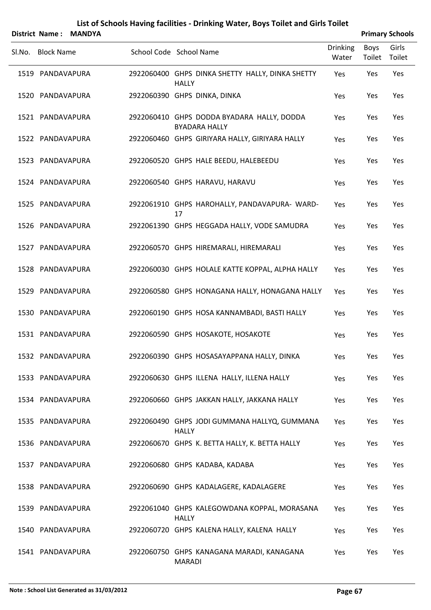| <b>District Name:</b> | <b>MANDYA</b> |                                                                    |                          |                | <b>Primary Schools</b> |
|-----------------------|---------------|--------------------------------------------------------------------|--------------------------|----------------|------------------------|
| Sl.No. Block Name     |               | School Code School Name                                            | <b>Drinking</b><br>Water | Boys<br>Toilet | Girls<br>Toilet        |
| 1519 PANDAVAPURA      |               | 2922060400 GHPS DINKA SHETTY HALLY, DINKA SHETTY<br><b>HALLY</b>   | Yes                      | Yes            | Yes                    |
| 1520 PANDAVAPURA      |               | 2922060390 GHPS DINKA, DINKA                                       | Yes                      | Yes            | Yes                    |
| 1521 PANDAVAPURA      |               | 2922060410 GHPS DODDA BYADARA HALLY, DODDA<br><b>BYADARA HALLY</b> | Yes                      | Yes            | Yes                    |
| 1522 PANDAVAPURA      |               | 2922060460 GHPS GIRIYARA HALLY, GIRIYARA HALLY                     | Yes                      | Yes            | Yes                    |
| 1523 PANDAVAPURA      |               | 2922060520 GHPS HALE BEEDU, HALEBEEDU                              | Yes                      | Yes            | Yes                    |
| 1524 PANDAVAPURA      |               | 2922060540 GHPS HARAVU, HARAVU                                     | Yes                      | Yes            | Yes                    |
| 1525 PANDAVAPURA      |               | 2922061910 GHPS HAROHALLY, PANDAVAPURA- WARD-<br>17                | Yes                      | Yes            | Yes                    |
| 1526 PANDAVAPURA      |               | 2922061390 GHPS HEGGADA HALLY, VODE SAMUDRA                        | Yes                      | Yes            | Yes                    |
| 1527 PANDAVAPURA      |               | 2922060570 GHPS HIREMARALI, HIREMARALI                             | Yes                      | Yes            | Yes                    |
| 1528 PANDAVAPURA      |               | 2922060030 GHPS HOLALE KATTE KOPPAL, ALPHA HALLY                   | Yes                      | Yes            | Yes                    |
| 1529 PANDAVAPURA      |               | 2922060580 GHPS HONAGANA HALLY, HONAGANA HALLY                     | Yes                      | Yes            | Yes                    |
| 1530 PANDAVAPURA      |               | 2922060190 GHPS HOSA KANNAMBADI, BASTI HALLY                       | Yes                      | Yes            | Yes                    |
| 1531 PANDAVAPURA      |               | 2922060590 GHPS HOSAKOTE, HOSAKOTE                                 | Yes                      | Yes            | Yes                    |
| 1532 PANDAVAPURA      |               | 2922060390 GHPS HOSASAYAPPANA HALLY, DINKA                         | Yes                      | Yes            | Yes                    |
| 1533 PANDAVAPURA      |               | 2922060630 GHPS ILLENA HALLY, ILLENA HALLY                         | Yes                      | Yes            | Yes                    |
| 1534 PANDAVAPURA      |               | 2922060660 GHPS JAKKAN HALLY, JAKKANA HALLY                        | Yes                      | Yes            | Yes                    |
| 1535 PANDAVAPURA      |               | 2922060490 GHPS JODI GUMMANA HALLYQ, GUMMANA<br><b>HALLY</b>       | Yes                      | Yes            | Yes                    |
| 1536 PANDAVAPURA      |               | 2922060670 GHPS K. BETTA HALLY, K. BETTA HALLY                     | Yes                      | Yes            | Yes                    |
| 1537 PANDAVAPURA      |               | 2922060680 GHPS KADABA, KADABA                                     | Yes                      | Yes            | Yes                    |
| 1538 PANDAVAPURA      |               | 2922060690 GHPS KADALAGERE, KADALAGERE                             | Yes                      | Yes            | Yes                    |
| 1539 PANDAVAPURA      |               | 2922061040 GHPS KALEGOWDANA KOPPAL, MORASANA<br><b>HALLY</b>       | Yes                      | Yes            | Yes                    |
| 1540 PANDAVAPURA      |               | 2922060720 GHPS KALENA HALLY, KALENA HALLY                         | Yes                      | Yes            | Yes                    |
| 1541 PANDAVAPURA      |               | 2922060750 GHPS KANAGANA MARADI, KANAGANA<br><b>MARADI</b>         | Yes                      | Yes            | Yes                    |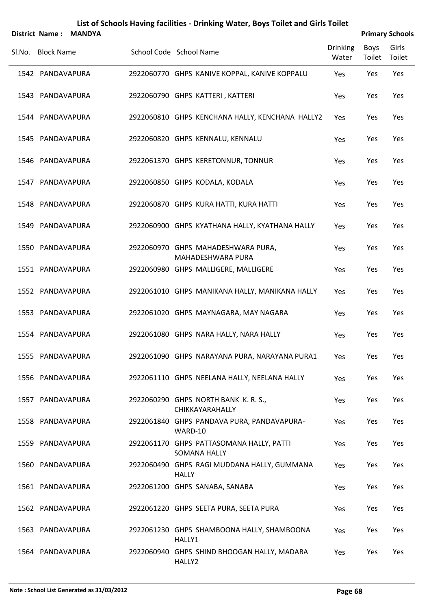| <b>District Name:</b> | <b>MANDYA</b> | List of Schools Having facilities - Drinking Water, Boys Toilet and Girls Toilet |                          |                | <b>Primary Schools</b> |
|-----------------------|---------------|----------------------------------------------------------------------------------|--------------------------|----------------|------------------------|
| Sl.No. Block Name     |               | School Code School Name                                                          | <b>Drinking</b><br>Water | Boys<br>Toilet | Girls<br>Toilet        |
| 1542 PANDAVAPURA      |               | 2922060770 GHPS KANIVE KOPPAL, KANIVE KOPPALU                                    | Yes                      | Yes            | Yes                    |
| 1543 PANDAVAPURA      |               | 2922060790 GHPS KATTERI, KATTERI                                                 | Yes                      | Yes            | Yes                    |
| 1544 PANDAVAPURA      |               | 2922060810 GHPS KENCHANA HALLY, KENCHANA HALLY2                                  | Yes                      | Yes            | Yes                    |
| 1545 PANDAVAPURA      |               | 2922060820 GHPS KENNALU, KENNALU                                                 | Yes                      | Yes            | Yes                    |
| 1546 PANDAVAPURA      |               | 2922061370 GHPS KERETONNUR, TONNUR                                               | Yes                      | Yes            | Yes                    |
| 1547 PANDAVAPURA      |               | 2922060850 GHPS KODALA, KODALA                                                   | Yes                      | Yes            | Yes                    |
| 1548 PANDAVAPURA      |               | 2922060870 GHPS KURA HATTI, KURA HATTI                                           | Yes                      | Yes            | Yes                    |
| 1549 PANDAVAPURA      |               | 2922060900 GHPS KYATHANA HALLY, KYATHANA HALLY                                   | Yes                      | Yes            | Yes                    |
| 1550 PANDAVAPURA      |               | 2922060970 GHPS MAHADESHWARA PURA,<br>MAHADESHWARA PURA                          | Yes                      | Yes            | Yes                    |
| 1551 PANDAVAPURA      |               | 2922060980 GHPS MALLIGERE, MALLIGERE                                             | Yes                      | Yes            | Yes                    |
| 1552 PANDAVAPURA      |               | 2922061010 GHPS MANIKANA HALLY, MANIKANA HALLY                                   | Yes                      | Yes            | Yes                    |
| 1553 PANDAVAPURA      |               | 2922061020 GHPS MAYNAGARA, MAY NAGARA                                            | Yes                      | Yes            | Yes                    |
| 1554 PANDAVAPURA      |               | 2922061080 GHPS NARA HALLY, NARA HALLY                                           | Yes                      | Yes            | Yes                    |
| 1555 PANDAVAPURA      |               | 2922061090 GHPS NARAYANA PURA, NARAYANA PURA1                                    | Yes                      | Yes            | Yes                    |
| 1556 PANDAVAPURA      |               | 2922061110 GHPS NEELANA HALLY, NEELANA HALLY                                     | Yes                      | Yes            | Yes                    |
| 1557 PANDAVAPURA      |               | 2922060290 GHPS NORTH BANK K. R. S.,<br>CHIKKAYARAHALLY                          | Yes                      | Yes            | Yes                    |
| 1558 PANDAVAPURA      |               | 2922061840 GHPS PANDAVA PURA, PANDAVAPURA-<br>WARD-10                            | Yes                      | Yes            | Yes                    |
| 1559 PANDAVAPURA      |               | 2922061170 GHPS PATTASOMANA HALLY, PATTI<br><b>SOMANA HALLY</b>                  | Yes                      | Yes            | Yes                    |
| 1560 PANDAVAPURA      |               | 2922060490 GHPS RAGI MUDDANA HALLY, GUMMANA<br><b>HALLY</b>                      | Yes                      | Yes            | Yes                    |
| 1561 PANDAVAPURA      |               | 2922061200 GHPS SANABA, SANABA                                                   | Yes                      | Yes            | Yes                    |
| 1562 PANDAVAPURA      |               | 2922061220 GHPS SEETA PURA, SEETA PURA                                           | Yes                      | Yes            | Yes                    |
| 1563 PANDAVAPURA      |               | 2922061230 GHPS SHAMBOONA HALLY, SHAMBOONA<br>HALLY1                             | Yes                      | Yes            | Yes                    |
| 1564 PANDAVAPURA      |               | 2922060940 GHPS SHIND BHOOGAN HALLY, MADARA<br>HALLY2                            | Yes                      | Yes            | Yes                    |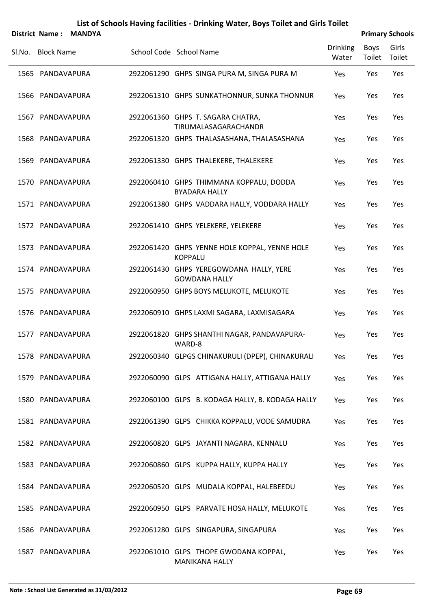|        |                   | District Name: MANDYA |                                                                 |                          |                | <b>Primary Schools</b> |
|--------|-------------------|-----------------------|-----------------------------------------------------------------|--------------------------|----------------|------------------------|
| Sl.No. | <b>Block Name</b> |                       | School Code School Name                                         | <b>Drinking</b><br>Water | Boys<br>Toilet | Girls<br>Toilet        |
|        | 1565 PANDAVAPURA  |                       | 2922061290 GHPS SINGA PURA M, SINGA PURA M                      | Yes                      | Yes            | Yes                    |
|        | 1566 PANDAVAPURA  |                       | 2922061310 GHPS SUNKATHONNUR, SUNKA THONNUR                     | Yes                      | Yes            | Yes                    |
|        | 1567 PANDAVAPURA  |                       | 2922061360 GHPS T. SAGARA CHATRA,<br>TIRUMALASAGARACHANDR       | Yes                      | Yes            | Yes                    |
|        | 1568 PANDAVAPURA  |                       | 2922061320 GHPS THALASASHANA, THALASASHANA                      | Yes                      | Yes            | Yes                    |
|        | 1569 PANDAVAPURA  |                       | 2922061330 GHPS THALEKERE, THALEKERE                            | Yes                      | Yes            | Yes                    |
|        | 1570 PANDAVAPURA  |                       | 2922060410 GHPS THIMMANA KOPPALU, DODDA<br><b>BYADARA HALLY</b> | Yes                      | Yes            | Yes                    |
|        | 1571 PANDAVAPURA  |                       | 2922061380 GHPS VADDARA HALLY, VODDARA HALLY                    | Yes                      | Yes            | Yes                    |
|        | 1572 PANDAVAPURA  |                       | 2922061410 GHPS YELEKERE, YELEKERE                              | Yes                      | Yes            | Yes                    |
|        | 1573 PANDAVAPURA  |                       | 2922061420 GHPS YENNE HOLE KOPPAL, YENNE HOLE<br><b>KOPPALU</b> | Yes                      | Yes            | Yes                    |
|        | 1574 PANDAVAPURA  |                       | 2922061430 GHPS YEREGOWDANA HALLY, YERE<br><b>GOWDANA HALLY</b> | Yes                      | Yes            | Yes                    |
|        | 1575 PANDAVAPURA  |                       | 2922060950 GHPS BOYS MELUKOTE, MELUKOTE                         | Yes                      | Yes            | Yes                    |
|        | 1576 PANDAVAPURA  |                       | 2922060910 GHPS LAXMI SAGARA, LAXMISAGARA                       | Yes                      | Yes            | Yes                    |
|        | 1577 PANDAVAPURA  |                       | 2922061820 GHPS SHANTHI NAGAR, PANDAVAPURA-<br>WARD-8           | Yes                      | Yes            | Yes                    |
|        | 1578 PANDAVAPURA  |                       | 2922060340 GLPGS CHINAKURULI (DPEP), CHINAKURALI                | Yes                      | Yes            | Yes                    |
|        | 1579 PANDAVAPURA  |                       | 2922060090 GLPS ATTIGANA HALLY, ATTIGANA HALLY                  | Yes                      | Yes            | Yes                    |
|        | 1580 PANDAVAPURA  |                       | 2922060100 GLPS B. KODAGA HALLY, B. KODAGA HALLY                | Yes                      | Yes            | Yes                    |
|        | 1581 PANDAVAPURA  |                       | 2922061390 GLPS CHIKKA KOPPALU, VODE SAMUDRA                    | Yes                      | Yes            | Yes                    |
|        | 1582 PANDAVAPURA  |                       | 2922060820 GLPS JAYANTI NAGARA, KENNALU                         | Yes                      | Yes            | Yes                    |
|        | 1583 PANDAVAPURA  |                       | 2922060860 GLPS KUPPA HALLY, KUPPA HALLY                        | Yes                      | Yes            | Yes                    |
|        | 1584 PANDAVAPURA  |                       | 2922060520 GLPS MUDALA KOPPAL, HALEBEEDU                        | Yes                      | Yes            | Yes                    |
|        | 1585 PANDAVAPURA  |                       | 2922060950 GLPS PARVATE HOSA HALLY, MELUKOTE                    | Yes                      | Yes            | Yes                    |
|        | 1586 PANDAVAPURA  |                       | 2922061280 GLPS SINGAPURA, SINGAPURA                            | Yes                      | Yes            | Yes                    |
|        | 1587 PANDAVAPURA  |                       | 2922061010 GLPS THOPE GWODANA KOPPAL,<br><b>MANIKANA HALLY</b>  | Yes                      | Yes            | Yes                    |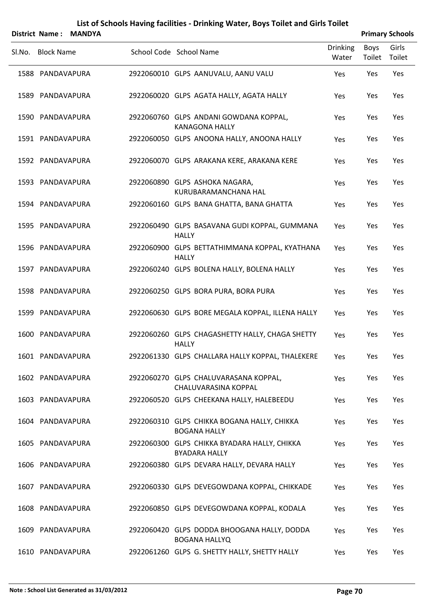|        |                   | District Name: MANDYA |                                                                      |                          |                | <b>Primary Schools</b> |
|--------|-------------------|-----------------------|----------------------------------------------------------------------|--------------------------|----------------|------------------------|
| Sl.No. | <b>Block Name</b> |                       | School Code School Name                                              | <b>Drinking</b><br>Water | Boys<br>Toilet | Girls<br>Toilet        |
|        | 1588 PANDAVAPURA  |                       | 2922060010 GLPS AANUVALU, AANU VALU                                  | Yes                      | Yes            | Yes                    |
|        | 1589 PANDAVAPURA  |                       | 2922060020 GLPS AGATA HALLY, AGATA HALLY                             | Yes                      | Yes            | Yes                    |
|        | 1590 PANDAVAPURA  |                       | 2922060760 GLPS ANDANI GOWDANA KOPPAL,<br><b>KANAGONA HALLY</b>      | Yes                      | Yes            | Yes                    |
|        | 1591 PANDAVAPURA  |                       | 2922060050 GLPS ANOONA HALLY, ANOONA HALLY                           | Yes                      | Yes            | Yes                    |
|        | 1592 PANDAVAPURA  |                       | 2922060070 GLPS ARAKANA KERE, ARAKANA KERE                           | Yes                      | Yes            | Yes                    |
|        | 1593 PANDAVAPURA  |                       | 2922060890 GLPS ASHOKA NAGARA,<br>KURUBARAMANCHANA HAL               | Yes                      | Yes            | Yes                    |
|        | 1594 PANDAVAPURA  |                       | 2922060160 GLPS BANA GHATTA, BANA GHATTA                             | Yes                      | Yes            | Yes                    |
|        | 1595 PANDAVAPURA  |                       | 2922060490 GLPS BASAVANA GUDI KOPPAL, GUMMANA<br><b>HALLY</b>        | Yes                      | Yes            | Yes                    |
|        | 1596 PANDAVAPURA  |                       | 2922060900 GLPS BETTATHIMMANA KOPPAL, KYATHANA<br><b>HALLY</b>       | Yes                      | Yes            | Yes                    |
|        | 1597 PANDAVAPURA  |                       | 2922060240 GLPS BOLENA HALLY, BOLENA HALLY                           | Yes                      | Yes            | Yes                    |
|        | 1598 PANDAVAPURA  |                       | 2922060250 GLPS BORA PURA, BORA PURA                                 | Yes                      | Yes            | Yes                    |
|        | 1599 PANDAVAPURA  |                       | 2922060630 GLPS BORE MEGALA KOPPAL, ILLENA HALLY                     | Yes                      | Yes            | Yes                    |
|        | 1600 PANDAVAPURA  |                       | 2922060260 GLPS CHAGASHETTY HALLY, CHAGA SHETTY<br><b>HALLY</b>      | Yes                      | Yes            | Yes                    |
|        | 1601 PANDAVAPURA  |                       | 2922061330 GLPS CHALLARA HALLY KOPPAL, THALEKERE                     | Yes                      | Yes            | Yes                    |
|        | 1602 PANDAVAPURA  |                       | 2922060270 GLPS CHALUVARASANA KOPPAL,<br>CHALUVARASINA KOPPAL        | Yes                      | Yes            | Yes                    |
|        | 1603 PANDAVAPURA  |                       | 2922060520 GLPS CHEEKANA HALLY, HALEBEEDU                            | <b>Yes</b>               | Yes            | Yes                    |
|        | 1604 PANDAVAPURA  |                       | 2922060310 GLPS CHIKKA BOGANA HALLY, CHIKKA<br><b>BOGANA HALLY</b>   | Yes                      | Yes            | Yes                    |
|        | 1605 PANDAVAPURA  |                       | 2922060300 GLPS CHIKKA BYADARA HALLY, CHIKKA<br><b>BYADARA HALLY</b> | <b>Yes</b>               | Yes            | Yes                    |
|        | 1606 PANDAVAPURA  |                       | 2922060380 GLPS DEVARA HALLY, DEVARA HALLY                           | Yes                      | Yes            | Yes                    |
|        | 1607 PANDAVAPURA  |                       | 2922060330 GLPS DEVEGOWDANA KOPPAL, CHIKKADE                         | <b>Yes</b>               | Yes            | Yes                    |
|        | 1608 PANDAVAPURA  |                       | 2922060850 GLPS DEVEGOWDANA KOPPAL, KODALA                           | Yes                      | Yes            | Yes                    |
|        | 1609 PANDAVAPURA  |                       | 2922060420 GLPS DODDA BHOOGANA HALLY, DODDA<br><b>BOGANA HALLYQ</b>  | <b>Yes</b>               | Yes            | Yes                    |
|        | 1610 PANDAVAPURA  |                       | 2922061260 GLPS G. SHETTY HALLY, SHETTY HALLY                        | Yes                      | Yes            | Yes                    |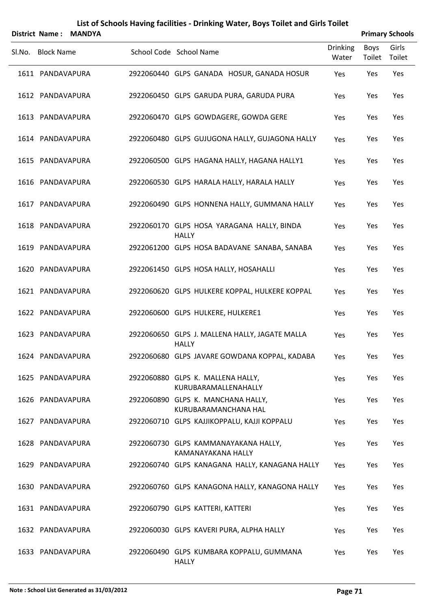| List of Schools Having facilities - Drinking Water, Boys Toilet and Girls Toilet |  |
|----------------------------------------------------------------------------------|--|
|----------------------------------------------------------------------------------|--|

|                   | District Name: MANDYA |                                                                |                          |                | <b>Primary Schools</b> |
|-------------------|-----------------------|----------------------------------------------------------------|--------------------------|----------------|------------------------|
| SI.No. Block Name |                       | School Code School Name                                        | <b>Drinking</b><br>Water | Boys<br>Toilet | Girls<br>Toilet        |
| 1611 PANDAVAPURA  |                       | 2922060440 GLPS GANADA HOSUR, GANADA HOSUR                     | Yes                      | Yes            | Yes                    |
| 1612 PANDAVAPURA  |                       | 2922060450 GLPS GARUDA PURA, GARUDA PURA                       | Yes                      | Yes            | Yes                    |
| 1613 PANDAVAPURA  |                       | 2922060470 GLPS GOWDAGERE, GOWDA GERE                          | Yes                      | Yes            | Yes                    |
| 1614 PANDAVAPURA  |                       | 2922060480 GLPS GUJUGONA HALLY, GUJAGONA HALLY                 | Yes                      | Yes            | Yes                    |
| 1615 PANDAVAPURA  |                       | 2922060500 GLPS HAGANA HALLY, HAGANA HALLY1                    | Yes                      | Yes            | Yes                    |
| 1616 PANDAVAPURA  |                       | 2922060530 GLPS HARALA HALLY, HARALA HALLY                     | Yes                      | Yes            | Yes                    |
| 1617 PANDAVAPURA  |                       | 2922060490 GLPS HONNENA HALLY, GUMMANA HALLY                   | Yes                      | Yes            | Yes                    |
| 1618 PANDAVAPURA  |                       | 2922060170 GLPS HOSA YARAGANA HALLY, BINDA<br><b>HALLY</b>     | Yes                      | Yes            | Yes                    |
| 1619 PANDAVAPURA  |                       | 2922061200 GLPS HOSA BADAVANE SANABA, SANABA                   | Yes                      | Yes            | Yes                    |
| 1620 PANDAVAPURA  |                       | 2922061450 GLPS HOSA HALLY, HOSAHALLI                          | Yes                      | Yes            | Yes                    |
| 1621 PANDAVAPURA  |                       | 2922060620 GLPS HULKERE KOPPAL, HULKERE KOPPAL                 | Yes                      | Yes            | Yes                    |
| 1622 PANDAVAPURA  |                       | 2922060600 GLPS HULKERE, HULKERE1                              | Yes                      | Yes            | Yes                    |
| 1623 PANDAVAPURA  |                       | 2922060650 GLPS J. MALLENA HALLY, JAGATE MALLA<br><b>HALLY</b> | Yes                      | Yes            | Yes                    |
| 1624 PANDAVAPURA  |                       | 2922060680 GLPS JAVARE GOWDANA KOPPAL, KADABA                  | Yes                      | Yes            | Yes                    |
| 1625 PANDAVAPURA  |                       | 2922060880 GLPS K. MALLENA HALLY,<br>KURUBARAMALLENAHALLY      | Yes                      | Yes            | Yes                    |
| 1626 PANDAVAPURA  |                       | 2922060890 GLPS K. MANCHANA HALLY,<br>KURUBARAMANCHANA HAL     | Yes                      | Yes            | Yes                    |
| 1627 PANDAVAPURA  |                       | 2922060710 GLPS KAJJIKOPPALU, KAJJI KOPPALU                    | Yes                      | Yes            | Yes                    |
| 1628 PANDAVAPURA  |                       | 2922060730 GLPS KAMMANAYAKANA HALLY,<br>KAMANAYAKANA HALLY     | Yes                      | Yes            | Yes                    |
| 1629 PANDAVAPURA  |                       | 2922060740 GLPS KANAGANA HALLY, KANAGANA HALLY                 | Yes                      | Yes            | Yes                    |
| 1630 PANDAVAPURA  |                       | 2922060760 GLPS KANAGONA HALLY, KANAGONA HALLY                 | Yes                      | Yes            | Yes                    |
| 1631 PANDAVAPURA  |                       | 2922060790 GLPS KATTERI, KATTERI                               | Yes                      | Yes            | Yes                    |
| 1632 PANDAVAPURA  |                       | 2922060030 GLPS KAVERI PURA, ALPHA HALLY                       | Yes                      | Yes            | Yes                    |
| 1633 PANDAVAPURA  |                       | 2922060490 GLPS KUMBARA KOPPALU, GUMMANA<br><b>HALLY</b>       | Yes                      | Yes            | Yes                    |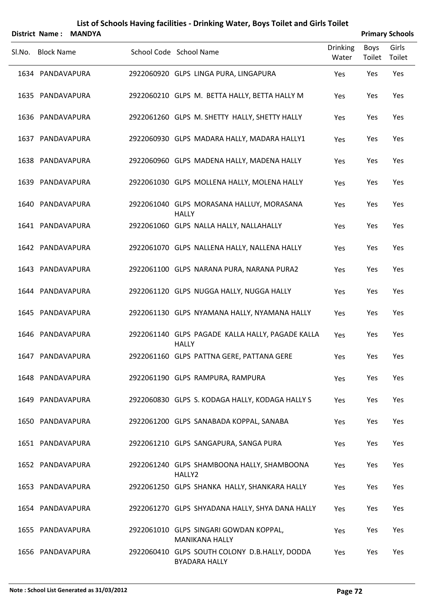| List of Schools Having facilities - Drinking Water, Boys Toilet and Girls Toilet |  |
|----------------------------------------------------------------------------------|--|
|----------------------------------------------------------------------------------|--|

|        |                   | District Name: MANDYA |                                                                       |                          |                | <b>Primary Schools</b> |
|--------|-------------------|-----------------------|-----------------------------------------------------------------------|--------------------------|----------------|------------------------|
| Sl.No. | <b>Block Name</b> |                       | School Code School Name                                               | <b>Drinking</b><br>Water | Boys<br>Toilet | Girls<br>Toilet        |
|        | 1634 PANDAVAPURA  |                       | 2922060920 GLPS LINGA PURA, LINGAPURA                                 | Yes                      | Yes            | Yes                    |
|        | 1635 PANDAVAPURA  |                       | 2922060210 GLPS M. BETTA HALLY, BETTA HALLY M                         | Yes                      | Yes            | Yes                    |
|        | 1636 PANDAVAPURA  |                       | 2922061260 GLPS M. SHETTY HALLY, SHETTY HALLY                         | Yes                      | Yes            | Yes                    |
|        | 1637 PANDAVAPURA  |                       | 2922060930 GLPS MADARA HALLY, MADARA HALLY1                           | Yes                      | Yes            | Yes                    |
|        | 1638 PANDAVAPURA  |                       | 2922060960 GLPS MADENA HALLY, MADENA HALLY                            | Yes                      | Yes            | Yes                    |
|        | 1639 PANDAVAPURA  |                       | 2922061030 GLPS MOLLENA HALLY, MOLENA HALLY                           | Yes                      | Yes            | Yes                    |
|        | 1640 PANDAVAPURA  |                       | 2922061040 GLPS MORASANA HALLUY, MORASANA<br><b>HALLY</b>             | Yes                      | Yes            | Yes                    |
|        | 1641 PANDAVAPURA  |                       | 2922061060 GLPS NALLA HALLY, NALLAHALLY                               | Yes                      | Yes            | Yes                    |
|        | 1642 PANDAVAPURA  |                       | 2922061070 GLPS NALLENA HALLY, NALLENA HALLY                          | Yes                      | Yes            | Yes                    |
|        | 1643 PANDAVAPURA  |                       | 2922061100 GLPS NARANA PURA, NARANA PURA2                             | Yes                      | Yes            | Yes                    |
|        | 1644 PANDAVAPURA  |                       | 2922061120 GLPS NUGGA HALLY, NUGGA HALLY                              | Yes                      | Yes            | Yes                    |
|        | 1645 PANDAVAPURA  |                       | 2922061130 GLPS NYAMANA HALLY, NYAMANA HALLY                          | Yes                      | Yes            | Yes                    |
|        | 1646 PANDAVAPURA  |                       | 2922061140 GLPS PAGADE KALLA HALLY, PAGADE KALLA<br><b>HALLY</b>      | Yes                      | Yes            | Yes                    |
|        | 1647 PANDAVAPURA  |                       | 2922061160 GLPS PATTNA GERE, PATTANA GERE                             | Yes                      | Yes            | Yes                    |
|        | 1648 PANDAVAPURA  |                       | 2922061190 GLPS RAMPURA, RAMPURA                                      | Yes                      | Yes            | Yes                    |
|        | 1649 PANDAVAPURA  |                       | 2922060830 GLPS S. KODAGA HALLY, KODAGA HALLY S                       | Yes                      | Yes            | Yes                    |
|        | 1650 PANDAVAPURA  |                       | 2922061200 GLPS SANABADA KOPPAL, SANABA                               | Yes                      | Yes            | Yes                    |
|        | 1651 PANDAVAPURA  |                       | 2922061210 GLPS SANGAPURA, SANGA PURA                                 | Yes                      | Yes            | Yes                    |
|        | 1652 PANDAVAPURA  |                       | 2922061240 GLPS SHAMBOONA HALLY, SHAMBOONA<br>HALLY2                  | Yes                      | Yes            | Yes                    |
|        | 1653 PANDAVAPURA  |                       | 2922061250 GLPS SHANKA HALLY, SHANKARA HALLY                          | Yes                      | Yes            | Yes                    |
|        | 1654 PANDAVAPURA  |                       | 2922061270 GLPS SHYADANA HALLY, SHYA DANA HALLY                       | Yes                      | Yes            | Yes                    |
|        | 1655 PANDAVAPURA  |                       | 2922061010 GLPS SINGARI GOWDAN KOPPAL,<br><b>MANIKANA HALLY</b>       | Yes                      | Yes            | Yes                    |
|        | 1656 PANDAVAPURA  |                       | 2922060410 GLPS SOUTH COLONY D.B.HALLY, DODDA<br><b>BYADARA HALLY</b> | Yes                      | Yes            | Yes                    |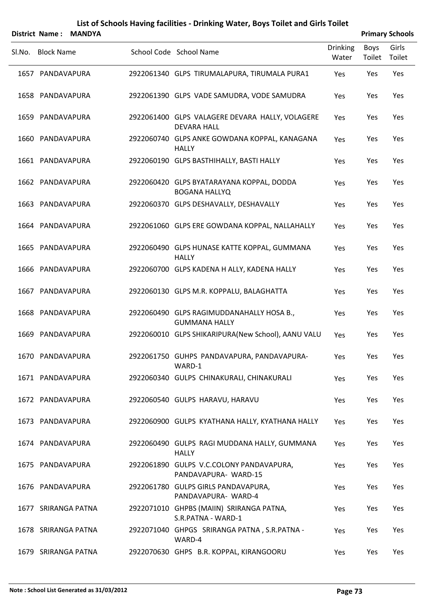| District Name:      | <b>MANDYA</b> |                                                                       |                          |                | <b>Primary Schools</b> |
|---------------------|---------------|-----------------------------------------------------------------------|--------------------------|----------------|------------------------|
| SI.No. Block Name   |               | School Code School Name                                               | <b>Drinking</b><br>Water | Boys<br>Toilet | Girls<br>Toilet        |
| 1657 PANDAVAPURA    |               | 2922061340 GLPS TIRUMALAPURA, TIRUMALA PURA1                          | Yes                      | Yes            | Yes                    |
| 1658 PANDAVAPURA    |               | 2922061390 GLPS VADE SAMUDRA, VODE SAMUDRA                            | Yes                      | Yes            | Yes                    |
| 1659 PANDAVAPURA    |               | 2922061400 GLPS VALAGERE DEVARA HALLY, VOLAGERE<br><b>DEVARA HALL</b> | Yes                      | Yes            | Yes                    |
| 1660 PANDAVAPURA    |               | 2922060740 GLPS ANKE GOWDANA KOPPAL, KANAGANA<br><b>HALLY</b>         | Yes                      | Yes            | Yes                    |
| 1661 PANDAVAPURA    |               | 2922060190 GLPS BASTHIHALLY, BASTI HALLY                              | Yes                      | Yes            | Yes                    |
| 1662 PANDAVAPURA    |               | 2922060420 GLPS BYATARAYANA KOPPAL, DODDA<br><b>BOGANA HALLYQ</b>     | Yes                      | Yes            | Yes                    |
| 1663 PANDAVAPURA    |               | 2922060370 GLPS DESHAVALLY, DESHAVALLY                                | Yes                      | Yes            | Yes                    |
| 1664 PANDAVAPURA    |               | 2922061060 GLPS ERE GOWDANA KOPPAL, NALLAHALLY                        | Yes                      | Yes            | Yes                    |
| 1665 PANDAVAPURA    |               | 2922060490 GLPS HUNASE KATTE KOPPAL, GUMMANA<br><b>HALLY</b>          | Yes                      | Yes            | Yes                    |
| 1666 PANDAVAPURA    |               | 2922060700 GLPS KADENA H ALLY, KADENA HALLY                           | Yes                      | Yes            | Yes                    |
| 1667 PANDAVAPURA    |               | 2922060130 GLPS M.R. KOPPALU, BALAGHATTA                              | Yes                      | Yes            | Yes                    |
| 1668 PANDAVAPURA    |               | 2922060490 GLPS RAGIMUDDANAHALLY HOSA B.,<br><b>GUMMANA HALLY</b>     | Yes                      | Yes            | Yes                    |
| 1669 PANDAVAPURA    |               | 2922060010 GLPS SHIKARIPURA(New School), AANU VALU                    | Yes                      | Yes            | Yes                    |
| 1670 PANDAVAPURA    |               | 2922061750 GUHPS PANDAVAPURA, PANDAVAPURA-<br>WARD-1                  | Yes                      | Yes            | Yes                    |
| 1671 PANDAVAPURA    |               | 2922060340 GULPS CHINAKURALI, CHINAKURALI                             | Yes                      | Yes            | Yes                    |
| 1672 PANDAVAPURA    |               | 2922060540 GULPS HARAVU, HARAVU                                       | Yes                      | Yes            | Yes                    |
| 1673 PANDAVAPURA    |               | 2922060900 GULPS KYATHANA HALLY, KYATHANA HALLY                       | Yes                      | Yes            | Yes                    |
| 1674 PANDAVAPURA    |               | 2922060490 GULPS RAGI MUDDANA HALLY, GUMMANA<br><b>HALLY</b>          | Yes                      | Yes            | Yes                    |
| 1675 PANDAVAPURA    |               | 2922061890 GULPS V.C.COLONY PANDAVAPURA,<br>PANDAVAPURA- WARD-15      | Yes                      | Yes            | Yes                    |
| 1676 PANDAVAPURA    |               | 2922061780 GULPS GIRLS PANDAVAPURA,<br>PANDAVAPURA- WARD-4            | Yes                      | Yes            | Yes                    |
| 1677 SRIRANGA PATNA |               | 2922071010 GHPBS (MAIIN) SRIRANGA PATNA,<br>S.R.PATNA - WARD-1        | Yes                      | Yes            | Yes                    |
| 1678 SRIRANGA PATNA |               | 2922071040 GHPGS SRIRANGA PATNA, S.R.PATNA -<br>WARD-4                | Yes                      | Yes            | Yes                    |
| 1679 SRIRANGA PATNA |               | 2922070630 GHPS B.R. KOPPAL, KIRANGOORU                               | Yes                      | Yes            | Yes                    |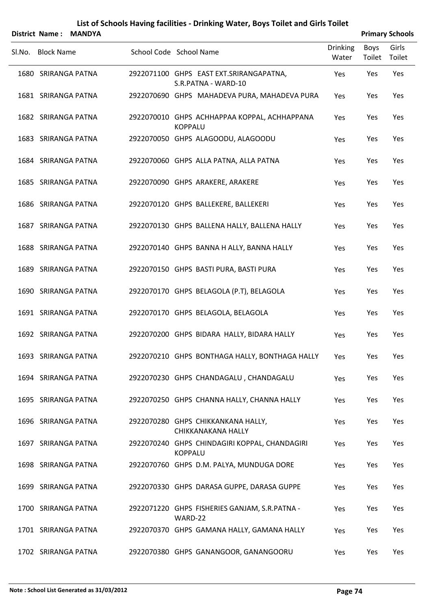|                   | District Name: MANDYA |                                                                 |                          |                | <b>Primary Schools</b> |
|-------------------|-----------------------|-----------------------------------------------------------------|--------------------------|----------------|------------------------|
| SI.No. Block Name |                       | School Code School Name                                         | <b>Drinking</b><br>Water | Boys<br>Toilet | Girls<br>Toilet        |
|                   | 1680 SRIRANGA PATNA   | 2922071100 GHPS EAST EXT.SRIRANGAPATNA,<br>S.R.PATNA - WARD-10  | Yes                      | Yes            | Yes                    |
|                   | 1681 SRIRANGA PATNA   | 2922070690 GHPS MAHADEVA PURA, MAHADEVA PURA                    | Yes                      | Yes            | Yes                    |
|                   | 1682 SRIRANGA PATNA   | 2922070010 GHPS ACHHAPPAA KOPPAL, ACHHAPPANA<br><b>KOPPALU</b>  | Yes                      | Yes            | Yes                    |
|                   | 1683 SRIRANGA PATNA   | 2922070050 GHPS ALAGOODU, ALAGOODU                              | Yes                      | Yes            | Yes                    |
|                   | 1684 SRIRANGA PATNA   | 2922070060 GHPS ALLA PATNA, ALLA PATNA                          | Yes                      | Yes            | Yes                    |
|                   | 1685 SRIRANGA PATNA   | 2922070090 GHPS ARAKERE, ARAKERE                                | Yes                      | Yes            | Yes                    |
|                   | 1686 SRIRANGA PATNA   | 2922070120 GHPS BALLEKERE, BALLEKERI                            | Yes                      | Yes            | Yes                    |
|                   | 1687 SRIRANGA PATNA   | 2922070130 GHPS BALLENA HALLY, BALLENA HALLY                    | Yes                      | Yes            | Yes                    |
|                   | 1688 SRIRANGA PATNA   | 2922070140 GHPS BANNA H ALLY, BANNA HALLY                       | Yes                      | Yes            | Yes                    |
|                   | 1689 SRIRANGA PATNA   | 2922070150 GHPS BASTI PURA, BASTI PURA                          | Yes                      | Yes            | Yes                    |
|                   | 1690 SRIRANGA PATNA   | 2922070170 GHPS BELAGOLA (P.T), BELAGOLA                        | Yes                      | Yes            | Yes                    |
|                   | 1691 SRIRANGA PATNA   | 2922070170 GHPS BELAGOLA, BELAGOLA                              | Yes                      | Yes            | Yes                    |
|                   | 1692 SRIRANGA PATNA   | 2922070200 GHPS BIDARA HALLY, BIDARA HALLY                      | Yes                      | Yes            | Yes                    |
|                   | 1693 SRIRANGA PATNA   | 2922070210 GHPS BONTHAGA HALLY, BONTHAGA HALLY                  | Yes                      | Yes            | Yes                    |
|                   | 1694 SRIRANGA PATNA   | 2922070230 GHPS CHANDAGALU, CHANDAGALU                          | Yes                      | Yes            | Yes                    |
|                   | 1695 SRIRANGA PATNA   | 2922070250 GHPS CHANNA HALLY, CHANNA HALLY                      | Yes                      | Yes            | Yes                    |
|                   | 1696 SRIRANGA PATNA   | 2922070280 GHPS CHIKKANKANA HALLY,<br>CHIKKANAKANA HALLY        | Yes                      | Yes            | Yes                    |
|                   | 1697 SRIRANGA PATNA   | 2922070240 GHPS CHINDAGIRI KOPPAL, CHANDAGIRI<br><b>KOPPALU</b> | Yes                      | Yes            | Yes                    |
|                   | 1698 SRIRANGA PATNA   | 2922070760 GHPS D.M. PALYA, MUNDUGA DORE                        | Yes                      | Yes            | Yes                    |
|                   | 1699 SRIRANGA PATNA   | 2922070330 GHPS DARASA GUPPE, DARASA GUPPE                      | Yes                      | Yes            | Yes                    |
|                   | 1700 SRIRANGA PATNA   | 2922071220 GHPS FISHERIES GANJAM, S.R.PATNA -<br>WARD-22        | Yes                      | Yes            | Yes                    |
|                   | 1701 SRIRANGA PATNA   | 2922070370 GHPS GAMANA HALLY, GAMANA HALLY                      | Yes                      | Yes            | Yes                    |
|                   | 1702 SRIRANGA PATNA   | 2922070380 GHPS GANANGOOR, GANANGOORU                           | Yes                      | Yes            | Yes                    |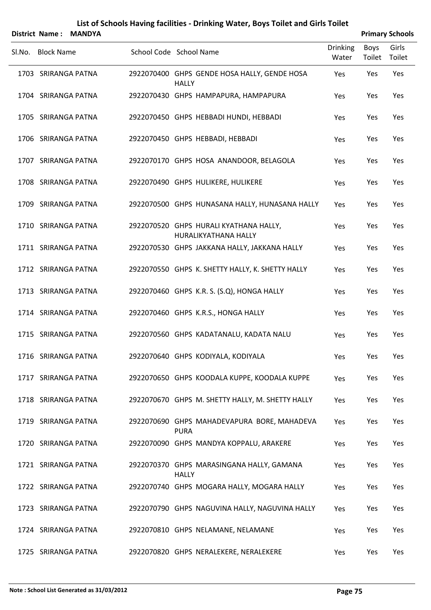|        |                   | District Name: MANDYA |                                                                |                          |                | <b>Primary Schools</b> |
|--------|-------------------|-----------------------|----------------------------------------------------------------|--------------------------|----------------|------------------------|
| Sl.No. | <b>Block Name</b> |                       | School Code School Name                                        | <b>Drinking</b><br>Water | Boys<br>Toilet | Girls<br>Toilet        |
|        |                   | 1703 SRIRANGA PATNA   | 2922070400 GHPS GENDE HOSA HALLY, GENDE HOSA<br><b>HALLY</b>   | Yes                      | Yes            | Yes                    |
|        |                   | 1704 SRIRANGA PATNA   | 2922070430 GHPS HAMPAPURA, HAMPAPURA                           | Yes                      | Yes            | Yes                    |
|        |                   | 1705 SRIRANGA PATNA   | 2922070450 GHPS HEBBADI HUNDI, HEBBADI                         | Yes                      | Yes            | Yes                    |
|        |                   | 1706 SRIRANGA PATNA   | 2922070450 GHPS HEBBADI, HEBBADI                               | Yes                      | Yes            | Yes                    |
|        |                   | 1707 SRIRANGA PATNA   | 2922070170 GHPS HOSA ANANDOOR, BELAGOLA                        | Yes                      | Yes            | Yes                    |
|        |                   | 1708 SRIRANGA PATNA   | 2922070490 GHPS HULIKERE, HULIKERE                             | Yes                      | Yes            | Yes                    |
|        |                   | 1709 SRIRANGA PATNA   | 2922070500 GHPS HUNASANA HALLY, HUNASANA HALLY                 | Yes                      | Yes            | Yes                    |
|        |                   | 1710 SRIRANGA PATNA   | 2922070520 GHPS HURALI KYATHANA HALLY,<br>HURALIKYATHANA HALLY | Yes                      | Yes            | Yes                    |
|        |                   | 1711 SRIRANGA PATNA   | 2922070530 GHPS JAKKANA HALLY, JAKKANA HALLY                   | Yes                      | Yes            | Yes                    |
|        |                   | 1712 SRIRANGA PATNA   | 2922070550 GHPS K. SHETTY HALLY, K. SHETTY HALLY               | Yes                      | Yes            | Yes                    |
|        |                   | 1713 SRIRANGA PATNA   | 2922070460 GHPS K.R. S. (S.Q), HONGA HALLY                     | Yes                      | Yes            | Yes                    |
|        |                   | 1714 SRIRANGA PATNA   | 2922070460 GHPS K.R.S., HONGA HALLY                            | Yes                      | Yes            | Yes                    |
|        |                   | 1715 SRIRANGA PATNA   | 2922070560 GHPS KADATANALU, KADATA NALU                        | Yes                      | Yes            | Yes                    |
|        |                   | 1716 SRIRANGA PATNA   | 2922070640 GHPS KODIYALA, KODIYALA                             | Yes                      | Yes            | Yes                    |
|        |                   | 1717 SRIRANGA PATNA   | 2922070650 GHPS KOODALA KUPPE, KOODALA KUPPE                   | Yes                      | Yes            | Yes                    |
|        |                   | 1718 SRIRANGA PATNA   | 2922070670 GHPS M. SHETTY HALLY, M. SHETTY HALLY               | Yes                      | Yes            | Yes                    |
|        |                   | 1719 SRIRANGA PATNA   | 2922070690 GHPS MAHADEVAPURA BORE, MAHADEVA<br><b>PURA</b>     | Yes                      | Yes            | Yes                    |
|        |                   | 1720 SRIRANGA PATNA   | 2922070090 GHPS MANDYA KOPPALU, ARAKERE                        | Yes                      | Yes            | Yes                    |
|        |                   | 1721 SRIRANGA PATNA   | 2922070370 GHPS MARASINGANA HALLY, GAMANA<br><b>HALLY</b>      | Yes                      | Yes            | Yes                    |
|        |                   | 1722 SRIRANGA PATNA   | 2922070740 GHPS MOGARA HALLY, MOGARA HALLY                     | Yes                      | Yes            | Yes                    |
|        |                   | 1723 SRIRANGA PATNA   | 2922070790 GHPS NAGUVINA HALLY, NAGUVINA HALLY                 | Yes                      | Yes            | Yes                    |
|        |                   | 1724 SRIRANGA PATNA   | 2922070810 GHPS NELAMANE, NELAMANE                             | Yes                      | Yes            | Yes                    |
|        |                   | 1725 SRIRANGA PATNA   | 2922070820 GHPS NERALEKERE, NERALEKERE                         | Yes                      | Yes            | Yes                    |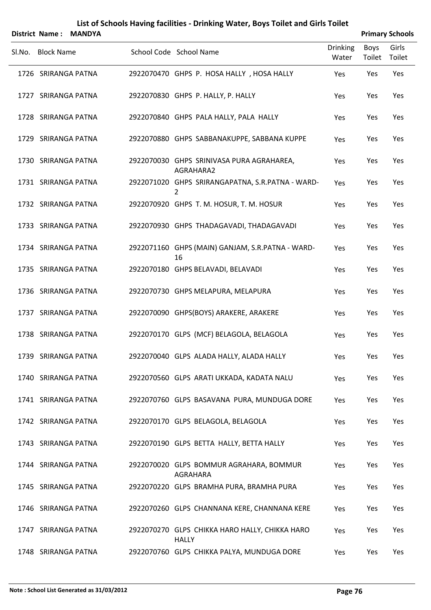|        |                   | District Name: MANDYA |                                                                |                          |                | <b>Primary Schools</b> |
|--------|-------------------|-----------------------|----------------------------------------------------------------|--------------------------|----------------|------------------------|
| SI.No. | <b>Block Name</b> |                       | School Code School Name                                        | <b>Drinking</b><br>Water | Boys<br>Toilet | Girls<br>Toilet        |
|        |                   | 1726 SRIRANGA PATNA   | 2922070470 GHPS P. HOSA HALLY, HOSA HALLY                      | Yes                      | Yes            | Yes                    |
|        |                   | 1727 SRIRANGA PATNA   | 2922070830 GHPS P. HALLY, P. HALLY                             | Yes                      | Yes            | Yes                    |
|        |                   | 1728 SRIRANGA PATNA   | 2922070840 GHPS PALA HALLY, PALA HALLY                         | Yes                      | Yes            | Yes                    |
|        |                   | 1729 SRIRANGA PATNA   | 2922070880 GHPS SABBANAKUPPE, SABBANA KUPPE                    | Yes                      | Yes            | Yes                    |
|        |                   | 1730 SRIRANGA PATNA   | 2922070030 GHPS SRINIVASA PURA AGRAHAREA,<br>AGRAHARA2         | Yes                      | Yes            | Yes                    |
|        |                   | 1731 SRIRANGA PATNA   | 2922071020 GHPS SRIRANGAPATNA, S.R.PATNA - WARD-               | Yes                      | Yes            | Yes                    |
|        |                   | 1732 SRIRANGA PATNA   | 2922070920 GHPS T. M. HOSUR, T. M. HOSUR                       | Yes                      | Yes            | Yes                    |
|        |                   | 1733 SRIRANGA PATNA   | 2922070930 GHPS THADAGAVADI, THADAGAVADI                       | Yes                      | Yes            | Yes                    |
|        |                   | 1734 SRIRANGA PATNA   | 2922071160 GHPS (MAIN) GANJAM, S.R.PATNA - WARD-<br>16         | Yes                      | Yes            | Yes                    |
|        |                   | 1735 SRIRANGA PATNA   | 2922070180 GHPS BELAVADI, BELAVADI                             | Yes                      | Yes            | Yes                    |
|        |                   | 1736 SRIRANGA PATNA   | 2922070730 GHPS MELAPURA, MELAPURA                             | Yes                      | Yes            | Yes                    |
|        |                   | 1737 SRIRANGA PATNA   | 2922070090 GHPS(BOYS) ARAKERE, ARAKERE                         | Yes                      | Yes            | Yes                    |
|        |                   | 1738 SRIRANGA PATNA   | 2922070170 GLPS (MCF) BELAGOLA, BELAGOLA                       | Yes                      | Yes            | Yes                    |
|        |                   | 1739 SRIRANGA PATNA   | 2922070040 GLPS ALADA HALLY, ALADA HALLY                       | Yes                      | Yes            | Yes                    |
|        |                   | 1740 SRIRANGA PATNA   | 2922070560 GLPS ARATI UKKADA, KADATA NALU                      | Yes                      | Yes            | Yes                    |
|        |                   | 1741 SRIRANGA PATNA   | 2922070760 GLPS BASAVANA PURA, MUNDUGA DORE                    | Yes                      | Yes            | Yes                    |
|        |                   | 1742 SRIRANGA PATNA   | 2922070170 GLPS BELAGOLA, BELAGOLA                             | Yes                      | Yes            | Yes                    |
|        |                   | 1743 SRIRANGA PATNA   | 2922070190 GLPS BETTA HALLY, BETTA HALLY                       | Yes                      | Yes            | Yes                    |
|        |                   | 1744 SRIRANGA PATNA   | 2922070020 GLPS BOMMUR AGRAHARA, BOMMUR<br>AGRAHARA            | Yes                      | Yes            | Yes                    |
|        |                   | 1745 SRIRANGA PATNA   | 2922070220 GLPS BRAMHA PURA, BRAMHA PURA                       | Yes                      | Yes            | Yes                    |
|        |                   | 1746 SRIRANGA PATNA   | 2922070260 GLPS CHANNANA KERE, CHANNANA KERE                   | Yes                      | Yes            | Yes                    |
|        |                   | 1747 SRIRANGA PATNA   | 2922070270 GLPS CHIKKA HARO HALLY, CHIKKA HARO<br><b>HALLY</b> | Yes                      | Yes            | Yes                    |
|        |                   | 1748 SRIRANGA PATNA   | 2922070760 GLPS CHIKKA PALYA, MUNDUGA DORE                     | Yes                      | Yes            | Yes                    |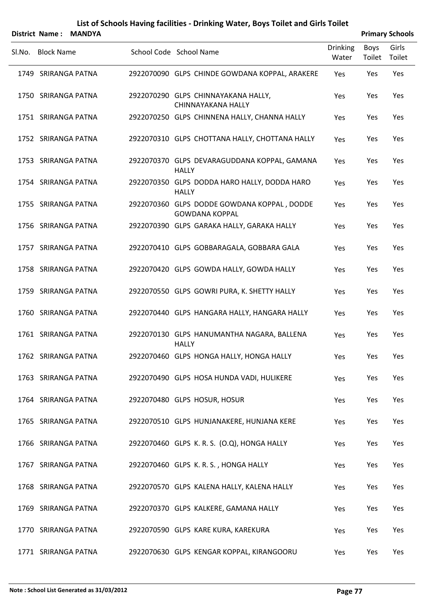|        |                   | District Name: MANDYA |                                                                      |                          |                | <b>Primary Schools</b> |
|--------|-------------------|-----------------------|----------------------------------------------------------------------|--------------------------|----------------|------------------------|
| Sl.No. | <b>Block Name</b> |                       | School Code School Name                                              | <b>Drinking</b><br>Water | Boys<br>Toilet | Girls<br>Toilet        |
|        |                   | 1749 SRIRANGA PATNA   | 2922070090 GLPS CHINDE GOWDANA KOPPAL, ARAKERE                       | Yes                      | Yes            | Yes                    |
|        |                   | 1750 SRIRANGA PATNA   | 2922070290 GLPS CHINNAYAKANA HALLY,<br>CHINNAYAKANA HALLY            | Yes                      | Yes            | Yes                    |
|        |                   | 1751 SRIRANGA PATNA   | 2922070250 GLPS CHINNENA HALLY, CHANNA HALLY                         | <b>Yes</b>               | Yes            | Yes                    |
|        |                   | 1752 SRIRANGA PATNA   | 2922070310 GLPS CHOTTANA HALLY, CHOTTANA HALLY                       | Yes                      | Yes            | Yes                    |
|        |                   | 1753 SRIRANGA PATNA   | 2922070370 GLPS DEVARAGUDDANA KOPPAL, GAMANA<br><b>HALLY</b>         | Yes                      | Yes            | Yes                    |
|        |                   | 1754 SRIRANGA PATNA   | 2922070350 GLPS DODDA HARO HALLY, DODDA HARO<br><b>HALLY</b>         | Yes                      | Yes            | Yes                    |
|        |                   | 1755 SRIRANGA PATNA   | 2922070360 GLPS DODDE GOWDANA KOPPAL, DODDE<br><b>GOWDANA KOPPAL</b> | Yes                      | Yes            | Yes                    |
|        |                   | 1756 SRIRANGA PATNA   | 2922070390 GLPS GARAKA HALLY, GARAKA HALLY                           | Yes                      | Yes            | Yes                    |
|        |                   | 1757 SRIRANGA PATNA   | 2922070410 GLPS GOBBARAGALA, GOBBARA GALA                            | Yes                      | Yes            | Yes                    |
|        |                   | 1758 SRIRANGA PATNA   | 2922070420 GLPS GOWDA HALLY, GOWDA HALLY                             | Yes                      | Yes            | Yes                    |
|        |                   | 1759 SRIRANGA PATNA   | 2922070550 GLPS GOWRI PURA, K. SHETTY HALLY                          | Yes                      | Yes            | Yes                    |
|        |                   | 1760 SRIRANGA PATNA   | 2922070440 GLPS HANGARA HALLY, HANGARA HALLY                         | Yes                      | Yes            | Yes                    |
|        |                   | 1761 SRIRANGA PATNA   | 2922070130 GLPS HANUMANTHA NAGARA, BALLENA<br><b>HALLY</b>           | Yes                      | Yes            | Yes                    |
|        |                   | 1762 SRIRANGA PATNA   | 2922070460 GLPS HONGA HALLY, HONGA HALLY                             | Yes                      | Yes            | Yes                    |
|        |                   | 1763 SRIRANGA PATNA   | 2922070490 GLPS HOSA HUNDA VADI, HULIKERE                            | Yes                      | Yes            | Yes                    |
|        |                   | 1764 SRIRANGA PATNA   | 2922070480 GLPS HOSUR, HOSUR                                         | Yes                      | Yes            | Yes                    |
|        |                   | 1765 SRIRANGA PATNA   | 2922070510 GLPS HUNJANAKERE, HUNJANA KERE                            | Yes                      | Yes            | Yes                    |
|        |                   | 1766 SRIRANGA PATNA   | 2922070460 GLPS K. R. S. (O.Q), HONGA HALLY                          | Yes                      | Yes            | Yes                    |
|        |                   | 1767 SRIRANGA PATNA   | 2922070460 GLPS K. R. S., HONGA HALLY                                | Yes                      | Yes            | Yes                    |
|        |                   | 1768 SRIRANGA PATNA   | 2922070570 GLPS KALENA HALLY, KALENA HALLY                           | Yes                      | Yes            | Yes                    |
|        |                   | 1769 SRIRANGA PATNA   | 2922070370 GLPS KALKERE, GAMANA HALLY                                | Yes                      | Yes            | Yes                    |
|        |                   | 1770 SRIRANGA PATNA   | 2922070590 GLPS KARE KURA, KAREKURA                                  | Yes                      | Yes            | Yes                    |
|        |                   | 1771 SRIRANGA PATNA   | 2922070630 GLPS KENGAR KOPPAL, KIRANGOORU                            | Yes                      | Yes            | Yes                    |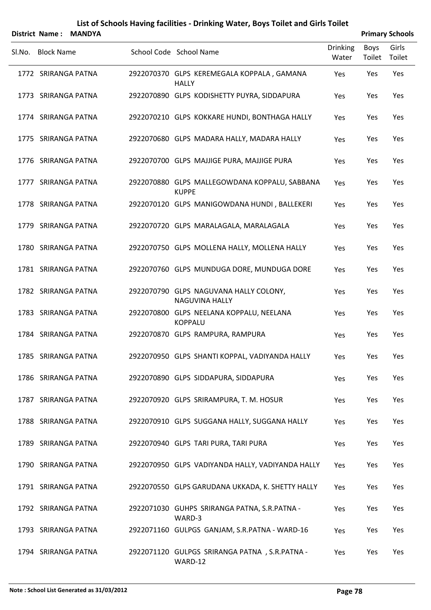|                   | District Name: MANDYA |                                                                 |                          |                | <b>Primary Schools</b> |
|-------------------|-----------------------|-----------------------------------------------------------------|--------------------------|----------------|------------------------|
| SI.No. Block Name |                       | School Code School Name                                         | <b>Drinking</b><br>Water | Boys<br>Toilet | Girls<br>Toilet        |
|                   | 1772 SRIRANGA PATNA   | 2922070370 GLPS KEREMEGALA KOPPALA, GAMANA<br><b>HALLY</b>      | Yes                      | Yes            | Yes                    |
|                   | 1773 SRIRANGA PATNA   | 2922070890 GLPS KODISHETTY PUYRA, SIDDAPURA                     | Yes                      | Yes            | Yes                    |
|                   | 1774 SRIRANGA PATNA   | 2922070210 GLPS KOKKARE HUNDI, BONTHAGA HALLY                   | Yes                      | Yes            | Yes                    |
|                   | 1775 SRIRANGA PATNA   | 2922070680 GLPS MADARA HALLY, MADARA HALLY                      | Yes                      | Yes            | Yes                    |
|                   | 1776 SRIRANGA PATNA   | 2922070700 GLPS MAJJIGE PURA, MAJJIGE PURA                      | Yes                      | Yes            | Yes                    |
|                   | 1777 SRIRANGA PATNA   | 2922070880 GLPS MALLEGOWDANA KOPPALU, SABBANA<br><b>KUPPE</b>   | Yes                      | Yes            | Yes                    |
|                   | 1778 SRIRANGA PATNA   | 2922070120 GLPS MANIGOWDANA HUNDI, BALLEKERI                    | Yes                      | Yes            | Yes                    |
|                   | 1779 SRIRANGA PATNA   | 2922070720 GLPS MARALAGALA, MARALAGALA                          | Yes                      | Yes            | Yes                    |
|                   | 1780 SRIRANGA PATNA   | 2922070750 GLPS MOLLENA HALLY, MOLLENA HALLY                    | Yes                      | Yes            | Yes                    |
|                   | 1781 SRIRANGA PATNA   | 2922070760 GLPS MUNDUGA DORE, MUNDUGA DORE                      | Yes                      | Yes            | Yes                    |
|                   | 1782 SRIRANGA PATNA   | 2922070790 GLPS NAGUVANA HALLY COLONY,<br><b>NAGUVINA HALLY</b> | Yes                      | Yes            | Yes                    |
|                   | 1783 SRIRANGA PATNA   | 2922070800 GLPS NEELANA KOPPALU, NEELANA<br><b>KOPPALU</b>      | Yes                      | Yes            | Yes                    |
|                   | 1784 SRIRANGA PATNA   | 2922070870 GLPS RAMPURA, RAMPURA                                | Yes                      | Yes            | Yes                    |
|                   | 1785 SRIRANGA PATNA   | 2922070950 GLPS SHANTI KOPPAL, VADIYANDA HALLY                  | Yes                      | Yes            | Yes                    |
|                   | 1786 SRIRANGA PATNA   | 2922070890 GLPS SIDDAPURA, SIDDAPURA                            | Yes                      | Yes            | Yes                    |
|                   | 1787 SRIRANGA PATNA   | 2922070920 GLPS SRIRAMPURA, T. M. HOSUR                         | Yes                      | Yes            | Yes                    |
|                   | 1788 SRIRANGA PATNA   | 2922070910 GLPS SUGGANA HALLY, SUGGANA HALLY                    | Yes                      | Yes            | Yes                    |
|                   | 1789 SRIRANGA PATNA   | 2922070940 GLPS TARI PURA, TARI PURA                            | Yes                      | Yes            | Yes                    |
|                   | 1790 SRIRANGA PATNA   | 2922070950 GLPS VADIYANDA HALLY, VADIYANDA HALLY                | Yes                      | Yes            | Yes                    |
|                   | 1791 SRIRANGA PATNA   | 2922070550 GLPS GARUDANA UKKADA, K. SHETTY HALLY                | Yes                      | Yes            | Yes                    |
|                   | 1792 SRIRANGA PATNA   | 2922071030 GUHPS SRIRANGA PATNA, S.R.PATNA -<br>WARD-3          | Yes                      | Yes            | Yes                    |
|                   | 1793 SRIRANGA PATNA   | 2922071160 GULPGS GANJAM, S.R.PATNA - WARD-16                   | Yes                      | Yes            | Yes                    |
|                   | 1794 SRIRANGA PATNA   | 2922071120 GULPGS SRIRANGA PATNA, S.R.PATNA -<br>WARD-12        | Yes                      | Yes            | Yes                    |